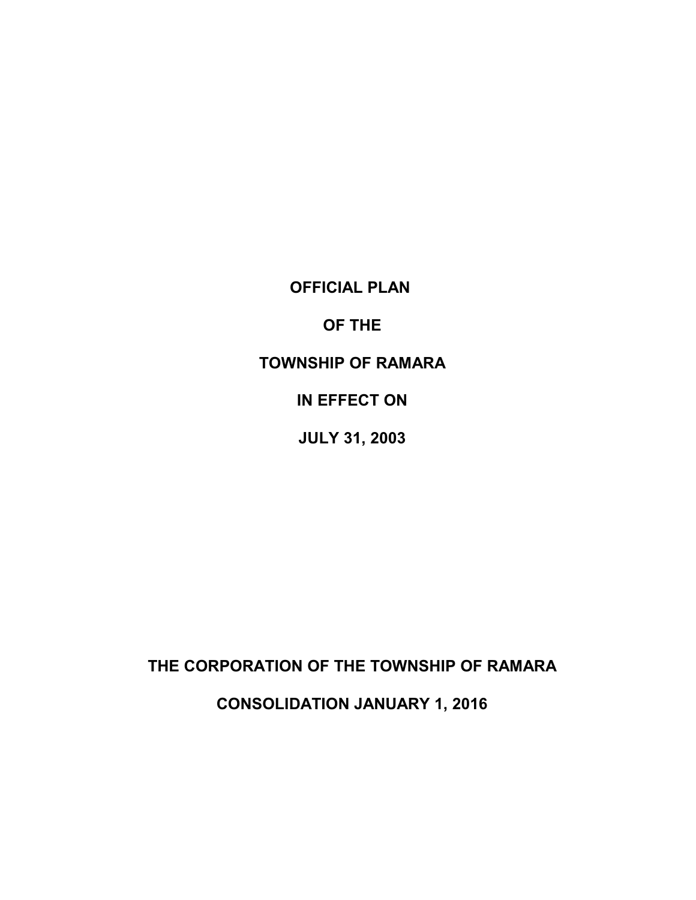**OFFICIAL PLAN** 

**OF THE** 

**TOWNSHIP OF RAMARA** 

**IN EFFECT ON** 

**JULY 31, 2003** 

**THE CORPORATION OF THE TOWNSHIP OF RAMARA** 

**CONSOLIDATION JANUARY 1, 2016**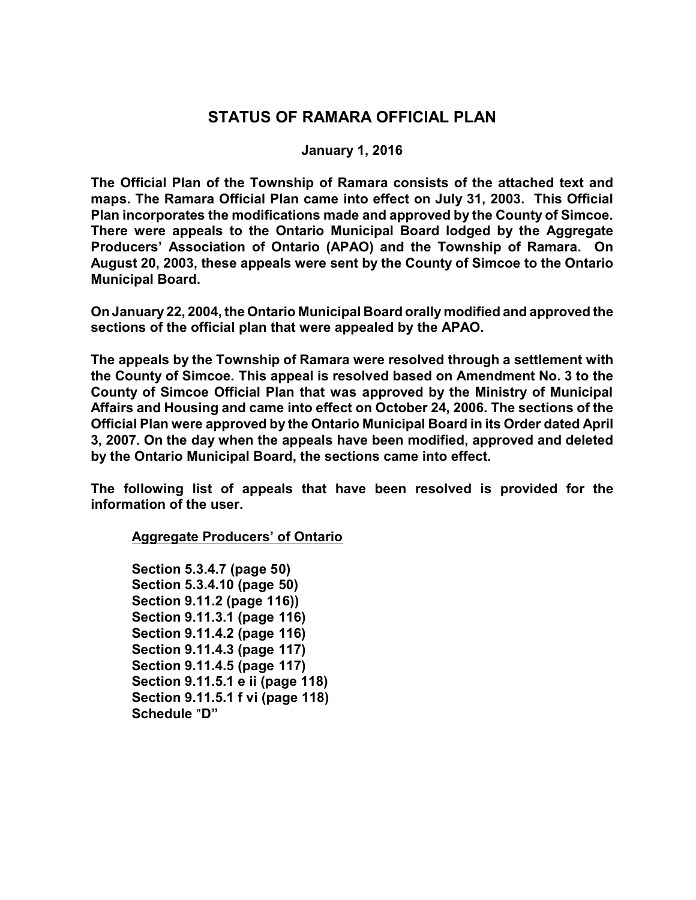# **STATUS OF RAMARA OFFICIAL PLAN**

## **January 1, 2016**

 **maps. The Ramara Official Plan came into effect on July 31, 2003. This Official There were appeals to the Ontario Municipal Board lodged by the Aggregate Producers' Association of Ontario (APAO) and the Township of Ramara. On The Official Plan of the Township of Ramara consists of the attached text and Plan incorporates the modifications made and approved by the County of Simcoe. August 20, 2003, these appeals were sent by the County of Simcoe to the Ontario Municipal Board.** 

**On January 22, 2004, the Ontario Municipal Board orally modified and approved the sections of the official plan that were appealed by the APAO.** 

 **the County of Simcoe. This appeal is resolved based on Amendment No. 3 to the County of Simcoe Official Plan that was approved by the Ministry of Municipal The appeals by the Township of Ramara were resolved through a settlement with Affairs and Housing and came into effect on October 24, 2006. The sections of the Official Plan were approved by the Ontario Municipal Board in its Order dated April 3, 2007. On the day when the appeals have been modified, approved and deleted by the Ontario Municipal Board, the sections came into effect.** 

**The following list of appeals that have been resolved is provided for the information of the user.** 

**Aggregate Producers' of Ontario** 

**Section 5.3.4.7 (page 50) Section 5.3.4.10 (page 50) Section 9.11.2 (page 116)) Section 9.11.3.1 (page 116) Section 9.11.4.2 (page 116) Section 9.11.4.3 (page 117) Section 9.11.4.5 (page 117) Section 9.11.5.1 e ii (page 118) Section 9.11.5.1 f vi (page 118) Schedule** ?**D"**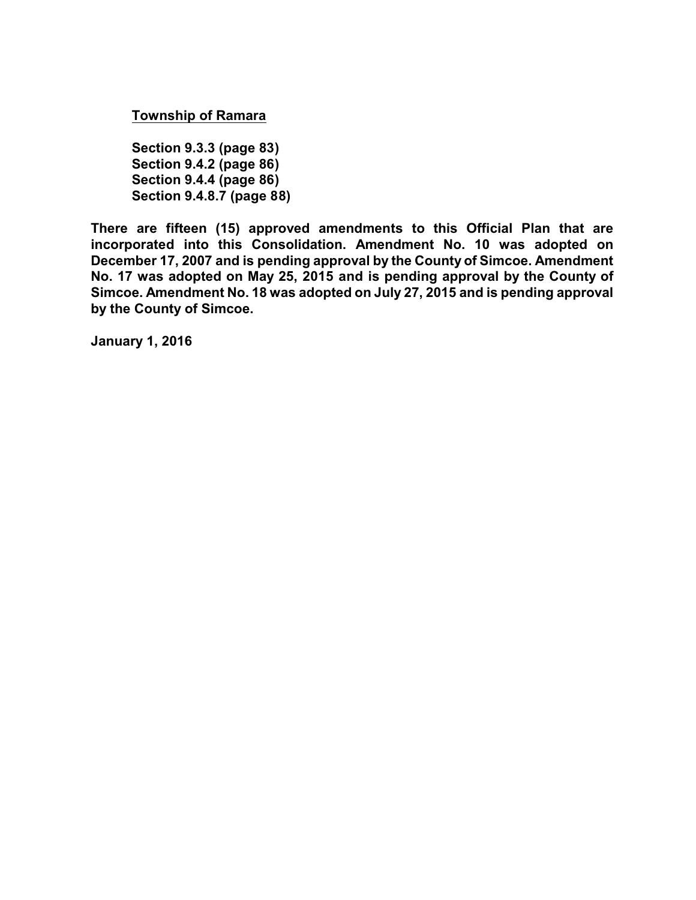**Township of Ramara** 

**Section 9.3.3 (page 83) Section 9.4.2 (page 86) Section 9.4.4 (page 86) Section 9.4.8.7 (page 88)** 

 **No. 17 was adopted on May 25, 2015 and is pending approval by the County of There are fifteen (15) approved amendments to this Official Plan that are incorporated into this Consolidation. Amendment No. 10 was adopted on December 17, 2007 and is pending approval by the County of Simcoe. Amendment Simcoe. Amendment No. 18 was adopted on July 27, 2015 and is pending approval by the County of Simcoe.** 

**January 1, 2016**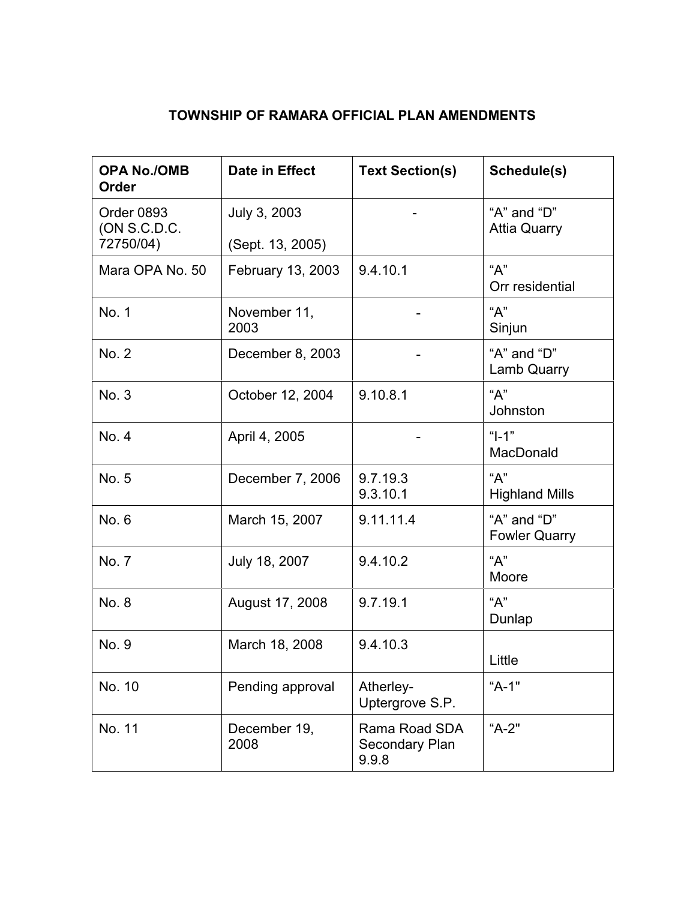# **TOWNSHIP OF RAMARA OFFICIAL PLAN AMENDMENTS**

| <b>OPA No./OMB</b><br>Order             | <b>Date in Effect</b>            | <b>Text Section(s)</b>                   | Schedule(s)                               |  |
|-----------------------------------------|----------------------------------|------------------------------------------|-------------------------------------------|--|
| Order 0893<br>(ON S.C.D.C.<br>72750/04) | July 3, 2003<br>(Sept. 13, 2005) |                                          | "A" and " $D$ "<br><b>Attia Quarry</b>    |  |
| Mara OPA No. 50                         | February 13, 2003                | 9.4.10.1                                 | "A"<br>Orr residential                    |  |
| No. 1                                   | November 11,<br>2003             |                                          | "A"<br>Sinjun                             |  |
| No. 2                                   | December 8, 2003                 |                                          | " $A$ " and " $D$ "<br><b>Lamb Quarry</b> |  |
| No. 3                                   | October 12, 2004                 | 9.10.8.1                                 | "А"<br>Johnston                           |  |
| No. 4                                   | April 4, 2005                    |                                          | " $I - 1$ "<br>MacDonald                  |  |
| No. 5                                   | December 7, 2006                 | 9.7.19.3<br>9.3.10.1                     | "A"<br><b>Highland Mills</b>              |  |
| No. 6                                   | March 15, 2007                   | 9.11.11.4                                | "A" and "D"<br><b>Fowler Quarry</b>       |  |
| No. 7                                   | July 18, 2007                    | 9.4.10.2                                 | "А"<br>Moore                              |  |
| No. 8                                   | August 17, 2008                  | 9.7.19.1                                 | "A"<br>Dunlap                             |  |
| No. 9                                   | March 18, 2008                   | 9.4.10.3                                 | Little                                    |  |
| No. 10                                  | Pending approval                 | Atherley-<br>Uptergrove S.P.             | "A-1"                                     |  |
| No. 11                                  | December 19,<br>2008             | Rama Road SDA<br>Secondary Plan<br>9.9.8 | "A-2"                                     |  |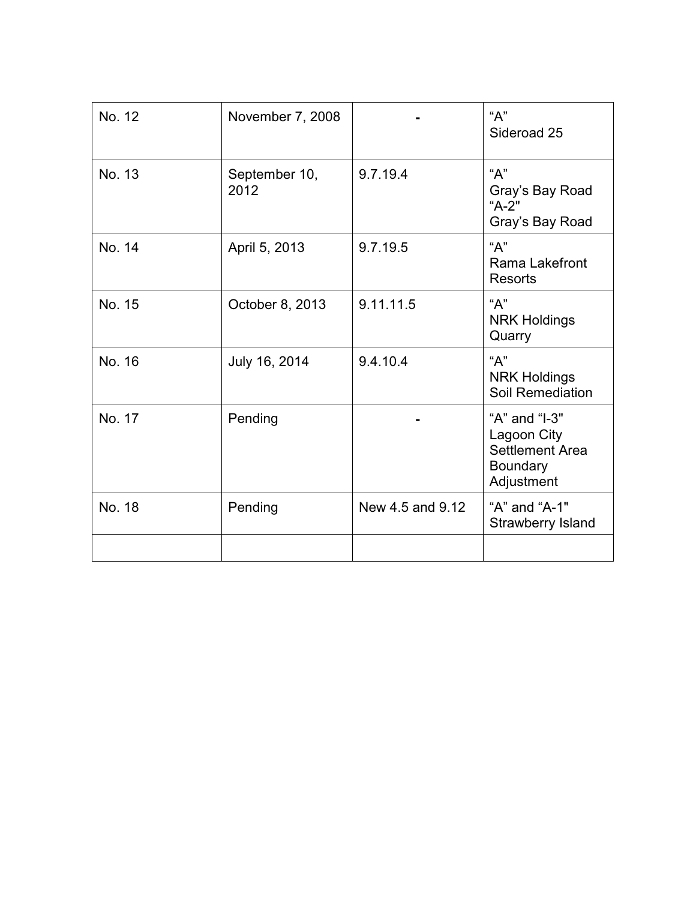| No. 12 | November 7, 2008      |                  | "A"<br>Sideroad 25                                                                      |
|--------|-----------------------|------------------|-----------------------------------------------------------------------------------------|
| No. 13 | September 10,<br>2012 | 9.7.19.4         | "A"<br>Gray's Bay Road<br>"A-2"<br>Gray's Bay Road                                      |
| No. 14 | April 5, 2013         | 9.7.19.5         | "A"<br>Rama Lakefront<br><b>Resorts</b>                                                 |
| No. 15 | October 8, 2013       | 9.11.11.5        | "A"<br><b>NRK Holdings</b><br>Quarry                                                    |
| No. 16 | July 16, 2014         | 9.4.10.4         | "A"<br><b>NRK Holdings</b><br><b>Soil Remediation</b>                                   |
| No. 17 | Pending               |                  | "A" and "I-3"<br>Lagoon City<br><b>Settlement Area</b><br><b>Boundary</b><br>Adjustment |
| No. 18 | Pending               | New 4.5 and 9.12 | "A" and "A-1"<br><b>Strawberry Island</b>                                               |
|        |                       |                  |                                                                                         |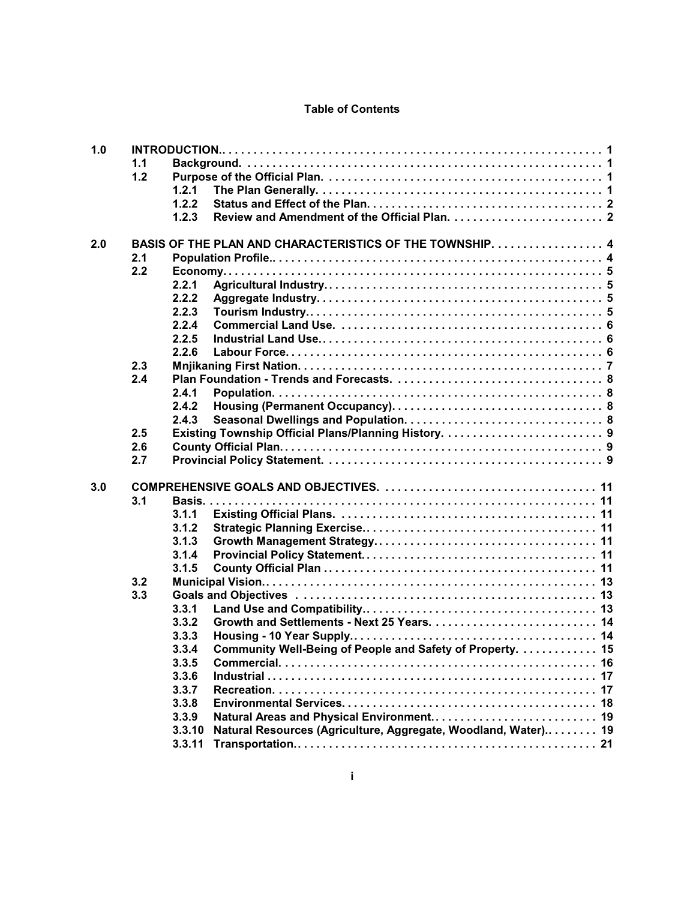## **Table of Contents**

| 1.0 |     |                                                                          |  |
|-----|-----|--------------------------------------------------------------------------|--|
|     | 1.1 |                                                                          |  |
|     | 1.2 |                                                                          |  |
|     |     | 1.2.1                                                                    |  |
|     |     | 1.2.2                                                                    |  |
|     |     | 1.2.3                                                                    |  |
|     |     |                                                                          |  |
| 2.0 |     | BASIS OF THE PLAN AND CHARACTERISTICS OF THE TOWNSHIP.  4                |  |
|     | 2.1 |                                                                          |  |
|     | 2.2 |                                                                          |  |
|     |     | 2.2.1                                                                    |  |
|     |     | 2.2.2                                                                    |  |
|     |     | 2.2.3                                                                    |  |
|     |     | 2.2.4                                                                    |  |
|     |     | 2.2.5                                                                    |  |
|     |     | 2.2.6                                                                    |  |
|     | 2.3 |                                                                          |  |
|     | 2.4 |                                                                          |  |
|     |     | 2.4.1                                                                    |  |
|     |     | 2.4.2                                                                    |  |
|     |     | 2.4.3                                                                    |  |
|     | 2.5 |                                                                          |  |
|     | 2.6 |                                                                          |  |
|     | 2.7 |                                                                          |  |
| 3.0 |     |                                                                          |  |
|     | 3.1 |                                                                          |  |
|     |     | 3.1.1                                                                    |  |
|     |     | 3.1.2                                                                    |  |
|     |     | 3.1.3                                                                    |  |
|     |     | 3.1.4                                                                    |  |
|     |     | 3.1.5                                                                    |  |
|     | 3.2 |                                                                          |  |
|     | 3.3 |                                                                          |  |
|     |     | 3.3.1                                                                    |  |
|     |     | 3.3.2                                                                    |  |
|     |     | 3.3.3                                                                    |  |
|     |     | Community Well-Being of People and Safety of Property.  15<br>3.3.4      |  |
|     |     | 3.3.5                                                                    |  |
|     |     | 3.3.6                                                                    |  |
|     |     | 3.3.7                                                                    |  |
|     |     | 3.3.8                                                                    |  |
|     |     | Natural Areas and Physical Environment 19<br>3.3.9                       |  |
|     |     | Natural Resources (Agriculture, Aggregate, Woodland, Water) 19<br>3.3.10 |  |
|     |     | 3.3.11                                                                   |  |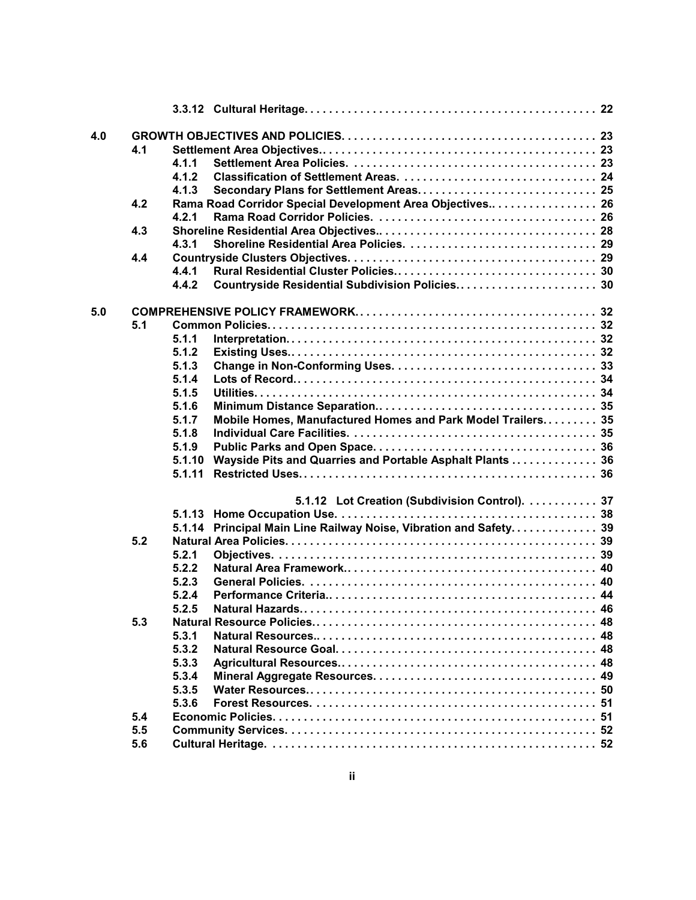| 4.0 |     |        |                                                                   |  |
|-----|-----|--------|-------------------------------------------------------------------|--|
|     | 4.1 |        |                                                                   |  |
|     |     | 4.1.1  |                                                                   |  |
|     |     | 4.1.2  |                                                                   |  |
|     |     | 4.1.3  | Secondary Plans for Settlement Areas 25                           |  |
|     | 4.2 |        | Rama Road Corridor Special Development Area Objectives 26         |  |
|     |     | 4.2.1  |                                                                   |  |
|     | 4.3 |        |                                                                   |  |
|     |     | 4.3.1  |                                                                   |  |
|     | 4.4 |        |                                                                   |  |
|     |     | 4.4.1  |                                                                   |  |
|     |     | 4.4.2  |                                                                   |  |
|     |     |        |                                                                   |  |
| 5.0 |     |        |                                                                   |  |
|     | 5.1 |        |                                                                   |  |
|     |     | 5.1.1  |                                                                   |  |
|     |     | 5.1.2  |                                                                   |  |
|     |     | 5.1.3  |                                                                   |  |
|     |     | 5.1.4  |                                                                   |  |
|     |     | 5.1.5  |                                                                   |  |
|     |     | 5.1.6  |                                                                   |  |
|     |     | 5.1.7  | Mobile Homes, Manufactured Homes and Park Model Trailers 35       |  |
|     |     | 5.1.8  |                                                                   |  |
|     |     | 5.1.9  |                                                                   |  |
|     |     | 5.1.10 | Wayside Pits and Quarries and Portable Asphalt Plants  36         |  |
|     |     | 5.1.11 |                                                                   |  |
|     |     |        |                                                                   |  |
|     |     |        | 5.1.12 Lot Creation (Subdivision Control). 37                     |  |
|     |     |        |                                                                   |  |
|     |     |        | 5.1.14 Principal Main Line Railway Noise, Vibration and Safety 39 |  |
|     | 5.2 |        |                                                                   |  |
|     |     | 5.2.1  |                                                                   |  |
|     |     | 5.2.2  |                                                                   |  |
|     |     | 5.2.3  |                                                                   |  |
|     |     | 5.2.4  |                                                                   |  |
|     |     | 5.2.5  |                                                                   |  |
|     | 5.3 |        |                                                                   |  |
|     |     | 5.3.1  |                                                                   |  |
|     |     | 5.3.2  |                                                                   |  |
|     |     | 5.3.3  |                                                                   |  |
|     |     | 5.3.4  |                                                                   |  |
|     |     | 5.3.5  |                                                                   |  |
|     |     | 5.3.6  |                                                                   |  |
|     | 5.4 |        |                                                                   |  |
|     | 5.5 |        |                                                                   |  |
|     | 5.6 |        |                                                                   |  |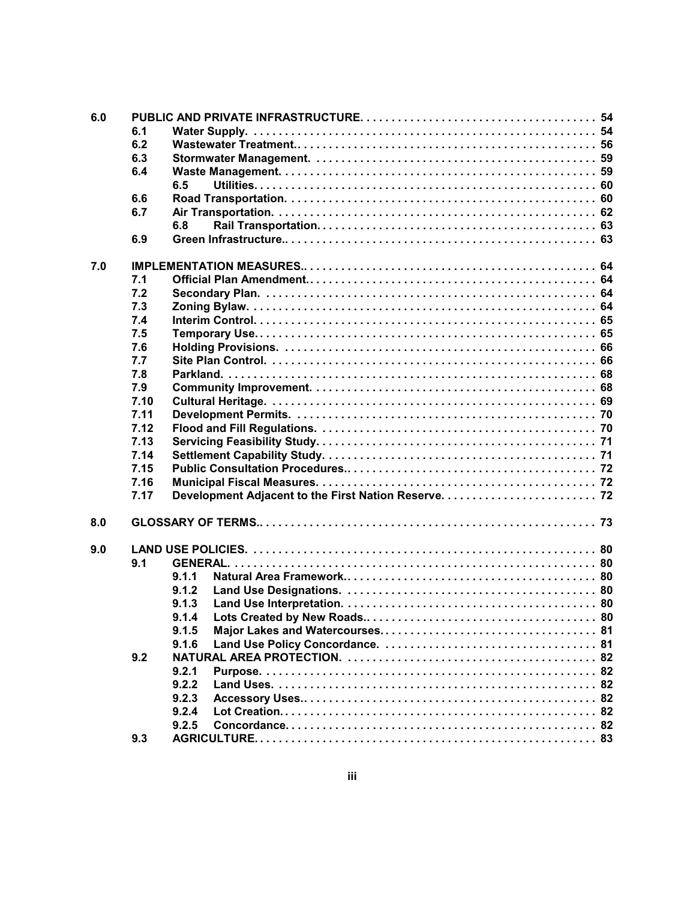| 6.0 |      |       |  |  |  |  |  |  |
|-----|------|-------|--|--|--|--|--|--|
|     | 6.1  |       |  |  |  |  |  |  |
|     | 6.2  |       |  |  |  |  |  |  |
|     | 6.3  |       |  |  |  |  |  |  |
|     | 6.4  |       |  |  |  |  |  |  |
|     |      | 6.5   |  |  |  |  |  |  |
|     | 6.6  |       |  |  |  |  |  |  |
|     | 6.7  |       |  |  |  |  |  |  |
|     |      | 6.8   |  |  |  |  |  |  |
|     | 6.9  |       |  |  |  |  |  |  |
| 7.0 |      |       |  |  |  |  |  |  |
|     | 7.1  |       |  |  |  |  |  |  |
|     | 7.2  |       |  |  |  |  |  |  |
|     | 7.3  |       |  |  |  |  |  |  |
|     | 7.4  |       |  |  |  |  |  |  |
|     | 7.5  |       |  |  |  |  |  |  |
|     | 7.6  |       |  |  |  |  |  |  |
|     | 7.7  |       |  |  |  |  |  |  |
|     | 7.8  |       |  |  |  |  |  |  |
|     | 7.9  |       |  |  |  |  |  |  |
|     | 7.10 |       |  |  |  |  |  |  |
|     | 7.11 |       |  |  |  |  |  |  |
|     | 7.12 |       |  |  |  |  |  |  |
|     | 7.13 |       |  |  |  |  |  |  |
|     | 7.14 |       |  |  |  |  |  |  |
|     | 7.15 |       |  |  |  |  |  |  |
|     | 7.16 |       |  |  |  |  |  |  |
|     | 7.17 |       |  |  |  |  |  |  |
| 8.0 |      |       |  |  |  |  |  |  |
| 9.0 |      |       |  |  |  |  |  |  |
|     | 9.1  |       |  |  |  |  |  |  |
|     |      | 9.1.1 |  |  |  |  |  |  |
|     |      | 9.1.2 |  |  |  |  |  |  |
|     |      | 9.1.3 |  |  |  |  |  |  |
|     |      | 9.1.4 |  |  |  |  |  |  |
|     |      | 9.1.5 |  |  |  |  |  |  |
|     |      | 9.1.6 |  |  |  |  |  |  |
|     | 9.2  |       |  |  |  |  |  |  |
|     |      | 9.2.1 |  |  |  |  |  |  |
|     |      | 9.2.2 |  |  |  |  |  |  |
|     |      | 9.2.3 |  |  |  |  |  |  |
|     |      | 9.2.4 |  |  |  |  |  |  |
|     |      | 9.2.5 |  |  |  |  |  |  |
|     | 9.3  |       |  |  |  |  |  |  |
|     |      |       |  |  |  |  |  |  |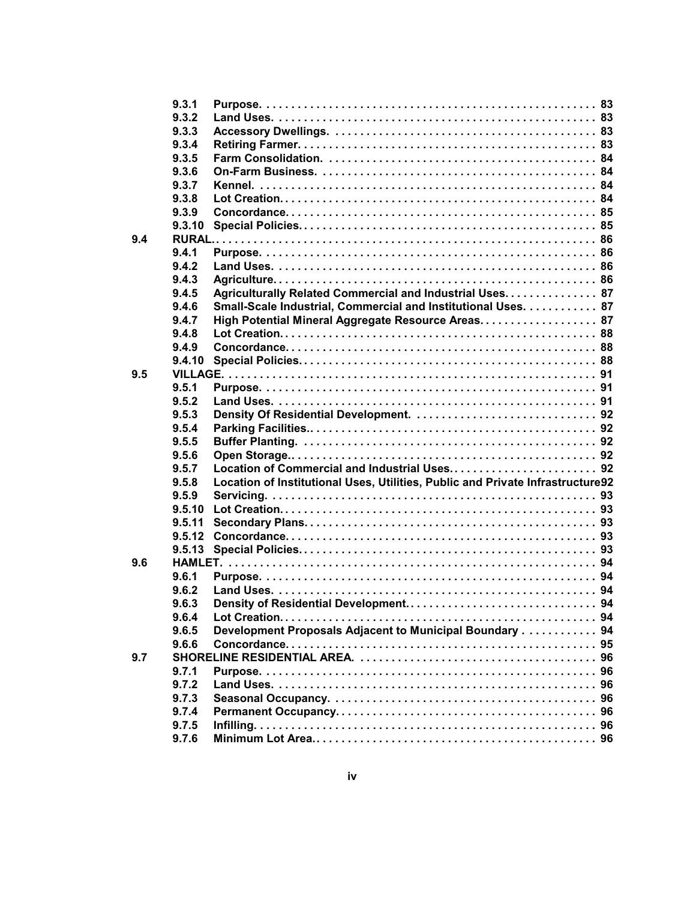|     | 9.3.1  |                                                                                |
|-----|--------|--------------------------------------------------------------------------------|
|     | 9.3.2  |                                                                                |
|     | 9.3.3  |                                                                                |
|     | 9.3.4  |                                                                                |
|     | 9.3.5  |                                                                                |
|     | 9.3.6  |                                                                                |
|     | 9.3.7  |                                                                                |
|     | 9.3.8  |                                                                                |
|     | 9.3.9  |                                                                                |
|     | 9.3.10 |                                                                                |
| 9.4 |        |                                                                                |
|     | 9.4.1  |                                                                                |
|     | 9.4.2  |                                                                                |
|     | 9.4.3  |                                                                                |
|     | 9.4.5  | Agriculturally Related Commercial and Industrial Uses. 87                      |
|     | 9.4.6  | Small-Scale Industrial, Commercial and Institutional Uses. 87                  |
|     | 9.4.7  | High Potential Mineral Aggregate Resource Areas. 87                            |
|     | 9.4.8  |                                                                                |
|     | 9.4.9  |                                                                                |
|     | 9.4.10 |                                                                                |
| 9.5 |        |                                                                                |
|     | 9.5.1  |                                                                                |
|     | 9.5.2  |                                                                                |
|     | 9.5.3  |                                                                                |
|     | 9.5.4  |                                                                                |
|     | 9.5.5  |                                                                                |
|     | 9.5.6  |                                                                                |
|     | 9.5.7  |                                                                                |
|     | 9.5.8  | Location of Institutional Uses, Utilities, Public and Private Infrastructure92 |
|     | 9.5.9  |                                                                                |
|     | 9,5,10 |                                                                                |
|     | 9.5.11 |                                                                                |
|     | 9.5.12 |                                                                                |
|     | 9.5.13 |                                                                                |
| 9.6 |        |                                                                                |
|     | 9.6.1  |                                                                                |
|     | 9.6.2  |                                                                                |
|     | 9.6.3  |                                                                                |
|     | 9.6.4  |                                                                                |
|     | 9.6.5  | Development Proposals Adjacent to Municipal Boundary 94                        |
|     | 9.6.6  |                                                                                |
| 9.7 |        |                                                                                |
|     | 9.7.1  |                                                                                |
|     | 9.7.2  |                                                                                |
|     | 9.7.3  |                                                                                |
|     | 9.7.4  |                                                                                |
|     | 9.7.5  |                                                                                |
|     | 9.7.6  |                                                                                |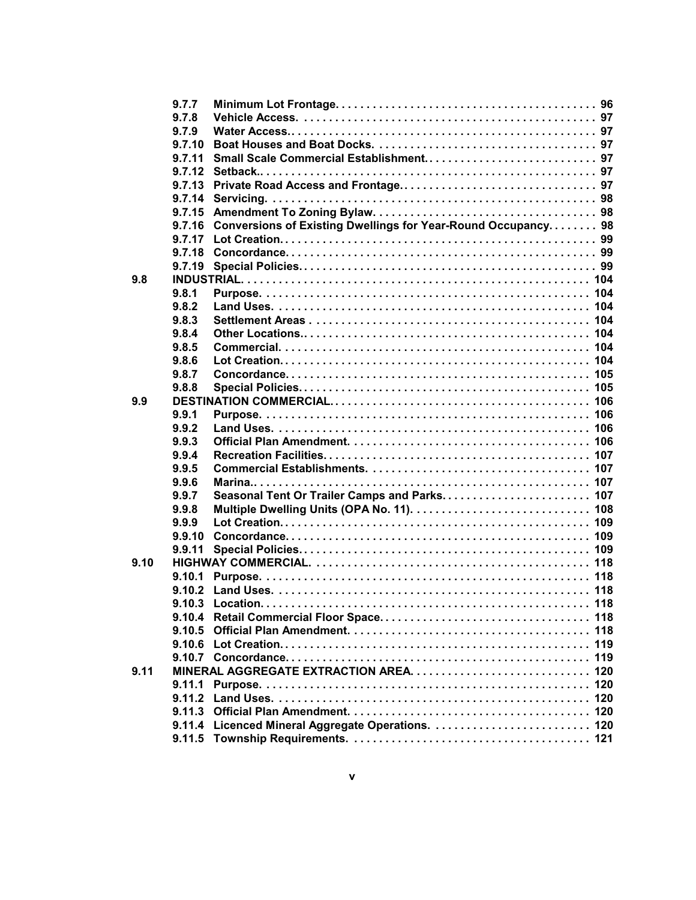|      | 9.7.7  |                                                               |  |
|------|--------|---------------------------------------------------------------|--|
|      | 9.7.8  |                                                               |  |
|      | 9.7.9  |                                                               |  |
|      | 9.7.10 |                                                               |  |
|      | 9.7.11 |                                                               |  |
|      | 9.7.12 |                                                               |  |
|      | 9.7.13 |                                                               |  |
|      | 9.7.14 |                                                               |  |
|      | 9.7.15 |                                                               |  |
|      | 9.7.16 | Conversions of Existing Dwellings for Year-Round Occupancy 98 |  |
|      | 9.7.17 |                                                               |  |
|      | 9.7.18 |                                                               |  |
|      | 9.7.19 |                                                               |  |
| 9.8  |        |                                                               |  |
|      | 9.8.1  |                                                               |  |
|      | 9.8.2  |                                                               |  |
|      | 9.8.3  |                                                               |  |
|      | 9.8.4  |                                                               |  |
|      | 9.8.5  |                                                               |  |
|      | 9.8.6  |                                                               |  |
|      | 9.8.7  |                                                               |  |
|      | 9.8.8  |                                                               |  |
| 9.9  |        |                                                               |  |
|      | 9.9.1  |                                                               |  |
|      | 9.9.2  |                                                               |  |
|      | 9.9.3  |                                                               |  |
|      | 9.9.4  |                                                               |  |
|      | 9.9.5  |                                                               |  |
|      | 9.9.6  |                                                               |  |
|      | 9.9.7  | Seasonal Tent Or Trailer Camps and Parks 107                  |  |
|      | 9.9.8  |                                                               |  |
|      | 9.9.9  |                                                               |  |
|      | 9.9.10 |                                                               |  |
|      | 9.9.11 |                                                               |  |
| 9.10 |        |                                                               |  |
|      | 9.10.1 |                                                               |  |
|      |        |                                                               |  |
|      |        |                                                               |  |
|      |        |                                                               |  |
|      | 9.10.5 |                                                               |  |
|      |        |                                                               |  |
|      |        |                                                               |  |
| 9.11 |        |                                                               |  |
|      |        |                                                               |  |
|      |        |                                                               |  |
|      |        |                                                               |  |
|      |        |                                                               |  |
|      |        |                                                               |  |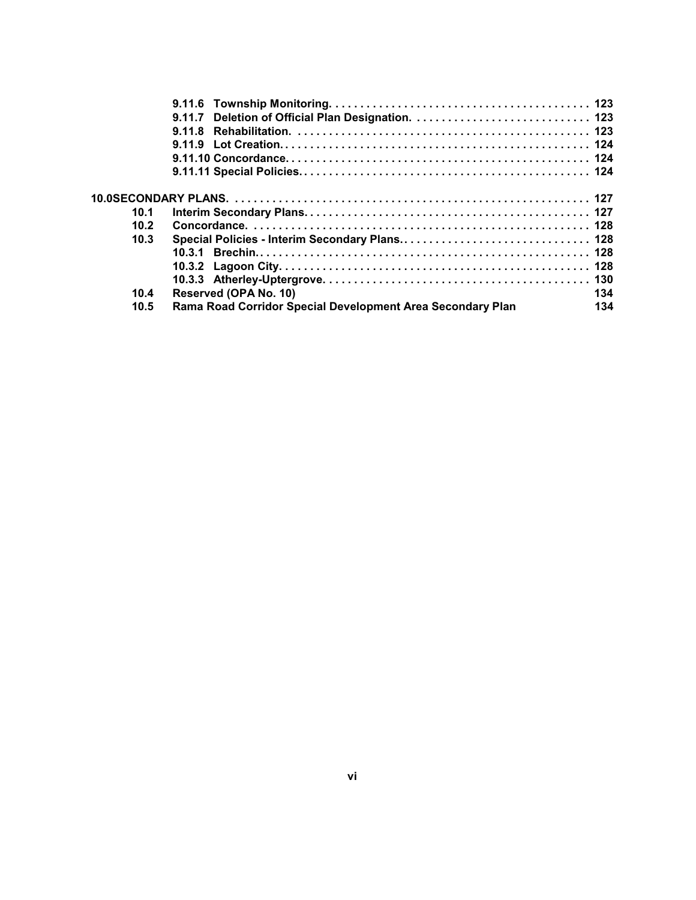| 10.1 |                                                            |     |
|------|------------------------------------------------------------|-----|
| 10.2 |                                                            |     |
| 10.3 |                                                            |     |
|      |                                                            |     |
|      |                                                            |     |
|      |                                                            |     |
| 10.4 | Reserved (OPA No. 10)                                      | 134 |
| 10.5 | Rama Road Corridor Special Development Area Secondary Plan | 134 |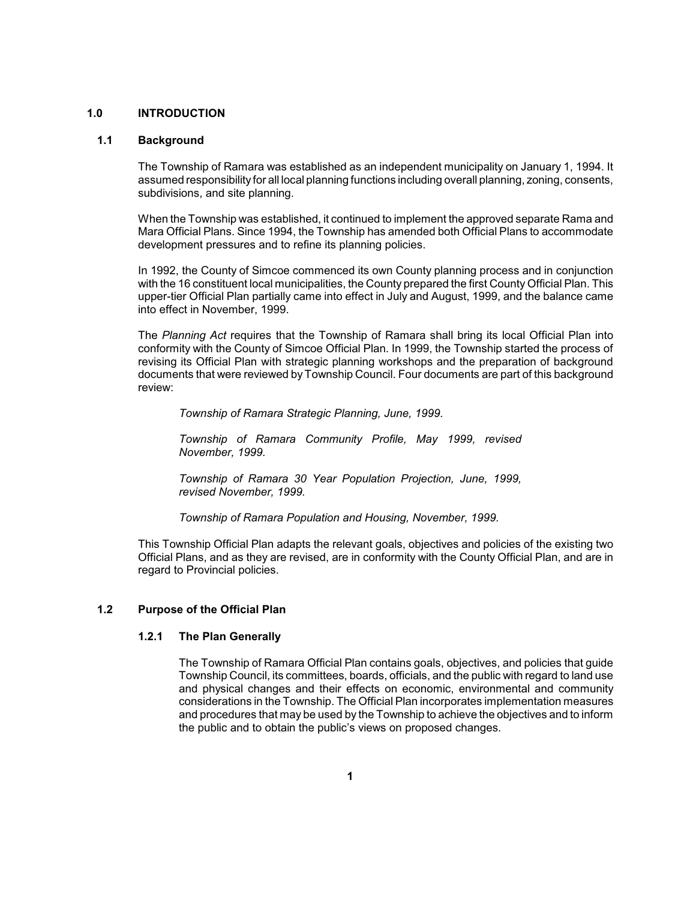#### <span id="page-11-0"></span>**1.0 INTRODUCTION**

## **1.1 Background**

 The Township of Ramara was established as an independent municipality on January 1, 1994. It assumed responsibilityfor all local planning functions including overall planning, zoning, consents, subdivisions, and site planning.

 Mara Official Plans. Since 1994, the Township has amended both Official Plans to accommodate When the Township was established, it continued to implement the approved separate Rama and development pressures and to refine its planning policies.

 with the 16 constituent local municipalities, the County prepared the first County Official Plan. This In 1992, the County of Simcoe commenced its own County planning process and in conjunction upper-tier Official Plan partially came into effect in July and August, 1999, and the balance came into effect in November, 1999.

 The *Planning Act* requires that the Township of Ramara shall bring its local Official Plan into conformity with the County of Simcoe Official Plan. In 1999, the Township started the process of revising its Official Plan with strategic planning workshops and the preparation of background documents that were reviewed by Township Council. Four documents are part of this background review:

*Township of Ramara Strategic Planning, June, 1999.* 

*Township of Ramara Community Profile, May 1999, revised November, 1999.* 

*Township of Ramara 30 Year Population Projection, June, 1999, revised November, 1999.* 

*Township of Ramara Population and Housing, November, 1999.* 

 This Township Official Plan adapts the relevant goals, objectives and policies of the existing two Official Plans, and as they are revised, are in conformity with the County Official Plan, and are in regard to Provincial policies.

## **1.2 Purpose of the Official Plan**

## **1.2.1 The Plan Generally**

 The Township of Ramara Official Plan contains goals, objectives, and policies that guide and physical changes and their effects on economic, environmental and community and procedures that may be used by the Township to achieve the objectives and to inform Township Council, its committees, boards, officials, and the public with regard to land use considerations in the Township. The Official Plan incorporates implementation measures the public and to obtain the public's views on proposed changes.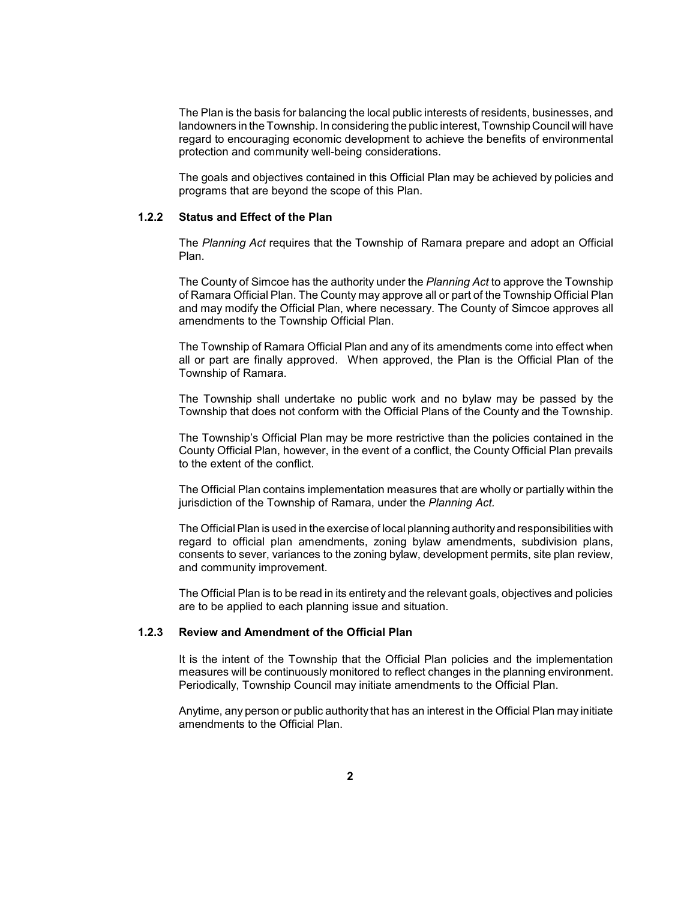<span id="page-12-0"></span> The Plan is the basis for balancing the local public interests of residents, businesses, and landowners in the Township. In considering the public interest, Township Council will have regard to encouraging economic development to achieve the benefits of environmental protection and community well-being considerations.

 The goals and objectives contained in this Official Plan may be achieved by policies and programs that are beyond the scope of this Plan.

#### **1.2.2 Status and Effect of the Plan**

 The *Planning Act* requires that the Township of Ramara prepare and adopt an Official Plan.

 The County of Simcoe has the authority under the *Planning Act* to approve the Township of Ramara Official Plan. The County may approve all or part of the Township Official Plan and may modify the Official Plan, where necessary. The County of Simcoe approves all amendments to the Township Official Plan.

 The Township of Ramara Official Plan and any of its amendments come into effect when all or part are finally approved. When approved, the Plan is the Official Plan of the Township of Ramara.

 The Township shall undertake no public work and no bylaw may be passed by the Township that does not conform with the Official Plans of the County and the Township.

 The Township's Official Plan may be more restrictive than the policies contained in the County Official Plan, however, in the event of a conflict, the County Official Plan prevails to the extent of the conflict.

 The Official Plan contains implementation measures that are wholly or partially within the jurisdiction of the Township of Ramara, under the *Planning Act.* 

 The Official Plan is used in the exercise of local planning authorityand responsibilities with regard to official plan amendments, zoning bylaw amendments, subdivision plans, consents to sever, variances to the zoning bylaw, development permits, site plan review, and community improvement.

 The Official Plan is to be read in its entirety and the relevant goals, objectives and policies are to be applied to each planning issue and situation.

## **1.2.3 Review and Amendment of the Official Plan**

 It is the intent of the Township that the Official Plan policies and the implementation measures will be continuously monitored to reflect changes in the planning environment. Periodically, Township Council may initiate amendments to the Official Plan.

 Anytime, any person or public authority that has an interest in the Official Plan may initiate amendments to the Official Plan.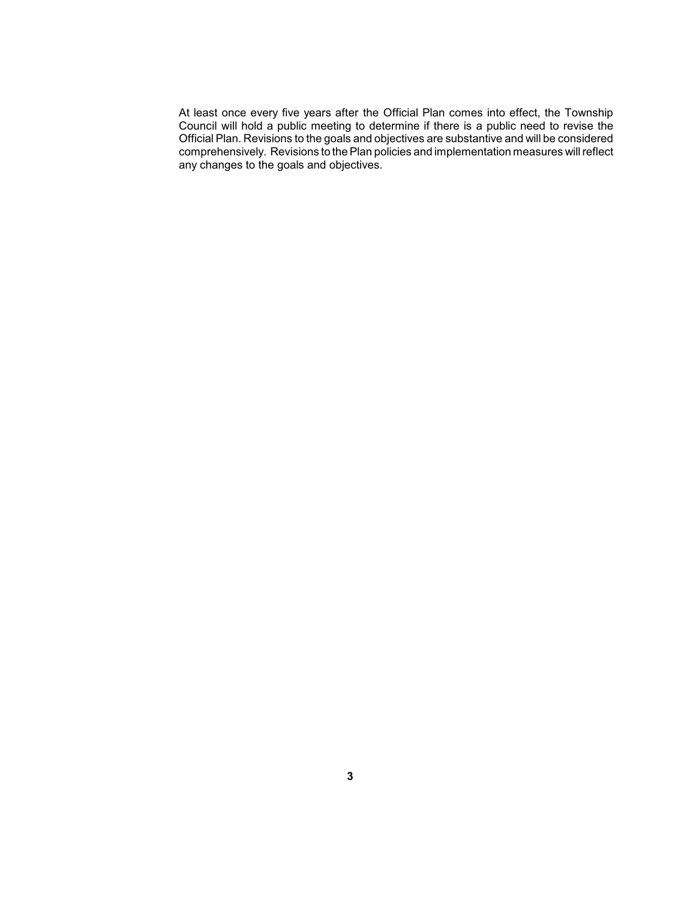At least once every five years after the Official Plan comes into effect, the Township  $\overline{a}$  comprehensively. Revisions to the Plan policies and implementation measures will reflect Council will hold a public meeting to determine if there is a public need to revise the Official Plan. Revisions to the goals and objectives are substantive and will be considered any changes to the goals and objectives.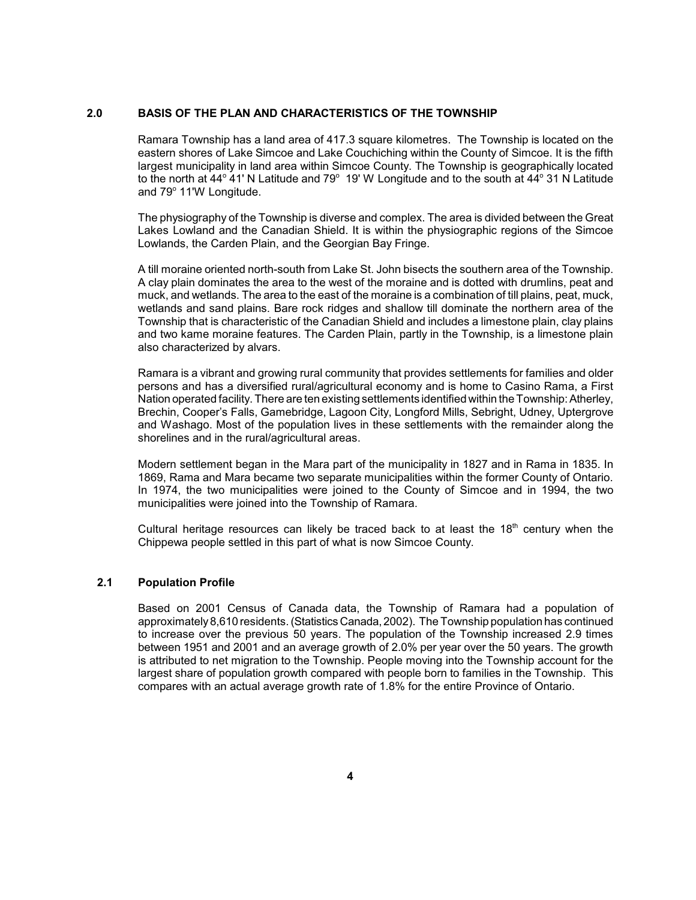## <span id="page-14-0"></span>**2.0 BASIS OF THE PLAN AND CHARACTERISTICS OF THE TOWNSHIP**

 eastern shores of Lake Simcoe and Lake Couchiching within the County of Simcoe. It is the fifth to the north at 44 $^{\circ}$  41' N Latitude and 79 $^{\circ}$  19' W Longitude and to the south at 44 $^{\circ}$  31 N Latitude Ramara Township has a land area of 417.3 square kilometres. The Township is located on the largest municipality in land area within Simcoe County. The Township is geographically located and 79° 11'W Longitude.

 The physiography of the Township is diverse and complex. The area is divided between the Great Lakes Lowland and the Canadian Shield. It is within the physiographic regions of the Simcoe Lowlands, the Carden Plain, and the Georgian Bay Fringe.

 muck, and wetlands. The area to the east of the moraine is a combination of till plains, peat, muck, wetlands and sand plains. Bare rock ridges and shallow till dominate the northern area of the Township that is characteristic of the Canadian Shield and includes a limestone plain, clay plains A till moraine oriented north-south from Lake St. John bisects the southern area of the Township. A clay plain dominates the area to the west of the moraine and is dotted with drumlins, peat and and two kame moraine features. The Carden Plain, partly in the Township, is a limestone plain also characterized by alvars.

 Ramara is a vibrant and growing rural community that provides settlements for families and older persons and has a diversified rural/agricultural economy and is home to Casino Rama, a First and Washago. Most of the population lives in these settlements with the remainder along the Nation operated facility. There are ten existing settlements identified within the Township: Atherley, Brechin, Cooper's Falls, Gamebridge, Lagoon City, Longford Mills, Sebright, Udney, Uptergrove shorelines and in the rural/agricultural areas.

 Modern settlement began in the Mara part of the municipality in 1827 and in Rama in 1835. In In 1974, the two municipalities were joined to the County of Simcoe and in 1994, the two 1869, Rama and Mara became two separate municipalities within the former County of Ontario. municipalities were joined into the Township of Ramara.

Cultural heritage resources can likely be traced back to at least the  $18<sup>th</sup>$  century when the Chippewa people settled in this part of what is now Simcoe County.

## **2.1 Population Profile**

 Based on 2001 Census of Canada data, the Township of Ramara had a population of approximately8,610 residents. (Statistics Canada, 2002). The Township population has continued to increase over the previous 50 years. The population of the Township increased 2.9 times between 1951 and 2001 and an average growth of 2.0% per year over the 50 years. The growth is attributed to net migration to the Township. People moving into the Township account for the largest share of population growth compared with people born to families in the Township. This compares with an actual average growth rate of 1.8% for the entire Province of Ontario.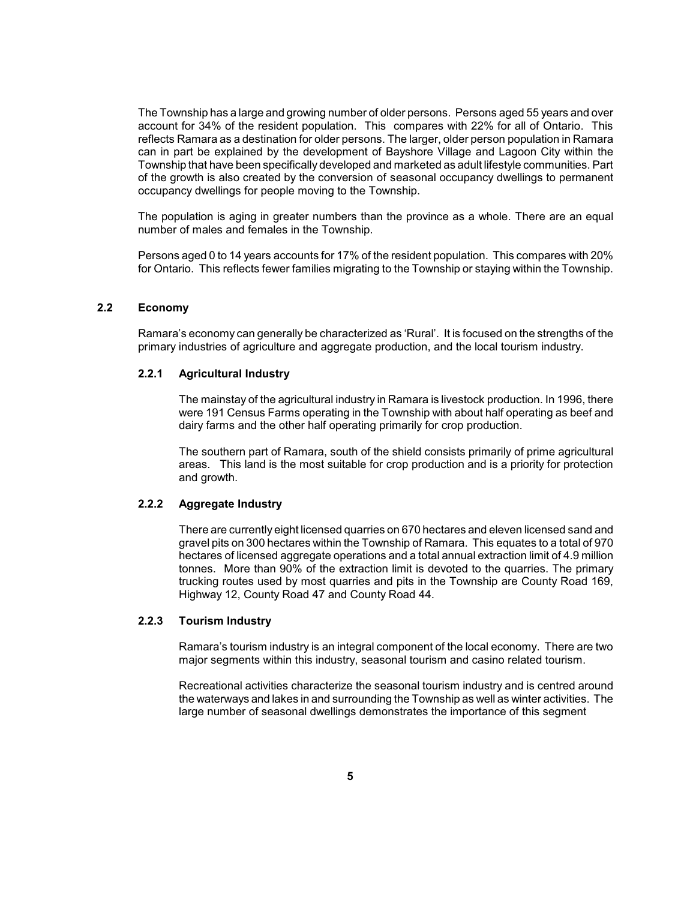<span id="page-15-0"></span> The Township has a large and growing number of older persons. Persons aged 55 years and over account for 34% of the resident population. This compares with 22% for all of Ontario. This reflects Ramara as a destination for older persons. The larger, older person population in Ramara can in part be explained by the development of Bayshore Village and Lagoon City within the of the growth is also created by the conversion of seasonal occupancy dwellings to permanent Township that have been specifically developed and marketed as adult lifestyle communities. Part occupancy dwellings for people moving to the Township.

 The population is aging in greater numbers than the province as a whole. There are an equal number of males and females in the Township.

 Persons aged 0 to 14 years accounts for 17% of the resident population. This compares with 20% for Ontario. This reflects fewer families migrating to the Township or staying within the Township.

## **2.2 Economy**

 Ramara's economy can generally be characterized as 'Rural'. It is focused on the strengths of the primary industries of agriculture and aggregate production, and the local tourism industry.

#### **2.2.1 Agricultural Industry**

 The mainstay of the agricultural industry in Ramara is livestock production. In 1996, there were 191 Census Farms operating in the Township with about half operating as beef and dairy farms and the other half operating primarily for crop production.

 The southern part of Ramara, south of the shield consists primarily of prime agricultural areas. This land is the most suitable for crop production and is a priority for protection and growth.

#### **2.2.2 Aggregate Industry**

 gravel pits on 300 hectares within the Township of Ramara. This equates to a total of 970 hectares of licensed aggregate operations and a total annual extraction limit of 4.9 million tonnes. More than 90% of the extraction limit is devoted to the quarries. The primary trucking routes used by most quarries and pits in the Township are County Road 169, There are currently eight licensed quarries on 670 hectares and eleven licensed sand and Highway 12, County Road 47 and County Road 44.

## **2.2.3 Tourism Industry**

 Ramara's tourism industry is an integral component of the local economy. There are two major segments within this industry, seasonal tourism and casino related tourism.

 Recreational activities characterize the seasonal tourism industry and is centred around the waterways and lakes in and surrounding the Township as well as winter activities. The large number of seasonal dwellings demonstrates the importance of this segment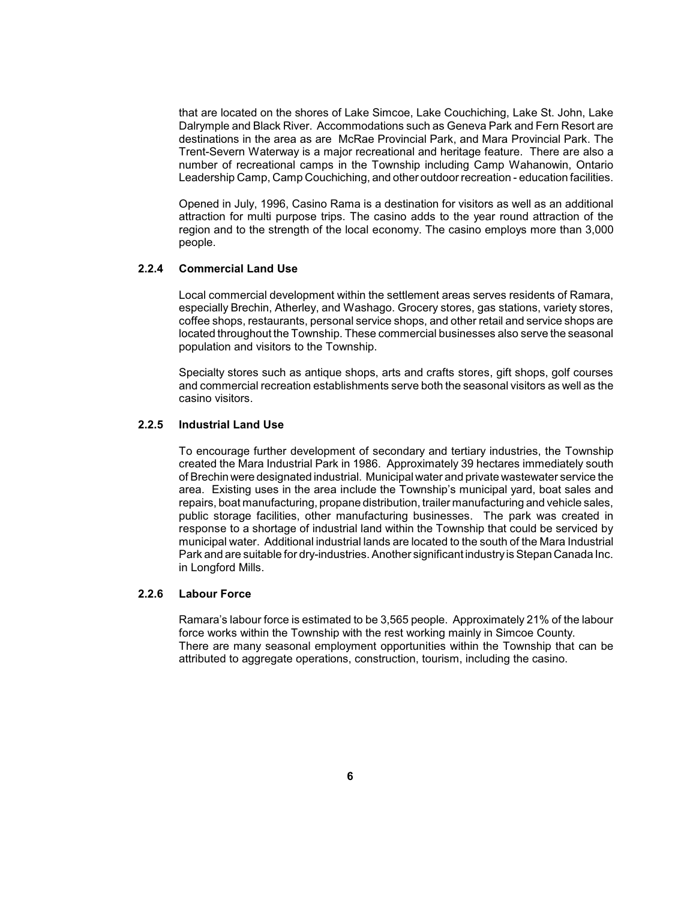<span id="page-16-0"></span> Dalrymple and Black River. Accommodations such as Geneva Park and Fern Resort are destinations in the area as are McRae Provincial Park, and Mara Provincial Park. The Trent-Severn Waterway is a major recreational and heritage feature. There are also a number of recreational camps in the Township including Camp Wahanowin, Ontario that are located on the shores of Lake Simcoe, Lake Couchiching, Lake St. John, Lake Leadership Camp, Camp Couchiching, and other outdoor recreation - education facilities.

 region and to the strength of the local economy. The casino employs more than 3,000 Opened in July, 1996, Casino Rama is a destination for visitors as well as an additional attraction for multi purpose trips. The casino adds to the year round attraction of the people.

## **2.2.4 Commercial Land Use**

 Local commercial development within the settlement areas serves residents of Ramara, especially Brechin, Atherley, and Washago. Grocery stores, gas stations, variety stores, located throughout the Township. These commercial businesses also serve the seasonal coffee shops, restaurants, personal service shops, and other retail and service shops are population and visitors to the Township.

 Specialty stores such as antique shops, arts and crafts stores, gift shops, golf courses and commercial recreation establishments serve both the seasonal visitors as well as the casino visitors.

## **2.2.5 Industrial Land Use**

 To encourage further development of secondary and tertiary industries, the Township created the Mara Industrial Park in 1986. Approximately 39 hectares immediately south of Brechin were designated industrial. Municipal water and private wastewater service the area. Existing uses in the area include the Township's municipal yard, boat sales and public storage facilities, other manufacturing businesses. The park was created in response to a shortage of industrial land within the Township that could be serviced by municipal water. Additional industrial lands are located to the south of the Mara Industrial Park and are suitable for dry-industries. Another significant industryis Stepan Canada Inc. repairs, boat manufacturing, propane distribution, trailer manufacturing and vehicle sales, in Longford Mills.

## **2.2.6 Labour Force**

 Ramara's labour force is estimated to be 3,565 people. Approximately 21% of the labour There are many seasonal employment opportunities within the Township that can be force works within the Township with the rest working mainly in Simcoe County. attributed to aggregate operations, construction, tourism, including the casino.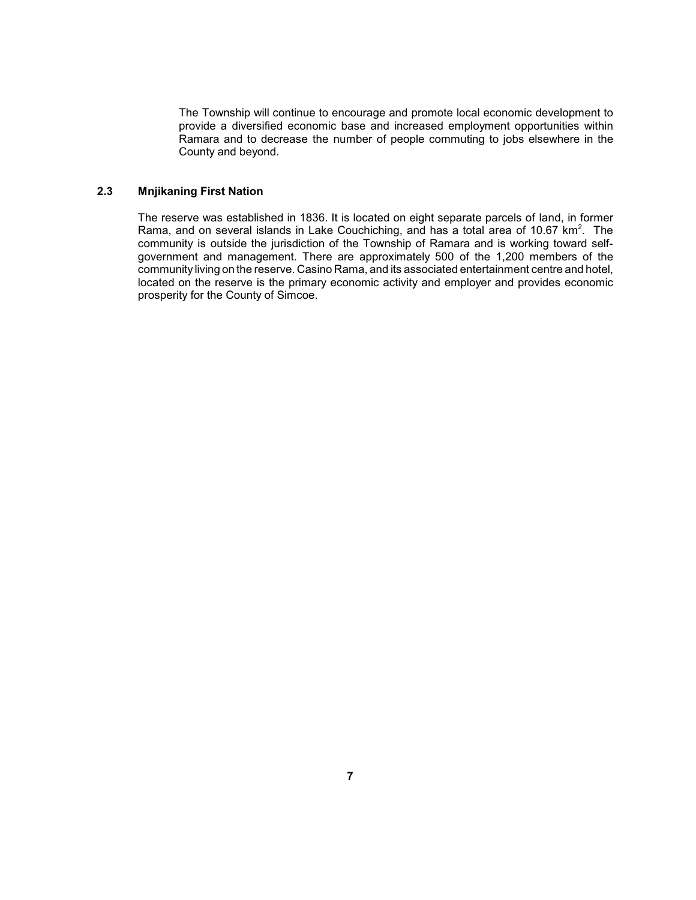<span id="page-17-0"></span> The Township will continue to encourage and promote local economic development to Ramara and to decrease the number of people commuting to jobs elsewhere in the provide a diversified economic base and increased employment opportunities within County and beyond.

## **2.3 Mnjikaning First Nation**

 The reserve was established in 1836. It is located on eight separate parcels of land, in former Rama, and on several islands in Lake Couchiching, and has a total area of 10.67  $km^2$  $km^2$ . The community is outside the jurisdiction of the Township of Ramara and is working toward self- government and management. There are approximately 500 of the 1,200 members of the community living on the reserve. Casino Rama, and its associated entertainment centre and hotel, located on the reserve is the primary economic activity and employer and provides economic prosperity for the County of Simcoe.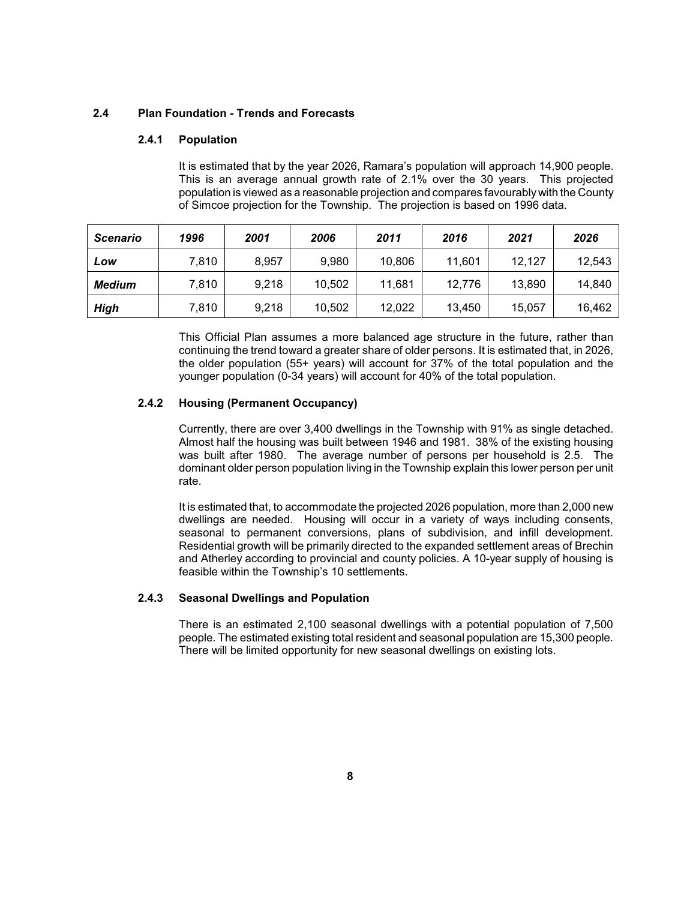## **2.4 Plan Foundation - Trends and Forecasts**

## **2.4.1 Population**

 This is an average annual growth rate of 2.1% over the 30 years. This projected population is viewed as a reasonable projection and compares favourably with the County It is estimated that by the year 2026, Ramara's population will approach 14,900 people. of Simcoe projection for the Township. The projection is based on 1996 data.

| <b>Scenario</b> | 1996  | 2001  | 2006   | 2011   | 2016   | 2021   | 2026   |
|-----------------|-------|-------|--------|--------|--------|--------|--------|
| Low             | 7.810 | 8,957 | 9.980  | 10,806 | 11.601 | 12.127 | 12,543 |
| Medium          | 7,810 | 9,218 | 10.502 | 11,681 | 12,776 | 13.890 | 14,840 |
| <b>High</b>     | 7,810 | 9,218 | 10,502 | 12,022 | 13,450 | 15,057 | 16,462 |

 the older population (55+ years) will account for 37% of the total population and the This Official Plan assumes a more balanced age structure in the future, rather than continuing the trend toward a greater share of older persons. It is estimated that, in 2026, younger population (0-34 years) will account for 40% of the total population.

## **2.4.2 Housing (Permanent Occupancy)**

 Almost half the housing was built between 1946 and 1981. 38% of the existing housing was built after 1980. The average number of persons per household is 2.5. The Currently, there are over 3,400 dwellings in the Township with 91% as single detached. dominant older person population living in the Township explain this lower person per unit rate.

 dwellings are needed. Housing will occur in a variety of ways including consents, seasonal to permanent conversions, plans of subdivision, and infill development. Residential growth will be primarily directed to the expanded settlement areas of Brechin It is estimated that, to accommodate the projected 2026 population, more than 2,000 new and Atherley according to provincial and county policies. A 10-year supply of housing is feasible within the Township's 10 settlements.

## **2.4.3 Seasonal Dwellings and Population**

 There is an estimated 2,100 seasonal dwellings with a potential population of 7,500 people. The estimated existing total resident and seasonal population are 15,300 people. There will be limited opportunity for new seasonal dwellings on existing lots.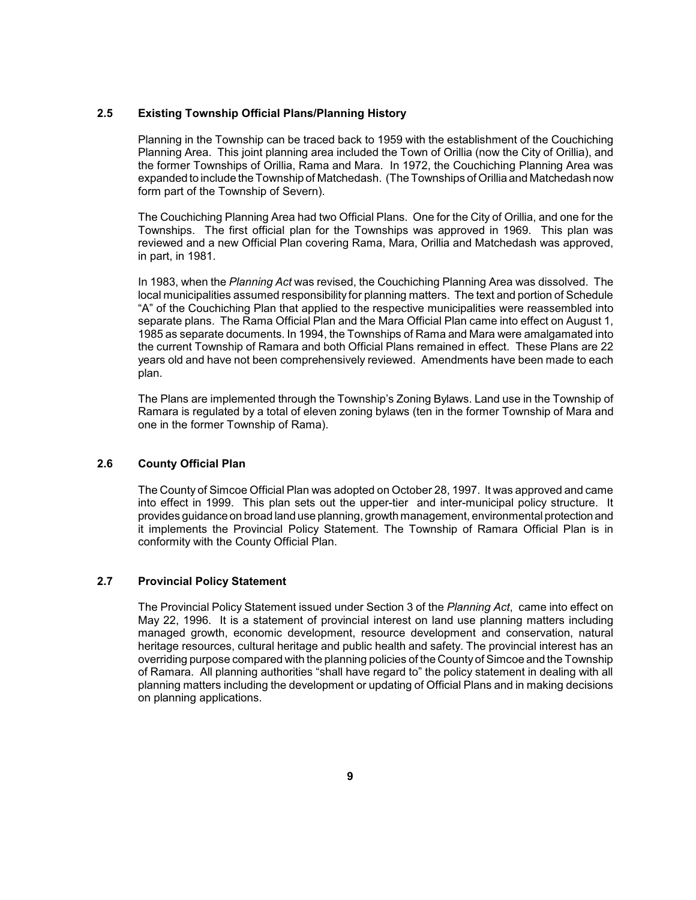## <span id="page-19-0"></span>**2.5 Existing Township Official Plans/Planning History**

 Planning Area. This joint planning area included the Town of Orillia (now the City of Orillia), and the former Townships of Orillia, Rama and Mara. In 1972, the Couchiching Planning Area was expanded to include the Township of Matchedash. (The Townships of Orillia and Matchedash now Planning in the Township can be traced back to 1959 with the establishment of the Couchiching form part of the Township of Severn).

 The Couchiching Planning Area had two Official Plans. One for the City of Orillia, and one for the Townships. The first official plan for the Townships was approved in 1969. This plan was reviewed and a new Official Plan covering Rama, Mara, Orillia and Matchedash was approved, in part, in 1981.

 In 1983, when the *Planning Act* was revised, the Couchiching Planning Area was dissolved. The separate plans. The Rama Official Plan and the Mara Official Plan came into effect on August 1, 1985 as separate documents. In 1994, the Townships of Rama and Mara were amalgamated into the current Township of Ramara and both Official Plans remained in effect. These Plans are 22 years old and have not been comprehensively reviewed. Amendments have been made to each local municipalities assumed responsibility for planning matters. The text and portion of Schedule "A" of the Couchiching Plan that applied to the respective municipalities were reassembled into plan.

 Ramara is regulated by a total of eleven zoning bylaws (ten in the former Township of Mara and The Plans are implemented through the Township's Zoning Bylaws. Land use in the Township of one in the former Township of Rama).

## **2.6 County Official Plan**

 The County of Simcoe Official Plan was adopted on October 28, 1997. It was approved and came into effect in 1999. This plan sets out the upper-tier and inter-municipal policy structure. It provides guidance on broad land use planning, growth management, environmental protection and it implements the Provincial Policy Statement. The Township of Ramara Official Plan is in conformity with the County Official Plan.

## **2.7 Provincial Policy Statement**

 The Provincial Policy Statement issued under Section 3 of the *Planning Act*, came into effect on May 22, 1996. It is a statement of provincial interest on land use planning matters including overriding purpose compared with the planning policies of the Countyof Simcoe and the Township of Ramara. All planning authorities "shall have regard to" the policy statement in dealing with all planning matters including the development or updating of Official Plans and in making decisions managed growth, economic development, resource development and conservation, natural heritage resources, cultural heritage and public health and safety. The provincial interest has an on planning applications.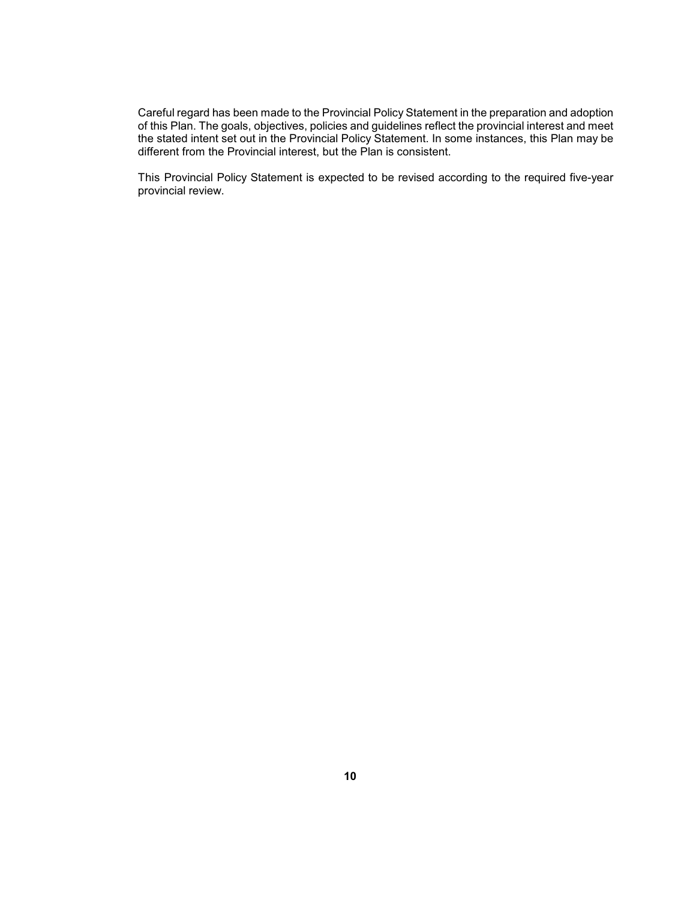Careful regard has been made to the Provincial Policy Statement in the preparation and adoption of this Plan. The goals, objectives, policies and guidelines reflect the provincial interest and meet the stated intent set out in the Provincial Policy Statement. In some instances, this Plan may be different from the Provincial interest, but the Plan is consistent.

 This Provincial Policy Statement is expected to be revised according to the required five-year provincial review.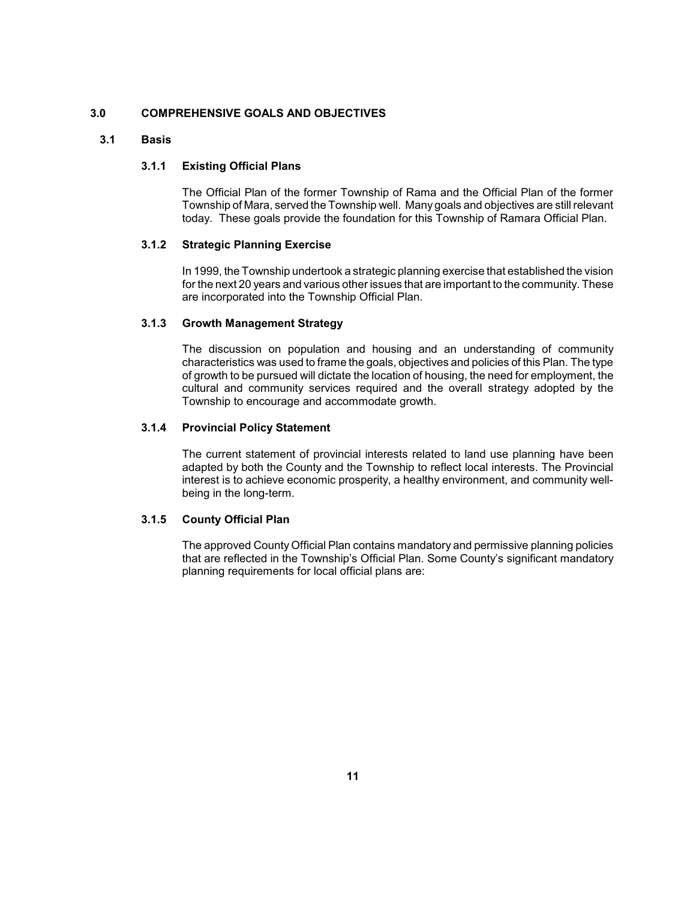## <span id="page-21-0"></span>**3.0 COMPREHENSIVE GOALS AND OBJECTIVES**

## **3.1 Basis**

## **3.1.1 Existing Official Plans**

 The Official Plan of the former Township of Rama and the Official Plan of the former Township of Mara, served the Township well. Many goals and objectives are still relevant today. These goals provide the foundation for this Township of Ramara Official Plan.

#### **3.1.2 Strategic Planning Exercise**

 In 1999, the Township undertook a strategic planning exercise that established the vision for the next 20 years and various other issues that are important to the community. These are incorporated into the Township Official Plan.

## **3.1.3 Growth Management Strategy**

 characteristics was used to frame the goals, objectives and policies of this Plan. The type cultural and community services required and the overall strategy adopted by the The discussion on population and housing and an understanding of community of growth to be pursued will dictate the location of housing, the need for employment, the Township to encourage and accommodate growth.

#### **3.1.4 Provincial Policy Statement**

 The current statement of provincial interests related to land use planning have been interest is to achieve economic prosperity, a healthy environment, and community welladapted by both the County and the Township to reflect local interests. The Provincial being in the long-term.

## **3.1.5 County Official Plan**

 The approved County Official Plan contains mandatory and permissive planning policies that are reflected in the Township's Official Plan. Some County's significant mandatory planning requirements for local official plans are: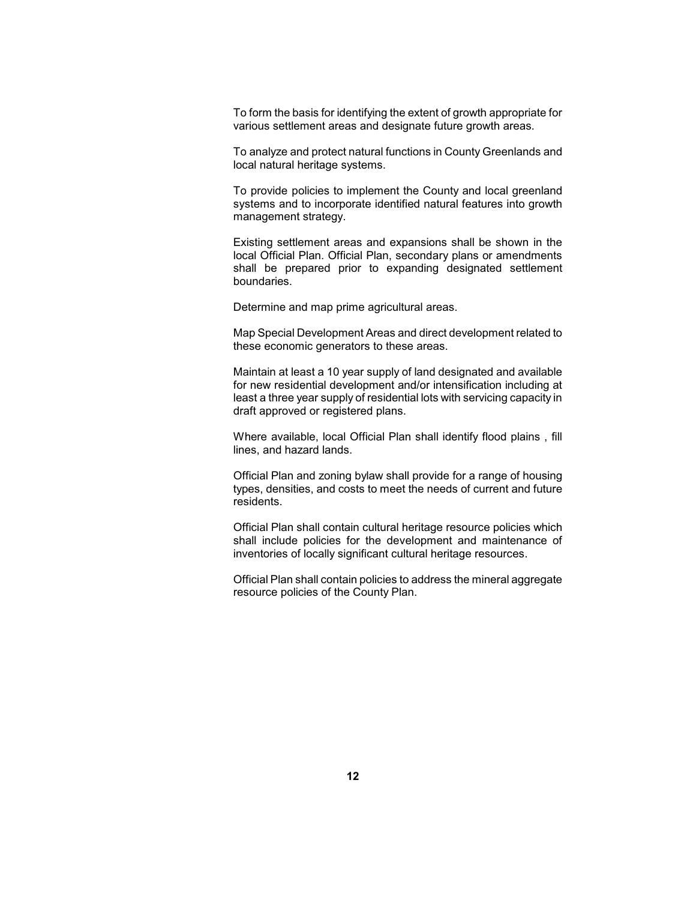To form the basis for identifying the extent of growth appropriate for various settlement areas and designate future growth areas.

 To analyze and protect natural functions in County Greenlands and local natural heritage systems.

 To provide policies to implement the County and local greenland systems and to incorporate identified natural features into growth management strategy.

 Existing settlement areas and expansions shall be shown in the local Official Plan. Official Plan, secondary plans or amendments shall be prepared prior to expanding designated settlement boundaries.

Determine and map prime agricultural areas.

 Map Special Development Areas and direct development related to these economic generators to these areas.

 Maintain at least a 10 year supply of land designated and available for new residential development and/or intensification including at least a three year supply of residential lots with servicing capacity in draft approved or registered plans.

 Where available, local Official Plan shall identify flood plains , fill lines, and hazard lands.

 types, densities, and costs to meet the needs of current and future Official Plan and zoning bylaw shall provide for a range of housing residents.

Official Plan shall contain cultural heritage resource policies which shall include policies for the development and maintenance of inventories of locally significant cultural heritage resources.

 Official Plan shall contain policies to address the mineral aggregate resource policies of the County Plan.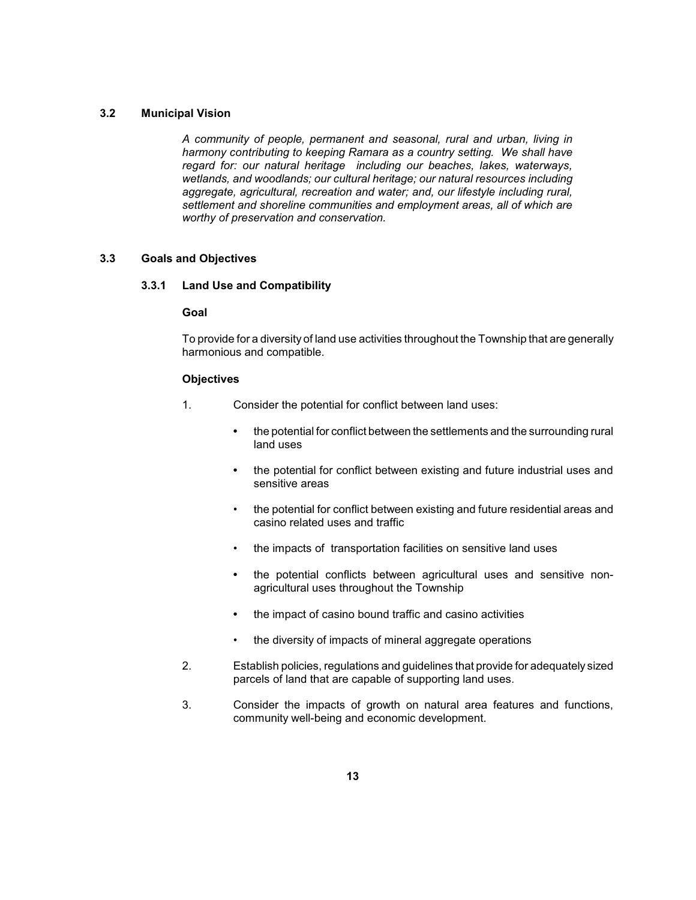## <span id="page-23-0"></span>**3.2 Municipal Vision**

 *harmony contributing to keeping Ramara as a country setting. We shall have regard for: our natural heritage including our beaches, lakes, waterways, wetlands, and woodlands; our cultural heritage; our natural resources including A community of people, permanent and seasonal, rural and urban, living in aggregate, agricultural, recreation and water; and, our lifestyle including rural, settlement and shoreline communities and employment areas, all of which are worthy of preservation and conservation.* 

#### **3.3 Goals and Objectives**

#### **3.3.1 Land Use and Compatibility**

#### **Goal**

 To provide for a diversity of land use activities throughout the Township that are generally harmonious and compatible.

- 1. Consider the potential for conflict between land uses:
	- the potential for conflict between the settlements and the surrounding rural land uses
	- **•** the potential for conflict between existing and future industrial uses and sensitive areas
	- the potential for conflict between existing and future residential areas and casino related uses and traffic
	- the impacts of transportation facilities on sensitive land uses
	- **•** the potential conflicts between agricultural uses and sensitive nonagricultural uses throughout the Township
	- **•** the impact of casino bound traffic and casino activities
	- the diversity of impacts of mineral aggregate operations
- 2. Establish policies, regulations and guidelines that provide for adequately sized parcels of land that are capable of supporting land uses.
- 3. Consider the impacts of growth on natural area features and functions, community well-being and economic development.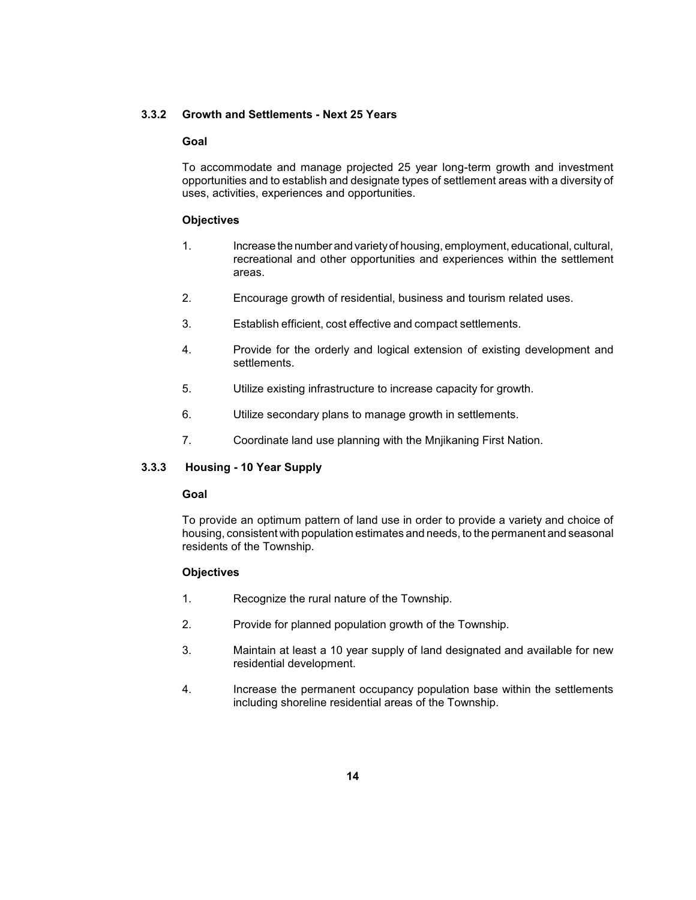#### <span id="page-24-0"></span>**3.3.2 Growth and Settlements - Next 25 Years**

#### **Goal**

 To accommodate and manage projected 25 year long-term growth and investment opportunities and to establish and designate types of settlement areas with a diversity of uses, activities, experiences and opportunities.

#### **Objectives**

- 1. Increase the number and varietyof housing, employment, educational, cultural, recreational and other opportunities and experiences within the settlement areas.
- 2. Encourage growth of residential, business and tourism related uses.
- 3. Establish efficient, cost effective and compact settlements.
- 4. Provide for the orderly and logical extension of existing development and settlements.
- 5. Utilize existing infrastructure to increase capacity for growth.
- 6. Utilize secondary plans to manage growth in settlements.
- 7. Coordinate land use planning with the Mnjikaning First Nation.

#### **3.3.3 Housing - 10 Year Supply**

#### **Goal**

 To provide an optimum pattern of land use in order to provide a variety and choice of housing, consistent with population estimates and needs, to the permanent and seasonal residents of the Township.

- 1. Recognize the rural nature of the Township.
- 2. Provide for planned population growth of the Township.
- 3. Maintain at least a 10 year supply of land designated and available for new residential development.
- 4. Increase the permanent occupancy population base within the settlements including shoreline residential areas of the Township.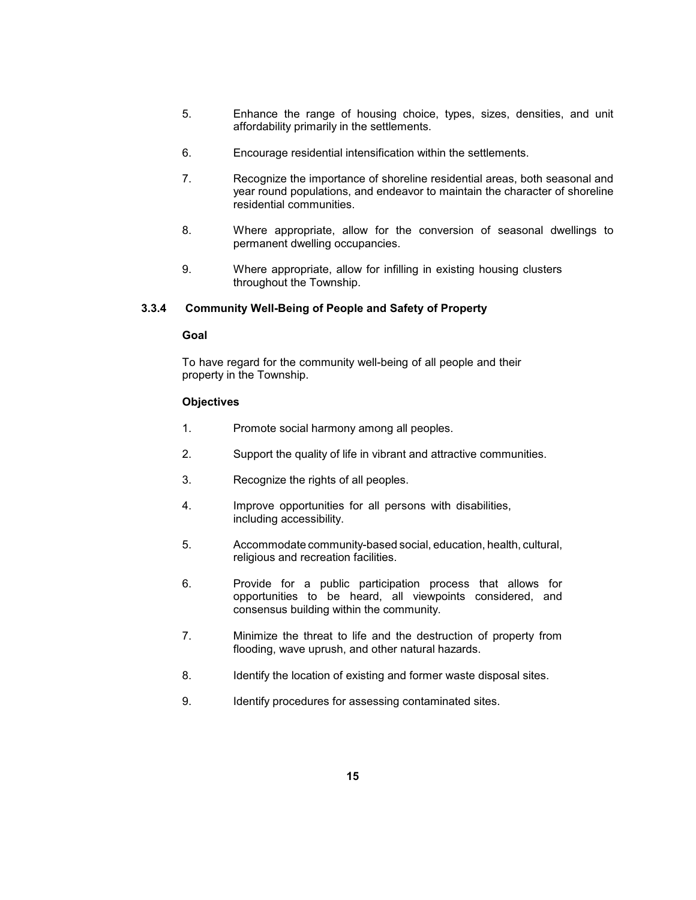- <span id="page-25-0"></span>5. Enhance the range of housing choice, types, sizes, densities, and unit affordability primarily in the settlements.
- 6. Encourage residential intensification within the settlements.
- 7. Recognize the importance of shoreline residential areas, both seasonal and year round populations, and endeavor to maintain the character of shoreline residential communities.
- 8. Where appropriate, allow for the conversion of seasonal dwellings to permanent dwelling occupancies.
- 9. Where appropriate, allow for infilling in existing housing clusters throughout the Township.

## **3.3.4 Community Well-Being of People and Safety of Property**

#### **Goal**

 To have regard for the community well-being of all people and their property in the Township.

- 1. Promote social harmony among all peoples.
- 2. Support the quality of life in vibrant and attractive communities.
- 3. Recognize the rights of all peoples.
- 4. Improve opportunities for all persons with disabilities, including accessibility.
- 5. Accommodate community-based social, education, health, cultural, religious and recreation facilities.
- opportunities to be heard, all viewpoints considered, and 6. Provide for a public participation process that allows for consensus building within the community.
- 7. Minimize the threat to life and the destruction of property from flooding, wave uprush, and other natural hazards.
- 8. Identify the location of existing and former waste disposal sites.
- 9. Identify procedures for assessing contaminated sites.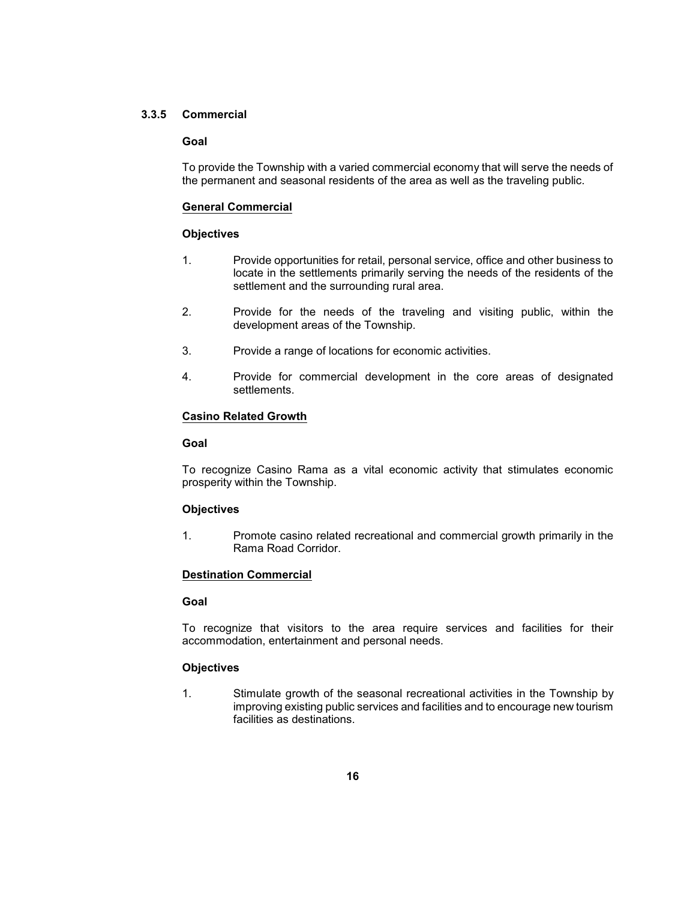### <span id="page-26-0"></span>**3.3.5 Commercial**

#### **Goal**

 To provide the Township with a varied commercial economy that will serve the needs of the permanent and seasonal residents of the area as well as the traveling public.

#### **General Commercial**

#### **Objectives**

- 1. Provide opportunities for retail, personal service, office and other business to locate in the settlements primarily serving the needs of the residents of the settlement and the surrounding rural area.
- 2. Provide for the needs of the traveling and visiting public, within the development areas of the Township.
- 3. Provide a range of locations for economic activities.
- 4. Provide for commercial development in the core areas of designated settlements.

#### **Casino Related Growth**

#### **Goal**

 To recognize Casino Rama as a vital economic activity that stimulates economic prosperity within the Township.

#### **Objectives**

1. Promote casino related recreational and commercial growth primarily in the Rama Road Corridor.

## **Destination Commercial**

#### **Goal**

 To recognize that visitors to the area require services and facilities for their accommodation, entertainment and personal needs.

## **Objectives**

 1. Stimulate growth of the seasonal recreational activities in the Township by improving existing public services and facilities and to encourage new tourism facilities as destinations.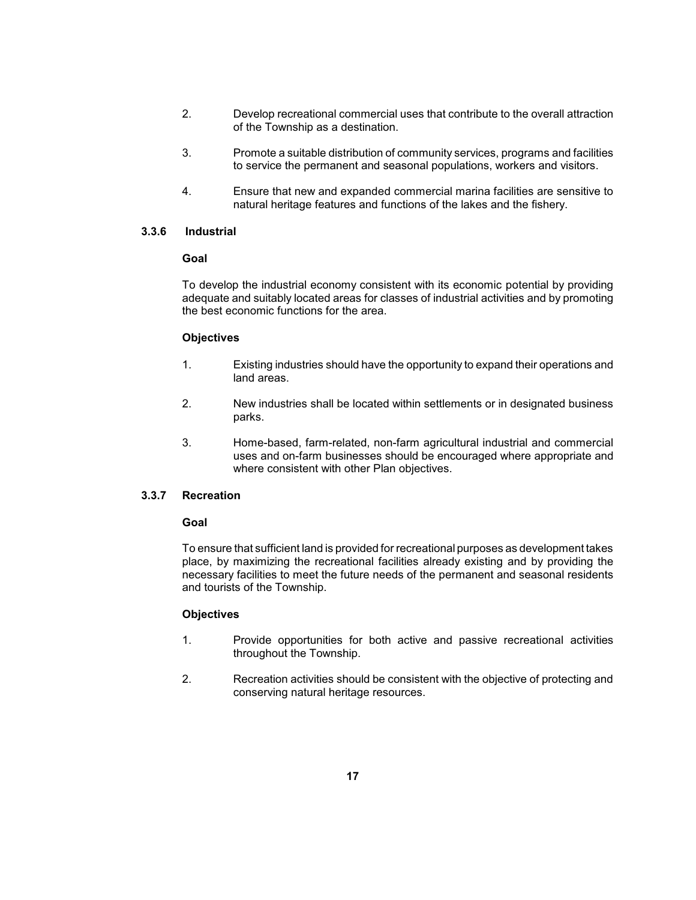- <span id="page-27-0"></span> 2. Develop recreational commercial uses that contribute to the overall attraction of the Township as a destination.
- 3. Promote a suitable distribution of community services, programs and facilities to service the permanent and seasonal populations, workers and visitors.
- 4. Ensure that new and expanded commercial marina facilities are sensitive to natural heritage features and functions of the lakes and the fishery.

### **3.3.6 Industrial**

#### **Goal**

 To develop the industrial economy consistent with its economic potential by providing adequate and suitably located areas for classes of industrial activities and by promoting the best economic functions for the area.

## **Objectives**

- 1. Existing industries should have the opportunity to expand their operations and land areas.
- 2. New industries shall be located within settlements or in designated business parks.
- 3. Home-based, farm-related, non-farm agricultural industrial and commercial uses and on-farm businesses should be encouraged where appropriate and where consistent with other Plan objectives.

## **3.3.7 Recreation**

#### **Goal**

 To ensure that sufficient land is provided for recreational purposes as development takes place, by maximizing the recreational facilities already existing and by providing the necessary facilities to meet the future needs of the permanent and seasonal residents and tourists of the Township.

- 1. Provide opportunities for both active and passive recreational activities throughout the Township.
- 2. Recreation activities should be consistent with the objective of protecting and conserving natural heritage resources.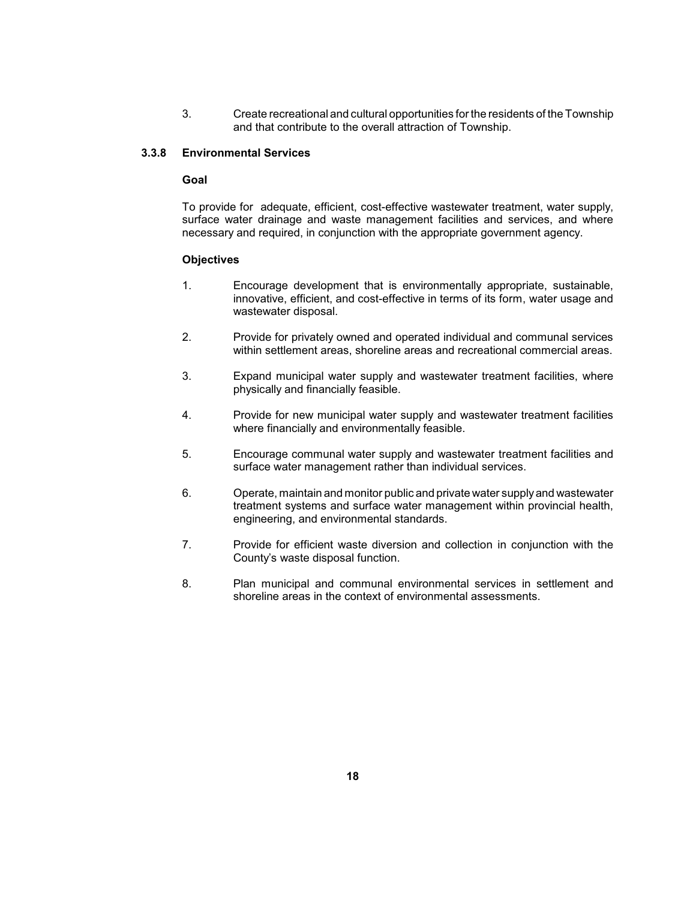3. Create recreational and cultural opportunities for the residents of the Township and that contribute to the overall attraction of Township.

## <span id="page-28-0"></span>**3.3.8 Environmental Services**

### **Goal**

 surface water drainage and waste management facilities and services, and where To provide for adequate, efficient, cost-effective wastewater treatment, water supply, necessary and required, in conjunction with the appropriate government agency.

- innovative, efficient, and cost-effective in terms of its form, water usage and 1. Encourage development that is environmentally appropriate, sustainable, wastewater disposal.
- 2. Provide for privately owned and operated individual and communal services within settlement areas, shoreline areas and recreational commercial areas.
- 3. Expand municipal water supply and wastewater treatment facilities, where physically and financially feasible.
- 4. Provide for new municipal water supply and wastewater treatment facilities where financially and environmentally feasible.
- 5. Encourage communal water supply and wastewater treatment facilities and surface water management rather than individual services.
- 6. Operate, maintain and monitor public and private water supplyand wastewater treatment systems and surface water management within provincial health, engineering, and environmental standards.
- 7. Provide for efficient waste diversion and collection in conjunction with the County's waste disposal function.
- 8. Plan municipal and communal environmental services in settlement and shoreline areas in the context of environmental assessments.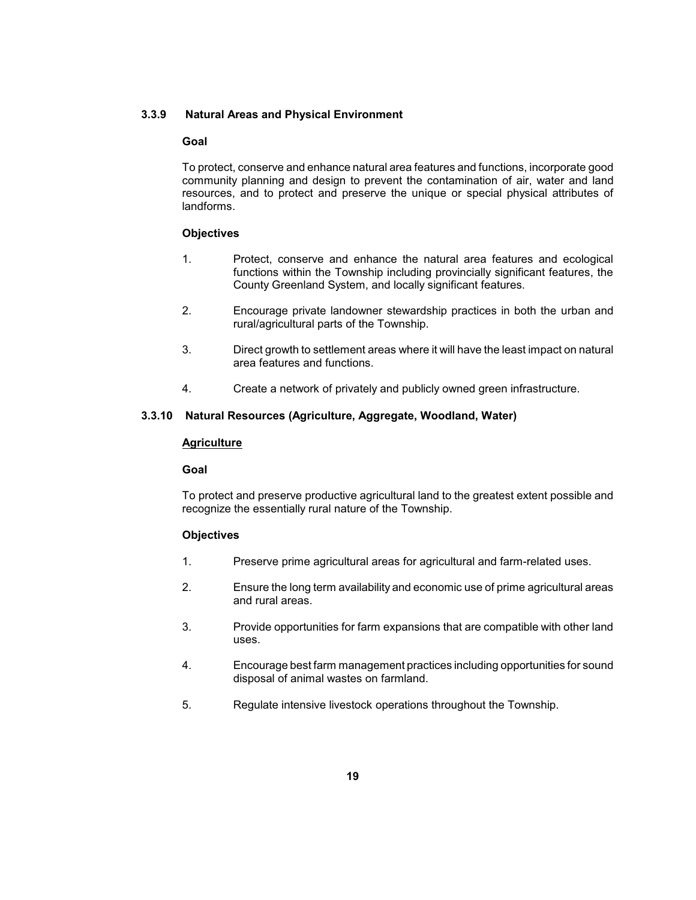### <span id="page-29-0"></span>**3.3.9 Natural Areas and Physical Environment**

#### **Goal**

 resources, and to protect and preserve the unique or special physical attributes of To protect, conserve and enhance natural area features and functions, incorporate good community planning and design to prevent the contamination of air, water and land landforms.

#### **Objectives**

- 1. Protect, conserve and enhance the natural area features and ecological functions within the Township including provincially significant features, the County Greenland System, and locally significant features.
- 2. Encourage private landowner stewardship practices in both the urban and rural/agricultural parts of the Township.
- 3. Direct growth to settlement areas where it will have the least impact on natural area features and functions.
- 4. Create a network of privately and publicly owned green infrastructure.

## **3.3.10 Natural Resources (Agriculture, Aggregate, Woodland, Water)**

#### **Agriculture**

#### **Goal**

To protect and preserve productive agricultural land to the greatest extent possible and recognize the essentially rural nature of the Township.

- 1. Preserve prime agricultural areas for agricultural and farm-related uses.
- 2. Ensure the long term availability and economic use of prime agricultural areas and rural areas.
- 3. Provide opportunities for farm expansions that are compatible with other land uses.
- 4. Encourage best farm management practices including opportunities for sound disposal of animal wastes on farmland.
- 5. Regulate intensive livestock operations throughout the Township.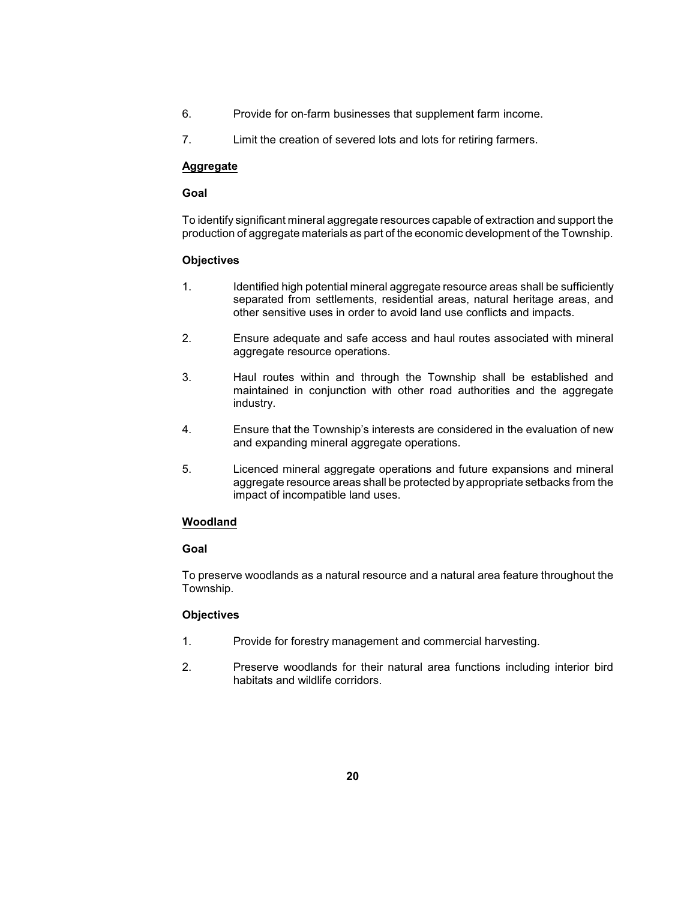- 6. Provide for on-farm businesses that supplement farm income.
- 7. Limit the creation of severed lots and lots for retiring farmers.

## **Aggregate**

## **Goal**

 To identify significant mineral aggregate resources capable of extraction and support the production of aggregate materials as part of the economic development of the Township.

## **Objectives**

- 1. Identified high potential mineral aggregate resource areas shall be sufficiently separated from settlements, residential areas, natural heritage areas, and other sensitive uses in order to avoid land use conflicts and impacts.
- 2. Ensure adequate and safe access and haul routes associated with mineral aggregate resource operations.
- 3. Haul routes within and through the Township shall be established and maintained in conjunction with other road authorities and the aggregate industry.
- 4. Ensure that the Township's interests are considered in the evaluation of new and expanding mineral aggregate operations.
- aggregate resource areas shall be protected by appropriate setbacks from the 5. Licenced mineral aggregate operations and future expansions and mineral impact of incompatible land uses.

## **Woodland**

## **Goal**

 To preserve woodlands as a natural resource and a natural area feature throughout the Township.

- 1. Provide for forestry management and commercial harvesting.
- 2. Preserve woodlands for their natural area functions including interior bird habitats and wildlife corridors.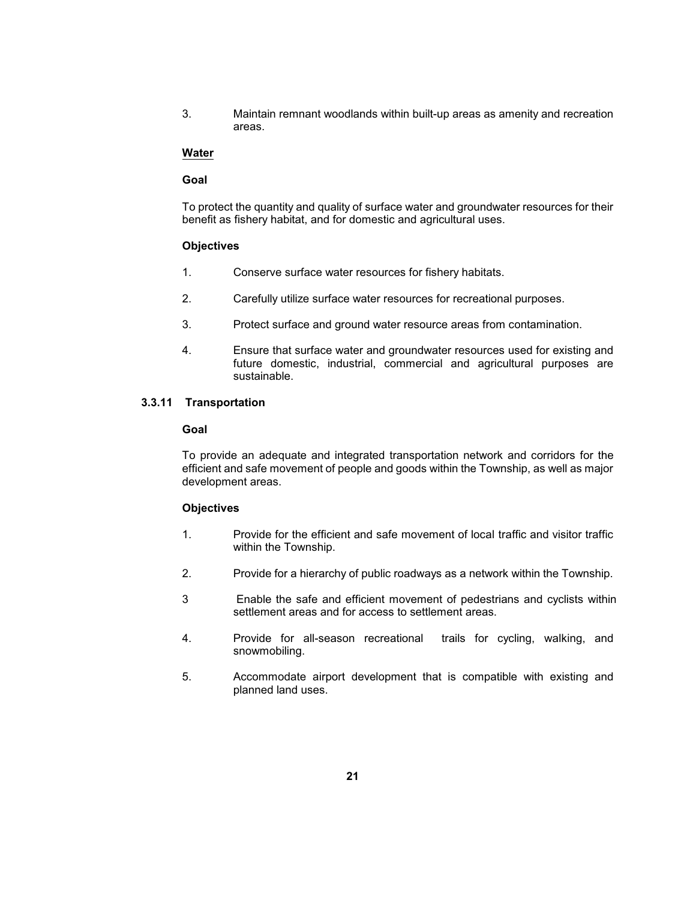<span id="page-31-0"></span> 3. Maintain remnant woodlands within built-up areas as amenity and recreation areas.

### **Water**

#### **Goal**

 To protect the quantity and quality of surface water and groundwater resources for their benefit as fishery habitat, and for domestic and agricultural uses.

#### **Objectives**

- 1. Conserve surface water resources for fishery habitats.
- 2. Carefully utilize surface water resources for recreational purposes.
- 3. Protect surface and ground water resource areas from contamination.
- future domestic, industrial, commercial and agricultural purposes are 4. Ensure that surface water and groundwater resources used for existing and sustainable.

#### **3.3.11 Transportation**

#### **Goal**

 efficient and safe movement of people and goods within the Township, as well as major To provide an adequate and integrated transportation network and corridors for the development areas.

- 1. Provide for the efficient and safe movement of local traffic and visitor traffic within the Township.
- 2. Provide for a hierarchy of public roadways as a network within the Township.
- 3 Enable the safe and efficient movement of pedestrians and cyclists within settlement areas and for access to settlement areas.
- 4. Provide for all-season recreational trails for cycling, walking, and snowmobiling.
- 5. Accommodate airport development that is compatible with existing and planned land uses.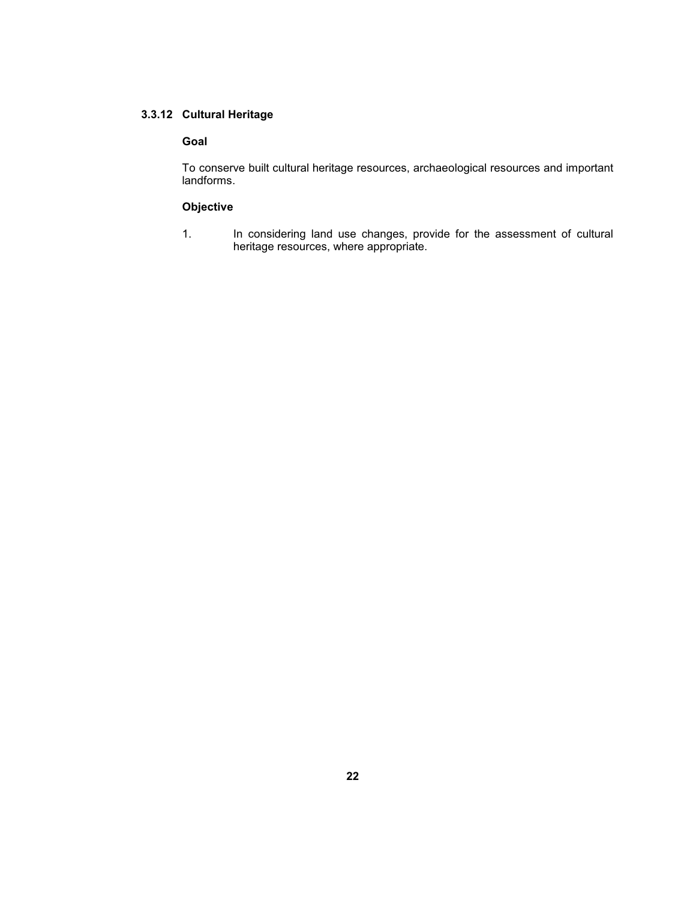## <span id="page-32-0"></span>**3.3.12 Cultural Heritage**

#### **Goal**

 To conserve built cultural heritage resources, archaeological resources and important landforms.

## **Objective**

1. In considering land use changes, provide for the assessment of cultural heritage resources, where appropriate.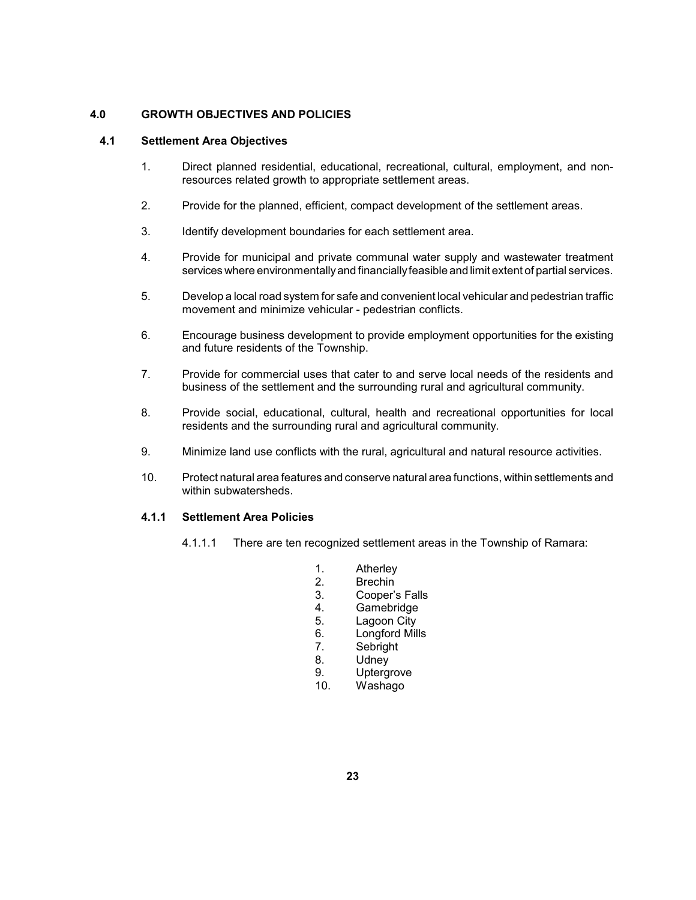## <span id="page-33-0"></span>**4.0 GROWTH OBJECTIVES AND POLICIES**

## **4.1 Settlement Area Objectives**

- 1. Direct planned residential, educational, recreational, cultural, employment, and nonresources related growth to appropriate settlement areas.
- 2. Provide for the planned, efficient, compact development of the settlement areas.
- 3. Identify development boundaries for each settlement area.
- services where environmentallyand financiallyfeasible and limit extent of partial services. 4. Provide for municipal and private communal water supply and wastewater treatment
- 5. Develop a local road system for safe and convenient local vehicular and pedestrian traffic movement and minimize vehicular - pedestrian conflicts.
- 6. Encourage business development to provide employment opportunities for the existing and future residents of the Township.
- 7. Provide for commercial uses that cater to and serve local needs of the residents and business of the settlement and the surrounding rural and agricultural community.
- 8. Provide social, educational, cultural, health and recreational opportunities for local residents and the surrounding rural and agricultural community.
- 9. Minimize land use conflicts with the rural, agricultural and natural resource activities.
- 10. Protect natural area features and conserve natural area functions, within settlements and within subwatersheds

## **4.1.1 Settlement Area Policies**

- 4.1.1.1 There are ten recognized settlement areas in the Township of Ramara:
	- 1. Atherley<br>2. Brechin
	- **Brechin**
	- 3. Cooper's Falls
	- 4. Gamebridge
	- 5. Lagoon City
	- 6. Longford Mills<br>7. Sebright
	- Sebright
	- 8. Udney
	- 9. Uptergrove
	- 10. Washago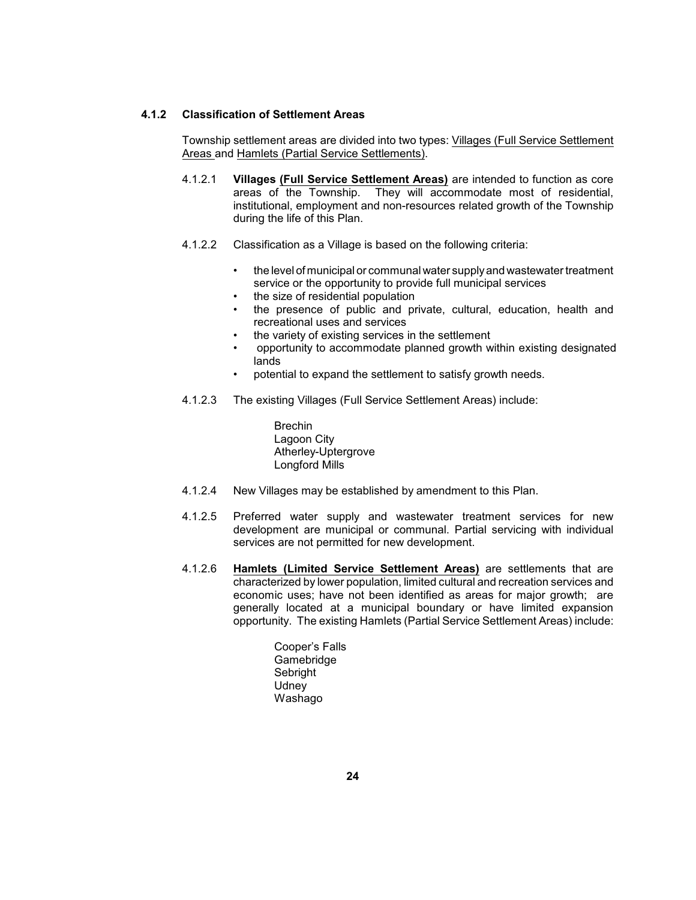### <span id="page-34-0"></span>**4.1.2 Classification of Settlement Areas**

Township settlement areas are divided into two types: Villages (Full Service Settlement Areas and Hamlets (Partial Service Settlements).

- areas of the Township. 4.1.2.1 **Villages (Full Service Settlement Areas)** are intended to function as core They will accommodate most of residential, institutional, employment and non-resources related growth of the Township during the life of this Plan.
- 4.1.2.2 Classification as a Village is based on the following criteria:
	- • the level of municipal or communal water supplyand wastewater treatment service or the opportunity to provide full municipal services
	- the size of residential population
	- • the presence of public and private, cultural, education, health and recreational uses and services
	- • the variety of existing services in the settlement
	- • opportunity to accommodate planned growth within existing designated lands
	- potential to expand the settlement to satisfy growth needs.
- 4.1.2.3 The existing Villages (Full Service Settlement Areas) include:
	- Brechin Lagoon City Atherley-Uptergrove Longford Mills
- 4.1.2.4 New Villages may be established by amendment to this Plan.
- 4.1.2.5 Preferred water supply and wastewater treatment services for new development are municipal or communal. Partial servicing with individual services are not permitted for new development.
- economic uses; have not been identified as areas for major growth; are generally located at a municipal boundary or have limited expansion opportunity. The existing Hamlets (Partial Service Settlement Areas) include: 4.1.2.6 **Hamlets (Limited Service Settlement Areas)** are settlements that are characterized by lower population, limited cultural and recreation services and
	- Cooper's Falls Gamebridge Sebright **Udney** Washago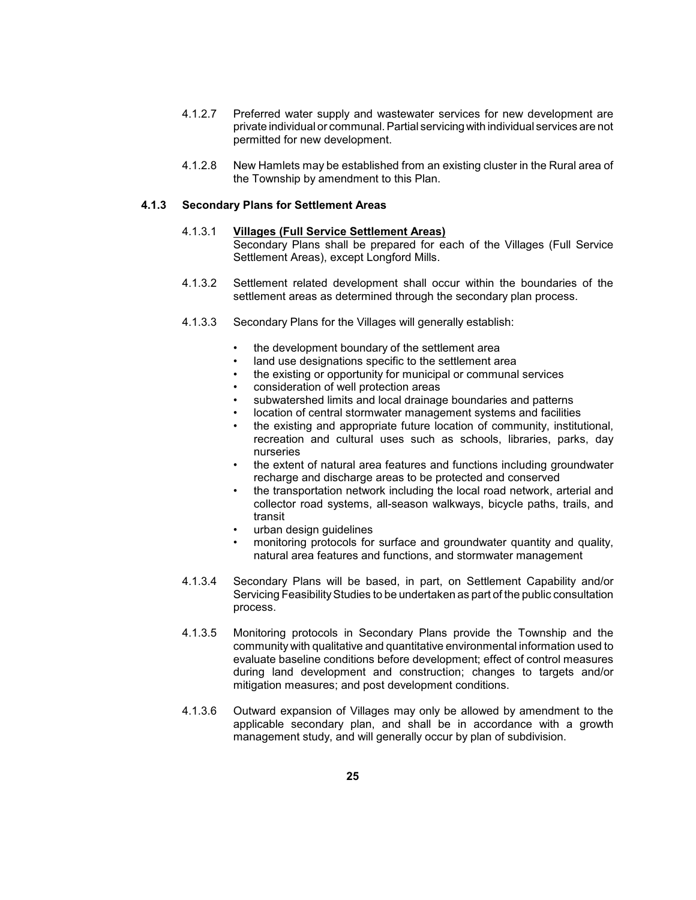- <span id="page-35-0"></span> 4.1.2.7 Preferred water supply and wastewater services for new development are private individual or communal. Partial servicingwith individual services are not permitted for new development.
- 4.1.2.8 New Hamlets may be established from an existing cluster in the Rural area of the Township by amendment to this Plan.

#### **4.1.3 Secondary Plans for Settlement Areas**

## 4.1.3.1 **Villages (Full Service Settlement Areas)**

 Secondary Plans shall be prepared for each of the Villages (Full Service Settlement Areas), except Longford Mills.

- 4.1.3.2 Settlement related development shall occur within the boundaries of the settlement areas as determined through the secondary plan process.
- 4.1.3.3 Secondary Plans for the Villages will generally establish:
	- the development boundary of the settlement area
	- land use designations specific to the settlement area
	- the existing or opportunity for municipal or communal services
	- consideration of well protection areas
	- subwatershed limits and local drainage boundaries and patterns
	- location of central stormwater management systems and facilities
	- recreation and cultural uses such as schools, libraries, parks, day the existing and appropriate future location of community, institutional, nurseries
	- the extent of natural area features and functions including groundwater recharge and discharge areas to be protected and conserved
	- the transportation network including the local road network, arterial and collector road systems, all-season walkways, bicycle paths, trails, and transit
	- urban design guidelines
	- monitoring protocols for surface and groundwater quantity and quality, natural area features and functions, and stormwater management
- 4.1.3.4 Secondary Plans will be based, in part, on Settlement Capability and/or Servicing Feasibility Studies to be undertaken as part of the public consultation process.
- 4.1.3.5 Monitoring protocols in Secondary Plans provide the Township and the evaluate baseline conditions before development; effect of control measures during land development and construction; changes to targets and/or community with qualitative and quantitative environmental information used to mitigation measures; and post development conditions.
- 4.1.3.6 Outward expansion of Villages may only be allowed by amendment to the applicable secondary plan, and shall be in accordance with a growth management study, and will generally occur by plan of subdivision.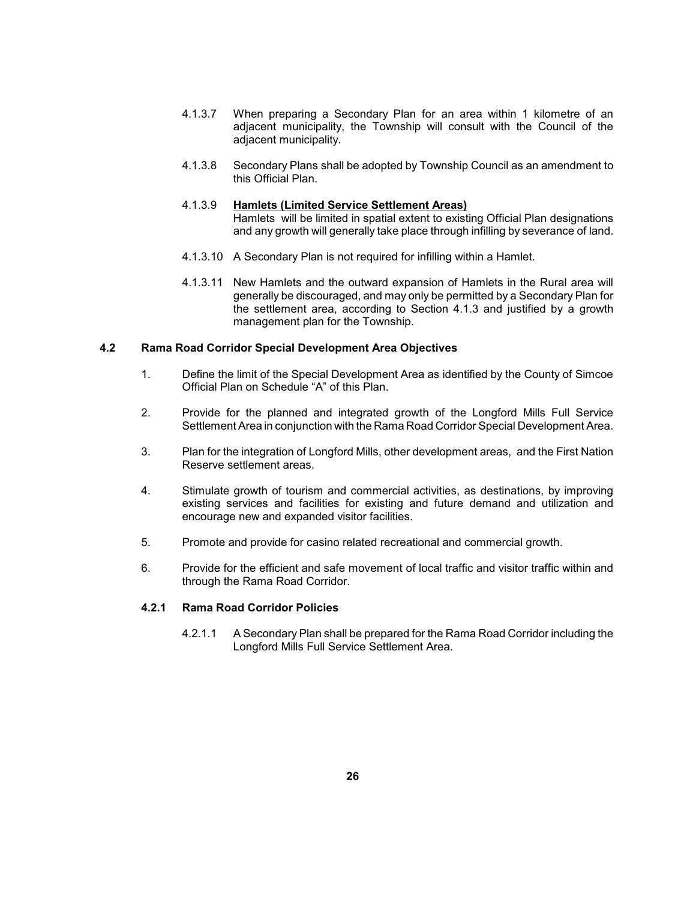- 4.1.3.7 When preparing a Secondary Plan for an area within 1 kilometre of an adjacent municipality, the Township will consult with the Council of the adjacent municipality.
- 4.1.3.8 Secondary Plans shall be adopted by Township Council as an amendment to this Official Plan.

### 4.1.3.9 **Hamlets (Limited Service Settlement Areas)**

 and any growth will generally take place through infilling by severance of land. Hamlets will be limited in spatial extent to existing Official Plan designations

- 4.1.3.10 A Secondary Plan is not required for infilling within a Hamlet.
- 4.1.3.11 New Hamlets and the outward expansion of Hamlets in the Rural area will generally be discouraged, and may only be permitted by a Secondary Plan for the settlement area, according to Section 4.1.3 and justified by a growth management plan for the Township.

### **4.2 Rama Road Corridor Special Development Area Objectives**

- 1. Define the limit of the Special Development Area as identified by the County of Simcoe Official Plan on Schedule "A" of this Plan.
- 2. Provide for the planned and integrated growth of the Longford Mills Full Service Settlement Area in conjunction with the Rama Road Corridor Special Development Area.
- 3. Plan for the integration of Longford Mills, other development areas, and the First Nation Reserve settlement areas.
- 4. Stimulate growth of tourism and commercial activities, as destinations, by improving existing services and facilities for existing and future demand and utilization and encourage new and expanded visitor facilities.
- 5. Promote and provide for casino related recreational and commercial growth.
- 6. Provide for the efficient and safe movement of local traffic and visitor traffic within and through the Rama Road Corridor.

## **4.2.1 Rama Road Corridor Policies**

 4.2.1.1 A Secondary Plan shall be prepared for the Rama Road Corridor including the Longford Mills Full Service Settlement Area.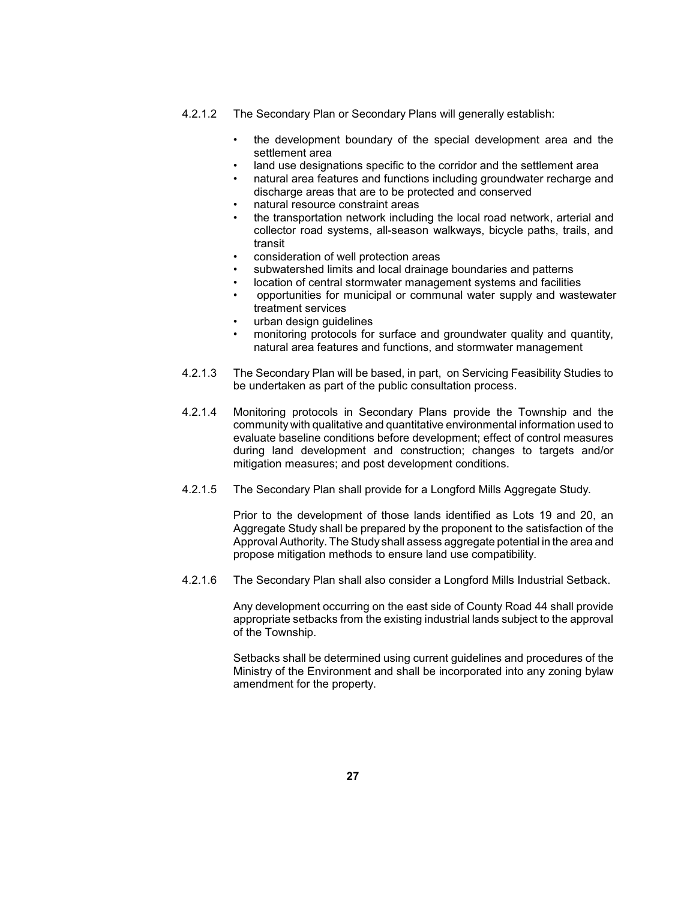- 4.2.1.2 The Secondary Plan or Secondary Plans will generally establish:
	- • the development boundary of the special development area and the settlement area
	- land use designations specific to the corridor and the settlement area
	- natural area features and functions including groundwater recharge and discharge areas that are to be protected and conserved
	- natural resource constraint areas
	- the transportation network including the local road network, arterial and collector road systems, all-season walkways, bicycle paths, trails, and transit
	- consideration of well protection areas
	- subwatershed limits and local drainage boundaries and patterns
	- location of central stormwater management systems and facilities
	- • opportunities for municipal or communal water supply and wastewater treatment services
		- urban design guidelines
	- monitoring protocols for surface and groundwater quality and quantity, natural area features and functions, and stormwater management
- 4.2.1.3 The Secondary Plan will be based, in part, on Servicing Feasibility Studies to be undertaken as part of the public consultation process.
- 4.2.1.4 Monitoring protocols in Secondary Plans provide the Township and the evaluate baseline conditions before development; effect of control measures during land development and construction; changes to targets and/or community with qualitative and quantitative environmental information used to mitigation measures; and post development conditions.
- 4.2.1.5 The Secondary Plan shall provide for a Longford Mills Aggregate Study.

 Prior to the development of those lands identified as Lots 19 and 20, an Aggregate Study shall be prepared by the proponent to the satisfaction of the Approval Authority. The Study shall assess aggregate potential in the area and propose mitigation methods to ensure land use compatibility.

4.2.1.6 The Secondary Plan shall also consider a Longford Mills Industrial Setback.

 Any development occurring on the east side of County Road 44 shall provide appropriate setbacks from the existing industrial lands subject to the approval of the Township.

 Setbacks shall be determined using current guidelines and procedures of the Ministry of the Environment and shall be incorporated into any zoning bylaw amendment for the property.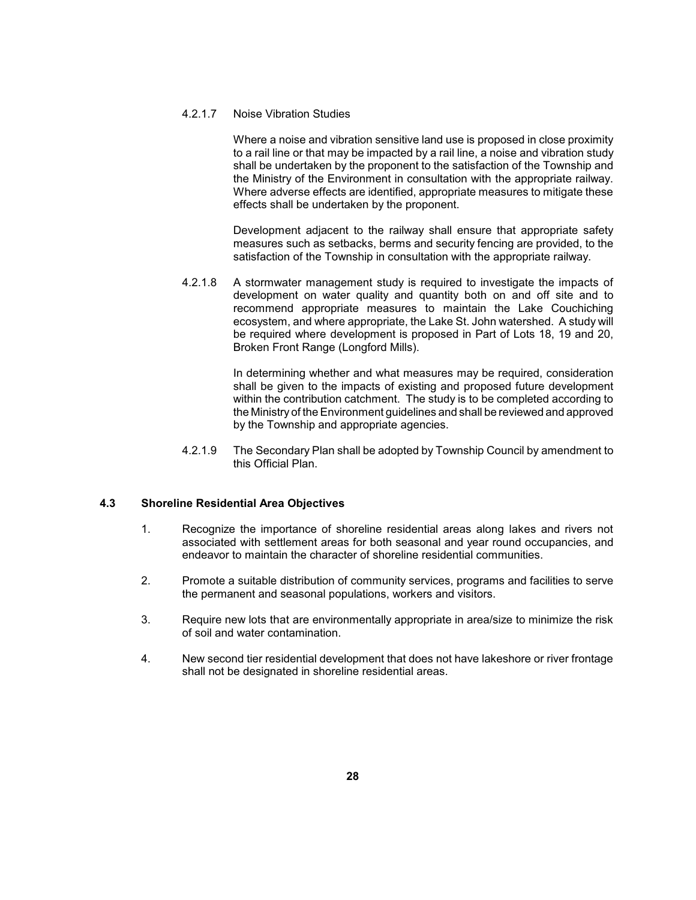## 4.2.1.7 Noise Vibration Studies

 Where a noise and vibration sensitive land use is proposed in close proximity to a rail line or that may be impacted by a rail line, a noise and vibration study the Ministry of the Environment in consultation with the appropriate railway. shall be undertaken by the proponent to the satisfaction of the Township and Where adverse effects are identified, appropriate measures to mitigate these effects shall be undertaken by the proponent.

 Development adjacent to the railway shall ensure that appropriate safety measures such as setbacks, berms and security fencing are provided, to the satisfaction of the Township in consultation with the appropriate railway.

 4.2.1.8 A stormwater management study is required to investigate the impacts of development on water quality and quantity both on and off site and to recommend appropriate measures to maintain the Lake Couchiching ecosystem, and where appropriate, the Lake St. John watershed. A study will be required where development is proposed in Part of Lots 18, 19 and 20, Broken Front Range (Longford Mills).

> In determining whether and what measures may be required, consideration shall be given to the impacts of existing and proposed future development within the contribution catchment. The study is to be completed according to the Ministry of the Environment guidelines and shall be reviewed and approved by the Township and appropriate agencies.

 4.2.1.9 The Secondary Plan shall be adopted by Township Council by amendment to this Official Plan.

## **4.3 Shoreline Residential Area Objectives**

- 1. Recognize the importance of shoreline residential areas along lakes and rivers not associated with settlement areas for both seasonal and year round occupancies, and endeavor to maintain the character of shoreline residential communities.
- 2. Promote a suitable distribution of community services, programs and facilities to serve the permanent and seasonal populations, workers and visitors.
- 3. Require new lots that are environmentally appropriate in area/size to minimize the risk of soil and water contamination.
- 4. New second tier residential development that does not have lakeshore or river frontage shall not be designated in shoreline residential areas.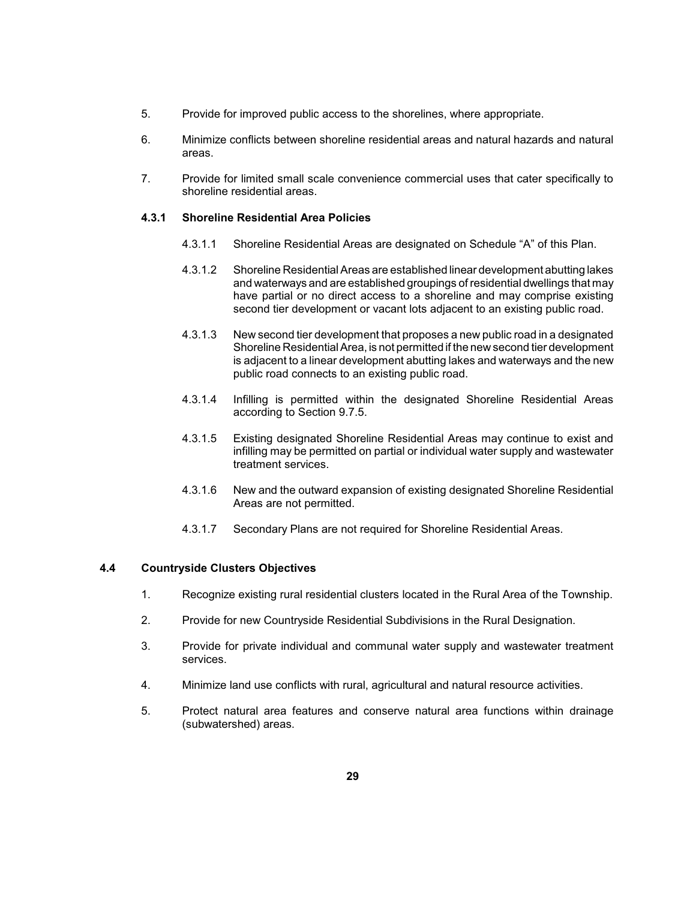- 5. Provide for improved public access to the shorelines, where appropriate.
- 6. Minimize conflicts between shoreline residential areas and natural hazards and natural areas.
- 7. Provide for limited small scale convenience commercial uses that cater specifically to shoreline residential areas.

### **4.3.1 Shoreline Residential Area Policies**

- 4.3.1.1 Shoreline Residential Areas are designated on Schedule "A" of this Plan.
- 4.3.1.2 Shoreline Residential Areas are established linear development abutting lakes and waterways and are established groupings of residential dwellings that may have partial or no direct access to a shoreline and may comprise existing second tier development or vacant lots adjacent to an existing public road.
- 4.3.1.3 New second tier development that proposes a new public road in a designated Shoreline Residential Area, is not permitted if the new second tier development is adjacent to a linear development abutting lakes and waterways and the new public road connects to an existing public road.
- 4.3.1.4 Infilling is permitted within the designated Shoreline Residential Areas according to Section 9.7.5.
- 4.3.1.5 Existing designated Shoreline Residential Areas may continue to exist and infilling may be permitted on partial or individual water supply and wastewater treatment services.
- 4.3.1.6 New and the outward expansion of existing designated Shoreline Residential Areas are not permitted.
- 4.3.1.7 Secondary Plans are not required for Shoreline Residential Areas.

## **4.4 Countryside Clusters Objectives**

- 1. Recognize existing rural residential clusters located in the Rural Area of the Township.
- 2. Provide for new Countryside Residential Subdivisions in the Rural Designation.
- 3. Provide for private individual and communal water supply and wastewater treatment services.
- 4. Minimize land use conflicts with rural, agricultural and natural resource activities.
- 5. Protect natural area features and conserve natural area functions within drainage (subwatershed) areas.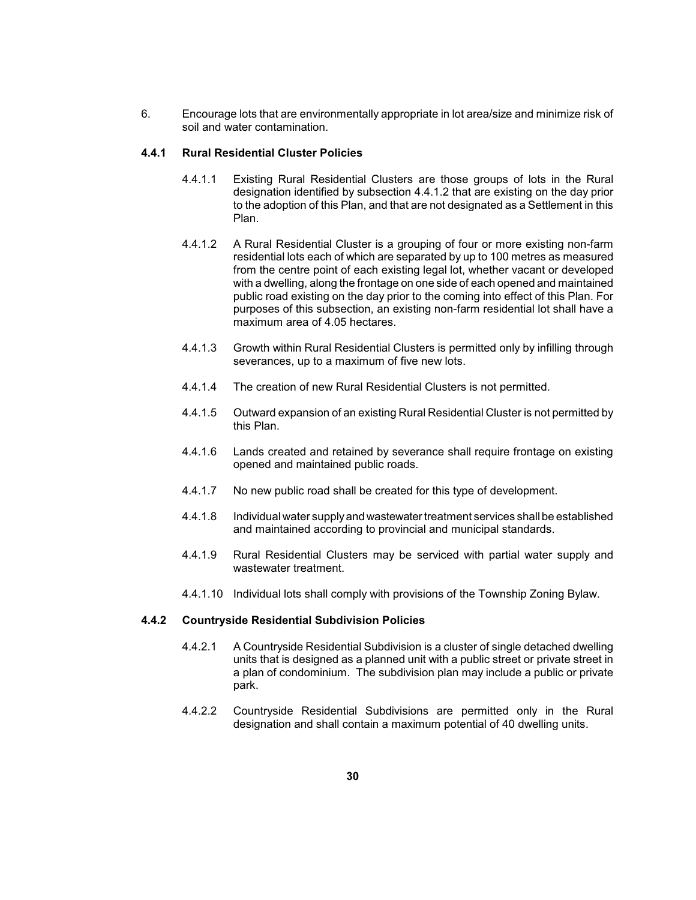6. Encourage lots that are environmentally appropriate in lot area/size and minimize risk of soil and water contamination.

### **4.4.1 Rural Residential Cluster Policies**

- 4.4.1.1 Existing Rural Residential Clusters are those groups of lots in the Rural to the adoption of this Plan, and that are not designated as a Settlement in this designation identified by subsection 4.4.1.2 that are existing on the day prior Plan.
- 4.4.1.2 A Rural Residential Cluster is a grouping of four or more existing non-farm residential lots each of which are separated by up to 100 metres as measured with a dwelling, along the frontage on one side of each opened and maintained public road existing on the day prior to the coming into effect of this Plan. For purposes of this subsection, an existing non-farm residential lot shall have a from the centre point of each existing legal lot, whether vacant or developed maximum area of 4.05 hectares.
- 4.4.1.3 Growth within Rural Residential Clusters is permitted only by infilling through severances, up to a maximum of five new lots.
- 4.4.1.4 The creation of new Rural Residential Clusters is not permitted.
- 4.4.1.5 Outward expansion of an existing Rural Residential Cluster is not permitted by this Plan.
- 4.4.1.6 Lands created and retained by severance shall require frontage on existing opened and maintained public roads.
- 4.4.1.7 No new public road shall be created for this type of development.
- 4.4.1.8 Individual water supplyand wastewater treatment services shall be established and maintained according to provincial and municipal standards.
- 4.4.1.9 Rural Residential Clusters may be serviced with partial water supply and wastewater treatment.
- 4.4.1.10 Individual lots shall comply with provisions of the Township Zoning Bylaw.

### **4.4.2 Countryside Residential Subdivision Policies**

- 4.4.2.1 A Countryside Residential Subdivision is a cluster of single detached dwelling units that is designed as a planned unit with a public street or private street in a plan of condominium. The subdivision plan may include a public or private park.
- 4.4.2.2 Countryside Residential Subdivisions are permitted only in the Rural designation and shall contain a maximum potential of 40 dwelling units.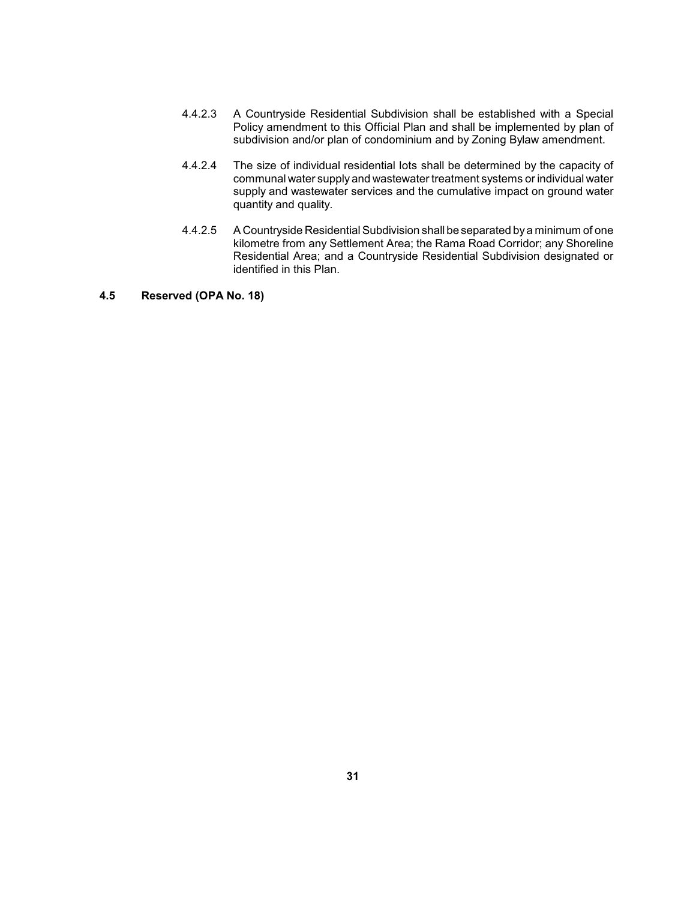- Policy amendment to this Official Plan and shall be implemented by plan of 4.4.2.3 A Countryside Residential Subdivision shall be established with a Special subdivision and/or plan of condominium and by Zoning Bylaw amendment.
- 4.4.2.4 The size of individual residential lots shall be determined by the capacity of communal water supply and wastewater treatment systems or individual water supply and wastewater services and the cumulative impact on ground water quantity and quality.
- 4.4.2.5 A Countryside Residential Subdivision shall be separated bya minimum of one kilometre from any Settlement Area; the Rama Road Corridor; any Shoreline Residential Area; and a Countryside Residential Subdivision designated or identified in this Plan.

# **4.5 Reserved (OPA No. 18)**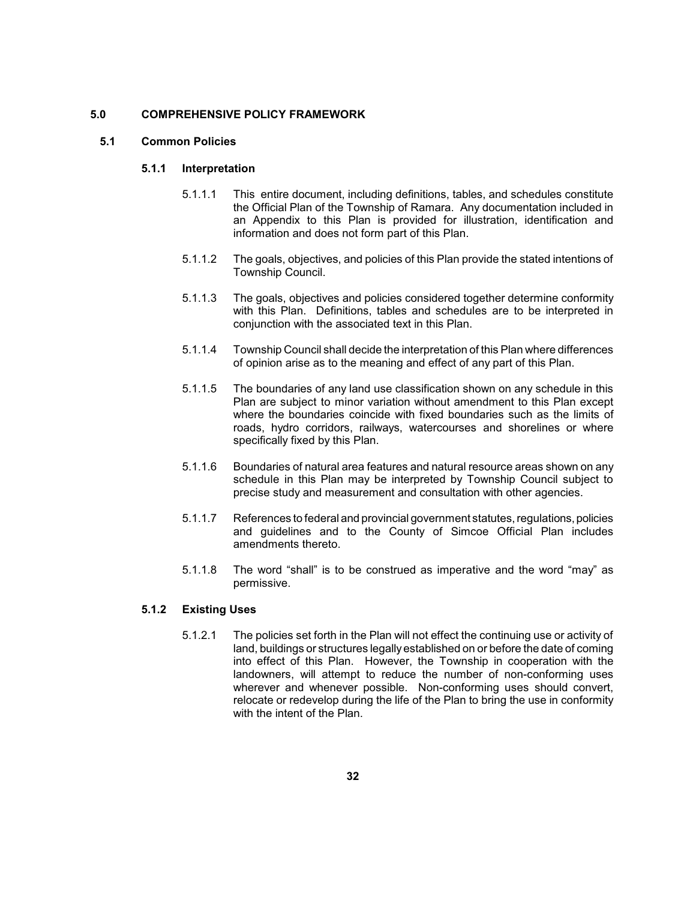### **5.0 COMPREHENSIVE POLICY FRAMEWORK**

### **5.1 Common Policies**

### **5.1.1 Interpretation**

- 5.1.1.1 This entire document, including definitions, tables, and schedules constitute the Official Plan of the Township of Ramara. Any documentation included in an Appendix to this Plan is provided for illustration, identification and information and does not form part of this Plan.
- 5.1.1.2 The goals, objectives, and policies of this Plan provide the stated intentions of Township Council.
- with this Plan. Definitions, tables and schedules are to be interpreted in 5.1.1.3 The goals, objectives and policies considered together determine conformity conjunction with the associated text in this Plan.
- 5.1.1.4 Township Council shall decide the interpretation of this Plan where differences of opinion arise as to the meaning and effect of any part of this Plan.
- 5.1.1.5 The boundaries of any land use classification shown on any schedule in this Plan are subject to minor variation without amendment to this Plan except where the boundaries coincide with fixed boundaries such as the limits of roads, hydro corridors, railways, watercourses and shorelines or where specifically fixed by this Plan.
- 5.1.1.6 Boundaries of natural area features and natural resource areas shown on any schedule in this Plan may be interpreted by Township Council subject to precise study and measurement and consultation with other agencies.
- 5.1.1.7 References to federal and provincial government statutes, regulations, policies and guidelines and to the County of Simcoe Official Plan includes amendments thereto.
- 5.1.1.8 The word "shall" is to be construed as imperative and the word "may" as permissive.

## **5.1.2 Existing Uses**

5.1.2.1 The policies set forth in the Plan will not effect the continuing use or activity of land, buildings or structures legallyestablished on or before the date of coming into effect of this Plan. However, the Township in cooperation with the landowners, will attempt to reduce the number of non-conforming uses wherever and whenever possible. Non-conforming uses should convert, relocate or redevelop during the life of the Plan to bring the use in conformity with the intent of the Plan.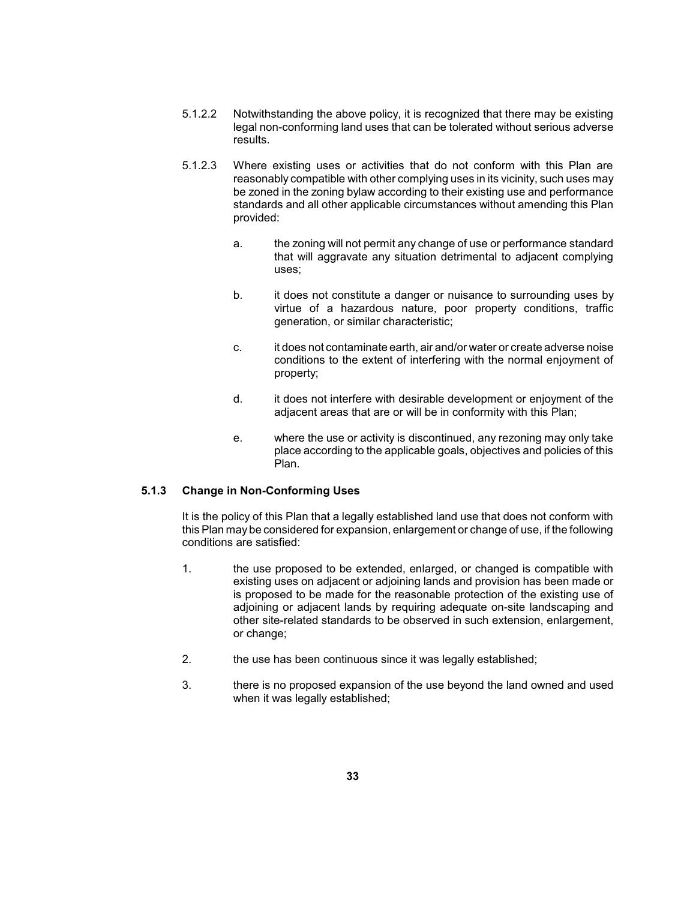- 5.1.2.2 Notwithstanding the above policy, it is recognized that there may be existing legal non-conforming land uses that can be tolerated without serious adverse results.
- reasonably compatible with other complying uses in its vicinity, such uses may standards and all other applicable circumstances without amending this Plan 5.1.2.3 Where existing uses or activities that do not conform with this Plan are be zoned in the zoning bylaw according to their existing use and performance provided:
	- a. the zoning will not permit any change of use or performance standard that will aggravate any situation detrimental to adjacent complying uses;
	- b. it does not constitute a danger or nuisance to surrounding uses by virtue of a hazardous nature, poor property conditions, traffic generation, or similar characteristic;
	- conditions to the extent of interfering with the normal enjoyment of c. it does not contaminate earth, air and/or water or create adverse noise property;
	- d. it does not interfere with desirable development or enjoyment of the adjacent areas that are or will be in conformity with this Plan;
	- e. Where the use or activity is discontinued, any rezoning may only take place according to the applicable goals, objectives and policies of this Plan.

## **5.1.3 Change in Non-Conforming Uses**

 It is the policy of this Plan that a legally established land use that does not conform with this Plan maybe considered for expansion, enlargement or change of use, if the following conditions are satisfied:

- adjoining or adjacent lands by requiring adequate on-site landscaping and 1. the use proposed to be extended, enlarged, or changed is compatible with existing uses on adjacent or adjoining lands and provision has been made or is proposed to be made for the reasonable protection of the existing use of other site-related standards to be observed in such extension, enlargement, or change;
- 2. the use has been continuous since it was legally established;
- 3. there is no proposed expansion of the use beyond the land owned and used when it was legally established;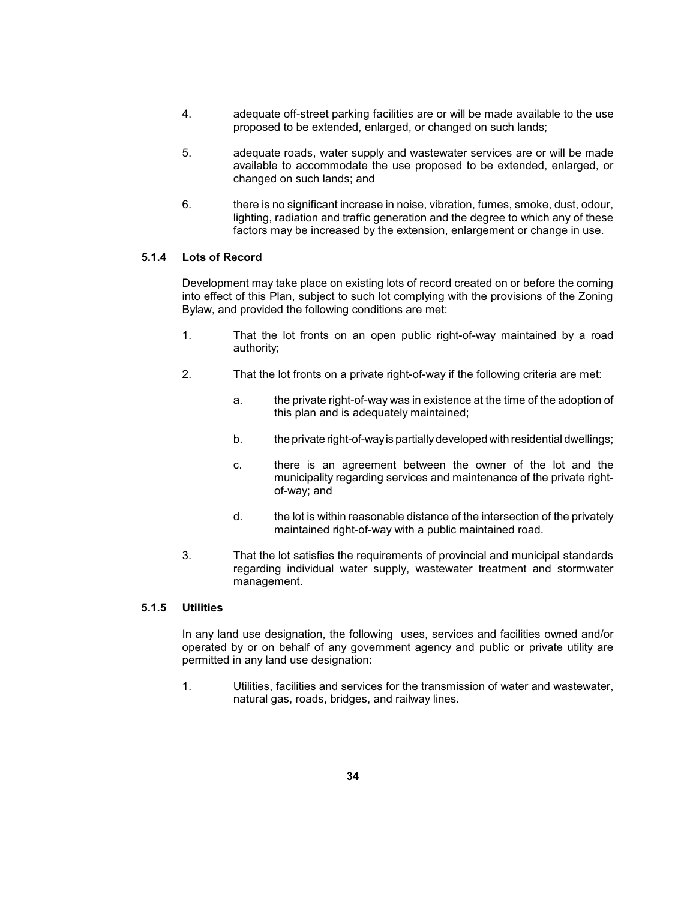- 4. adequate off-street parking facilities are or will be made available to the use proposed to be extended, enlarged, or changed on such lands;
- 5. adequate roads, water supply and wastewater services are or will be made available to accommodate the use proposed to be extended, enlarged, or changed on such lands; and
- lighting, radiation and traffic generation and the degree to which any of these 6. there is no significant increase in noise, vibration, fumes, smoke, dust, odour, factors may be increased by the extension, enlargement or change in use.

## **5.1.4 Lots of Record**

 Development may take place on existing lots of record created on or before the coming into effect of this Plan, subject to such lot complying with the provisions of the Zoning Bylaw, and provided the following conditions are met:

- 1. That the lot fronts on an open public right-of-way maintained by a road authority;
- 2. That the lot fronts on a private right-of-way if the following criteria are met:
	- a. the private right-of-way was in existence at the time of the adoption of this plan and is adequately maintained;
	- b. the private right-of-way is partially developed with residential dwellings;
	- c. there is an agreement between the owner of the lot and the municipality regarding services and maintenance of the private rightof-way; and
	- d. the lot is within reasonable distance of the intersection of the privately maintained right-of-way with a public maintained road.
- 3. That the lot satisfies the requirements of provincial and municipal standards regarding individual water supply, wastewater treatment and stormwater management.

## **5.1.5 Utilities**

 operated by or on behalf of any government agency and public or private utility are In any land use designation, the following uses, services and facilities owned and/or permitted in any land use designation:

1. Utilities, facilities and services for the transmission of water and wastewater, natural gas, roads, bridges, and railway lines.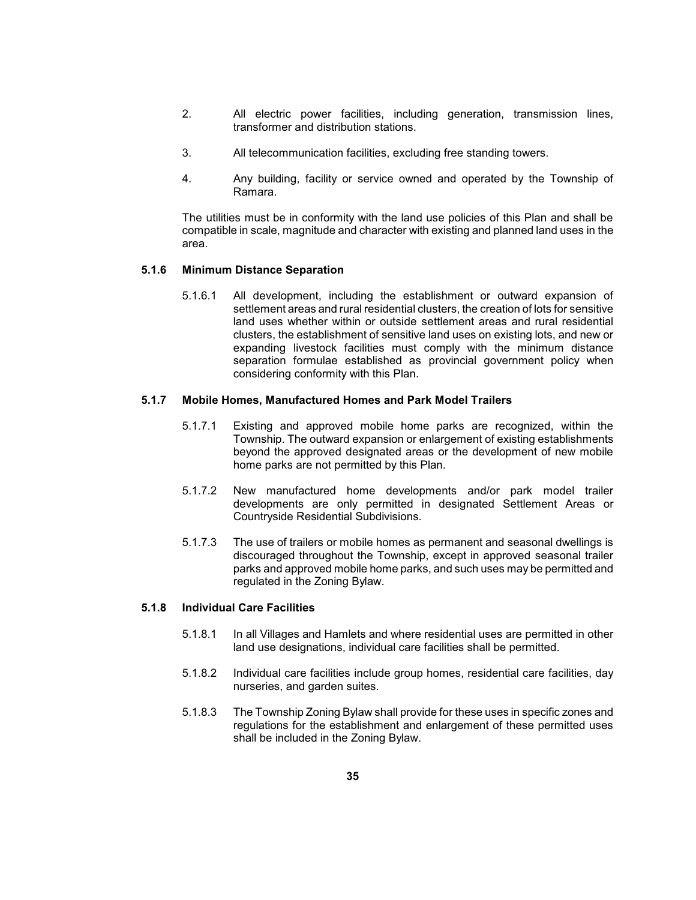- 2. All electric power facilities, including generation, transmission lines, transformer and distribution stations.
- 3. All telecommunication facilities, excluding free standing towers.
- 4. Any building, facility or service owned and operated by the Township of Ramara.

 The utilities must be in conformity with the land use policies of this Plan and shall be compatible in scale, magnitude and character with existing and planned land uses in the area.

### **5.1.6 Minimum Distance Separation**

 settlement areas and rural residential clusters, the creation of lots for sensitive land uses whether within or outside settlement areas and rural residential expanding livestock facilities must comply with the minimum distance separation formulae established as provincial government policy when 5.1.6.1 All development, including the establishment or outward expansion of clusters, the establishment of sensitive land uses on existing lots, and new or considering conformity with this Plan.

### **5.1.7 Mobile Homes, Manufactured Homes and Park Model Trailers**

- 5.1.7.1 Existing and approved mobile home parks are recognized, within the beyond the approved designated areas or the development of new mobile Township. The outward expansion or enlargement of existing establishments home parks are not permitted by this Plan.
- 5.1.7.2 New manufactured home developments and/or park model trailer developments are only permitted in designated Settlement Areas or Countryside Residential Subdivisions.
- 5.1.7.3 The use of trailers or mobile homes as permanent and seasonal dwellings is discouraged throughout the Township, except in approved seasonal trailer parks and approved mobile home parks, and such uses may be permitted and regulated in the Zoning Bylaw.

## **5.1.8 Individual Care Facilities**

- 5.1.8.1 In all Villages and Hamlets and where residential uses are permitted in other land use designations, individual care facilities shall be permitted.
- 5.1.8.2 Individual care facilities include group homes, residential care facilities, day nurseries, and garden suites.
- 5.1.8.3 The Township Zoning Bylaw shall provide for these uses in specific zones and regulations for the establishment and enlargement of these permitted uses shall be included in the Zoning Bylaw.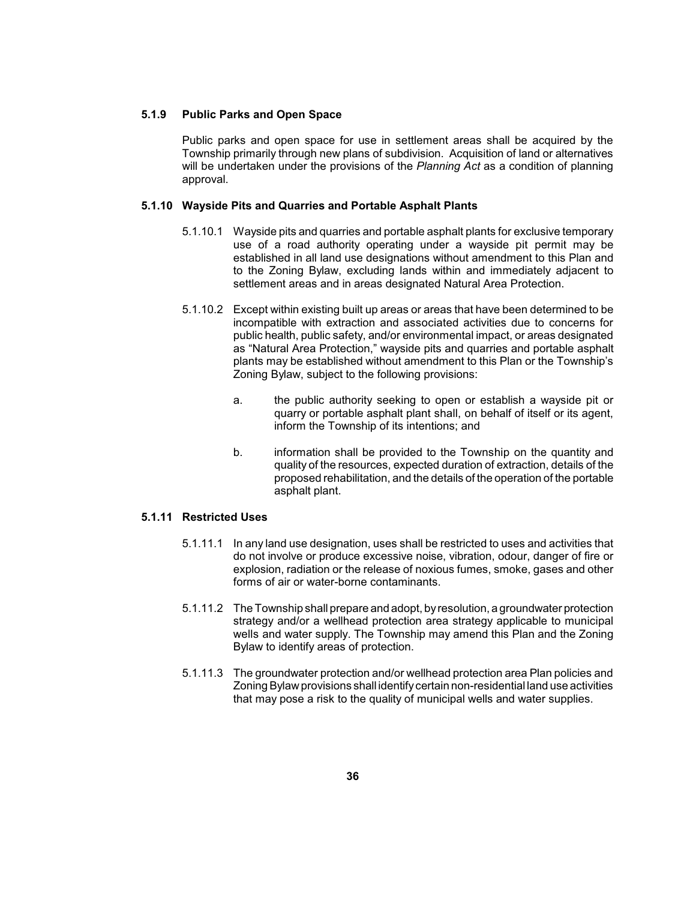### **5.1.9 Public Parks and Open Space**

 Public parks and open space for use in settlement areas shall be acquired by the Township primarily through new plans of subdivision. Acquisition of land or alternatives will be undertaken under the provisions of the *Planning Act* as a condition of planning approval.

### **5.1.10 Wayside Pits and Quarries and Portable Asphalt Plants**

- 5.1.10.1 Wayside pits and quarries and portable asphalt plants for exclusive temporary use of a road authority operating under a wayside pit permit may be established in all land use designations without amendment to this Plan and to the Zoning Bylaw, excluding lands within and immediately adjacent to settlement areas and in areas designated Natural Area Protection.
- 5.1.10.2 Except within existing built up areas or areas that have been determined to be as "Natural Area Protection," wayside pits and quarries and portable asphalt plants may be established without amendment to this Plan or the Township's incompatible with extraction and associated activities due to concerns for public health, public safety, and/or environmental impact, or areas designated Zoning Bylaw, subject to the following provisions:
	- a. the public authority seeking to open or establish a wayside pit or quarry or portable asphalt plant shall, on behalf of itself or its agent, inform the Township of its intentions; and
	- quality of the resources, expected duration of extraction, details of the proposed rehabilitation, and the details of the operation of the portable b. information shall be provided to the Township on the quantity and asphalt plant.

### **5.1.11 Restricted Uses**

- 5.1.11.1 In any land use designation, uses shall be restricted to uses and activities that explosion, radiation or the release of noxious fumes, smoke, gases and other do not involve or produce excessive noise, vibration, odour, danger of fire or forms of air or water-borne contaminants.
- wells and water supply. The Township may amend this Plan and the Zoning 5.1.11.2 The Township shall prepare and adopt, byresolution, a groundwater protection strategy and/or a wellhead protection area strategy applicable to municipal Bylaw to identify areas of protection.
- Zoning Bylaw provisions shall identifycertain non-residential land use activities 5.1.11.3 The groundwater protection and/or wellhead protection area Plan policies and that may pose a risk to the quality of municipal wells and water supplies.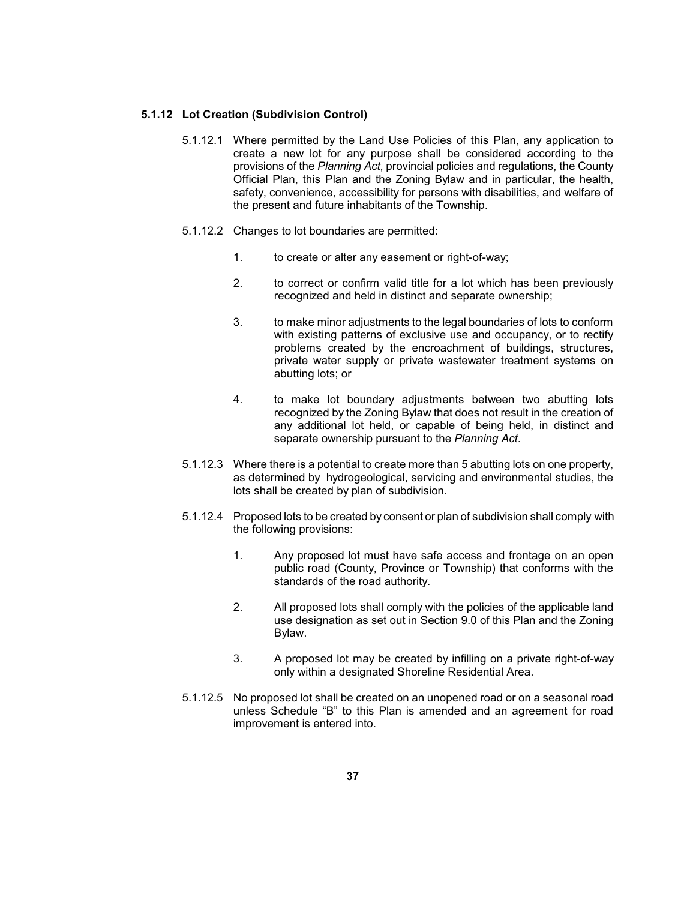#### **5.1.12 Lot Creation (Subdivision Control)**

- 5.1.12.1 Where permitted by the Land Use Policies of this Plan, any application to provisions of the *Planning Act*, provincial policies and regulations, the County Official Plan, this Plan and the Zoning Bylaw and in particular, the health, safety, convenience, accessibility for persons with disabilities, and welfare of create a new lot for any purpose shall be considered according to the the present and future inhabitants of the Township.
- 5.1.12.2 Changes to lot boundaries are permitted:
	- 1. to create or alter any easement or right-of-way;
	- 2. to correct or confirm valid title for a lot which has been previously recognized and held in distinct and separate ownership;
	- 3. to make minor adjustments to the legal boundaries of lots to conform with existing patterns of exclusive use and occupancy, or to rectify problems created by the encroachment of buildings, structures, private water supply or private wastewater treatment systems on abutting lots; or
	- recognized by the Zoning Bylaw that does not result in the creation of any additional lot held, or capable of being held, in distinct and 4. to make lot boundary adjustments between two abutting lots separate ownership pursuant to the *Planning Act*.
- 5.1.12.3 Where there is a potential to create more than 5 abutting lots on one property, as determined by hydrogeological, servicing and environmental studies, the lots shall be created by plan of subdivision.
- 5.1.12.4 Proposed lots to be created by consent or plan of subdivision shall comply with the following provisions:
	- 1. Any proposed lot must have safe access and frontage on an open public road (County, Province or Township) that conforms with the standards of the road authority.
	- 2. All proposed lots shall comply with the policies of the applicable land use designation as set out in Section 9.0 of this Plan and the Zoning Bylaw.
	- 3. A proposed lot may be created by infilling on a private right-of-way only within a designated Shoreline Residential Area.
- 5.1.12.5 No proposed lot shall be created on an unopened road or on a seasonal road unless Schedule "B" to this Plan is amended and an agreement for road improvement is entered into.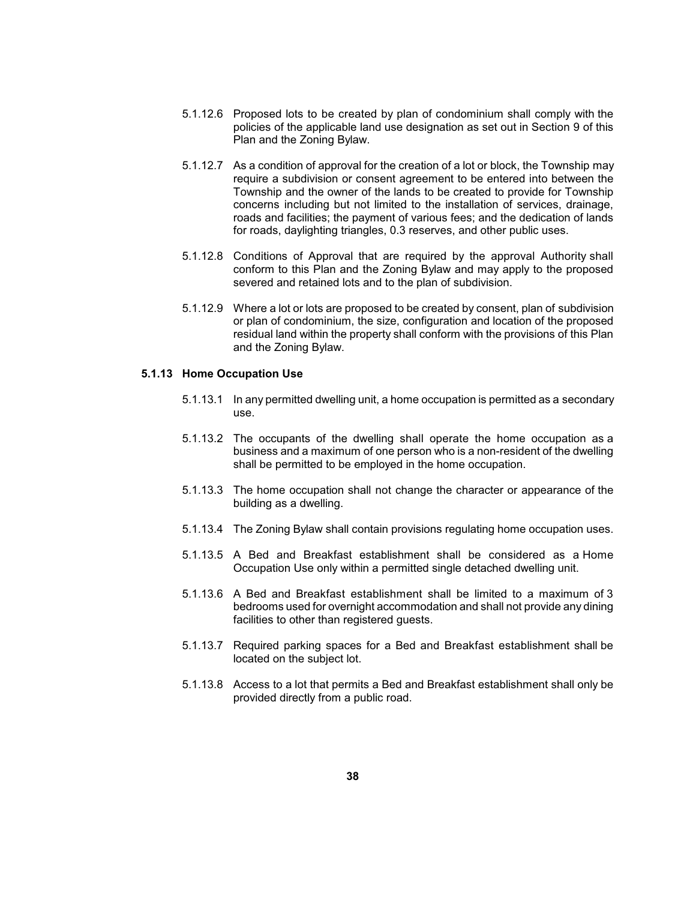- 5.1.12.6 Proposed lots to be created by plan of condominium shall comply with the policies of the applicable land use designation as set out in Section 9 of this Plan and the Zoning Bylaw.
- 5.1.12.7 As a condition of approval for the creation of a lot or block, the Township may Township and the owner of the lands to be created to provide for Township require a subdivision or consent agreement to be entered into between the concerns including but not limited to the installation of services, drainage, roads and facilities; the payment of various fees; and the dedication of lands for roads, daylighting triangles, 0.3 reserves, and other public uses.
- 5.1.12.8 Conditions of Approval that are required by the approval Authority shall conform to this Plan and the Zoning Bylaw and may apply to the proposed severed and retained lots and to the plan of subdivision.
- residual land within the property shall conform with the provisions of this Plan 5.1.12.9 Where a lot or lots are proposed to be created by consent, plan of subdivision or plan of condominium, the size, configuration and location of the proposed and the Zoning Bylaw.

### **5.1.13 Home Occupation Use**

- 5.1.13.1 In any permitted dwelling unit, a home occupation is permitted as a secondary use.
- 5.1.13.2 The occupants of the dwelling shall operate the home occupation as a business and a maximum of one person who is a non-resident of the dwelling shall be permitted to be employed in the home occupation.
- 5.1.13.3 The home occupation shall not change the character or appearance of the building as a dwelling.
- 5.1.13.4 The Zoning Bylaw shall contain provisions regulating home occupation uses.
- 5.1.13.5 A Bed and Breakfast establishment shall be considered as a Home Occupation Use only within a permitted single detached dwelling unit.
- 5.1.13.6 A Bed and Breakfast establishment shall be limited to a maximum of 3 bedrooms used for overnight accommodation and shall not provide any dining facilities to other than registered guests.
- 5.1.13.7 Required parking spaces for a Bed and Breakfast establishment shall be located on the subject lot.
- 5.1.13.8 Access to a lot that permits a Bed and Breakfast establishment shall only be provided directly from a public road.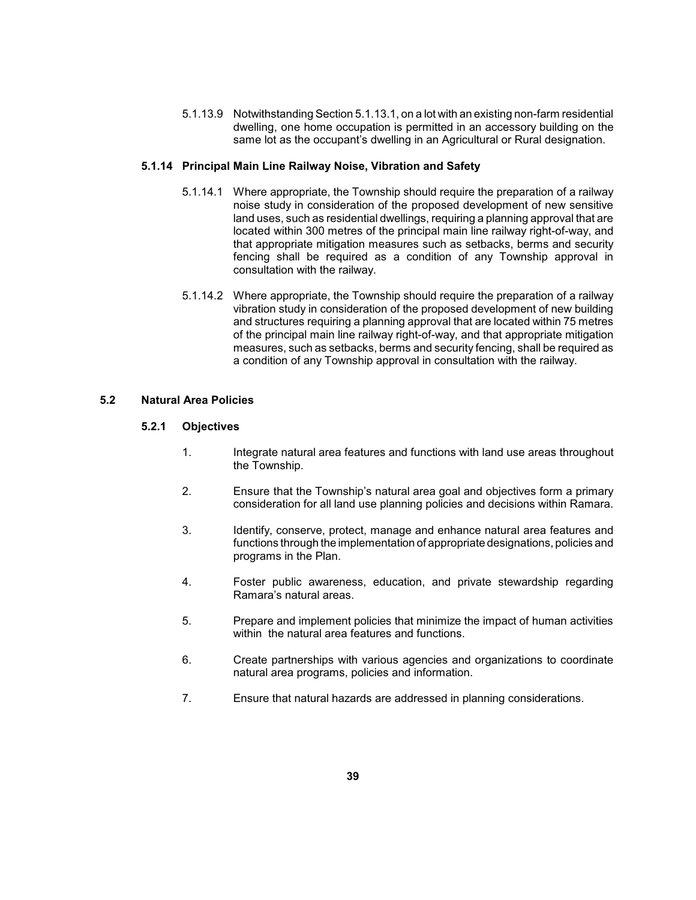dwelling, one home occupation is permitted in an accessory building on the 5.1.13.9 Notwithstanding Section 5.1.13.1, on a lot with an existing non-farm residential same lot as the occupant's dwelling in an Agricultural or Rural designation.

## **5.1.14 Principal Main Line Railway Noise, Vibration and Safety**

- noise study in consideration of the proposed development of new sensitive land uses, such as residential dwellings, requiring a planning approval that are located within 300 metres of the principal main line railway right-of-way, and that appropriate mitigation measures such as setbacks, berms and security fencing shall be required as a condition of any Township approval in 5.1.14.1 Where appropriate, the Township should require the preparation of a railway consultation with the railway.
- vibration study in consideration of the proposed development of new building measures, such as setbacks, berms and security fencing, shall be required as 5.1.14.2 Where appropriate, the Township should require the preparation of a railway and structures requiring a planning approval that are located within 75 metres of the principal main line railway right-of-way, and that appropriate mitigation a condition of any Township approval in consultation with the railway.

## **5.2 Natural Area Policies**

## **5.2.1 Objectives**

- 1. Integrate natural area features and functions with land use areas throughout the Township.
- 2. Ensure that the Township's natural area goal and objectives form a primary consideration for all land use planning policies and decisions within Ramara.
- 3. Identify, conserve, protect, manage and enhance natural area features and functions through the implementation of appropriate designations, policies and programs in the Plan.
- 4. Foster public awareness, education, and private stewardship regarding Ramara's natural areas.
- 5. Prepare and implement policies that minimize the impact of human activities within the natural area features and functions.
- 6. Create partnerships with various agencies and organizations to coordinate natural area programs, policies and information.
- 7. Ensure that natural hazards are addressed in planning considerations.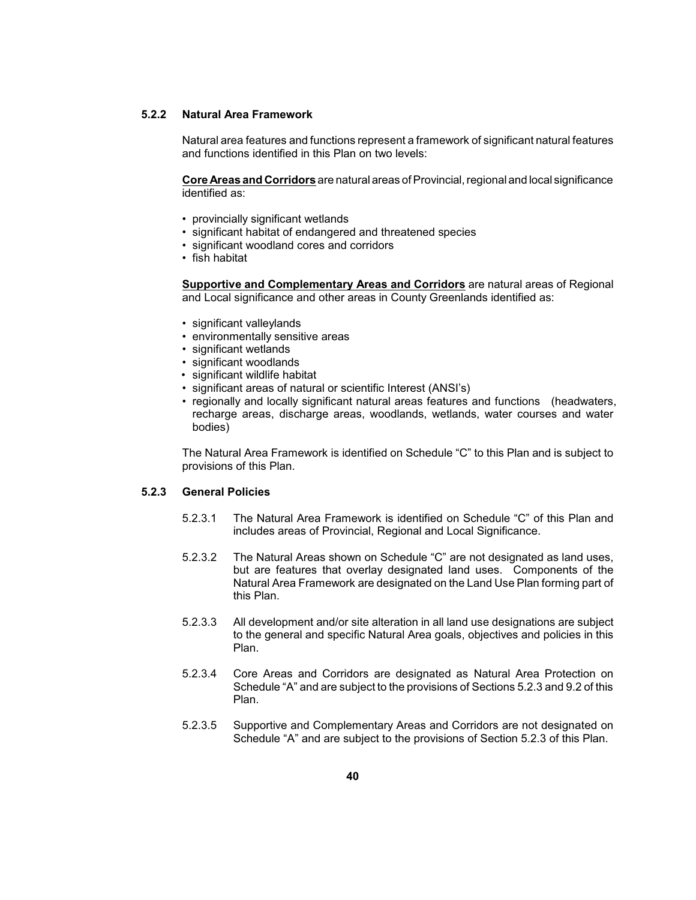#### **5.2.2 Natural Area Framework**

 Natural area features and functions represent a framework of significant natural features and functions identified in this Plan on two levels:

 **Core Areas and Corridors** are natural areas of Provincial, regional and local significance identified as:

- provincially significant wetlands
- significant habitat of endangered and threatened species
- • significant woodland cores and corridors
- fish habitat

 **Supportive and Complementary Areas and Corridors** are natural areas of Regional and Local significance and other areas in County Greenlands identified as:

- significant valleylands
- • environmentally sensitive areas
- • significant wetlands
- • significant woodlands
- • significant wildlife habitat
- significant areas of natural or scientific Interest (ANSI's)
- regionally and locally significant natural areas features and functions (headwaters, recharge areas, discharge areas, woodlands, wetlands, water courses and water bodies)

 The Natural Area Framework is identified on Schedule "C" to this Plan and is subject to provisions of this Plan.

### **5.2.3 General Policies**

- 5.2.3.1 The Natural Area Framework is identified on Schedule "C" of this Plan and includes areas of Provincial, Regional and Local Significance.
- 5.2.3.2 The Natural Areas shown on Schedule "C" are not designated as land uses, but are features that overlay designated land uses. Components of the Natural Area Framework are designated on the Land Use Plan forming part of this Plan.
- to the general and specific Natural Area goals, objectives and policies in this 5.2.3.3 All development and/or site alteration in all land use designations are subject Plan.
- 5.2.3.4 Core Areas and Corridors are designated as Natural Area Protection on Schedule "A" and are subject to the provisions of Sections 5.2.3 and 9.2 of this Plan.
- 5.2.3.5 Supportive and Complementary Areas and Corridors are not designated on Schedule "A" and are subject to the provisions of Section 5.2.3 of this Plan.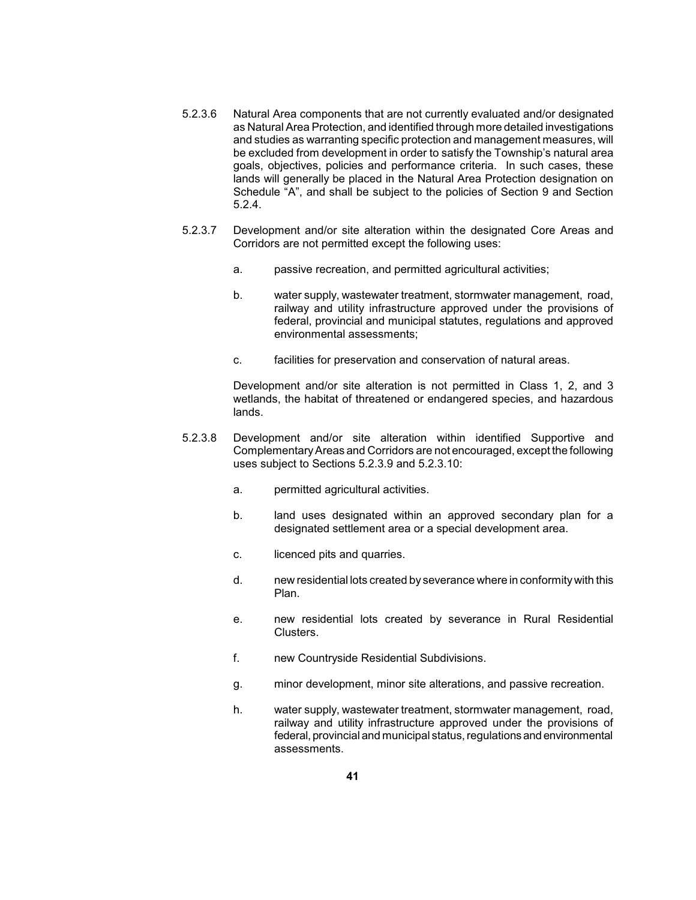- as Natural Area Protection, and identified through more detailed investigations and studies as warranting specific protection and management measures, will be excluded from development in order to satisfy the Township's natural area goals, objectives, policies and performance criteria. In such cases, these lands will generally be placed in the Natural Area Protection designation on Schedule "A", and shall be subject to the policies of Section 9 and Section 5.2.3.6 Natural Area components that are not currently evaluated and/or designated 5.2.4.
- 5.2.3.7 Development and/or site alteration within the designated Core Areas and Corridors are not permitted except the following uses:
	- a. passive recreation, and permitted agricultural activities;
	- railway and utility infrastructure approved under the provisions of federal, provincial and municipal statutes, regulations and approved b. water supply, wastewater treatment, stormwater management, road, environmental assessments;
	- c. facilities for preservation and conservation of natural areas.

 wetlands, the habitat of threatened or endangered species, and hazardous Development and/or site alteration is not permitted in Class 1, 2, and 3 lands.

- ComplementaryAreas and Corridors are not encouraged, except the following 5.2.3.8 Development and/or site alteration within identified Supportive and uses subject to Sections 5.2.3.9 and 5.2.3.10:
	- a. permitted agricultural activities.
	- b. Iand uses designated within an approved secondary plan for a designated settlement area or a special development area.
	- c. licenced pits and quarries.
	- d. new residential lots created byseverance where in conformitywith this Plan.
	- e. new residential lots created by severance in Rural Residential Clusters.
	- f. new Countryside Residential Subdivisions.
	- g. minor development, minor site alterations, and passive recreation.
	- railway and utility infrastructure approved under the provisions of federal, provincial and municipal status, regulations and environmental h. water supply, wastewater treatment, stormwater management, road, assessments.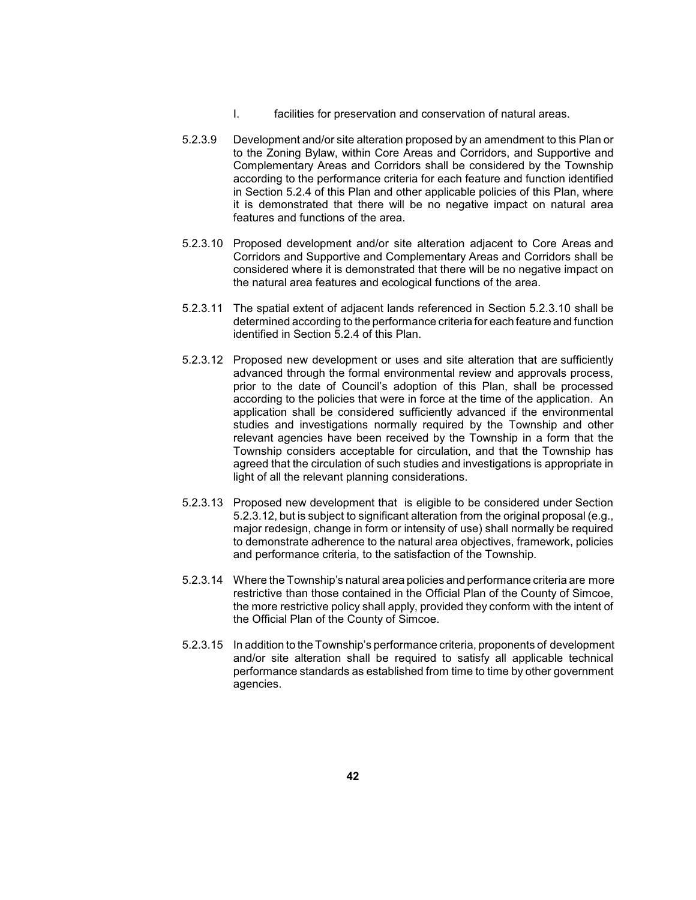- I. facilities for preservation and conservation of natural areas.
- Complementary Areas and Corridors shall be considered by the Township in Section 5.2.4 of this Plan and other applicable policies of this Plan, where it is demonstrated that there will be no negative impact on natural area 5.2.3.9 Development and/or site alteration proposed by an amendment to this Plan or to the Zoning Bylaw, within Core Areas and Corridors, and Supportive and according to the performance criteria for each feature and function identified features and functions of the area.
- 5.2.3.10 Proposed development and/or site alteration adjacent to Core Areas and Corridors and Supportive and Complementary Areas and Corridors shall be considered where it is demonstrated that there will be no negative impact on the natural area features and ecological functions of the area.
- 5.2.3.11 The spatial extent of adjacent lands referenced in Section 5.2.3.10 shall be determined according to the performance criteria for each feature and function identified in Section 5.2.4 of this Plan.
- advanced through the formal environmental review and approvals process, prior to the date of Council's adoption of this Plan, shall be processed application shall be considered sufficiently advanced if the environmental studies and investigations normally required by the Township and other relevant agencies have been received by the Township in a form that the Township considers acceptable for circulation, and that the Township has agreed that the circulation of such studies and investigations is appropriate in 5.2.3.12 Proposed new development or uses and site alteration that are sufficiently according to the policies that were in force at the time of the application. An light of all the relevant planning considerations.
- 5.2.3.13 Proposed new development that is eligible to be considered under Section 5.2.3.12, but is subject to significant alteration from the original proposal (e.g., major redesign, change in form or intensity of use) shall normally be required to demonstrate adherence to the natural area objectives, framework, policies and performance criteria, to the satisfaction of the Township.
- 5.2.3.14 Where the Township's natural area policies and performance criteria are more restrictive than those contained in the Official Plan of the County of Simcoe, the more restrictive policy shall apply, provided they conform with the intent of the Official Plan of the County of Simcoe.
- and/or site alteration shall be required to satisfy all applicable technical performance standards as established from time to time by other government 5.2.3.15 In addition to the Township's performance criteria, proponents of development agencies.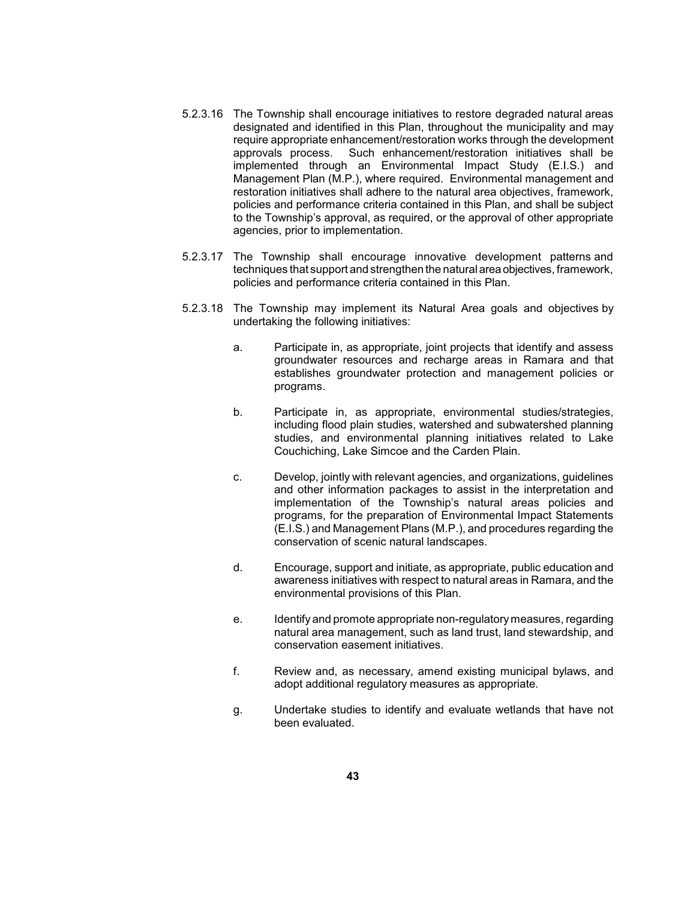- 5.2.3.16 The Township shall encourage initiatives to restore degraded natural areas approvals process. Such enhancement/restoration initiatives shall be restoration initiatives shall adhere to the natural area objectives, framework, designated and identified in this Plan, throughout the municipality and may require appropriate enhancement/restoration works through the development implemented through an Environmental Impact Study (E.I.S.) and Management Plan (M.P.), where required. Environmental management and policies and performance criteria contained in this Plan, and shall be subject to the Township's approval, as required, or the approval of other appropriate agencies, prior to implementation.
- 5.2.3.17 The Township shall encourage innovative development patterns and techniques that support and strengthen the natural area objectives, framework, policies and performance criteria contained in this Plan.
- 5.2.3.18 The Township may implement its Natural Area goals and objectives by undertaking the following initiatives:
	- a. Participate in, as appropriate, joint projects that identify and assess groundwater resources and recharge areas in Ramara and that establishes groundwater protection and management policies or programs.
	- b. Participate in, as appropriate, environmental studies/strategies, including flood plain studies, watershed and subwatershed planning studies, and environmental planning initiatives related to Lake Couchiching, Lake Simcoe and the Carden Plain.
	- and other information packages to assist in the interpretation and implementation of the Township's natural areas policies and c. Develop, jointly with relevant agencies, and organizations, guidelines programs, for the preparation of Environmental Impact Statements (E.I.S.) and Management Plans (M.P.), and procedures regarding the conservation of scenic natural landscapes.
	- awareness initiatives with respect to natural areas in Ramara, and the d. Encourage, support and initiate, as appropriate, public education and environmental provisions of this Plan.
	- e. Identify and promote appropriate non-regulatory measures, regarding natural area management, such as land trust, land stewardship, and conservation easement initiatives.
	- f. Review and, as necessary, amend existing municipal bylaws, and adopt additional regulatory measures as appropriate.
	- g. Undertake studies to identify and evaluate wetlands that have not been evaluated.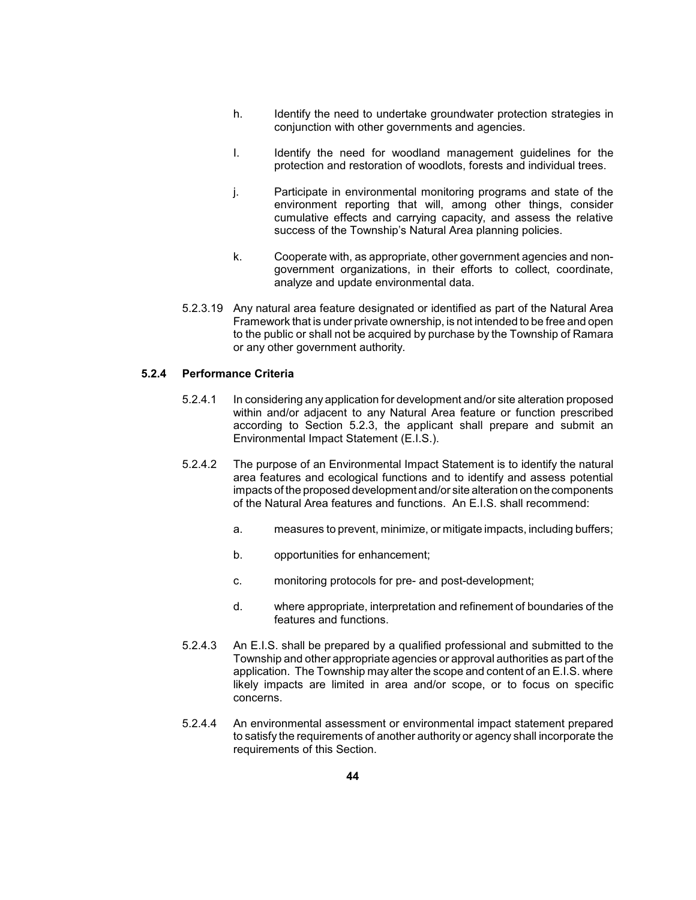- h. Identify the need to undertake groundwater protection strategies in conjunction with other governments and agencies.
- I. Identify the need for woodland management guidelines for the protection and restoration of woodlots, forests and individual trees.
- j. Participate in environmental monitoring programs and state of the environment reporting that will, among other things, consider cumulative effects and carrying capacity, and assess the relative success of the Township's Natural Area planning policies.
- government organizations, in their efforts to collect, coordinate, k. Cooperate with, as appropriate, other government agencies and nonanalyze and update environmental data.
- 5.2.3.19 Any natural area feature designated or identified as part of the Natural Area Framework that is under private ownership, is not intended to be free and open to the public or shall not be acquired by purchase by the Township of Ramara or any other government authority.

## **5.2.4 Performance Criteria**

- within and/or adjacent to any Natural Area feature or function prescribed 5.2.4.1 In considering any application for development and/or site alteration proposed according to Section 5.2.3, the applicant shall prepare and submit an Environmental Impact Statement (E.I.S.).
- 5.2.4.2 The purpose of an Environmental Impact Statement is to identify the natural area features and ecological functions and to identify and assess potential impacts of the proposed development and/or site alteration on the components of the Natural Area features and functions. An E.I.S. shall recommend:
	- a. measures to prevent, minimize, or mitigate impacts, including buffers;
	- b. opportunities for enhancement;
	- c. monitoring protocols for pre- and post-development;
	- d. where appropriate, interpretation and refinement of boundaries of the features and functions.
- Township and other appropriate agencies or approval authorities as part of the likely impacts are limited in area and/or scope, or to focus on specific 5.2.4.3 An E.I.S. shall be prepared by a qualified professional and submitted to the application. The Township may alter the scope and content of an E.I.S. where concerns.
- to satisfy the requirements of another authority or agency shall incorporate the 5.2.4.4 An environmental assessment or environmental impact statement prepared requirements of this Section.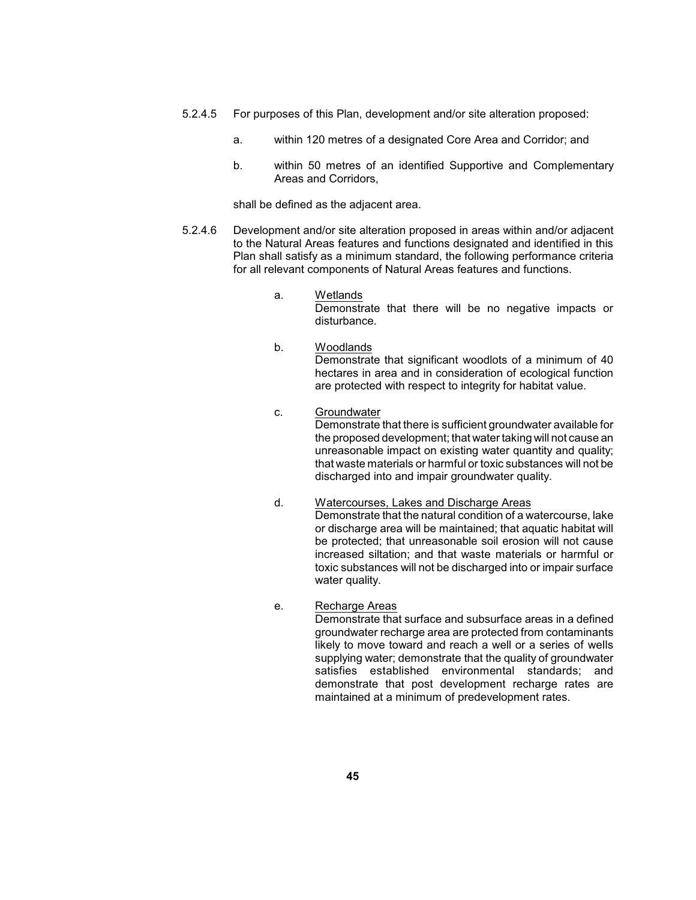- 5.2.4.5 For purposes of this Plan, development and/or site alteration proposed:
	- a. within 120 metres of a designated Core Area and Corridor; and
	- b. within 50 metres of an identified Supportive and Complementary Areas and Corridors,

shall be defined as the adjacent area.

- to the Natural Areas features and functions designated and identified in this Plan shall satisfy as a minimum standard, the following performance criteria 5.2.4.6 Development and/or site alteration proposed in areas within and/or adjacent for all relevant components of Natural Areas features and functions.
	- a. Wetlands

Demonstrate that there will be no negative impacts or disturbance.

- Demonstrate that significant woodlots of a minimum of 40 hectares in area and in consideration of ecological function b. Woodlands are protected with respect to integrity for habitat value.
- that waste materials or harmful or toxic substances will not be c. Groundwater Demonstrate that there is sufficient groundwater available for the proposed development; that water taking will not cause an unreasonable impact on existing water quantity and quality; discharged into and impair groundwater quality.
- Demonstrate that the natural condition of a watercourse, lake be protected; that unreasonable soil erosion will not cause increased siltation; and that waste materials or harmful or toxic substances will not be discharged into or impair surface d. Watercourses, Lakes and Discharge Areas or discharge area will be maintained; that aquatic habitat will water quality.
- e. Recharge Areas

 likely to move toward and reach a well or a series of wells supplying water; demonstrate that the quality of groundwater Demonstrate that surface and subsurface areas in a defined groundwater recharge area are protected from contaminants satisfies established environmental standards; and demonstrate that post development recharge rates are maintained at a minimum of predevelopment rates.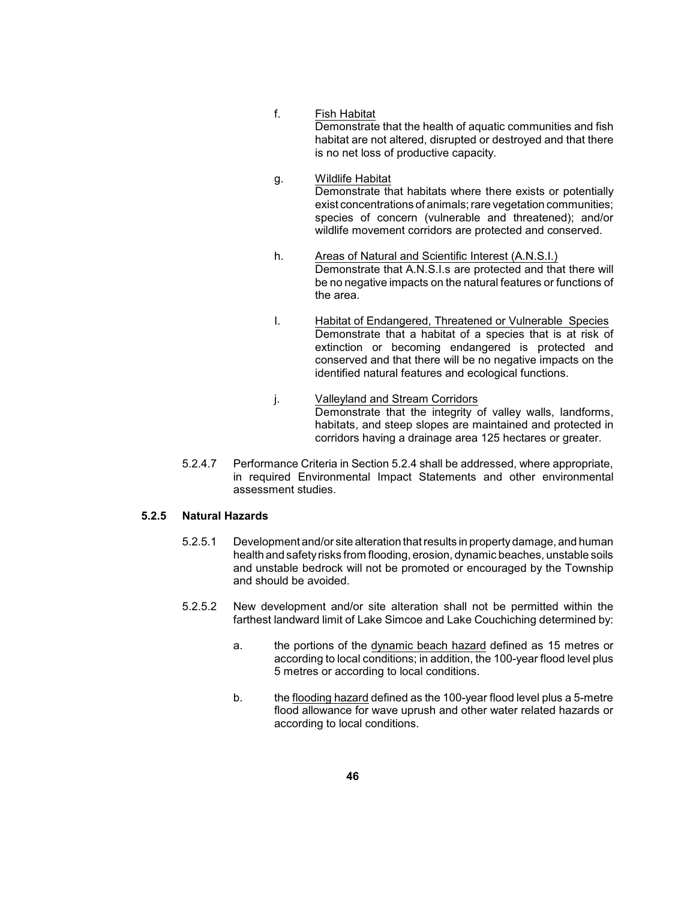## f. Fish Habitat

 Demonstrate that the health of aquatic communities and fish habitat are not altered, disrupted or destroyed and that there is no net loss of productive capacity.

- Demonstrate that habitats where there exists or potentially exist concentrations of animals; rare vegetation communities; species of concern (vulnerable and threatened); and/or g. Wildlife Habitat wildlife movement corridors are protected and conserved.
- be no negative impacts on the natural features or functions of h. Areas of Natural and Scientific Interest (A.N.S.I.) Demonstrate that A.N.S.I.s are protected and that there will the area.
- Demonstrate that a habitat of a species that is at risk of I. Habitat of Endangered, Threatened or Vulnerable Species extinction or becoming endangered is protected and conserved and that there will be no negative impacts on the identified natural features and ecological functions.
- Demonstrate that the integrity of valley walls, landforms, j. Valleyland and Stream Corridors habitats, and steep slopes are maintained and protected in corridors having a drainage area 125 hectares or greater.
- 5.2.4.7 Performance Criteria in Section 5.2.4 shall be addressed, where appropriate, in required Environmental Impact Statements and other environmental assessment studies.

## **5.2.5 Natural Hazards**

- 5.2.5.1 Development and/or site alteration that results in propertydamage, and human health and safetyrisks from flooding, erosion, dynamic beaches, unstable soils and unstable bedrock will not be promoted or encouraged by the Township and should be avoided.
- 5.2.5.2 New development and/or site alteration shall not be permitted within the farthest landward limit of Lake Simcoe and Lake Couchiching determined by:
	- a. bhe portions of the dynamic beach hazard defined as 15 metres or according to local conditions; in addition, the 100-year flood level plus 5 metres or according to local conditions.
	- b. the flooding hazard defined as the 100-year flood level plus a 5-metre flood allowance for wave uprush and other water related hazards or according to local conditions.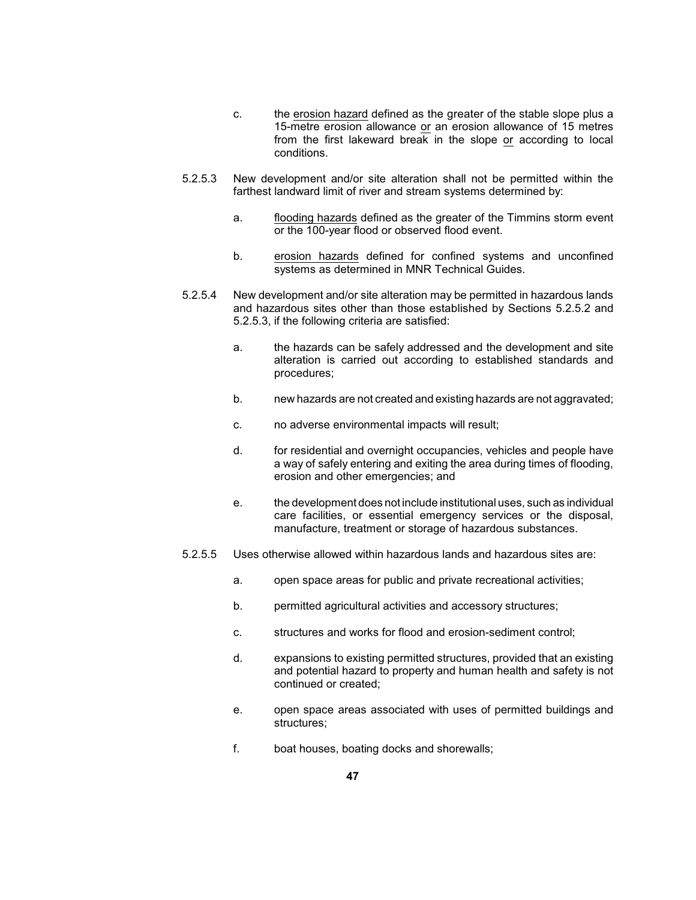- c. the erosion hazard defined as the greater of the stable slope plus a 15-metre erosion allowance or an erosion allowance of 15 metres from the first lakeward break in the slope or according to local conditions.
- 5.2.5.3 New development and/or site alteration shall not be permitted within the farthest landward limit of river and stream systems determined by:
	- a. **flooding hazards defined as the greater of the Timmins storm event** or the 100-year flood or observed flood event.
	- b. erosion hazards defined for confined systems and unconfined systems as determined in MNR Technical Guides.
- 5.2.5.4 New development and/or site alteration may be permitted in hazardous lands and hazardous sites other than those established by Sections 5.2.5.2 and 5.2.5.3, if the following criteria are satisfied:
	- a. the hazards can be safely addressed and the development and site alteration is carried out according to established standards and procedures;
	- b. hew hazards are not created and existing hazards are not aggravated;
	- c. no adverse environmental impacts will result;
	- a way of safely entering and exiting the area during times of flooding, d. for residential and overnight occupancies, vehicles and people have erosion and other emergencies; and
	- care facilities, or essential emergency services or the disposal, e. the development does not include institutional uses, such as individual manufacture, treatment or storage of hazardous substances.
- 5.2.5.5 Uses otherwise allowed within hazardous lands and hazardous sites are:
	- a. open space areas for public and private recreational activities;
	- b. permitted agricultural activities and accessory structures;
	- c. structures and works for flood and erosion-sediment control;
	- and potential hazard to property and human health and safety is not d. expansions to existing permitted structures, provided that an existing continued or created;
	- e. open space areas associated with uses of permitted buildings and structures;
	- f. boat houses, boating docks and shorewalls;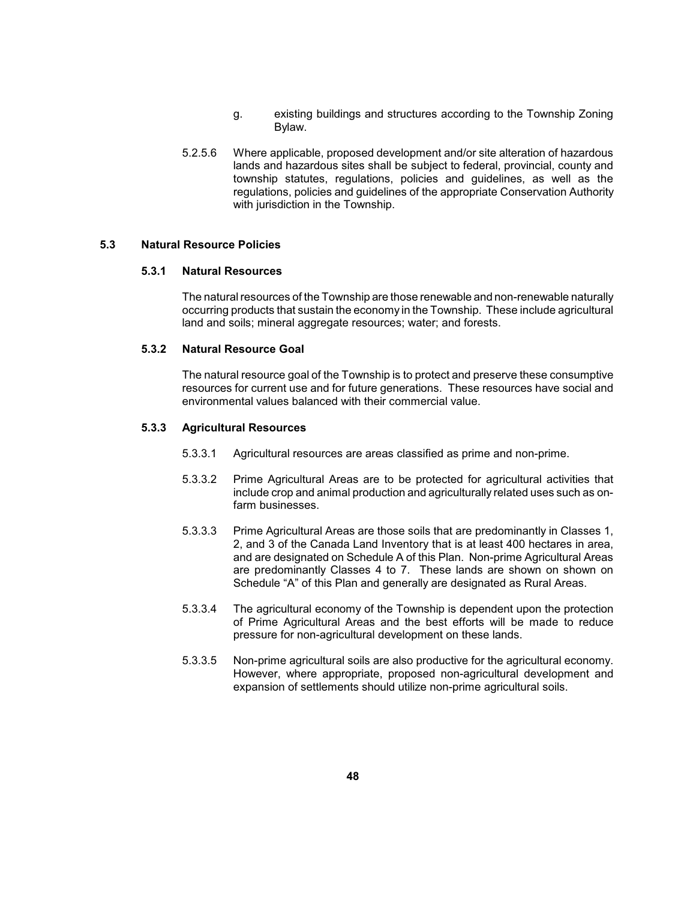- g. existing buildings and structures according to the Township Zoning Bylaw.
- lands and hazardous sites shall be subject to federal, provincial, county and township statutes, regulations, policies and guidelines, as well as the regulations, policies and guidelines of the appropriate Conservation Authority 5.2.5.6 Where applicable, proposed development and/or site alteration of hazardous with jurisdiction in the Township.

## **5.3 Natural Resource Policies**

### **5.3.1 Natural Resources**

 The natural resources of the Township are those renewable and non-renewable naturally occurring products that sustain the economy in the Township. These include agricultural land and soils; mineral aggregate resources; water; and forests.

#### **5.3.2 Natural Resource Goal**

 The natural resource goal of the Township is to protect and preserve these consumptive resources for current use and for future generations. These resources have social and environmental values balanced with their commercial value.

### **5.3.3 Agricultural Resources**

- 5.3.3.1 Agricultural resources are areas classified as prime and non-prime.
- 5.3.3.2 Prime Agricultural Areas are to be protected for agricultural activities that include crop and animal production and agriculturally related uses such as onfarm businesses.
- 5.3.3.3 Prime Agricultural Areas are those soils that are predominantly in Classes 1, 2, and 3 of the Canada Land Inventory that is at least 400 hectares in area, and are designated on Schedule A of this Plan. Non-prime Agricultural Areas are predominantly Classes 4 to 7. These lands are shown on shown on Schedule "A" of this Plan and generally are designated as Rural Areas.
- 5.3.3.4 The agricultural economy of the Township is dependent upon the protection of Prime Agricultural Areas and the best efforts will be made to reduce pressure for non-agricultural development on these lands.
- 5.3.3.5 Non-prime agricultural soils are also productive for the agricultural economy. However, where appropriate, proposed non-agricultural development and expansion of settlements should utilize non-prime agricultural soils.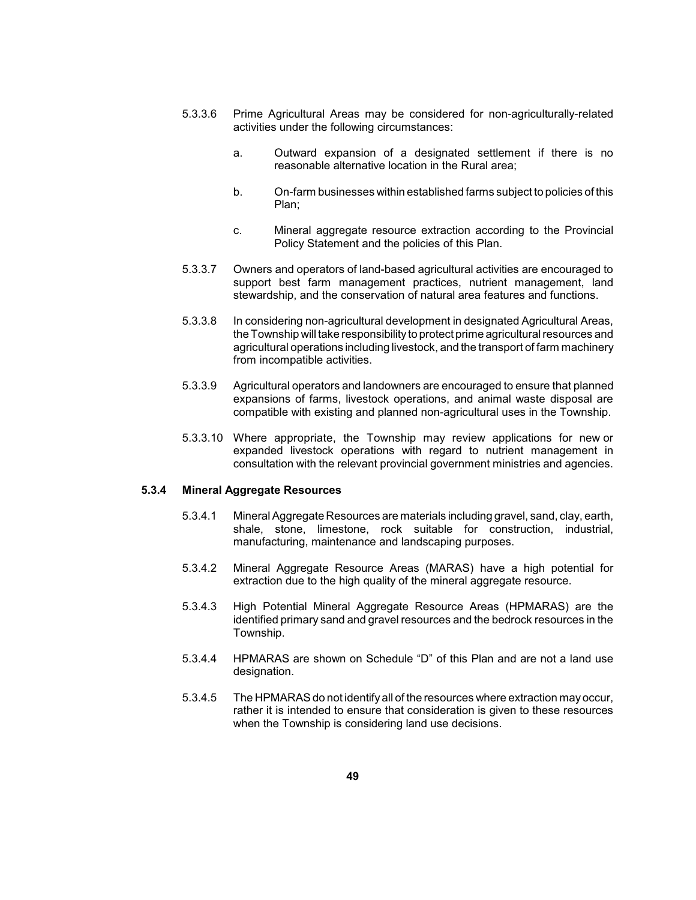- 5.3.3.6 Prime Agricultural Areas may be considered for non-agriculturally-related activities under the following circumstances:
	- a. Outward expansion of a designated settlement if there is no reasonable alternative location in the Rural area;
	- b. On-farm businesses within established farms subject to policies of this Plan;
	- c. Mineral aggregate resource extraction according to the Provincial Policy Statement and the policies of this Plan.
- 5.3.3.7 Owners and operators of land-based agricultural activities are encouraged to support best farm management practices, nutrient management, land stewardship, and the conservation of natural area features and functions.
- the Township will take responsibilityto protect prime agricultural resources and agricultural operations including livestock, and the transport of farm machinery 5.3.3.8 In considering non-agricultural development in designated Agricultural Areas, from incompatible activities.
- 5.3.3.9 Agricultural operators and landowners are encouraged to ensure that planned expansions of farms, livestock operations, and animal waste disposal are compatible with existing and planned non-agricultural uses in the Township.
- 5.3.3.10 Where appropriate, the Township may review applications for new or expanded livestock operations with regard to nutrient management in consultation with the relevant provincial government ministries and agencies.

### **5.3.4 Mineral Aggregate Resources**

- 5.3.4.1 Mineral Aggregate Resources are materials including gravel, sand, clay, earth, shale, stone, limestone, rock suitable for construction, industrial, manufacturing, maintenance and landscaping purposes.
- 5.3.4.2 Mineral Aggregate Resource Areas (MARAS) have a high potential for extraction due to the high quality of the mineral aggregate resource.
- 5.3.4.3 High Potential Mineral Aggregate Resource Areas (HPMARAS) are the identified primary sand and gravel resources and the bedrock resources in the Township.
- 5.3.4.4 HPMARAS are shown on Schedule "D" of this Plan and are not a land use designation.
- 5.3.4.5 The HPMARAS do not identifyall of the resources where extraction mayoccur, rather it is intended to ensure that consideration is given to these resources when the Township is considering land use decisions.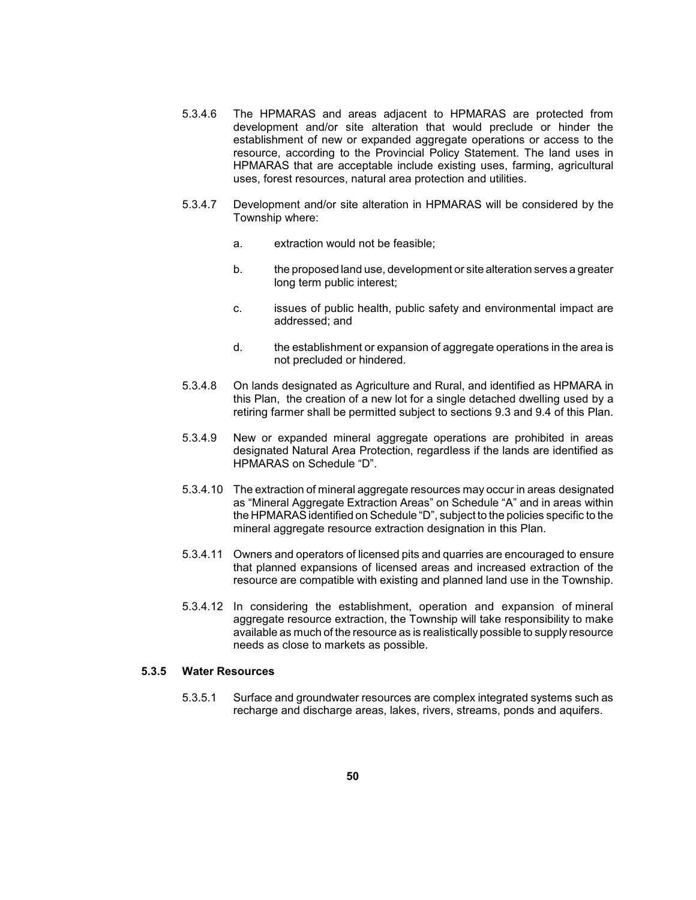- establishment of new or expanded aggregate operations or access to the resource, according to the Provincial Policy Statement. The land uses in 5.3.4.6 The HPMARAS and areas adjacent to HPMARAS are protected from development and/or site alteration that would preclude or hinder the HPMARAS that are acceptable include existing uses, farming, agricultural uses, forest resources, natural area protection and utilities.
- 5.3.4.7 Development and/or site alteration in HPMARAS will be considered by the Township where:
	- a. extraction would not be feasible;
	- b. the proposed land use, development or site alteration serves a greater long term public interest;
	- c. issues of public health, public safety and environmental impact are addressed; and
	- d. the establishment or expansion of aggregate operations in the area is not precluded or hindered.
- this Plan, the creation of a new lot for a single detached dwelling used by a 5.3.4.8 On lands designated as Agriculture and Rural, and identified as HPMARA in retiring farmer shall be permitted subject to sections 9.3 and 9.4 of this Plan.
- designated Natural Area Protection, regardless if the lands are identified as 5.3.4.9 New or expanded mineral aggregate operations are prohibited in areas HPMARAS on Schedule "D".
- 5.3.4.10 The extraction of mineral aggregate resources may occur in areas designated as "Mineral Aggregate Extraction Areas" on Schedule "A" and in areas within the HPMARAS identified on Schedule "D", subject to the policies specific to the mineral aggregate resource extraction designation in this Plan.
- 5.3.4.11 Owners and operators of licensed pits and quarries are encouraged to ensure that planned expansions of licensed areas and increased extraction of the resource are compatible with existing and planned land use in the Township.
- 5.3.4.12 In considering the establishment, operation and expansion of mineral available as much of the resource as is realistically possible to supply resource aggregate resource extraction, the Township will take responsibility to make needs as close to markets as possible.

### **5.3.5 Water Resources**

5.3.5.1 Surface and groundwater resources are complex integrated systems such as recharge and discharge areas, lakes, rivers, streams, ponds and aquifers.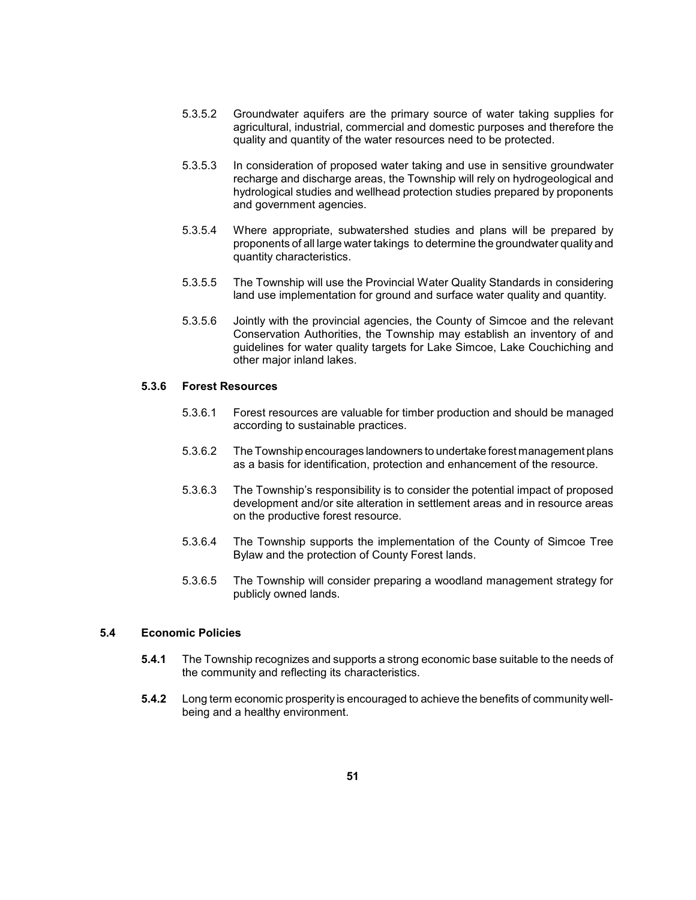- 5.3.5.2 Groundwater aquifers are the primary source of water taking supplies for agricultural, industrial, commercial and domestic purposes and therefore the quality and quantity of the water resources need to be protected.
- recharge and discharge areas, the Township will rely on hydrogeological and hydrological studies and wellhead protection studies prepared by proponents 5.3.5.3 In consideration of proposed water taking and use in sensitive groundwater and government agencies.
- 5.3.5.4 Where appropriate, subwatershed studies and plans will be prepared by proponents of all large water takings to determine the groundwater quality and quantity characteristics.
- 5.3.5.5 The Township will use the Provincial Water Quality Standards in considering land use implementation for ground and surface water quality and quantity.
- 5.3.5.6 Jointly with the provincial agencies, the County of Simcoe and the relevant Conservation Authorities, the Township may establish an inventory of and guidelines for water quality targets for Lake Simcoe, Lake Couchiching and other major inland lakes.

### **5.3.6 Forest Resources**

- 5.3.6.1 Forest resources are valuable for timber production and should be managed according to sustainable practices.
- 5.3.6.2 The Township encourages landowners to undertake forest management plans as a basis for identification, protection and enhancement of the resource.
- 5.3.6.3 The Township's responsibility is to consider the potential impact of proposed development and/or site alteration in settlement areas and in resource areas on the productive forest resource.
- 5.3.6.4 The Township supports the implementation of the County of Simcoe Tree Bylaw and the protection of County Forest lands.
- 5.3.6.5 The Township will consider preparing a woodland management strategy for publicly owned lands.

### **5.4 Economic Policies**

- **5.4.1** The Township recognizes and supports a strong economic base suitable to the needs of the community and reflecting its characteristics.
- **5.4.2** Long term economic prosperity is encouraged to achieve the benefits of community wellbeing and a healthy environment.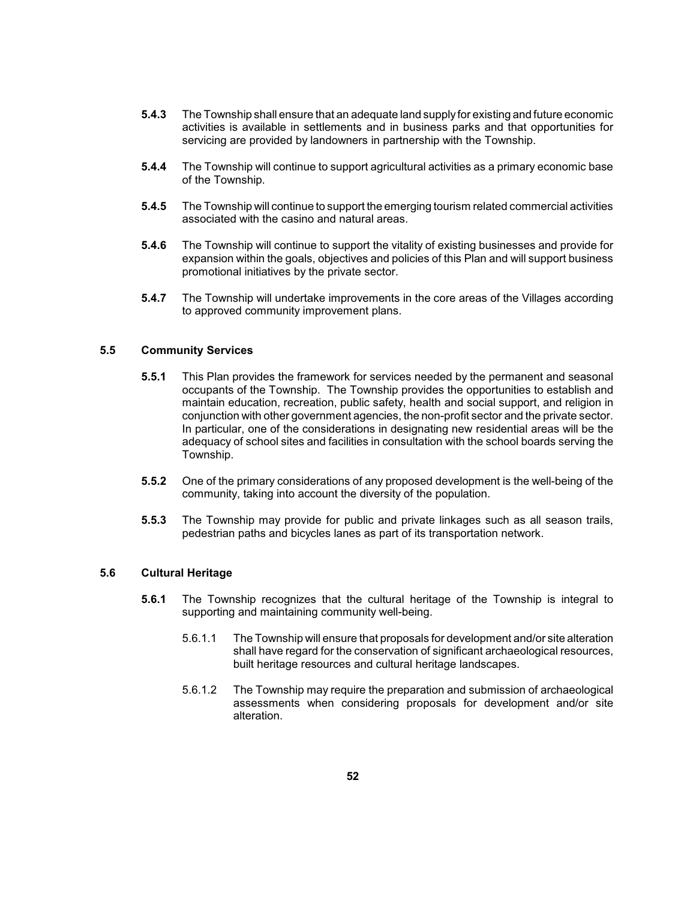- **5.4.3** The Township shall ensure that an adequate land supplyfor existing and future economic activities is available in settlements and in business parks and that opportunities for servicing are provided by landowners in partnership with the Township.
- **5.4.4** The Township will continue to support agricultural activities as a primary economic base of the Township.
- **5.4.5** The Township will continue to support the emerging tourism related commercial activities associated with the casino and natural areas.
- **5.4.6** The Township will continue to support the vitality of existing businesses and provide for expansion within the goals, objectives and policies of this Plan and will support business promotional initiatives by the private sector.
- **5.4.7** The Township will undertake improvements in the core areas of the Villages according to approved community improvement plans.

### **5.5 Community Services**

- occupants of the Township. The Township provides the opportunities to establish and maintain education, recreation, public safety, health and social support, and religion in In particular, one of the considerations in designating new residential areas will be the adequacy of school sites and facilities in consultation with the school boards serving the **5.5.1** This Plan provides the framework for services needed by the permanent and seasonal conjunction with other government agencies, the non-profit sector and the private sector. Township.
- **5.5.2** One of the primary considerations of any proposed development is the well-being of the community, taking into account the diversity of the population.
- **5.5.3** The Township may provide for public and private linkages such as all season trails, pedestrian paths and bicycles lanes as part of its transportation network.

#### **5.6 Cultural Heritage**

- **5.6.1** The Township recognizes that the cultural heritage of the Township is integral to supporting and maintaining community well-being.
	- 5.6.1.1 The Township will ensure that proposals for development and/or site alteration shall have regard for the conservation of significant archaeological resources, built heritage resources and cultural heritage landscapes.
	- 5.6.1.2 The Township may require the preparation and submission of archaeological assessments when considering proposals for development and/or site alteration.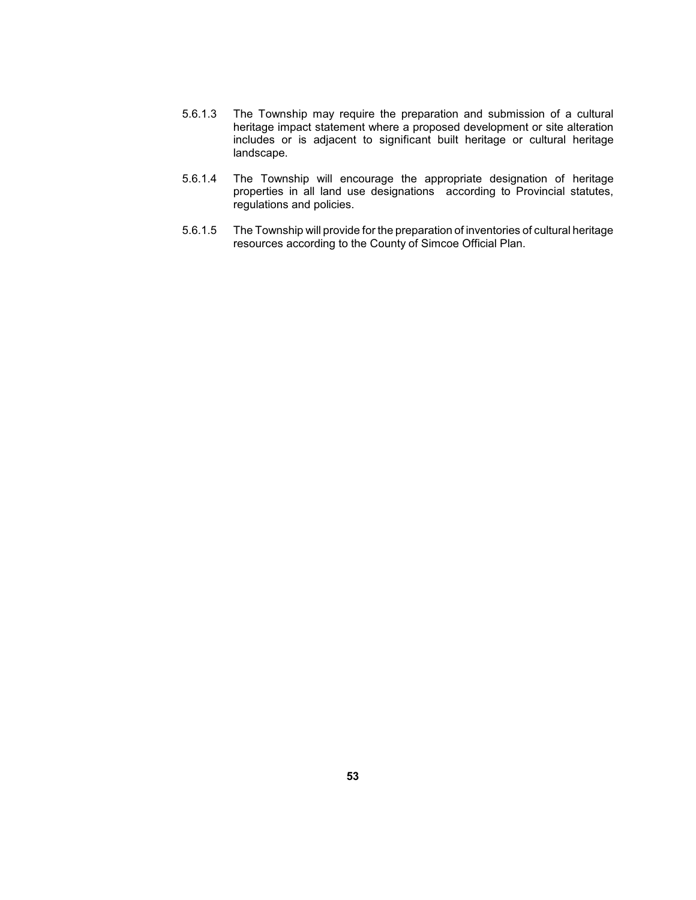- includes or is adjacent to significant built heritage or cultural heritage 5.6.1.3 The Township may require the preparation and submission of a cultural heritage impact statement where a proposed development or site alteration landscape.
- properties in all land use designations according to Provincial statutes, 5.6.1.4 The Township will encourage the appropriate designation of heritage regulations and policies.
- 5.6.1.5 The Township will provide for the preparation of inventories of cultural heritage resources according to the County of Simcoe Official Plan.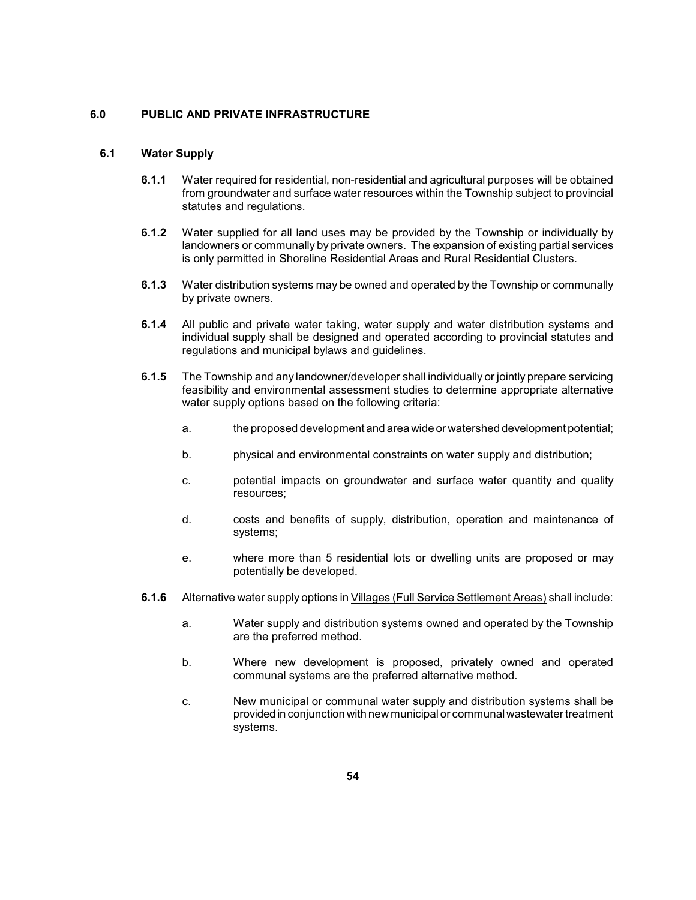## **6.0 PUBLIC AND PRIVATE INFRASTRUCTURE**

### **6.1 Water Supply**

- **6.1.1** Water required for residential, non-residential and agricultural purposes will be obtained from groundwater and surface water resources within the Township subject to provincial statutes and regulations.
- **6.1.2** Water supplied for all land uses may be provided by the Township or individually by landowners or communally by private owners. The expansion of existing partial services is only permitted in Shoreline Residential Areas and Rural Residential Clusters.
- **6.1.3** Water distribution systems may be owned and operated by the Township or communally by private owners.
- individual supply shall be designed and operated according to provincial statutes and **6.1.4** All public and private water taking, water supply and water distribution systems and regulations and municipal bylaws and guidelines.
- **6.1.5** The Township and any landowner/developer shall individually or jointly prepare servicing feasibility and environmental assessment studies to determine appropriate alternative water supply options based on the following criteria:
	- a. the proposed development and area wide or watershed development potential;
	- b. physical and environmental constraints on water supply and distribution;
	- c. potential impacts on groundwater and surface water quantity and quality resources;
	- d. costs and benefits of supply, distribution, operation and maintenance of systems;
	- e. Where more than 5 residential lots or dwelling units are proposed or may potentially be developed.
- **6.1.6** Alternative water supply options in Villages (Full Service Settlement Areas) shall include:
	- a. Water supply and distribution systems owned and operated by the Township are the preferred method.
	- b. Where new development is proposed, privately owned and operated communal systems are the preferred alternative method.
	- c. New municipal or communal water supply and distribution systems shall be provided in conjunction with new municipal or communal wastewater treatment systems.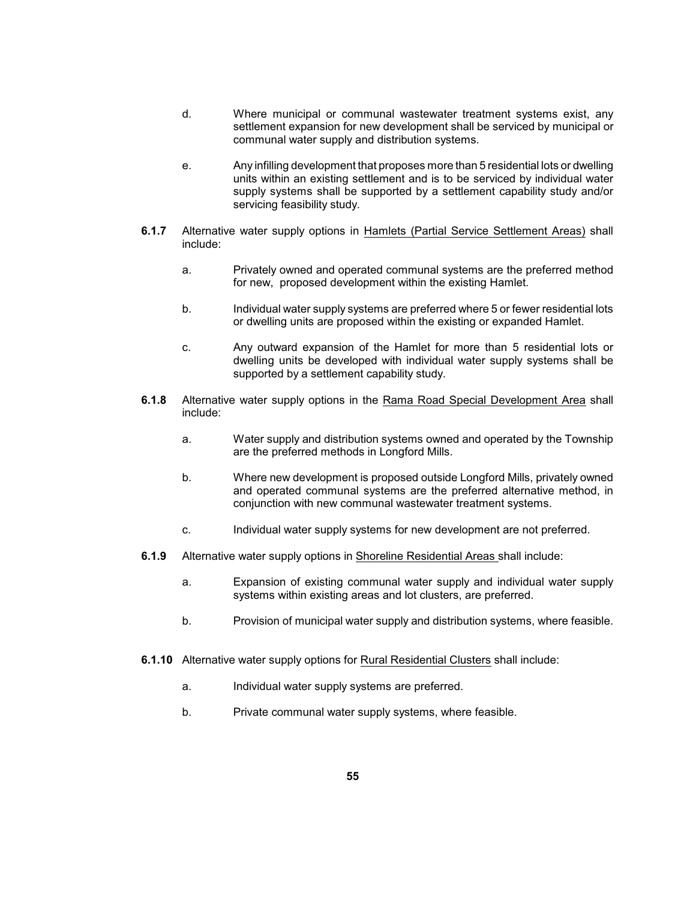- d. Where municipal or communal wastewater treatment systems exist, any settlement expansion for new development shall be serviced by municipal or communal water supply and distribution systems.
- e. Any infilling development that proposes more than 5 residential lots or dwelling units within an existing settlement and is to be serviced by individual water supply systems shall be supported by a settlement capability study and/or servicing feasibility study.
- **6.1.7** Alternative water supply options in Hamlets (Partial Service Settlement Areas) shall include:
	- a. Privately owned and operated communal systems are the preferred method for new, proposed development within the existing Hamlet.
	- b. Individual water supply systems are preferred where 5 or fewer residential lots or dwelling units are proposed within the existing or expanded Hamlet.
	- c. Any outward expansion of the Hamlet for more than 5 residential lots or dwelling units be developed with individual water supply systems shall be supported by a settlement capability study.
- **6.1.8** Alternative water supply options in the Rama Road Special Development Area shall include:
	- a. Water supply and distribution systems owned and operated by the Township are the preferred methods in Longford Mills.
	- and operated communal systems are the preferred alternative method, in b. Where new development is proposed outside Longford Mills, privately owned conjunction with new communal wastewater treatment systems.
	- c. Individual water supply systems for new development are not preferred.
- **6.1.9** Alternative water supply options in Shoreline Residential Areas shall include:
	- a. Expansion of existing communal water supply and individual water supply systems within existing areas and lot clusters, are preferred.
	- b. Provision of municipal water supply and distribution systems, where feasible.
- **6.1.10** Alternative water supply options for Rural Residential Clusters shall include:
	- a. Individual water supply systems are preferred.
	- b. Private communal water supply systems, where feasible.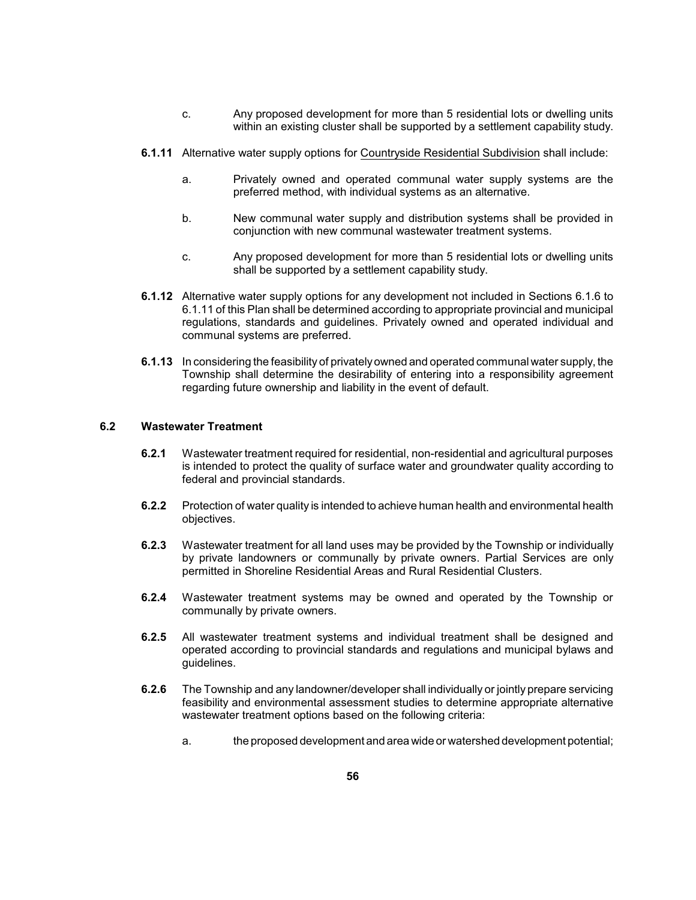- c. Any proposed development for more than 5 residential lots or dwelling units within an existing cluster shall be supported by a settlement capability study.
- **6.1.11** Alternative water supply options for Countryside Residential Subdivision shall include:
	- a. Privately owned and operated communal water supply systems are the preferred method, with individual systems as an alternative.
	- b. **New communal water supply and distribution systems shall be provided in** conjunction with new communal wastewater treatment systems.
	- c. Any proposed development for more than 5 residential lots or dwelling units shall be supported by a settlement capability study.
- **6.1.12** Alternative water supply options for any development not included in Sections 6.1.6 to 6.1.11 of this Plan shall be determined according to appropriate provincial and municipal regulations, standards and guidelines. Privately owned and operated individual and communal systems are preferred.
- **6.1.13** In considering the feasibility of privately owned and operated communal water supply, the Township shall determine the desirability of entering into a responsibility agreement regarding future ownership and liability in the event of default.

## **6.2 Wastewater Treatment**

- **6.2.1** Wastewater treatment required for residential, non-residential and agricultural purposes is intended to protect the quality of surface water and groundwater quality according to federal and provincial standards.
- **6.2.2** Protection of water quality is intended to achieve human health and environmental health objectives.
- **6.2.3** Wastewater treatment for all land uses may be provided by the Township or individually by private landowners or communally by private owners. Partial Services are only permitted in Shoreline Residential Areas and Rural Residential Clusters.
- **6.2.4** Wastewater treatment systems may be owned and operated by the Township or communally by private owners.
- operated according to provincial standards and regulations and municipal bylaws and **6.2.5** All wastewater treatment systems and individual treatment shall be designed and guidelines.
- **6.2.6** The Township and any landowner/developer shall individually or jointly prepare servicing feasibility and environmental assessment studies to determine appropriate alternative wastewater treatment options based on the following criteria:
	- a. the proposed development and area wide or watershed development potential;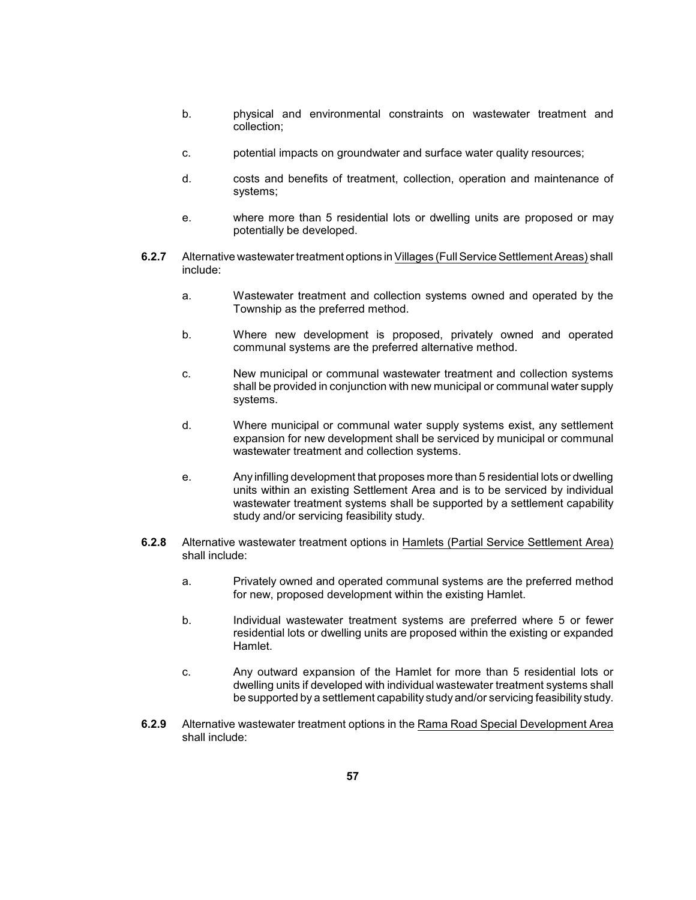- b. physical and environmental constraints on wastewater treatment and collection;
- c. potential impacts on groundwater and surface water quality resources;
- d. costs and benefits of treatment, collection, operation and maintenance of systems;
- e. **Where more than 5 residential lots or dwelling units are proposed or may** potentially be developed.
- **6.2.7** Alternative wastewater treatment options in Villages (Full Service Settlement Areas) shall include:
	- a. Wastewater treatment and collection systems owned and operated by the Township as the preferred method.
	- b. Where new development is proposed, privately owned and operated communal systems are the preferred alternative method.
	- c. New municipal or communal wastewater treatment and collection systems shall be provided in conjunction with new municipal or communal water supply systems.
	- d. Where municipal or communal water supply systems exist, any settlement expansion for new development shall be serviced by municipal or communal wastewater treatment and collection systems.
	- e. Any infilling development that proposes more than 5 residential lots or dwelling units within an existing Settlement Area and is to be serviced by individual wastewater treatment systems shall be supported by a settlement capability study and/or servicing feasibility study.
- **6.2.8** Alternative wastewater treatment options in Hamlets (Partial Service Settlement Area) shall include:
	- a. Privately owned and operated communal systems are the preferred method for new, proposed development within the existing Hamlet.
	- residential lots or dwelling units are proposed within the existing or expanded b. Individual wastewater treatment systems are preferred where 5 or fewer Hamlet.
	- c. Any outward expansion of the Hamlet for more than 5 residential lots or dwelling units if developed with individual wastewater treatment systems shall be supported by a settlement capability study and/or servicing feasibility study.
- **6.2.9** Alternative wastewater treatment options in the Rama Road Special Development Area shall include: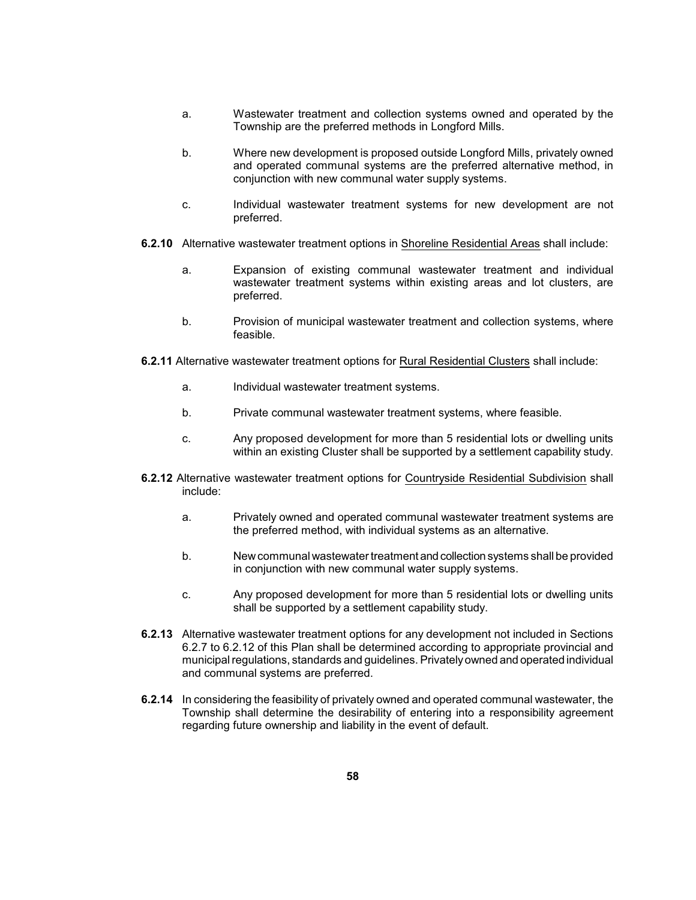- a. Wastewater treatment and collection systems owned and operated by the Township are the preferred methods in Longford Mills.
- b. Where new development is proposed outside Longford Mills, privately owned and operated communal systems are the preferred alternative method, in conjunction with new communal water supply systems.
- c. Individual wastewater treatment systems for new development are not preferred.
- **6.2.10** Alternative wastewater treatment options in Shoreline Residential Areas shall include:
	- a. Expansion of existing communal wastewater treatment and individual wastewater treatment systems within existing areas and lot clusters, are preferred.
	- b. Provision of municipal wastewater treatment and collection systems, where feasible.
- **6.2.11** Alternative wastewater treatment options for Rural Residential Clusters shall include:
	- a. Individual wastewater treatment systems.
	- b. Private communal wastewater treatment systems, where feasible.
	- c. Any proposed development for more than 5 residential lots or dwelling units within an existing Cluster shall be supported by a settlement capability study.
- **6.2.12** Alternative wastewater treatment options for Countryside Residential Subdivision shall include:
	- a. Privately owned and operated communal wastewater treatment systems are the preferred method, with individual systems as an alternative.
	- b. Newcommunal wastewater treatment andcollection systems shall be provided in conjunction with new communal water supply systems.
	- c. Any proposed development for more than 5 residential lots or dwelling units shall be supported by a settlement capability study.
- 6.2.7 to 6.2.12 of this Plan shall be determined according to appropriate provincial and **6.2.13** Alternative wastewater treatment options for any development not included in Sections municipal regulations, standards and guidelines. Privatelyowned and operated individual and communal systems are preferred.
- **6.2.14** In considering the feasibility of privately owned and operated communal wastewater, the Township shall determine the desirability of entering into a responsibility agreement regarding future ownership and liability in the event of default.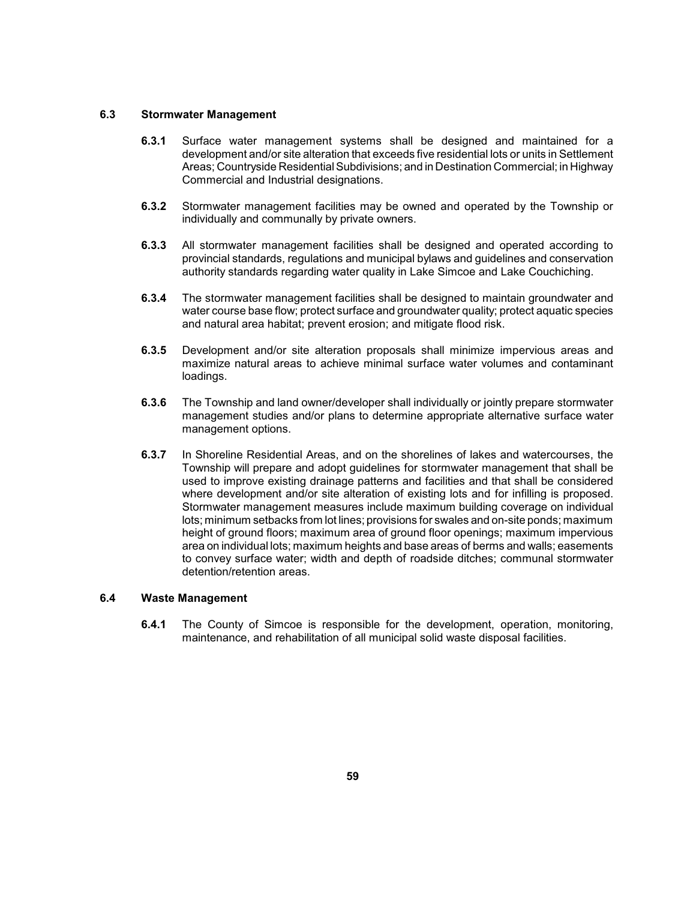### **6.3 Stormwater Management**

- **6.3.1** Surface water management systems shall be designed and maintained for a development and/or site alteration that exceeds five residential lots or units in Settlement Areas; Countryside Residential Subdivisions; and in Destination Commercial; in Highway Commercial and Industrial designations.
- **6.3.2** Stormwater management facilities may be owned and operated by the Township or individually and communally by private owners.
- **6.3.3** All stormwater management facilities shall be designed and operated according to provincial standards, regulations and municipal bylaws and guidelines and conservation authority standards regarding water quality in Lake Simcoe and Lake Couchiching.
- **6.3.4** The stormwater management facilities shall be designed to maintain groundwater and water course base flow; protect surface and groundwater quality; protect aquatic species and natural area habitat; prevent erosion; and mitigate flood risk.
- **6.3.5** Development and/or site alteration proposals shall minimize impervious areas and maximize natural areas to achieve minimal surface water volumes and contaminant loadings.
- **6.3.6** The Township and land owner/developer shall individually or jointly prepare stormwater management studies and/or plans to determine appropriate alternative surface water management options.
- **6.3.7** In Shoreline Residential Areas, and on the shorelines of lakes and watercourses, the Township will prepare and adopt guidelines for stormwater management that shall be where development and/or site alteration of existing lots and for infilling is proposed. lots; minimum setbacks from lot lines; provisions for swales and on-site ponds; maximum height of ground floors; maximum area of ground floor openings; maximum impervious area on individual lots; maximum heights and base areas of berms and walls; easements to convey surface water; width and depth of roadside ditches; communal stormwater used to improve existing drainage patterns and facilities and that shall be considered Stormwater management measures include maximum building coverage on individual detention/retention areas.

## **6.4 Waste Management**

**6.4.1** The County of Simcoe is responsible for the development, operation, monitoring, maintenance, and rehabilitation of all municipal solid waste disposal facilities.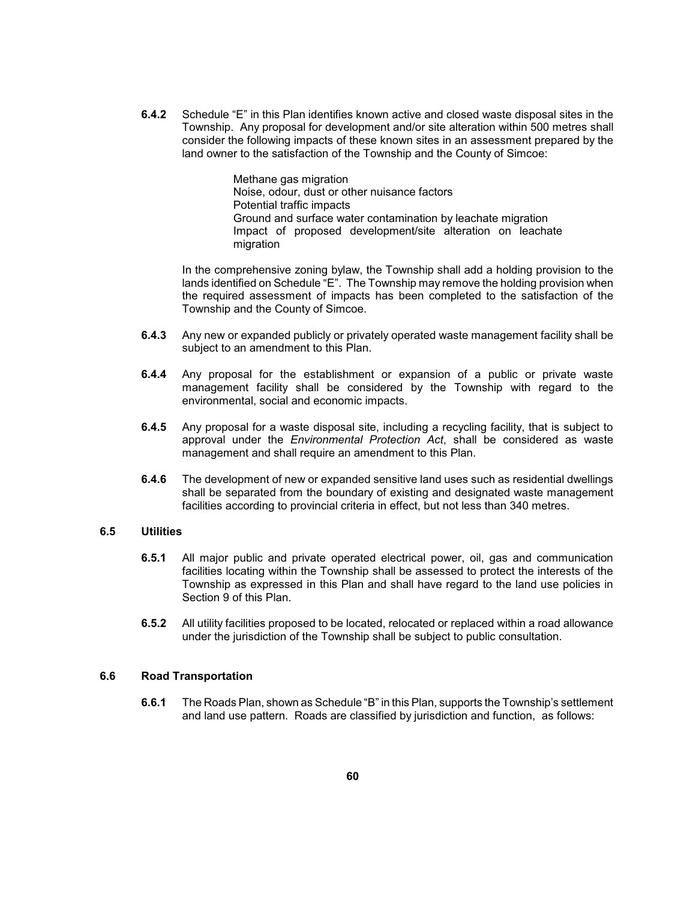consider the following impacts of these known sites in an assessment prepared by the **6.4.2** Schedule "E" in this Plan identifies known active and closed waste disposal sites in the Township. Any proposal for development and/or site alteration within 500 metres shall land owner to the satisfaction of the Township and the County of Simcoe:

> Impact of proposed development/site alteration on leachate Methane gas migration Noise, odour, dust or other nuisance factors Potential traffic impacts Ground and surface water contamination by leachate migration migration

 the required assessment of impacts has been completed to the satisfaction of the In the comprehensive zoning bylaw, the Township shall add a holding provision to the lands identified on Schedule "E". The Township may remove the holding provision when Township and the County of Simcoe.

- **6.4.3** Any new or expanded publicly or privately operated waste management facility shall be subject to an amendment to this Plan.
- **6.4.4** Any proposal for the establishment or expansion of a public or private waste management facility shall be considered by the Township with regard to the environmental, social and economic impacts.
- **6.4.5** Any proposal for a waste disposal site, including a recycling facility, that is subject to approval under the *Environmental Protection Act*, shall be considered as waste management and shall require an amendment to this Plan.
- **6.4.6** The development of new or expanded sensitive land uses such as residential dwellings shall be separated from the boundary of existing and designated waste management facilities according to provincial criteria in effect, but not less than 340 metres.

### **6.5 Utilities**

- **6.5.1** All major public and private operated electrical power, oil, gas and communication facilities locating within the Township shall be assessed to protect the interests of the Township as expressed in this Plan and shall have regard to the land use policies in Section 9 of this Plan.
- **6.5.2** All utility facilities proposed to be located, relocated or replaced within a road allowance under the jurisdiction of the Township shall be subject to public consultation.

#### **6.6 Road Transportation**

**6.6.1** The Roads Plan, shown as Schedule "B" in this Plan, supports the Township's settlement and land use pattern. Roads are classified by jurisdiction and function, as follows: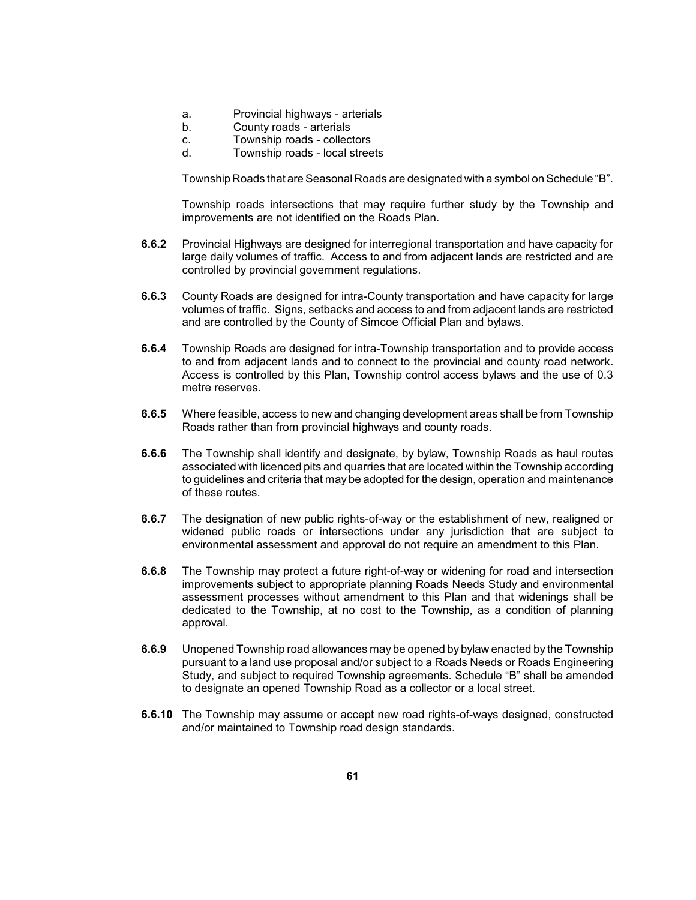- a. Provincial highways arterials
- b. County roads arterials
- c. Township roads collectors
- d. Township roads local streets

Township Roads that are Seasonal Roads are designated with a symbol on Schedule "B".

 Township roads intersections that may require further study by the Township and improvements are not identified on the Roads Plan.

- **6.6.2** Provincial Highways are designed for interregional transportation and have capacity for large daily volumes of traffic. Access to and from adjacent lands are restricted and are controlled by provincial government regulations.
- volumes of traffic. Signs, setbacks and access to and from adjacent lands are restricted **6.6.3** County Roads are designed for intra-County transportation and have capacity for large and are controlled by the County of Simcoe Official Plan and bylaws.
- to and from adjacent lands and to connect to the provincial and county road network. Access is controlled by this Plan, Township control access bylaws and the use of 0.3 **6.6.4** Township Roads are designed for intra-Township transportation and to provide access metre reserves.
- **6.6.5** Where feasible, access to new and changing development areas shall be from Township Roads rather than from provincial highways and county roads.
- **6.6.6** The Township shall identify and designate, by bylaw, Township Roads as haul routes to guidelines and criteria that may be adopted for the design, operation and maintenance associated with licenced pits and quarries that are located within the Township according of these routes.
- **6.6.7** The designation of new public rights-of-way or the establishment of new, realigned or widened public roads or intersections under any jurisdiction that are subject to environmental assessment and approval do not require an amendment to this Plan.
- improvements subject to appropriate planning Roads Needs Study and environmental assessment processes without amendment to this Plan and that widenings shall be dedicated to the Township, at no cost to the Township, as a condition of planning **6.6.8** The Township may protect a future right-of-way or widening for road and intersection approval.
- **6.6.9** Unopened Township road allowances may be opened by bylaw enacted by the Township pursuant to a land use proposal and/or subject to a Roads Needs or Roads Engineering Study, and subject to required Township agreements. Schedule "B" shall be amended to designate an opened Township Road as a collector or a local street.
- **6.6.10** The Township may assume or accept new road rights-of-ways designed, constructed and/or maintained to Township road design standards.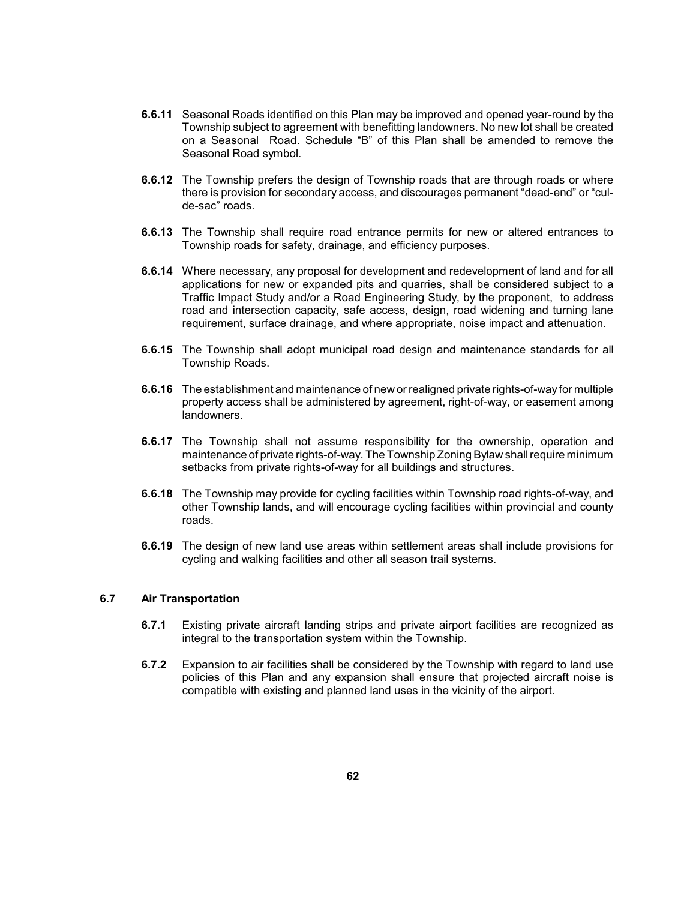- **6.6.11** Seasonal Roads identified on this Plan may be improved and opened year-round by the Township subject to agreement with benefitting landowners. No new lot shall be created on a Seasonal Road. Schedule "B" of this Plan shall be amended to remove the Seasonal Road symbol.
- **6.6.12** The Township prefers the design of Township roads that are through roads or where there is provision for secondary access, and discourages permanent "dead-end" or "culde-sac" roads.
- **6.6.13** The Township shall require road entrance permits for new or altered entrances to Township roads for safety, drainage, and efficiency purposes.
- **6.6.14** Where necessary, any proposal for development and redevelopment of land and for all applications for new or expanded pits and quarries, shall be considered subject to a Traffic Impact Study and/or a Road Engineering Study, by the proponent, to address road and intersection capacity, safe access, design, road widening and turning lane requirement, surface drainage, and where appropriate, noise impact and attenuation.
- **6.6.15** The Township shall adopt municipal road design and maintenance standards for all Township Roads.
- **6.6.16** The establishment and maintenance of new or realigned private rights-of-wayfor multiple property access shall be administered by agreement, right-of-way, or easement among landowners.
- maintenance of private rights-of-way. The Township Zoning Bylaw shall require minimum **6.6.17** The Township shall not assume responsibility for the ownership, operation and setbacks from private rights-of-way for all buildings and structures.
- **6.6.18** The Township may provide for cycling facilities within Township road rights-of-way, and other Township lands, and will encourage cycling facilities within provincial and county roads.
- **6.6.19** The design of new land use areas within settlement areas shall include provisions for cycling and walking facilities and other all season trail systems.

## **6.7 Air Transportation**

- **6.7.1** Existing private aircraft landing strips and private airport facilities are recognized as integral to the transportation system within the Township.
- **6.7.2** Expansion to air facilities shall be considered by the Township with regard to land use policies of this Plan and any expansion shall ensure that projected aircraft noise is compatible with existing and planned land uses in the vicinity of the airport.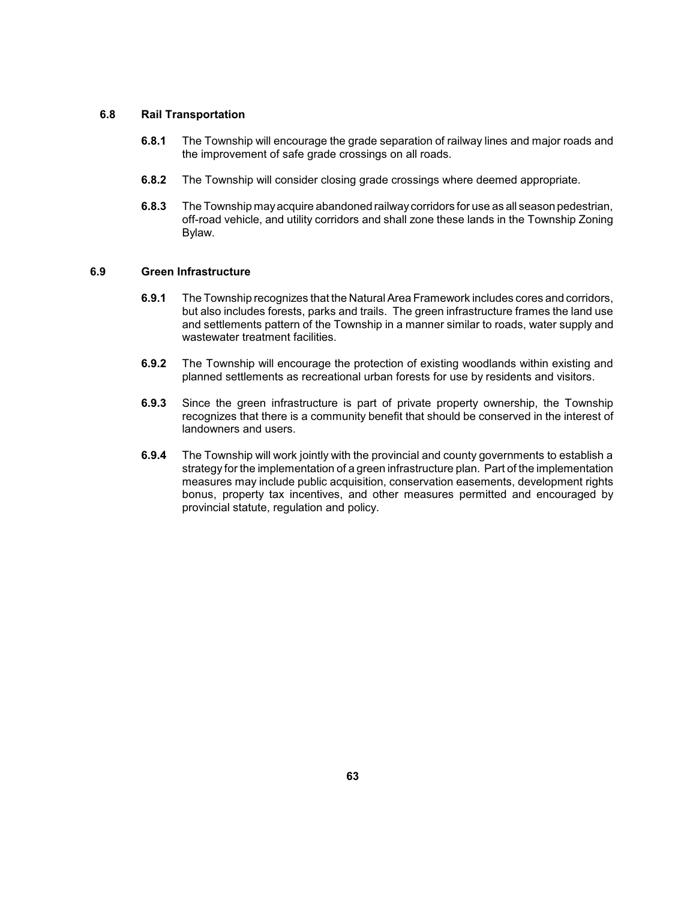### **6.8 Rail Transportation**

- **6.8.1** The Township will encourage the grade separation of railway lines and major roads and the improvement of safe grade crossings on all roads.
- **6.8.2** The Township will consider closing grade crossings where deemed appropriate.
- **6.8.3** The Township mayacquire abandoned railwaycorridors for use as all season pedestrian, off-road vehicle, and utility corridors and shall zone these lands in the Township Zoning Bylaw.

## **6.9 Green Infrastructure**

- **6.9.1** The Township recognizes that the Natural Area Framework includes cores and corridors, but also includes forests, parks and trails. The green infrastructure frames the land use and settlements pattern of the Township in a manner similar to roads, water supply and wastewater treatment facilities.
- planned settlements as recreational urban forests for use by residents and visitors. **6.9.2** The Township will encourage the protection of existing woodlands within existing and
- **6.9.3** Since the green infrastructure is part of private property ownership, the Township recognizes that there is a community benefit that should be conserved in the interest of landowners and users.
- **6.9.4** The Township will work jointly with the provincial and county governments to establish a strategy for the implementation of a green infrastructure plan. Part of the implementation measures may include public acquisition, conservation easements, development rights bonus, property tax incentives, and other measures permitted and encouraged by provincial statute, regulation and policy.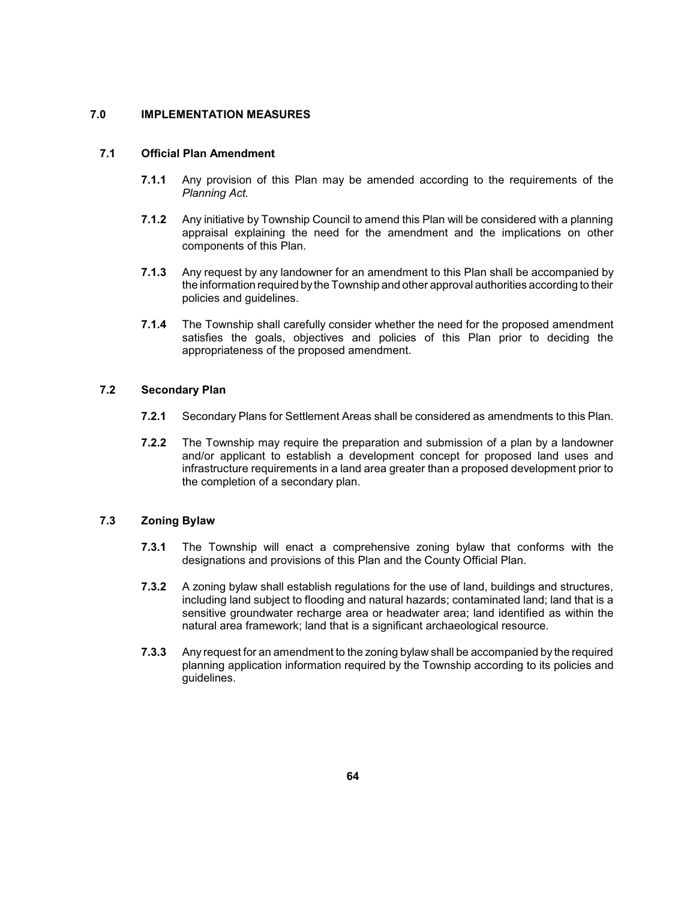# **7.0 IMPLEMENTATION MEASURES**

# **7.1 Official Plan Amendment**

- **7.1.1** Any provision of this Plan may be amended according to the requirements of the *Planning Act.*
- **7.1.2** Any initiative by Township Council to amend this Plan will be considered with a planning appraisal explaining the need for the amendment and the implications on other components of this Plan.
- **7.1.3** Any request by any landowner for an amendment to this Plan shall be accompanied by the information required bythe Township and other approval authorities according to their policies and guidelines.
- **7.1.4** The Township shall carefully consider whether the need for the proposed amendment satisfies the goals, objectives and policies of this Plan prior to deciding the appropriateness of the proposed amendment.

# **7.2 Secondary Plan**

- **7.2.1** Secondary Plans for Settlement Areas shall be considered as amendments to this Plan.
- **7.2.2** The Township may require the preparation and submission of a plan by a landowner and/or applicant to establish a development concept for proposed land uses and infrastructure requirements in a land area greater than a proposed development prior to the completion of a secondary plan.

# **7.3 Zoning Bylaw**

- **7.3.1** The Township will enact a comprehensive zoning bylaw that conforms with the designations and provisions of this Plan and the County Official Plan.
- **7.3.2** A zoning bylaw shall establish regulations for the use of land, buildings and structures, sensitive groundwater recharge area or headwater area; land identified as within the including land subject to flooding and natural hazards; contaminated land; land that is a natural area framework; land that is a significant archaeological resource.
- **7.3.3** Any request for an amendment to the zoning bylaw shall be accompanied by the required planning application information required by the Township according to its policies and guidelines.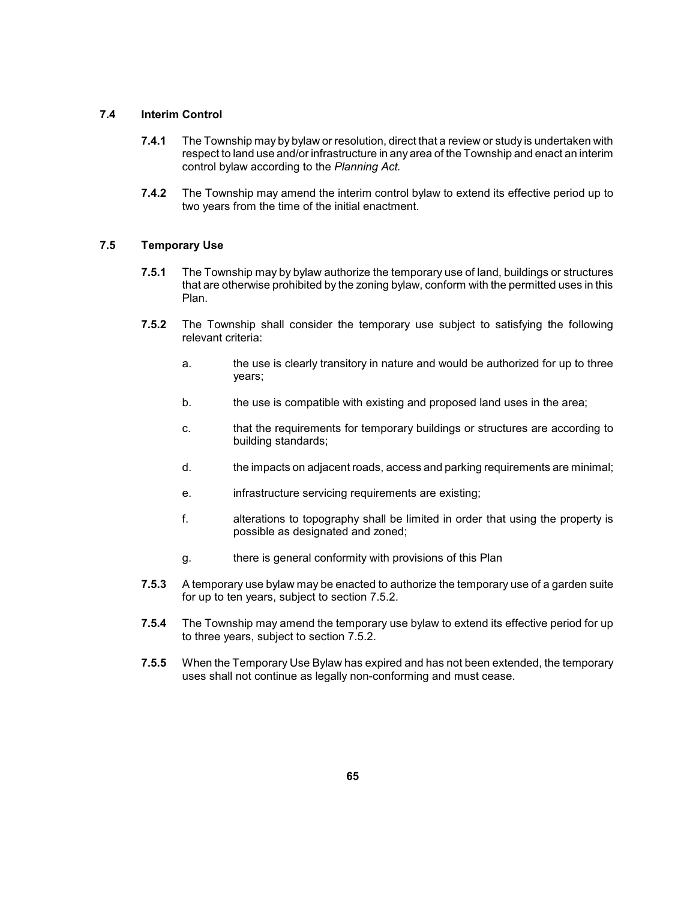## **7.4 Interim Control**

- **7.4.1** The Township may by bylaw or resolution, direct that a review or study is undertaken with respect to land use and/or infrastructure in any area of the Township and enact an interim control bylaw according to the *Planning Act.*
- **7.4.2** The Township may amend the interim control bylaw to extend its effective period up to two years from the time of the initial enactment.

# **7.5 Temporary Use**

- **7.5.1** The Township may by bylaw authorize the temporary use of land, buildings or structures that are otherwise prohibited by the zoning bylaw, conform with the permitted uses in this Plan.
- **7.5.2** The Township shall consider the temporary use subject to satisfying the following relevant criteria:
	- a. The use is clearly transitory in nature and would be authorized for up to three years;
	- b. **the use is compatible with existing and proposed land uses in the area;**
	- c. that the requirements for temporary buildings or structures are according to building standards;
	- d. the impacts on adjacent roads, access and parking requirements are minimal;
	- e. **infrastructure servicing requirements are existing;**
	- f. **Example 2** alterations to topography shall be limited in order that using the property is possible as designated and zoned;
	- g. there is general conformity with provisions of this Plan
- **7.5.3** A temporary use bylaw may be enacted to authorize the temporary use of a garden suite for up to ten years, subject to section 7.5.2.
- **7.5.4** The Township may amend the temporary use bylaw to extend its effective period for up to three years, subject to section 7.5.2.
- **7.5.5** When the Temporary Use Bylaw has expired and has not been extended, the temporary uses shall not continue as legally non-conforming and must cease.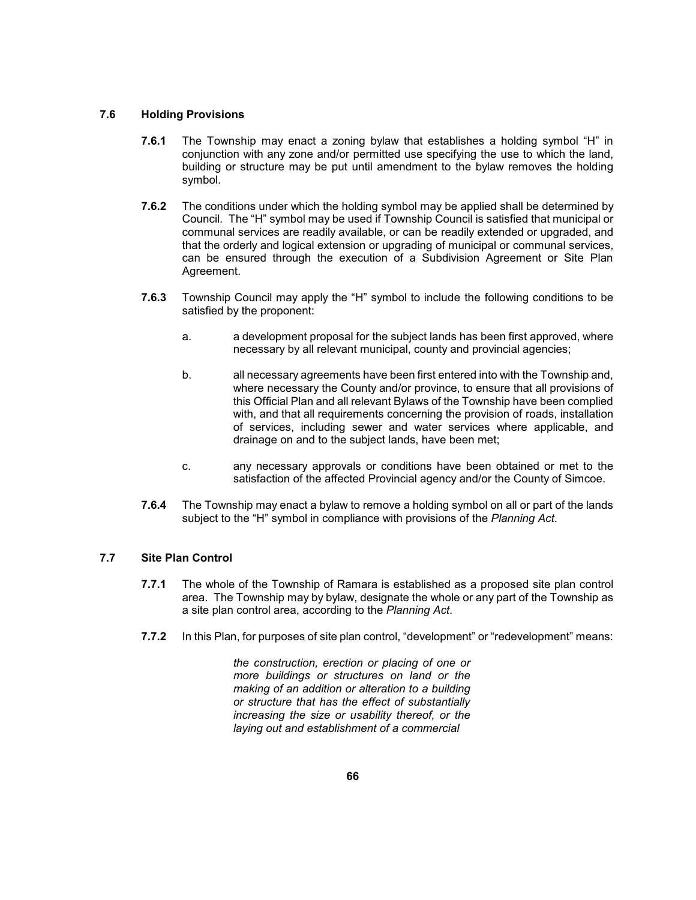## **7.6 Holding Provisions**

- **7.6.1** The Township may enact a zoning bylaw that establishes a holding symbol "H" in building or structure may be put until amendment to the bylaw removes the holding conjunction with any zone and/or permitted use specifying the use to which the land, symbol.
- **7.6.2** The conditions under which the holding symbol may be applied shall be determined by Council. The "H" symbol may be used if Township Council is satisfied that municipal or communal services are readily available, or can be readily extended or upgraded, and that the orderly and logical extension or upgrading of municipal or communal services, can be ensured through the execution of a Subdivision Agreement or Site Plan Agreement.
- **7.6.3** Township Council may apply the "H" symbol to include the following conditions to be satisfied by the proponent:
	- a. a development proposal for the subject lands has been first approved, where necessary by all relevant municipal, county and provincial agencies;
	- b. all necessary agreements have been first entered into with the Township and, this Official Plan and all relevant Bylaws of the Township have been complied where necessary the County and/or province, to ensure that all provisions of with, and that all requirements concerning the provision of roads, installation of services, including sewer and water services where applicable, and drainage on and to the subject lands, have been met;
	- c. any necessary approvals or conditions have been obtained or met to the satisfaction of the affected Provincial agency and/or the County of Simcoe.
- **7.6.4** The Township may enact a bylaw to remove a holding symbol on all or part of the lands subject to the "H" symbol in compliance with provisions of the *Planning Act*.

## **7.7 Site Plan Control**

- **7.7.1** The whole of the Township of Ramara is established as a proposed site plan control area. The Township may by bylaw, designate the whole or any part of the Township as a site plan control area, according to the *Planning Act*.
- **7.7.2** In this Plan, for purposes of site plan control, "development" or "redevelopment" means:

 *more buildings or structures on land or the or structure that has the effect of substantially the construction, erection or placing of one or making of an addition or alteration to a building increasing the size or usability thereof, or the laying out and establishment of a commercial*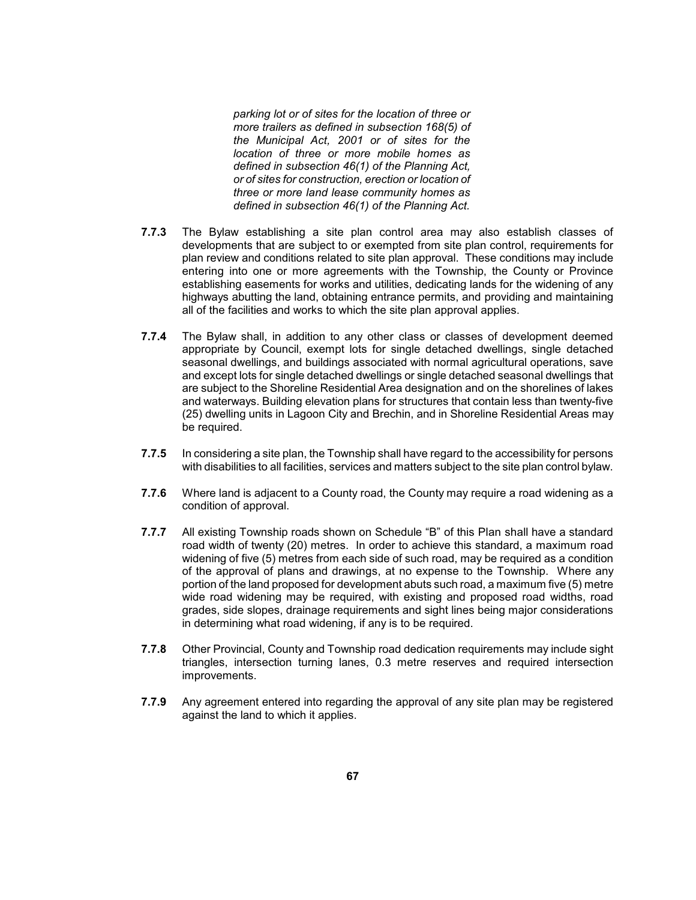*more trailers as defined in subsection 168(5) of the Municipal Act, 2001 or of sites for the location of three or more mobile homes as three or more land lease community homes as parking lot or of sites for the location of three or defined in subsection 46(1) of the Planning Act, or of sites for construction, erection or location of defined in subsection 46(1) of the Planning Act.* 

- **7.7.3** The Bylaw establishing a site plan control area may also establish classes of developments that are subject to or exempted from site plan control, requirements for plan review and conditions related to site plan approval. These conditions may include establishing easements for works and utilities, dedicating lands for the widening of any entering into one or more agreements with the Township, the County or Province highways abutting the land, obtaining entrance permits, and providing and maintaining all of the facilities and works to which the site plan approval applies.
- **7.7.4** The Bylaw shall, in addition to any other class or classes of development deemed appropriate by Council, exempt lots for single detached dwellings, single detached seasonal dwellings, and buildings associated with normal agricultural operations, save and except lots for single detached dwellings or single detached seasonal dwellings that are subject to the Shoreline Residential Area designation and on the shorelines of lakes (25) dwelling units in Lagoon City and Brechin, and in Shoreline Residential Areas may and waterways. Building elevation plans for structures that contain less than twenty-five be required.
- with disabilities to all facilities, services and matters subject to the site plan control bylaw. **7.7.5** In considering a site plan, the Township shall have regard to the accessibility for persons
- **7.7.6** Where land is adjacent to a County road, the County may require a road widening as a condition of approval.
- **7.7.7** All existing Township roads shown on Schedule "B" of this Plan shall have a standard road width of twenty (20) metres. In order to achieve this standard, a maximum road widening of five (5) metres from each side of such road, may be required as a condition of the approval of plans and drawings, at no expense to the Township. Where any portion of the land proposed for development abuts such road, a maximum five (5) metre wide road widening may be required, with existing and proposed road widths, road grades, side slopes, drainage requirements and sight lines being major considerations in determining what road widening, if any is to be required.
- **7.7.8** Other Provincial, County and Township road dedication requirements may include sight triangles, intersection turning lanes, 0.3 metre reserves and required intersection improvements.
- **7.7.9** Any agreement entered into regarding the approval of any site plan may be registered against the land to which it applies.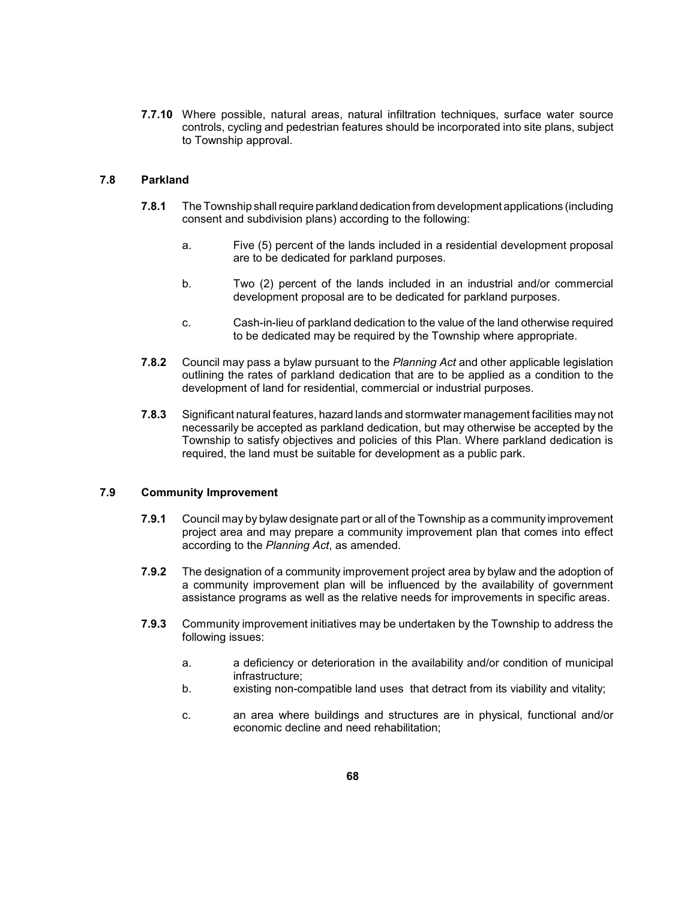**7.7.10** Where possible, natural areas, natural infiltration techniques, surface water source controls, cycling and pedestrian features should be incorporated into site plans, subject to Township approval.

# **7.8 Parkland**

- **7.8.1** The Township shall require parkland dedication from development applications (including consent and subdivision plans) according to the following:
	- a. Five (5) percent of the lands included in a residential development proposal are to be dedicated for parkland purposes.
	- b. Two (2) percent of the lands included in an industrial and/or commercial development proposal are to be dedicated for parkland purposes.
	- c. Cash-in-lieu of parkland dedication to the value of the land otherwise required to be dedicated may be required by the Township where appropriate.
- **7.8.2** Council may pass a bylaw pursuant to the *Planning Act* and other applicable legislation outlining the rates of parkland dedication that are to be applied as a condition to the development of land for residential, commercial or industrial purposes.
- **7.8.3** Significant natural features, hazard lands and stormwater management facilities may not Township to satisfy objectives and policies of this Plan. Where parkland dedication is necessarily be accepted as parkland dedication, but may otherwise be accepted by the required, the land must be suitable for development as a public park.

# **7.9 Community Improvement**

- **7.9.1** Council may by bylaw designate part or all of the Township as a community improvement project area and may prepare a community improvement plan that comes into effect according to the *Planning Act*, as amended.
- **7.9.2** The designation of a community improvement project area by bylaw and the adoption of a community improvement plan will be influenced by the availability of government assistance programs as well as the relative needs for improvements in specific areas.
- **7.9.3** Community improvement initiatives may be undertaken by the Township to address the following issues:
	- a. a deficiency or deterioration in the availability and/or condition of municipal infrastructure;
	- b. existing non-compatible land uses that detract from its viability and vitality;
	- c. an area where buildings and structures are in physical, functional and/or economic decline and need rehabilitation;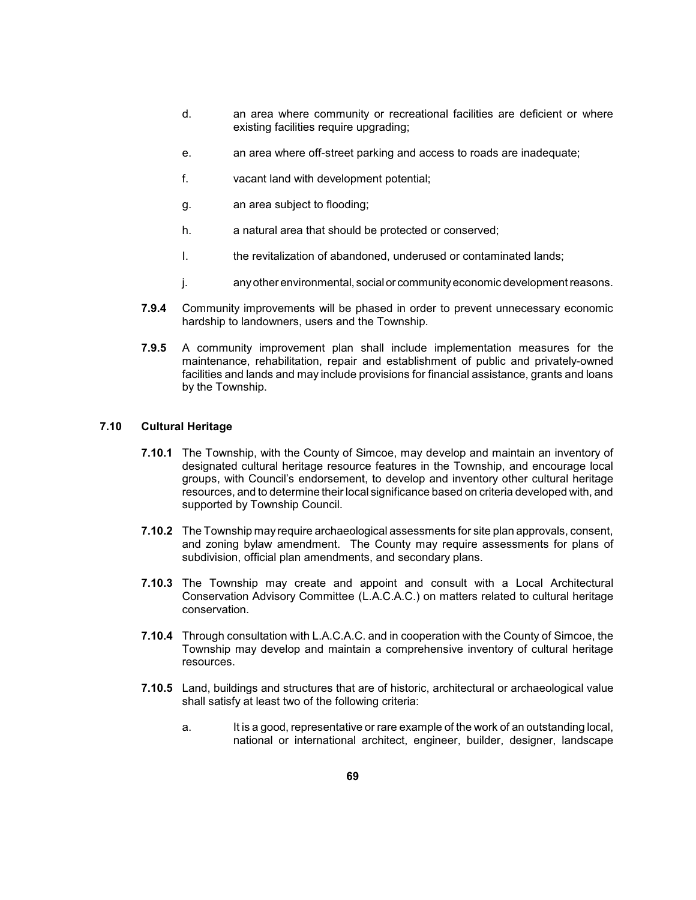- d. **an area where community or recreational facilities are deficient or where** existing facilities require upgrading;
- e. an area where off-street parking and access to roads are inadequate;
- f. vacant land with development potential;
- g. an area subject to flooding;
- h. a natural area that should be protected or conserved;
- I. the revitalization of abandoned, underused or contaminated lands;
- j. any other environmental, social or community economic development reasons.
- **7.9.4** Community improvements will be phased in order to prevent unnecessary economic hardship to landowners, users and the Township.
- maintenance, rehabilitation, repair and establishment of public and privately-owned facilities and lands and may include provisions for financial assistance, grants and loans **7.9.5** A community improvement plan shall include implementation measures for the by the Township.

### **7.10 Cultural Heritage**

- **7.10.1** The Township, with the County of Simcoe, may develop and maintain an inventory of designated cultural heritage resource features in the Township, and encourage local groups, with Council's endorsement, to develop and inventory other cultural heritage resources, and to determine their local significance based on criteria developed with, and supported by Township Council.
- and zoning bylaw amendment. The County may require assessments for plans of **7.10.2** The Township may require archaeological assessments for site plan approvals, consent, subdivision, official plan amendments, and secondary plans.
- Conservation Advisory Committee (L.A.C.A.C.) on matters related to cultural heritage **7.10.3** The Township may create and appoint and consult with a Local Architectural conservation.
- **7.10.4** Through consultation with L.A.C.A.C. and in cooperation with the County of Simcoe, the Township may develop and maintain a comprehensive inventory of cultural heritage resources.
- **7.10.5** Land, buildings and structures that are of historic, architectural or archaeological value shall satisfy at least two of the following criteria:
	- a. It is a good, representative or rare example of the work of an outstanding local, national or international architect, engineer, builder, designer, landscape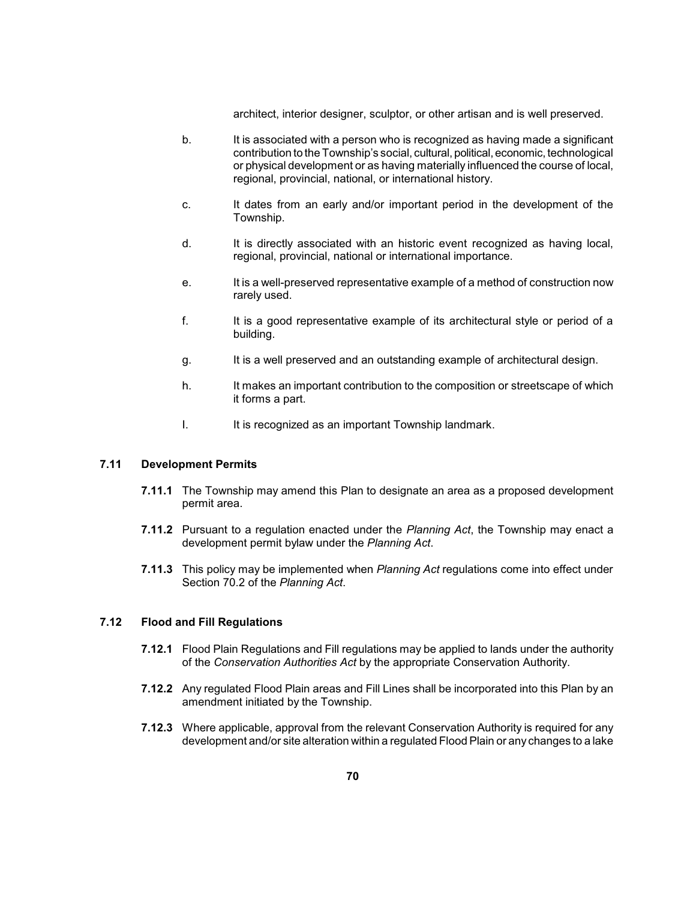architect, interior designer, sculptor, or other artisan and is well preserved.

- contribution to the Township's social, cultural, political, economic, technological b. It is associated with a person who is recognized as having made a significant or physical development or as having materially influenced the course of local, regional, provincial, national, or international history.
- c. It dates from an early and/or important period in the development of the Township.
- d. It is directly associated with an historic event recognized as having local, regional, provincial, national or international importance.
- e. It is a well-preserved representative example of a method of construction now rarely used.
- f. It is a good representative example of its architectural style or period of a building.
- g. It is a well preserved and an outstanding example of architectural design.
- h. It makes an important contribution to the composition or streetscape of which it forms a part.
- I. It is recognized as an important Township landmark.

## **7.11 Development Permits**

- **7.11.1** The Township may amend this Plan to designate an area as a proposed development permit area.
- **7.11.2** Pursuant to a regulation enacted under the *Planning Act*, the Township may enact a development permit bylaw under the *Planning Act*.
- **7.11.3** This policy may be implemented when *Planning Act* regulations come into effect under Section 70.2 of the *Planning Act*.

### **7.12 Flood and Fill Regulations**

- **7.12.1** Flood Plain Regulations and Fill regulations may be applied to lands under the authority of the *Conservation Authorities Act* by the appropriate Conservation Authority.
- **7.12.2** Any regulated Flood Plain areas and Fill Lines shall be incorporated into this Plan by an amendment initiated by the Township.
- **7.12.3** Where applicable, approval from the relevant Conservation Authority is required for any development and/or site alteration within a regulated Flood Plain or anychanges to a lake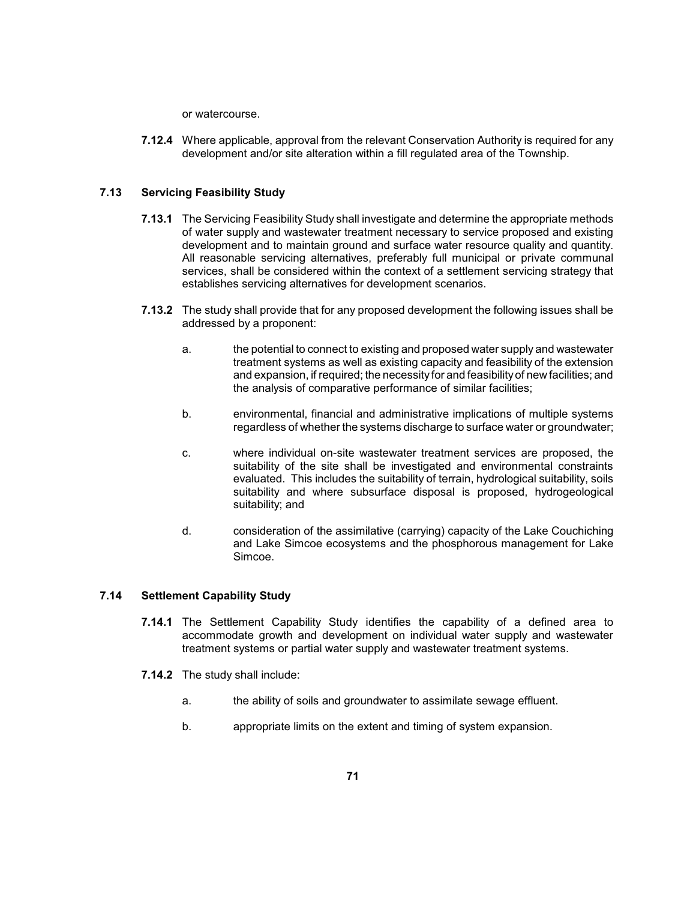or watercourse.

**7.12.4** Where applicable, approval from the relevant Conservation Authority is required for any development and/or site alteration within a fill regulated area of the Township.

# **7.13 Servicing Feasibility Study**

- **7.13.1** The Servicing Feasibility Study shall investigate and determine the appropriate methods All reasonable servicing alternatives, preferably full municipal or private communal services, shall be considered within the context of a settlement servicing strategy that of water supply and wastewater treatment necessary to service proposed and existing development and to maintain ground and surface water resource quality and quantity. establishes servicing alternatives for development scenarios.
- **7.13.2** The study shall provide that for any proposed development the following issues shall be addressed by a proponent:
	- treatment systems as well as existing capacity and feasibility of the extension and expansion, if required; the necessityfor and feasibilityof new facilities; and a. the potential to connect to existing and proposed water supply and wastewater the analysis of comparative performance of similar facilities;
	- b. environmental, financial and administrative implications of multiple systems regardless of whether the systems discharge to surface water or groundwater;
	- suitability of the site shall be investigated and environmental constraints evaluated. This includes the suitability of terrain, hydrological suitability, soils suitability and where subsurface disposal is proposed, hydrogeological c. where individual on-site wastewater treatment services are proposed, the suitability; and
	- d. consideration of the assimilative (carrying) capacity of the Lake Couchiching and Lake Simcoe ecosystems and the phosphorous management for Lake Simcoe.

# **7.14 Settlement Capability Study**

- **7.14.1** The Settlement Capability Study identifies the capability of a defined area to accommodate growth and development on individual water supply and wastewater treatment systems or partial water supply and wastewater treatment systems.
- **7.14.2** The study shall include:
	- a. **the ability of soils and groundwater to assimilate sewage effluent.**
	- b. appropriate limits on the extent and timing of system expansion.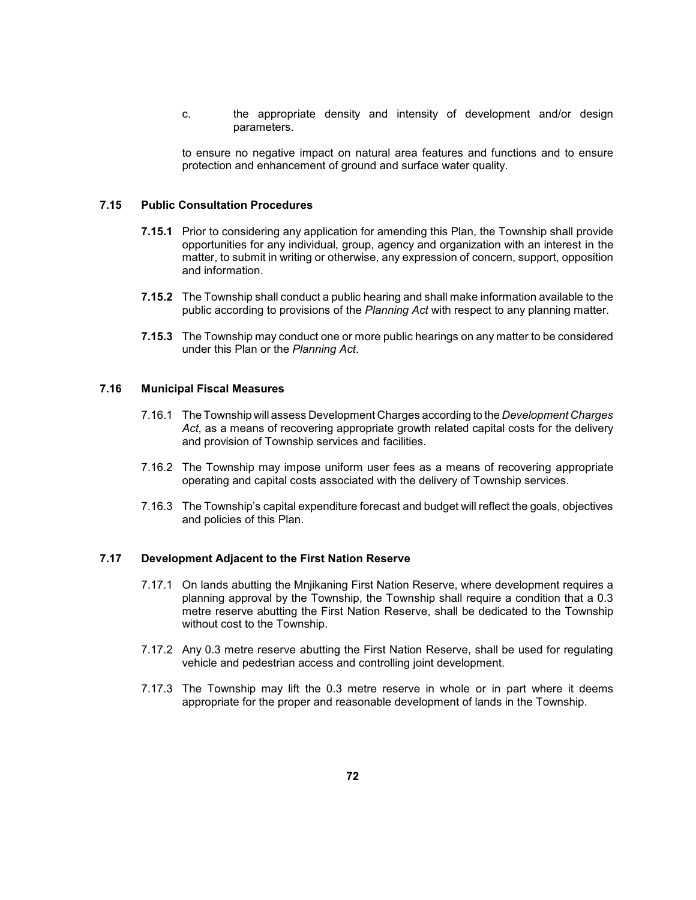c. The appropriate density and intensity of development and/or design parameters.

 to ensure no negative impact on natural area features and functions and to ensure protection and enhancement of ground and surface water quality.

#### **7.15 Public Consultation Procedures**

- opportunities for any individual, group, agency and organization with an interest in the **7.15.1** Prior to considering any application for amending this Plan, the Township shall provide matter, to submit in writing or otherwise, any expression of concern, support, opposition and information.
- **7.15.2** The Township shall conduct a public hearing and shall make information available to the public according to provisions of the *Planning Act* with respect to any planning matter.
- **7.15.3** The Township may conduct one or more public hearings on any matter to be considered under this Plan or the *Planning Act*.

## **7.16 Municipal Fiscal Measures**

- 7.16.1 The Township will assess Development Charges according to the *Development Charges Act*, as a means of recovering appropriate growth related capital costs for the delivery and provision of Township services and facilities.
- 7.16.2 The Township may impose uniform user fees as a means of recovering appropriate operating and capital costs associated with the delivery of Township services.
- 7.16.3 The Township's capital expenditure forecast and budget will reflect the goals, objectives and policies of this Plan.

### **7.17 Development Adjacent to the First Nation Reserve**

- 7.17.1 On lands abutting the Mnjikaning First Nation Reserve, where development requires a planning approval by the Township, the Township shall require a condition that a 0.3 metre reserve abutting the First Nation Reserve, shall be dedicated to the Township without cost to the Township.
- 7.17.2 Any 0.3 metre reserve abutting the First Nation Reserve, shall be used for regulating vehicle and pedestrian access and controlling joint development.
- 7.17.3 The Township may lift the 0.3 metre reserve in whole or in part where it deems appropriate for the proper and reasonable development of lands in the Township.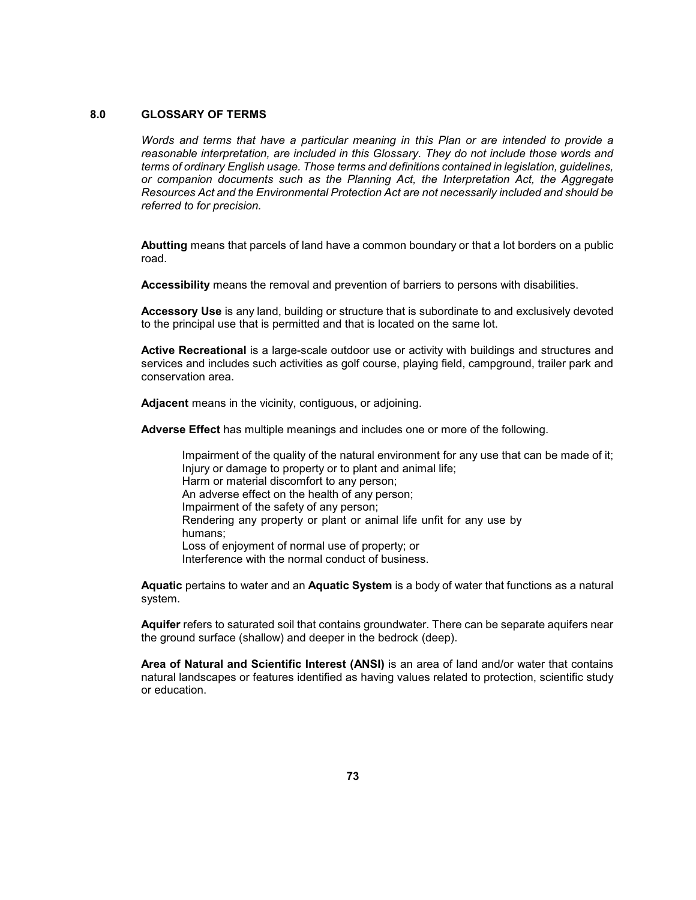#### **8.0 GLOSSARY OF TERMS**

 *Words and terms that have a particular meaning in this Plan or are intended to provide a reasonable interpretation, are included in this Glossary. They do not include those words and terms of ordinary English usage. Those terms and definitions contained in legislation, guidelines, or companion documents such as the Planning Act, the Interpretation Act, the Aggregate Resources Act and the Environmental Protection Act are not necessarily included and should be referred to for precision.* 

 **Abutting** means that parcels of land have a common boundary or that a lot borders on a public road.

**Accessibility** means the removal and prevention of barriers to persons with disabilities.

 **Accessory Use** is any land, building or structure that is subordinate to and exclusively devoted to the principal use that is permitted and that is located on the same lot.

 **Active Recreational** is a large-scale outdoor use or activity with buildings and structures and services and includes such activities as golf course, playing field, campground, trailer park and conservation area.

**Adjacent** means in the vicinity, contiguous, or adjoining.

**Adverse Effect** has multiple meanings and includes one or more of the following.

 Impairment of the quality of the natural environment for any use that can be made of it; Rendering any property or plant or animal life unfit for any use by Injury or damage to property or to plant and animal life; Harm or material discomfort to any person; An adverse effect on the health of any person; Impairment of the safety of any person; humans; Loss of enjoyment of normal use of property; or Interference with the normal conduct of business.

 **Aquatic** pertains to water and an **Aquatic System** is a body of water that functions as a natural system.

**Aquifer** refers to saturated soil that contains groundwater. There can be separate aquifers near the ground surface (shallow) and deeper in the bedrock (deep).

 natural landscapes or features identified as having values related to protection, scientific study **Area of Natural and Scientific Interest (ANSI)** is an area of land and/or water that contains or education.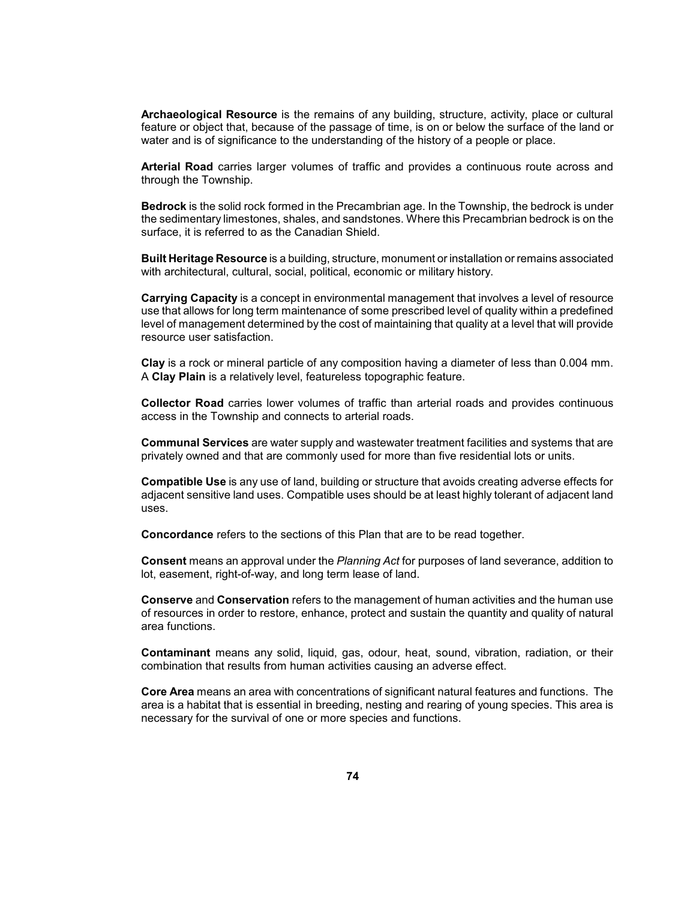**Archaeological Resource** is the remains of any building, structure, activity, place or cultural water and is of significance to the understanding of the history of a people or place. feature or object that, because of the passage of time, is on or below the surface of the land or

 **Arterial Road** carries larger volumes of traffic and provides a continuous route across and through the Township.

 **Bedrock** is the solid rock formed in the Precambrian age. In the Township, the bedrock is under the sedimentary limestones, shales, and sandstones. Where this Precambrian bedrock is on the surface, it is referred to as the Canadian Shield.

**Built Heritage Resource** is a building, structure, monument or installation or remains associated with architectural, cultural, social, political, economic or military history.

 **Carrying Capacity** is a concept in environmental management that involves a level of resource use that allows for long term maintenance of some prescribed level of quality within a predefined level of management determined by the cost of maintaining that quality at a level that will provide resource user satisfaction.

 **Clay** is a rock or mineral particle of any composition having a diameter of less than 0.004 mm. A **Clay Plain** is a relatively level, featureless topographic feature.

 **Collector Road** carries lower volumes of traffic than arterial roads and provides continuous access in the Township and connects to arterial roads.

**Communal Services** are water supply and wastewater treatment facilities and systems that are privately owned and that are commonly used for more than five residential lots or units.

 **Compatible Use** is any use of land, building or structure that avoids creating adverse effects for adjacent sensitive land uses. Compatible uses should be at least highly tolerant of adjacent land uses.

**Concordance** refers to the sections of this Plan that are to be read together.

 **Consent** means an approval under the *Planning Act* for purposes of land severance, addition to lot, easement, right-of-way, and long term lease of land.

 of resources in order to restore, enhance, protect and sustain the quantity and quality of natural **Conserve** and **Conservation** refers to the management of human activities and the human use area functions.

 **Contaminant** means any solid, liquid, gas, odour, heat, sound, vibration, radiation, or their combination that results from human activities causing an adverse effect.

 **Core Area** means an area with concentrations of significant natural features and functions. The area is a habitat that is essential in breeding, nesting and rearing of young species. This area is necessary for the survival of one or more species and functions.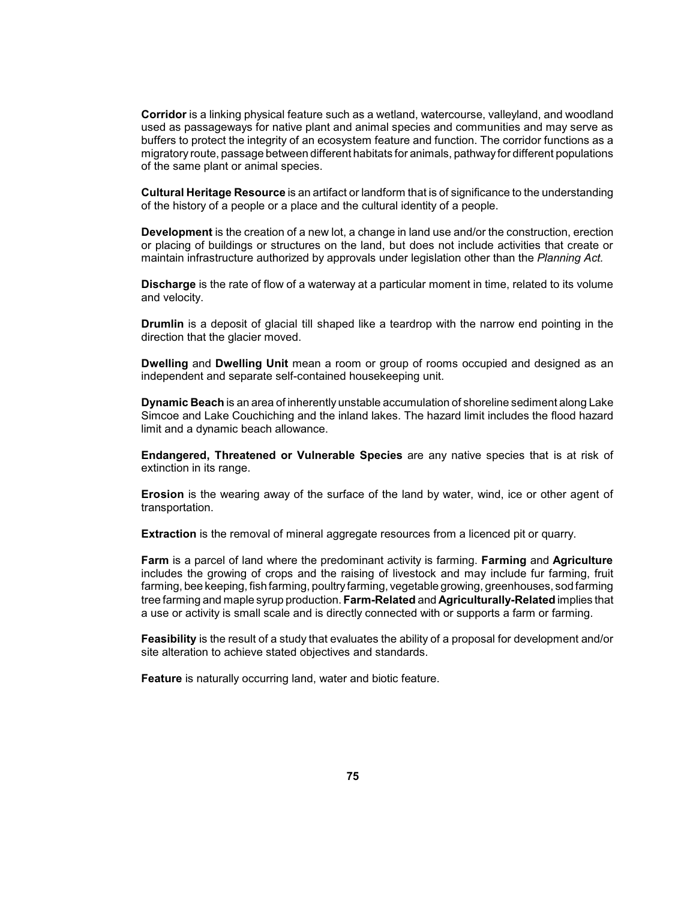used as passageways for native plant and animal species and communities and may serve as buffers to protect the integrity of an ecosystem feature and function. The corridor functions as a **Corridor** is a linking physical feature such as a wetland, watercourse, valleyland, and woodland migratory route, passage between different habitats for animals, pathwayfor different populations of the same plant or animal species.

 **Cultural Heritage Resource** is an artifact or landform that is of significance to the understanding of the history of a people or a place and the cultural identity of a people.

 **Development** is the creation of a new lot, a change in land use and/or the construction, erection or placing of buildings or structures on the land, but does not include activities that create or maintain infrastructure authorized by approvals under legislation other than the *Planning Act.* 

 **Discharge** is the rate of flow of a waterway at a particular moment in time, related to its volume and velocity.

 **Drumlin** is a deposit of glacial till shaped like a teardrop with the narrow end pointing in the direction that the glacier moved.

 **Dwelling** and **Dwelling Unit** mean a room or group of rooms occupied and designed as an independent and separate self-contained housekeeping unit.

 **Dynamic Beach** is an area of inherently unstable accumulation of shoreline sediment along Lake Simcoe and Lake Couchiching and the inland lakes. The hazard limit includes the flood hazard limit and a dynamic beach allowance.

 **Endangered, Threatened or Vulnerable Species** are any native species that is at risk of extinction in its range.

 **Erosion** is the wearing away of the surface of the land by water, wind, ice or other agent of transportation.

**Extraction** is the removal of mineral aggregate resources from a licenced pit or quarry.

 **Farm** is a parcel of land where the predominant activity is farming. **Farming** and **Agriculture** includes the growing of crops and the raising of livestock and may include fur farming, fruit tree farming and maple syrup production. **Farm-Related** and **Agriculturally-Related** implies that farming, bee keeping, fish farming, poultryfarming, vegetable growing, greenhouses, sod farming a use or activity is small scale and is directly connected with or supports a farm or farming.

 **Feasibility** is the result of a study that evaluates the ability of a proposal for development and/or site alteration to achieve stated objectives and standards.

**Feature** is naturally occurring land, water and biotic feature.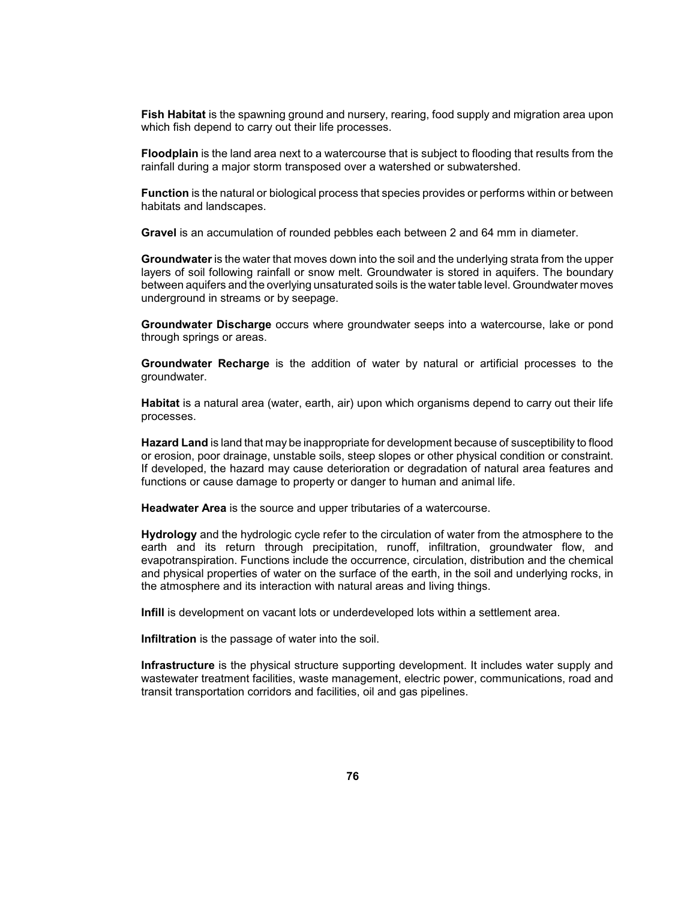**Fish Habitat** is the spawning ground and nursery, rearing, food supply and migration area upon which fish depend to carry out their life processes.

 **Floodplain** is the land area next to a watercourse that is subject to flooding that results from the rainfall during a major storm transposed over a watershed or subwatershed.

 **Function** is the natural or biological process that species provides or performs within or between habitats and landscapes.

**Gravel** is an accumulation of rounded pebbles each between 2 and 64 mm in diameter.

 layers of soil following rainfall or snow melt. Groundwater is stored in aquifers. The boundary between aquifers and the overlying unsaturated soils is the water table level. Groundwater moves **Groundwater** is the water that moves down into the soil and the underlying strata from the upper underground in streams or by seepage.

 **Groundwater Discharge** occurs where groundwater seeps into a watercourse, lake or pond through springs or areas.

 **Groundwater Recharge** is the addition of water by natural or artificial processes to the groundwater.

 **Habitat** is a natural area (water, earth, air) upon which organisms depend to carry out their life processes.

 If developed, the hazard may cause deterioration or degradation of natural area features and **Hazard Land** is land that may be inappropriate for development because of susceptibility to flood or erosion, poor drainage, unstable soils, steep slopes or other physical condition or constraint. functions or cause damage to property or danger to human and animal life.

**Headwater Area** is the source and upper tributaries of a watercourse.

 **Hydrology** and the hydrologic cycle refer to the circulation of water from the atmosphere to the and physical properties of water on the surface of the earth, in the soil and underlying rocks, in earth and its return through precipitation, runoff, infiltration, groundwater flow, and evapotranspiration. Functions include the occurrence, circulation, distribution and the chemical the atmosphere and its interaction with natural areas and living things.

**Infill** is development on vacant lots or underdeveloped lots within a settlement area.

**Infiltration** is the passage of water into the soil.

**Infrastructure** is the physical structure supporting development. It includes water supply and wastewater treatment facilities, waste management, electric power, communications, road and transit transportation corridors and facilities, oil and gas pipelines.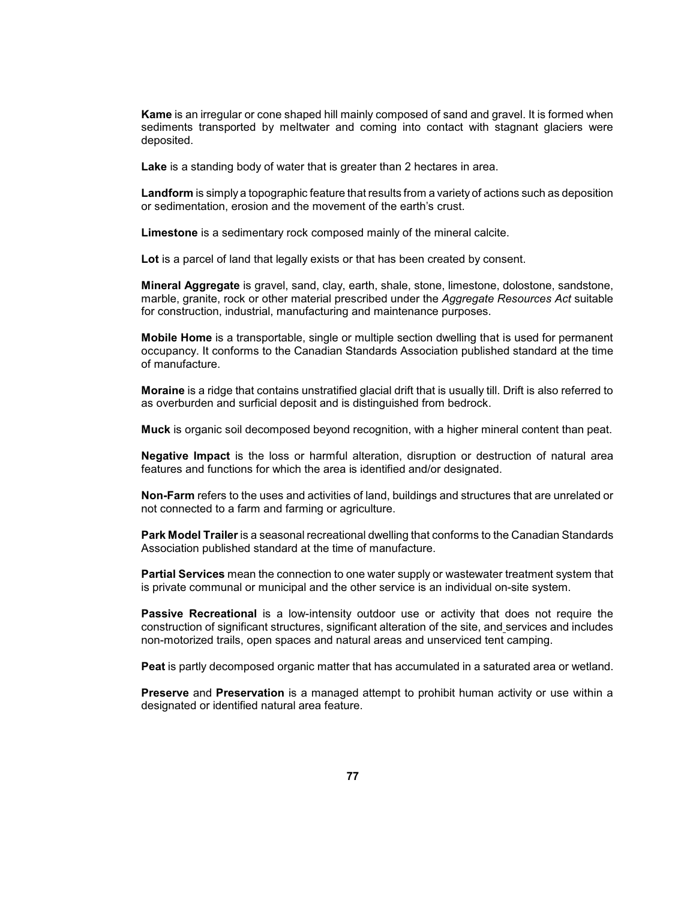**Kame** is an irregular or cone shaped hill mainly composed of sand and gravel. It is formed when sediments transported by meltwater and coming into contact with stagnant glaciers were deposited.

**Lake** is a standing body of water that is greater than 2 hectares in area.

 **Landform** is simply a topographic feature that results from a variety of actions such as deposition or sedimentation, erosion and the movement of the earth's crust.

**Limestone** is a sedimentary rock composed mainly of the mineral calcite.

Lot is a parcel of land that legally exists or that has been created by consent.

**Mineral Aggregate** is gravel, sand, clay, earth, shale, stone, limestone, dolostone, sandstone, marble, granite, rock or other material prescribed under the *Aggregate Resources Act* suitable for construction, industrial, manufacturing and maintenance purposes.

 **Mobile Home** is a transportable, single or multiple section dwelling that is used for permanent occupancy. It conforms to the Canadian Standards Association published standard at the time of manufacture.

 **Moraine** is a ridge that contains unstratified glacial drift that is usually till. Drift is also referred to as overburden and surficial deposit and is distinguished from bedrock.

**Muck** is organic soil decomposed beyond recognition, with a higher mineral content than peat.

 **Negative Impact** is the loss or harmful alteration, disruption or destruction of natural area features and functions for which the area is identified and/or designated.

 **Non-Farm** refers to the uses and activities of land, buildings and structures that are unrelated or not connected to a farm and farming or agriculture.

 **Park Model Trailer** is a seasonal recreational dwelling that conforms to the Canadian Standards Association published standard at the time of manufacture.

**Partial Services** mean the connection to one water supply or wastewater treatment system that is private communal or municipal and the other service is an individual on-site system.

 **Passive Recreational** is a low-intensity outdoor use or activity that does not require the construction of significant structures, significant alteration of the site, and services and includes non-motorized trails, open spaces and natural areas and unserviced tent camping.

**Peat** is partly decomposed organic matter that has accumulated in a saturated area or wetland.

 **Preserve** and **Preservation** is a managed attempt to prohibit human activity or use within a designated or identified natural area feature.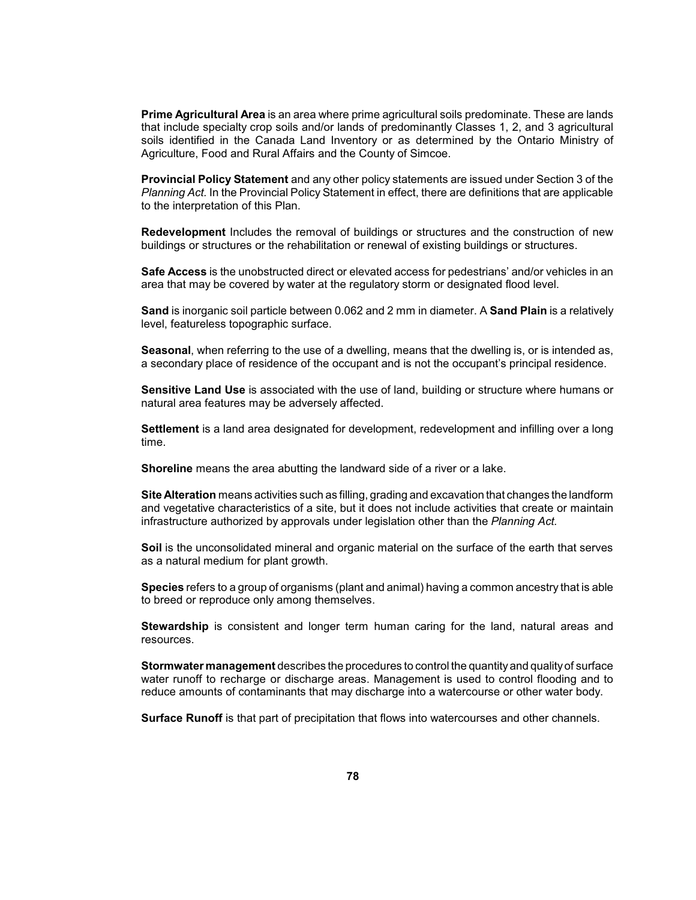**Prime Agricultural Area** is an area where prime agricultural soils predominate. These are lands that include specialty crop soils and/or lands of predominantly Classes 1, 2, and 3 agricultural soils identified in the Canada Land Inventory or as determined by the Ontario Ministry of Agriculture, Food and Rural Affairs and the County of Simcoe.

 **Provincial Policy Statement** and any other policy statements are issued under Section 3 of the *Planning Act.* In the Provincial Policy Statement in effect, there are definitions that are applicable to the interpretation of this Plan.

 **Redevelopment** Includes the removal of buildings or structures and the construction of new buildings or structures or the rehabilitation or renewal of existing buildings or structures.

**Safe Access** is the unobstructed direct or elevated access for pedestrians' and/or vehicles in an area that may be covered by water at the regulatory storm or designated flood level.

 **Sand** is inorganic soil particle between 0.062 and 2 mm in diameter. A **Sand Plain** is a relatively level, featureless topographic surface.

 **Seasonal**, when referring to the use of a dwelling, means that the dwelling is, or is intended as, a secondary place of residence of the occupant and is not the occupant's principal residence.

 **Sensitive Land Use** is associated with the use of land, building or structure where humans or natural area features may be adversely affected.

**Settlement** is a land area designated for development, redevelopment and infilling over a long time.

**Shoreline** means the area abutting the landward side of a river or a lake.

 **Site Alteration** means activities such as filling, grading and excavation that changes the landform and vegetative characteristics of a site, but it does not include activities that create or maintain infrastructure authorized by approvals under legislation other than the *Planning Act.* 

**Soil** is the unconsolidated mineral and organic material on the surface of the earth that serves as a natural medium for plant growth.

**Species** refers to a group of organisms (plant and animal) having a common ancestry that is able to breed or reproduce only among themselves.

 **Stewardship** is consistent and longer term human caring for the land, natural areas and resources.

 **Stormwater management** describes the procedures to control the quantityand qualityof surface water runoff to recharge or discharge areas. Management is used to control flooding and to reduce amounts of contaminants that may discharge into a watercourse or other water body.

**Surface Runoff** is that part of precipitation that flows into watercourses and other channels.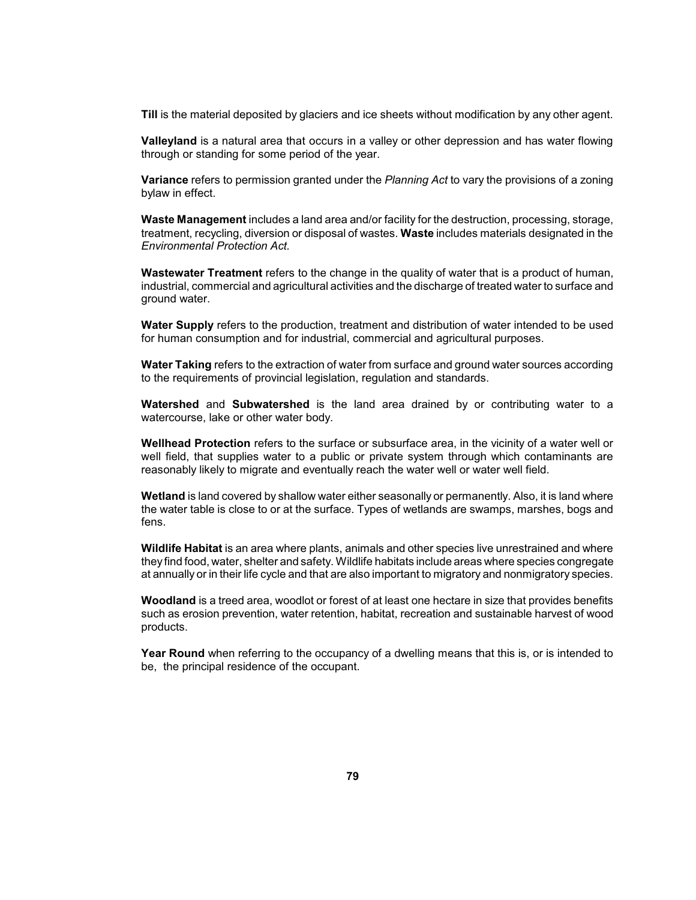**Till** is the material deposited by glaciers and ice sheets without modification by any other agent.

 **Valleyland** is a natural area that occurs in a valley or other depression and has water flowing through or standing for some period of the year.

 **Variance** refers to permission granted under the *Planning Act* to vary the provisions of a zoning bylaw in effect.

 treatment, recycling, diversion or disposal of wastes. **Waste** includes materials designated in the **Waste Management** includes a land area and/or facility for the destruction, processing, storage, *Environmental Protection Act.* 

 industrial, commercial and agricultural activities and the discharge of treated water to surface and **Wastewater Treatment** refers to the change in the quality of water that is a product of human, ground water.

**Water Supply** refers to the production, treatment and distribution of water intended to be used for human consumption and for industrial, commercial and agricultural purposes.

 **Water Taking** refers to the extraction of water from surface and ground water sources according to the requirements of provincial legislation, regulation and standards.

**Watershed** and **Subwatershed** is the land area drained by or contributing water to a watercourse, lake or other water body.

 **Wellhead Protection** refers to the surface or subsurface area, in the vicinity of a water well or well field, that supplies water to a public or private system through which contaminants are reasonably likely to migrate and eventually reach the water well or water well field.

 **Wetland** is land covered by shallow water either seasonally or permanently. Also, it is land where the water table is close to or at the surface. Types of wetlands are swamps, marshes, bogs and fens.

**Wildlife Habitat** is an area where plants, animals and other species live unrestrained and where theyfind food, water, shelter and safety. Wildlife habitats include areas where species congregate at annually or in their life cycle and that are also important to migratory and nonmigratory species.

**Woodland** is a treed area, woodlot or forest of at least one hectare in size that provides benefits such as erosion prevention, water retention, habitat, recreation and sustainable harvest of wood products.

 **Year Round** when referring to the occupancy of a dwelling means that this is, or is intended to be, the principal residence of the occupant.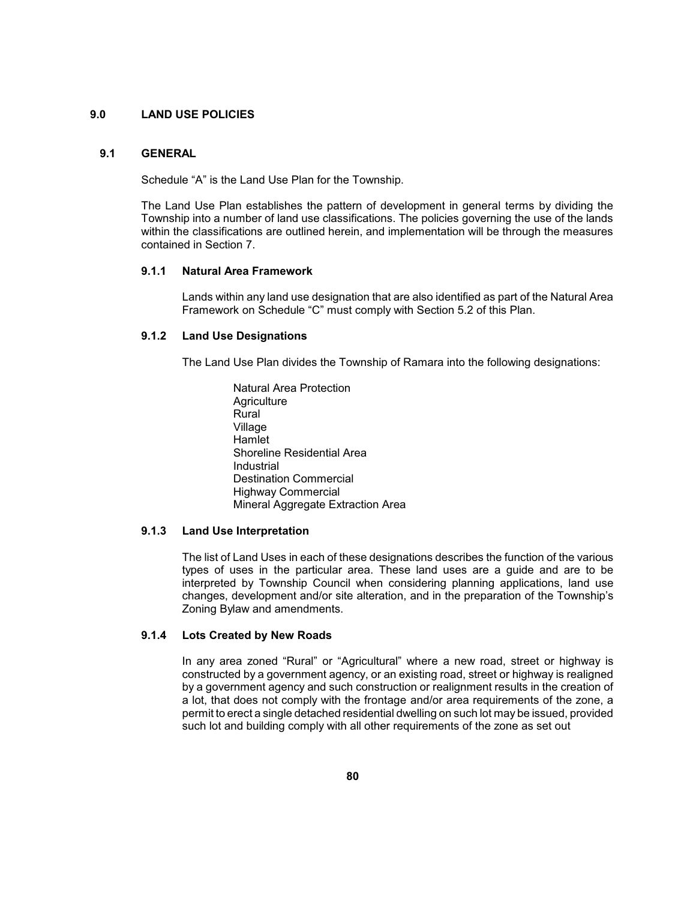### **9.0 LAND USE POLICIES**

### **9.1 GENERAL**

Schedule "A" is the Land Use Plan for the Township.

 The Land Use Plan establishes the pattern of development in general terms by dividing the Township into a number of land use classifications. The policies governing the use of the lands within the classifications are outlined herein, and implementation will be through the measures contained in Section 7.

### **9.1.1 Natural Area Framework**

 Lands within any land use designation that are also identified as part of the Natural Area Framework on Schedule "C" must comply with Section 5.2 of this Plan.

### **9.1.2 Land Use Designations**

The Land Use Plan divides the Township of Ramara into the following designations:

Natural Area Protection **Agriculture** Rural Village Hamlet Shoreline Residential Area Industrial Destination Commercial Highway Commercial Mineral Aggregate Extraction Area

# **9.1.3 Land Use Interpretation**

 The list of Land Uses in each of these designations describes the function of the various types of uses in the particular area. These land uses are a guide and are to be interpreted by Township Council when considering planning applications, land use changes, development and/or site alteration, and in the preparation of the Township's Zoning Bylaw and amendments.

### **9.1.4 Lots Created by New Roads**

 In any area zoned "Rural" or "Agricultural" where a new road, street or highway is constructed by a government agency, or an existing road, street or highway is realigned a lot, that does not comply with the frontage and/or area requirements of the zone, a by a government agency and such construction or realignment results in the creation of permit to erect a single detached residential dwelling on such lot may be issued, provided such lot and building comply with all other requirements of the zone as set out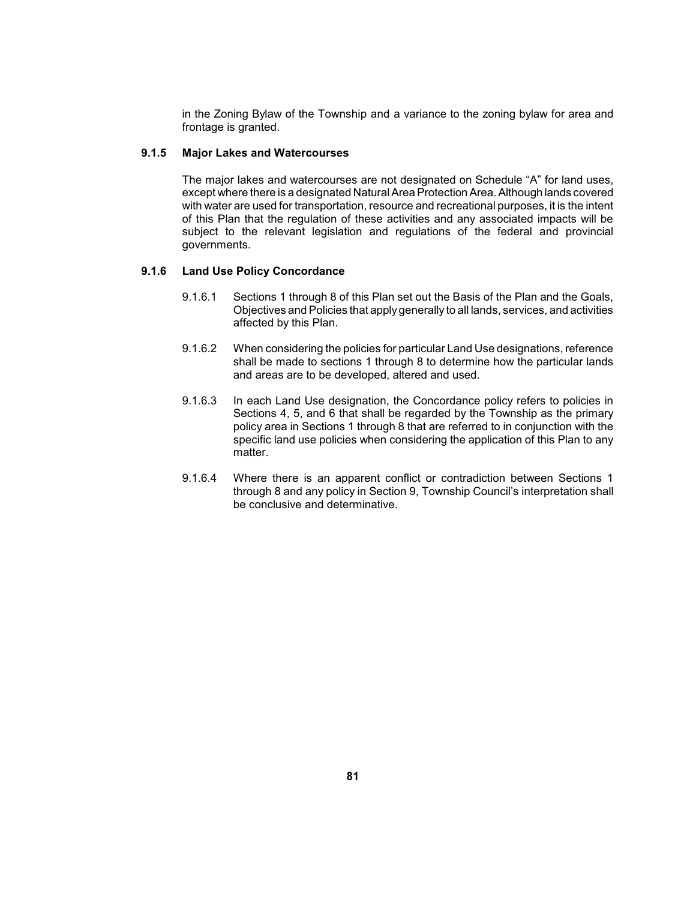in the Zoning Bylaw of the Township and a variance to the zoning bylaw for area and frontage is granted.

### **9.1.5 Major Lakes and Watercourses**

 of this Plan that the regulation of these activities and any associated impacts will be subject to the relevant legislation and regulations of the federal and provincial The major lakes and watercourses are not designated on Schedule "A" for land uses, except where there is a designated Natural Area Protection Area. Although lands covered with water are used for transportation, resource and recreational purposes, it is the intent governments.

### **9.1.6 Land Use Policy Concordance**

- 9.1.6.1 Sections 1 through 8 of this Plan set out the Basis of the Plan and the Goals, Objectives and Policies that apply generally to all lands, services, and activities affected by this Plan.
- 9.1.6.2 When considering the policies for particular Land Use designations, reference shall be made to sections 1 through 8 to determine how the particular lands and areas are to be developed, altered and used.
- 9.1.6.3 In each Land Use designation, the Concordance policy refers to policies in policy area in Sections 1 through 8 that are referred to in conjunction with the specific land use policies when considering the application of this Plan to any Sections 4, 5, and 6 that shall be regarded by the Township as the primary matter.
- 9.1.6.4 Where there is an apparent conflict or contradiction between Sections 1 through 8 and any policy in Section 9, Township Council's interpretation shall be conclusive and determinative.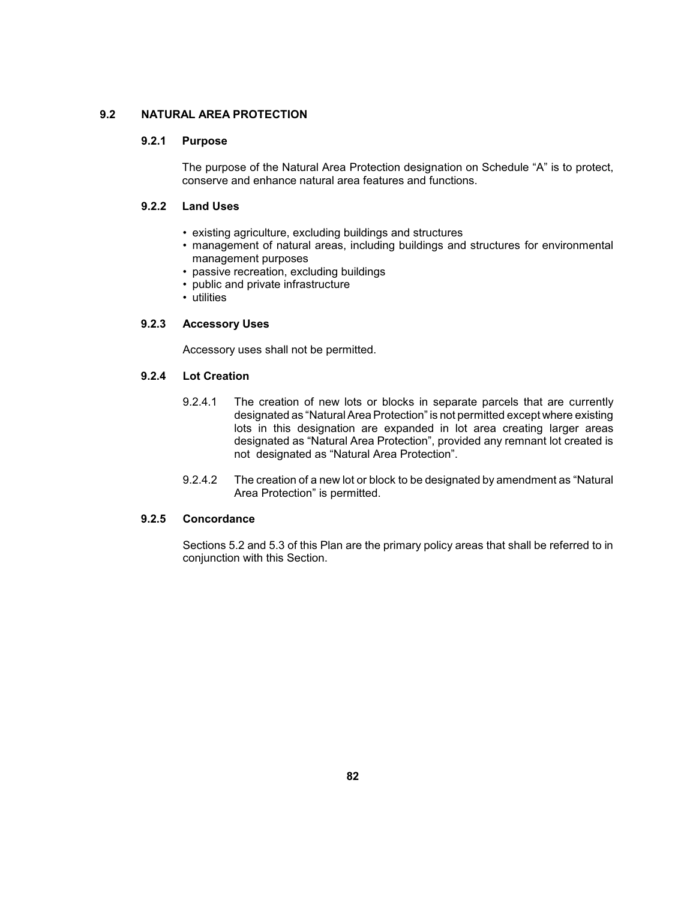# **9.2 NATURAL AREA PROTECTION**

## **9.2.1 Purpose**

 The purpose of the Natural Area Protection designation on Schedule "A" is to protect, conserve and enhance natural area features and functions.

# **9.2.2 Land Uses**

- existing agriculture, excluding buildings and structures
- • management of natural areas, including buildings and structures for environmental management purposes
- passive recreation, excluding buildings
- public and private infrastructure
- utilities

# **9.2.3 Accessory Uses**

Accessory uses shall not be permitted.

# **9.2.4 Lot Creation**

- 9.2.4.1 The creation of new lots or blocks in separate parcels that are currently designated as "Natural Area Protection" is not permitted except where existing lots in this designation are expanded in lot area creating larger areas designated as "Natural Area Protection", provided any remnant lot created is not designated as "Natural Area Protection".
- 9.2.4.2 The creation of a new lot or block to be designated by amendment as "Natural Area Protection" is permitted.

### **9.2.5 Concordance**

 Sections 5.2 and 5.3 of this Plan are the primary policy areas that shall be referred to in conjunction with this Section.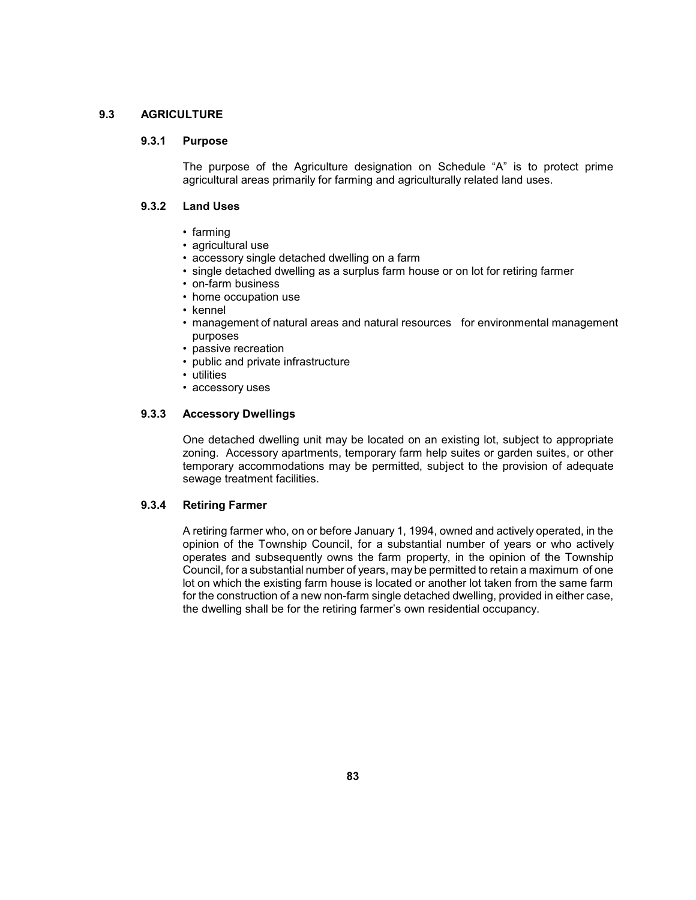## **9.3 AGRICULTURE**

### **9.3.1 Purpose**

 The purpose of the Agriculture designation on Schedule "A" is to protect prime agricultural areas primarily for farming and agriculturally related land uses.

# **9.3.2 Land Uses**

- farming
- agricultural use
- accessory single detached dwelling on a farm
- single detached dwelling as a surplus farm house or on lot for retiring farmer
- on-farm business
- home occupation use
- kennel
- management of natural areas and natural resources for environmental management purposes
- passive recreation
- public and private infrastructure
- utilities
- accessory uses

## **9.3.3 Accessory Dwellings**

 zoning. Accessory apartments, temporary farm help suites or garden suites, or other temporary accommodations may be permitted, subject to the provision of adequate One detached dwelling unit may be located on an existing lot, subject to appropriate sewage treatment facilities.

# **9.3.4 Retiring Farmer**

 opinion of the Township Council, for a substantial number of years or who actively operates and subsequently owns the farm property, in the opinion of the Township Council, for a substantial number of years, may be permitted to retain a maximum of one lot on which the existing farm house is located or another lot taken from the same farm for the construction of a new non-farm single detached dwelling, provided in either case, A retiring farmer who, on or before January 1, 1994, owned and actively operated, in the the dwelling shall be for the retiring farmer's own residential occupancy.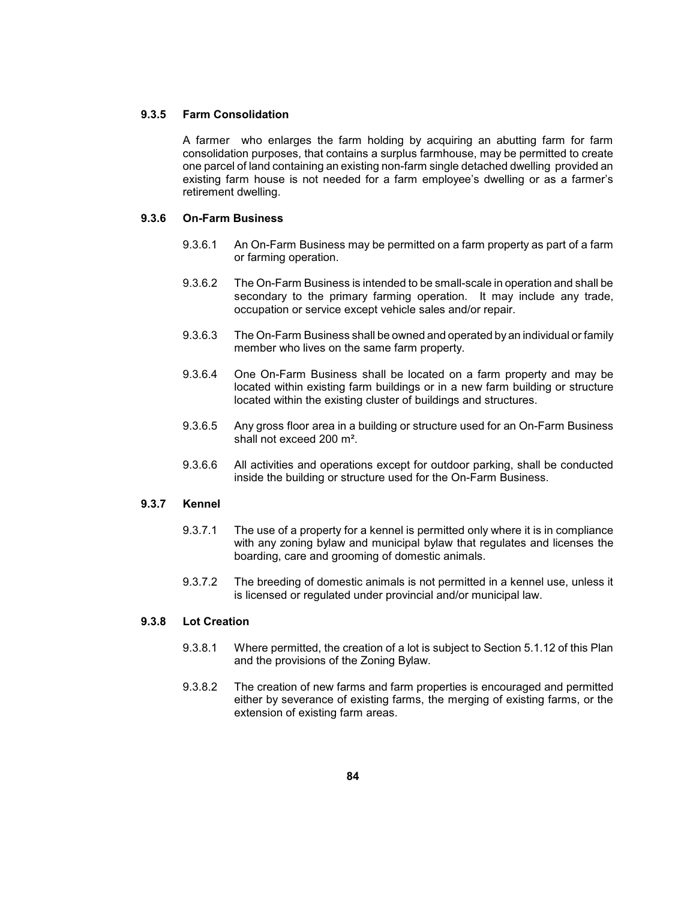### **9.3.5 Farm Consolidation**

 A farmer who enlarges the farm holding by acquiring an abutting farm for farm consolidation purposes, that contains a surplus farmhouse, may be permitted to create one parcel of land containing an existing non-farm single detached dwelling provided an existing farm house is not needed for a farm employee's dwelling or as a farmer's retirement dwelling.

# **9.3.6 On-Farm Business**

- 9.3.6.1 An On-Farm Business may be permitted on a farm property as part of a farm or farming operation.
- 9.3.6.2 The On-Farm Business is intended to be small-scale in operation and shall be secondary to the primary farming operation. It may include any trade, occupation or service except vehicle sales and/or repair.
- 9.3.6.3 The On-Farm Business shall be owned and operated by an individual or family member who lives on the same farm property.
- 9.3.6.4 One On-Farm Business shall be located on a farm property and may be located within existing farm buildings or in a new farm building or structure located within the existing cluster of buildings and structures.
- 9.3.6.5 Any gross floor area in a building or structure used for an On-Farm Business shall not exceed 200 m².
- 9.3.6.6 All activities and operations except for outdoor parking, shall be conducted inside the building or structure used for the On-Farm Business.

## **9.3.7 Kennel**

- 9.3.7.1 The use of a property for a kennel is permitted only where it is in compliance with any zoning bylaw and municipal bylaw that regulates and licenses the boarding, care and grooming of domestic animals.
- 9.3.7.2 The breeding of domestic animals is not permitted in a kennel use, unless it is licensed or regulated under provincial and/or municipal law.

# **9.3.8 Lot Creation**

- 9.3.8.1 Where permitted, the creation of a lot is subject to Section 5.1.12 of this Plan and the provisions of the Zoning Bylaw.
- either by severance of existing farms, the merging of existing farms, or the 9.3.8.2 The creation of new farms and farm properties is encouraged and permitted extension of existing farm areas.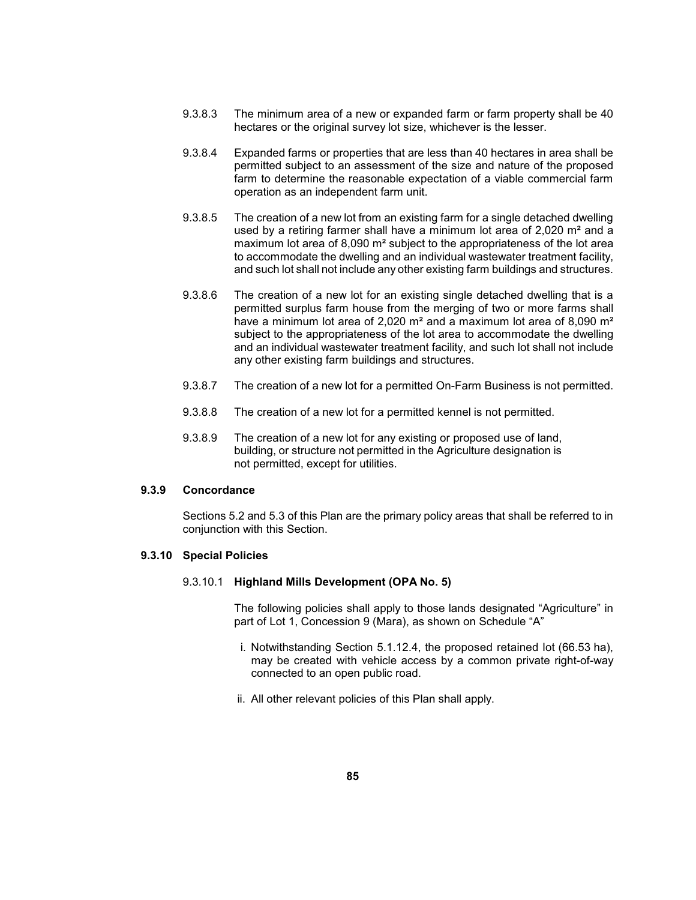- 9.3.8.3 The minimum area of a new or expanded farm or farm property shall be 40 hectares or the original survey lot size, whichever is the lesser.
- permitted subject to an assessment of the size and nature of the proposed farm to determine the reasonable expectation of a viable commercial farm 9.3.8.4 Expanded farms or properties that are less than 40 hectares in area shall be operation as an independent farm unit.
- 9.3.8.5 The creation of a new lot from an existing farm for a single detached dwelling used by a retiring farmer shall have a minimum lot area of 2,020 m² and a maximum lot area of 8,090 m<sup>2</sup> subject to the appropriateness of the lot area and such lot shall not include any other existing farm buildings and structures. to accommodate the dwelling and an individual wastewater treatment facility,
- 9.3.8.6 The creation of a new lot for an existing single detached dwelling that is a permitted surplus farm house from the merging of two or more farms shall have a minimum lot area of 2,020 m<sup>2</sup> and a maximum lot area of 8,090 m<sup>2</sup> subject to the appropriateness of the lot area to accommodate the dwelling and an individual wastewater treatment facility, and such lot shall not include any other existing farm buildings and structures.
- 9.3.8.7 The creation of a new lot for a permitted On-Farm Business is not permitted.
- 9.3.8.8 The creation of a new lot for a permitted kennel is not permitted.
- 9.3.8.9 The creation of a new lot for any existing or proposed use of land, building, or structure not permitted in the Agriculture designation is not permitted, except for utilities.

### **9.3.9 Concordance**

 Sections 5.2 and 5.3 of this Plan are the primary policy areas that shall be referred to in conjunction with this Section.

### **9.3.10 Special Policies**

### 9.3.10.1 **Highland Mills Development (OPA No. 5)**

 The following policies shall apply to those lands designated "Agriculture" in part of Lot 1, Concession 9 (Mara), as shown on Schedule "A"

- may be created with vehicle access by a common private right-of-way i. Notwithstanding Section 5.1.12.4, the proposed retained lot (66.53 ha), connected to an open public road.
- ii. All other relevant policies of this Plan shall apply.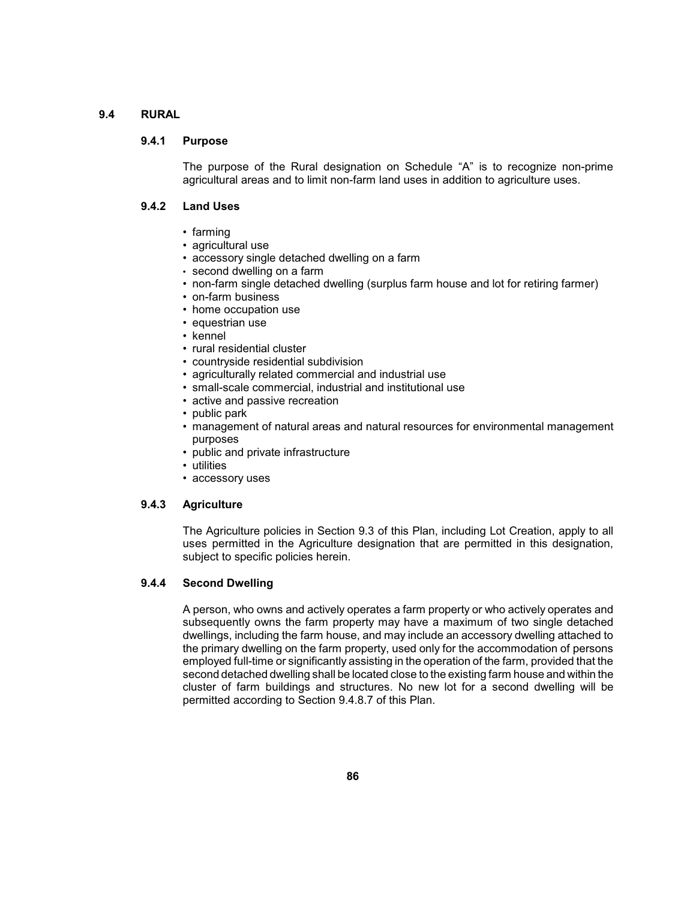# **9.4 RURAL**

### **9.4.1 Purpose**

 The purpose of the Rural designation on Schedule "A" is to recognize non-prime agricultural areas and to limit non-farm land uses in addition to agriculture uses.

# **9.4.2 Land Uses**

- farming
- agricultural use
- accessory single detached dwelling on a farm
- second dwelling on a farm
- non-farm single detached dwelling (surplus farm house and lot for retiring farmer)
- on-farm business
- home occupation use
- equestrian use
- kennel
- rural residential cluster
- countryside residential subdivision
- agriculturally related commercial and industrial use
- small-scale commercial, industrial and institutional use
- active and passive recreation
- public park
- management of natural areas and natural resources for environmental management purposes
- public and private infrastructure
- utilities
- accessory uses

### **9.4.3 Agriculture**

 The Agriculture policies in Section 9.3 of this Plan, including Lot Creation, apply to all uses permitted in the Agriculture designation that are permitted in this designation, subject to specific policies herein.

### **9.4.4 Second Dwelling**

 A person, who owns and actively operates a farm property or who actively operates and subsequently owns the farm property may have a maximum of two single detached cluster of farm buildings and structures. No new lot for a second dwelling will be dwellings, including the farm house, and may include an accessory dwelling attached to the primary dwelling on the farm property, used only for the accommodation of persons employed full-time or significantly assisting in the operation of the farm, provided that the second detached dwelling shall be located close to the existing farm house and within the permitted according to Section 9.4.8.7 of this Plan.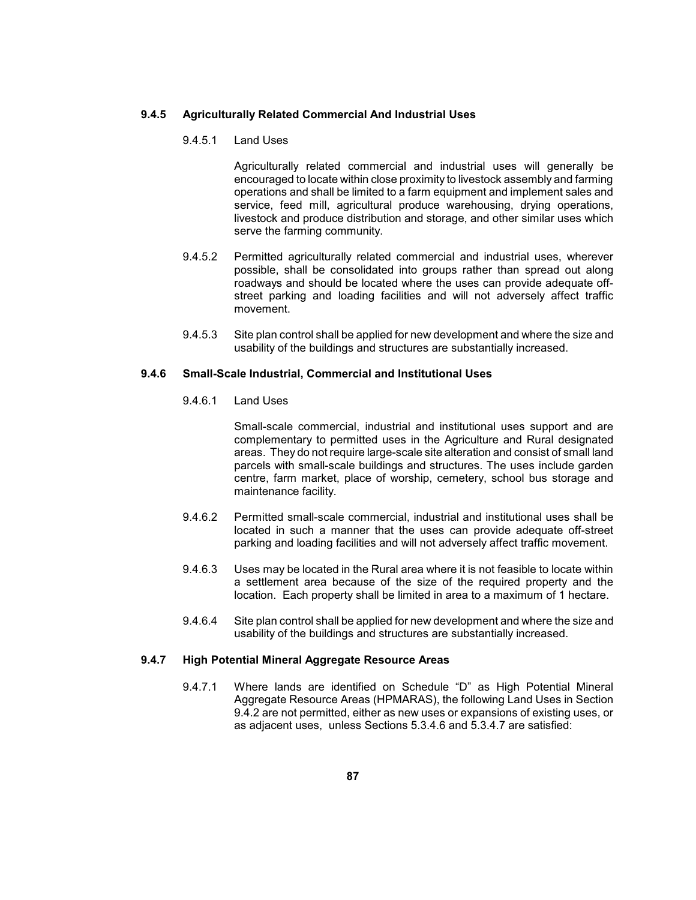#### **9.4.5 Agriculturally Related Commercial And Industrial Uses**

### 9.4.5.1 Land Uses

 Agriculturally related commercial and industrial uses will generally be encouraged to locate within close proximity to livestock assembly and farming operations and shall be limited to a farm equipment and implement sales and service, feed mill, agricultural produce warehousing, drying operations, livestock and produce distribution and storage, and other similar uses which serve the farming community.

- street parking and loading facilities and will not adversely affect traffic 9.4.5.2 Permitted agriculturally related commercial and industrial uses, wherever possible, shall be consolidated into groups rather than spread out along roadways and should be located where the uses can provide adequate offmovement.
- 9.4.5.3 Site plan control shall be applied for new development and where the size and usability of the buildings and structures are substantially increased.

# **9.4.6 Small-Scale Industrial, Commercial and Institutional Uses**

# 9.4.6.1 Land Uses

 Small-scale commercial, industrial and institutional uses support and are areas. They do not require large-scale site alteration and consist of small land parcels with small-scale buildings and structures. The uses include garden centre, farm market, place of worship, cemetery, school bus storage and complementary to permitted uses in the Agriculture and Rural designated maintenance facility.

- 9.4.6.2 Permitted small-scale commercial, industrial and institutional uses shall be located in such a manner that the uses can provide adequate off-street parking and loading facilities and will not adversely affect traffic movement.
- 9.4.6.3 Uses may be located in the Rural area where it is not feasible to locate within a settlement area because of the size of the required property and the location. Each property shall be limited in area to a maximum of 1 hectare.
- 9.4.6.4 Site plan control shall be applied for new development and where the size and usability of the buildings and structures are substantially increased.

#### **9.4.7 High Potential Mineral Aggregate Resource Areas**

 9.4.2 are not permitted, either as new uses or expansions of existing uses, or 9.4.7.1 Where lands are identified on Schedule "D" as High Potential Mineral Aggregate Resource Areas (HPMARAS), the following Land Uses in Section as adjacent uses, unless Sections 5.3.4.6 and 5.3.4.7 are satisfied: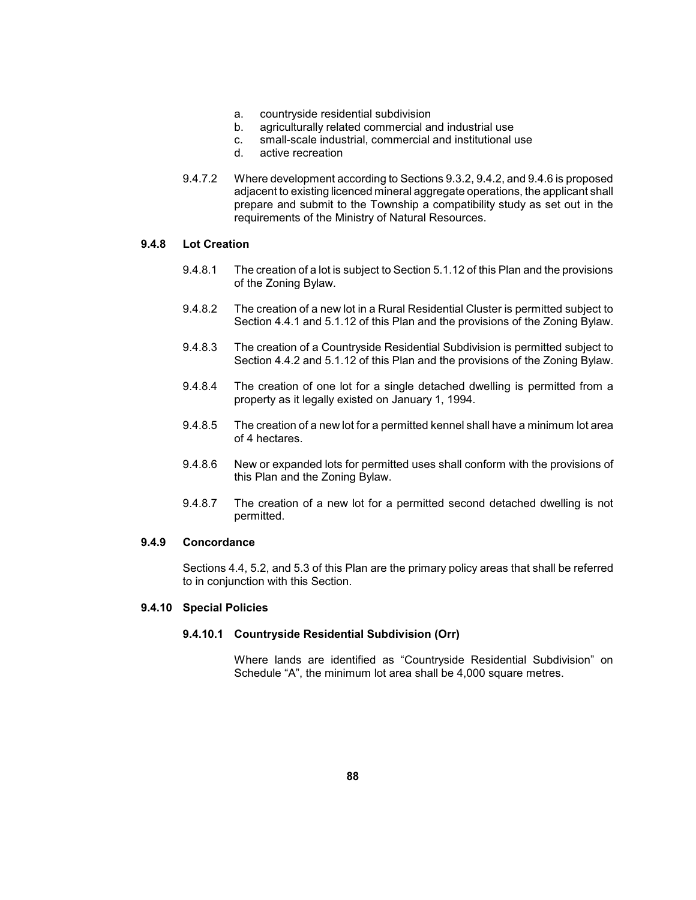- a. countryside residential subdivision
- b. agriculturally related commercial and industrial use
- c. small-scale industrial, commercial and institutional use
- d. active recreation
- prepare and submit to the Township a compatibility study as set out in the 9.4.7.2 Where development according to Sections 9.3.2, 9.4.2, and 9.4.6 is proposed adjacent to existing licenced mineral aggregate operations, the applicant shall requirements of the Ministry of Natural Resources.

# **9.4.8 Lot Creation**

- 9.4.8.1 The creation of a lot is subject to Section 5.1.12 of this Plan and the provisions of the Zoning Bylaw.
- 9.4.8.2 The creation of a new lot in a Rural Residential Cluster is permitted subject to Section 4.4.1 and 5.1.12 of this Plan and the provisions of the Zoning Bylaw.
- Section 4.4.2 and 5.1.12 of this Plan and the provisions of the Zoning Bylaw. 9.4.8.3 The creation of a Countryside Residential Subdivision is permitted subject to
- 9.4.8.4 The creation of one lot for a single detached dwelling is permitted from a property as it legally existed on January 1, 1994.
- 9.4.8.5 The creation of a new lot for a permitted kennel shall have a minimum lot area of 4 hectares.
- 9.4.8.6 New or expanded lots for permitted uses shall conform with the provisions of this Plan and the Zoning Bylaw.
- 9.4.8.7 The creation of a new lot for a permitted second detached dwelling is not permitted.

### **9.4.9 Concordance**

 Sections 4.4, 5.2, and 5.3 of this Plan are the primary policy areas that shall be referred to in conjunction with this Section.

# **9.4.10 Special Policies**

### **9.4.10.1 Countryside Residential Subdivision (Orr)**

Where lands are identified as "Countryside Residential Subdivision" on Schedule "A", the minimum lot area shall be 4,000 square metres.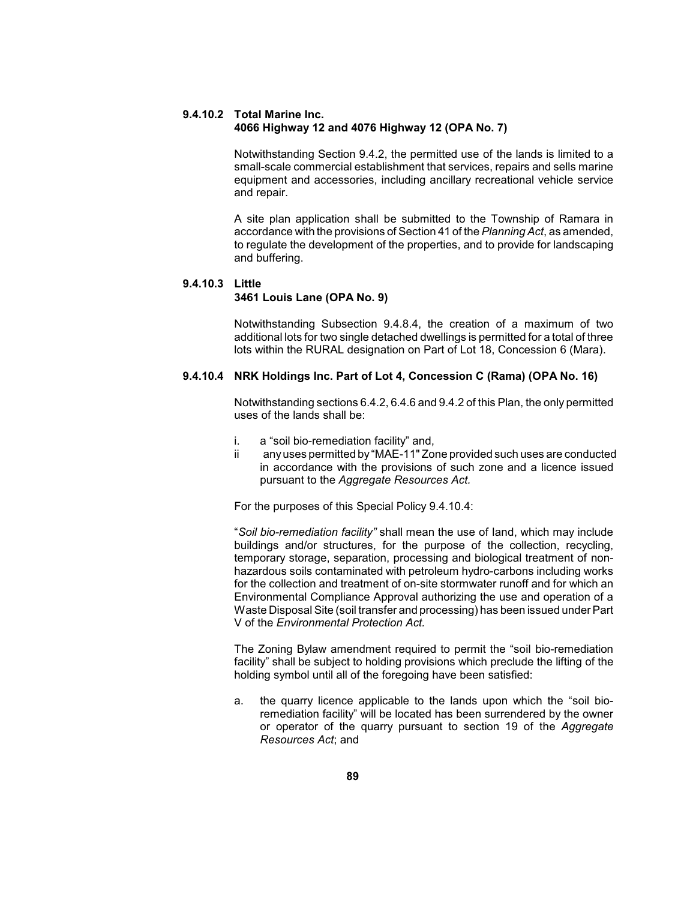### **9.4.10.2 Total Marine Inc. 4066 Highway 12 and 4076 Highway 12 (OPA No. 7)**

 Notwithstanding Section 9.4.2, the permitted use of the lands is limited to a small-scale commercial establishment that services, repairs and sells marine equipment and accessories, including ancillary recreational vehicle service and repair.

 A site plan application shall be submitted to the Township of Ramara in accordance with the provisions of Section 41 of the *Planning Act*, as amended, to regulate the development of the properties, and to provide for landscaping and buffering.

# **9.4.10.3 Little**

### **3461 Louis Lane (OPA No. 9)**

 Notwithstanding Subsection 9.4.8.4, the creation of a maximum of two additional lots for two single detached dwellings is permitted for a total of three lots within the RURAL designation on Part of Lot 18, Concession 6 (Mara).

## **9.4.10.4 NRK Holdings Inc. Part of Lot 4, Concession C (Rama) (OPA No. 16)**

 Notwithstanding sections 6.4.2, 6.4.6 and 9.4.2 of this Plan, the only permitted uses of the lands shall be:

- i. a "soil bio-remediation facility" and,
- ii any uses permitted by "MAE-11" Zone provided such uses are conducted in accordance with the provisions of such zone and a licence issued pursuant to the *Aggregate Resources Act.*

For the purposes of this Special Policy 9.4.10.4:

 "*Soil bio-remediation facility"* shall mean the use of land, which may include hazardous soils contaminated with petroleum hydro-carbons including works Waste Disposal Site (soil transfer and processing) has been issued under Part buildings and/or structures, for the purpose of the collection, recycling, temporary storage, separation, processing and biological treatment of nonfor the collection and treatment of on-site stormwater runoff and for which an Environmental Compliance Approval authorizing the use and operation of a V of the *Environmental Protection Act.* 

 The Zoning Bylaw amendment required to permit the "soil bio-remediation holding symbol until all of the foregoing have been satisfied: facility" shall be subject to holding provisions which preclude the lifting of the

 or operator of the quarry pursuant to section 19 of the *Aggregate*  a. the quarry licence applicable to the lands upon which the "soil bioremediation facility" will be located has been surrendered by the owner *Resources Act*; and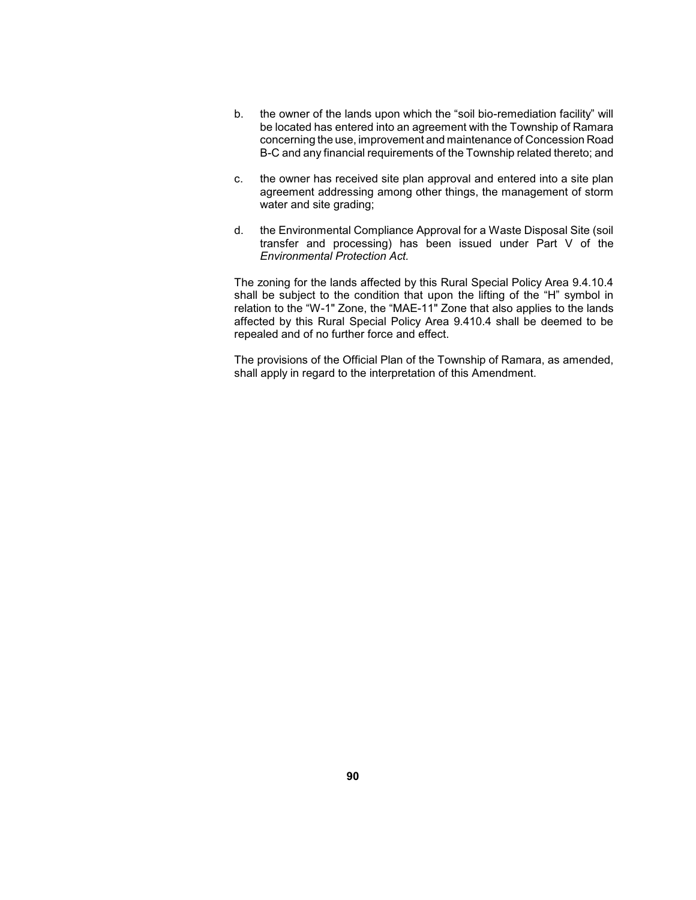- b. the owner of the lands upon which the "soil bio-remediation facility" will B-C and any financial requirements of the Township related thereto; and be located has entered into an agreement with the Township of Ramara concerning the use, improvement and maintenance of Concession Road
- c. the owner has received site plan approval and entered into a site plan agreement addressing among other things, the management of storm water and site grading;
- d. the Environmental Compliance Approval for a Waste Disposal Site (soil transfer and processing) has been issued under Part V of the *Environmental Protection Act.*

 The zoning for the lands affected by this Rural Special Policy Area 9.4.10.4 shall be subject to the condition that upon the lifting of the "H" symbol in affected by this Rural Special Policy Area 9.410.4 shall be deemed to be relation to the "W-1" Zone, the "MAE-11" Zone that also applies to the lands repealed and of no further force and effect.

 The provisions of the Official Plan of the Township of Ramara, as amended, shall apply in regard to the interpretation of this Amendment.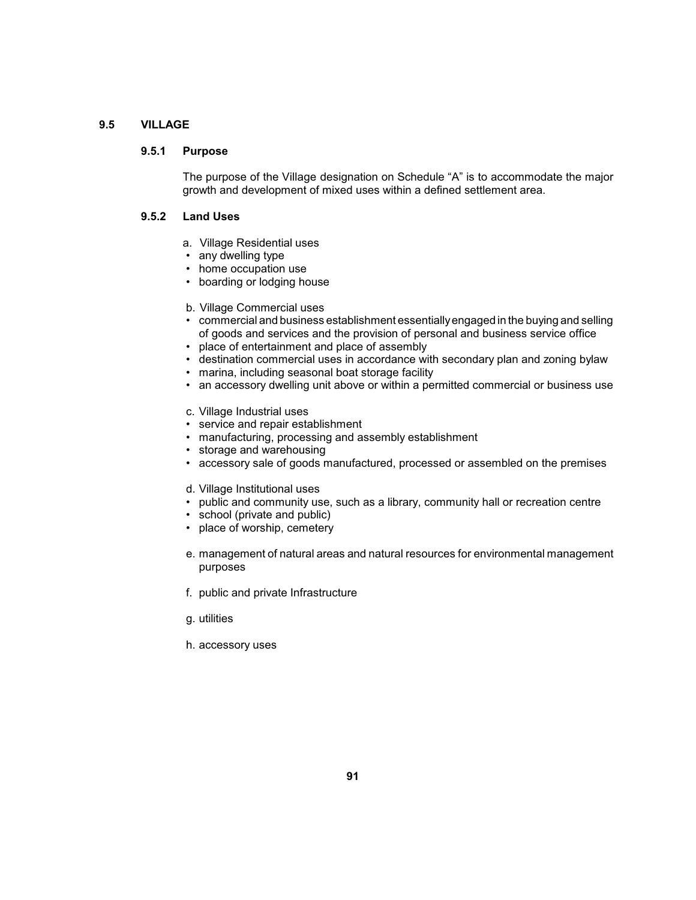# **9.5 VILLAGE**

# **9.5.1 Purpose**

 The purpose of the Village designation on Schedule "A" is to accommodate the major growth and development of mixed uses within a defined settlement area.

### **9.5.2 Land Uses**

- a. Village Residential uses
- any dwelling type
- home occupation use
- • boarding or lodging house
- b. Village Commercial uses
- • commercial and business establishment essentiallyengaged in the buying and selling of goods and services and the provision of personal and business service office
- • place of entertainment and place of assembly
- • destination commercial uses in accordance with secondary plan and zoning bylaw
- marina, including seasonal boat storage facility
- an accessory dwelling unit above or within a permitted commercial or business use
- c. Village Industrial uses
- • service and repair establishment
- • manufacturing, processing and assembly establishment
- • storage and warehousing
- accessory sale of goods manufactured, processed or assembled on the premises
- d. Village Institutional uses
- public and community use, such as a library, community hall or recreation centre
- school (private and public)
- place of worship, cemetery
- e. management of natural areas and natural resources for environmental management purposes
- f. public and private Infrastructure
- g. utilities
- h. accessory uses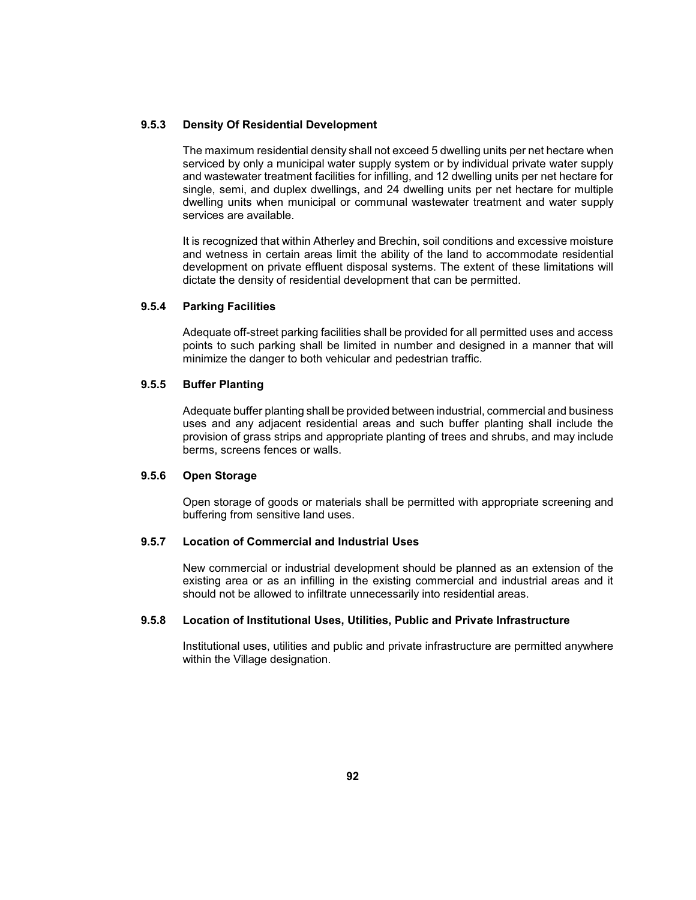# **9.5.3 Density Of Residential Development**

 The maximum residential density shall not exceed 5 dwelling units per net hectare when serviced by only a municipal water supply system or by individual private water supply and wastewater treatment facilities for infilling, and 12 dwelling units per net hectare for single, semi, and duplex dwellings, and 24 dwelling units per net hectare for multiple dwelling units when municipal or communal wastewater treatment and water supply services are available.

 It is recognized that within Atherley and Brechin, soil conditions and excessive moisture and wetness in certain areas limit the ability of the land to accommodate residential development on private effluent disposal systems. The extent of these limitations will dictate the density of residential development that can be permitted.

# **9.5.4 Parking Facilities**

 Adequate off-street parking facilities shall be provided for all permitted uses and access points to such parking shall be limited in number and designed in a manner that will minimize the danger to both vehicular and pedestrian traffic.

## **9.5.5 Buffer Planting**

 uses and any adjacent residential areas and such buffer planting shall include the provision of grass strips and appropriate planting of trees and shrubs, and may include Adequate buffer planting shall be provided between industrial, commercial and business berms, screens fences or walls.

# **9.5.6 Open Storage**

 Open storage of goods or materials shall be permitted with appropriate screening and buffering from sensitive land uses.

### **9.5.7 Location of Commercial and Industrial Uses**

 existing area or as an infilling in the existing commercial and industrial areas and it New commercial or industrial development should be planned as an extension of the should not be allowed to infiltrate unnecessarily into residential areas.

# **9.5.8 Location of Institutional Uses, Utilities, Public and Private Infrastructure**

 Institutional uses, utilities and public and private infrastructure are permitted anywhere within the Village designation.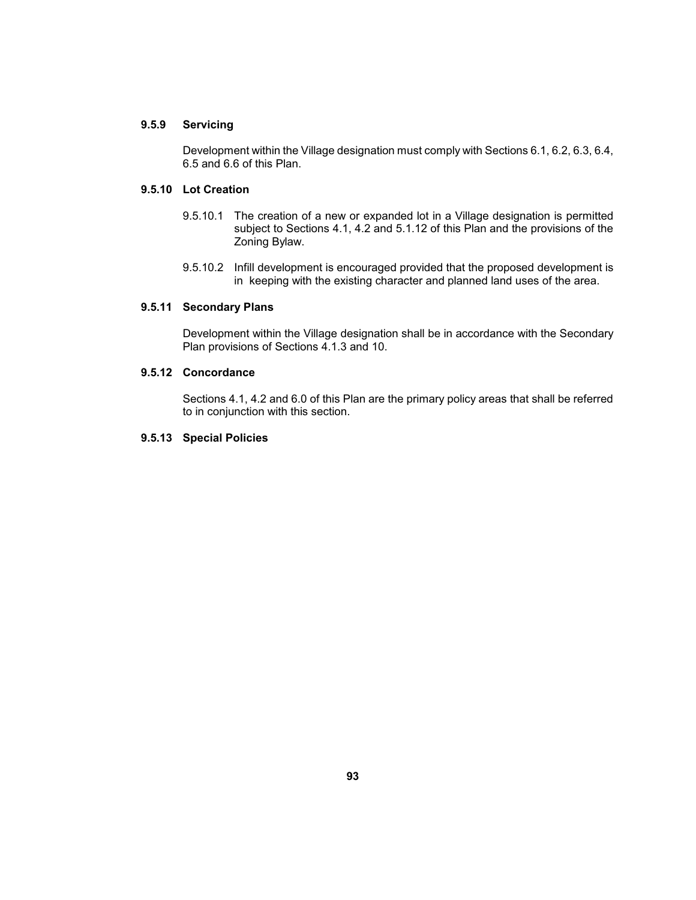# **9.5.9 Servicing**

Development within the Village designation must comply with Sections 6.1, 6.2, 6.3, 6.4, 6.5 and 6.6 of this Plan.

# **9.5.10 Lot Creation**

- 9.5.10.1 The creation of a new or expanded lot in a Village designation is permitted subject to Sections 4.1, 4.2 and 5.1.12 of this Plan and the provisions of the Zoning Bylaw.
- 9.5.10.2 Infill development is encouraged provided that the proposed development is in keeping with the existing character and planned land uses of the area.

# **9.5.11 Secondary Plans**

Development within the Village designation shall be in accordance with the Secondary Plan provisions of Sections 4.1.3 and 10.

# **9.5.12 Concordance**

 Sections 4.1, 4.2 and 6.0 of this Plan are the primary policy areas that shall be referred to in conjunction with this section.

# **9.5.13 Special Policies**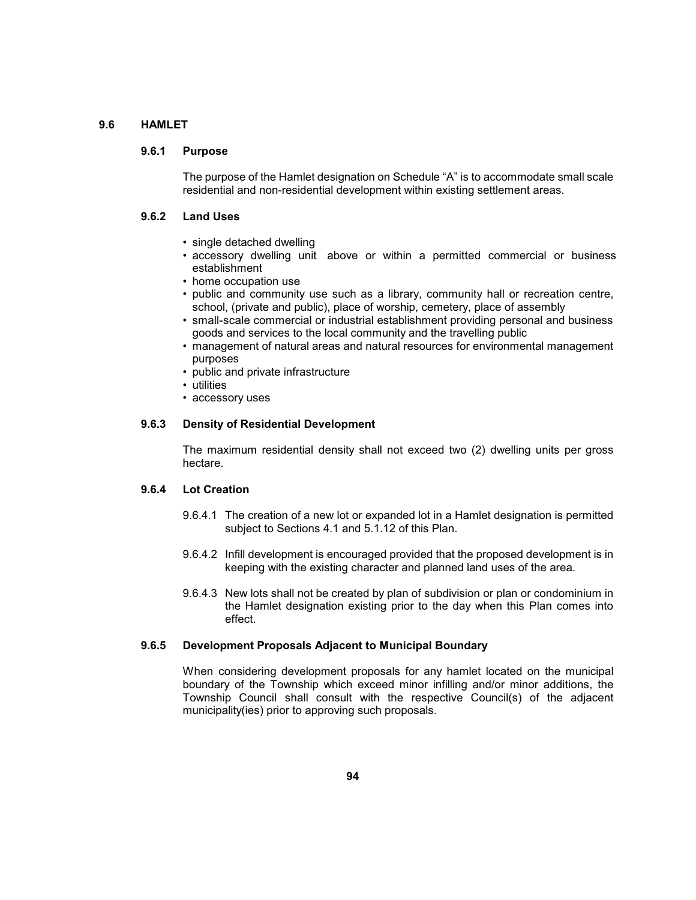# **9.6 HAMLET**

# **9.6.1 Purpose**

The purpose of the Hamlet designation on Schedule "A" is to accommodate small scale residential and non-residential development within existing settlement areas.

### **9.6.2 Land Uses**

- single detached dwelling
- accessory dwelling unit above or within a permitted commercial or business establishment
- home occupation use
- • public and community use such as a library, community hall or recreation centre, school, (private and public), place of worship, cemetery, place of assembly
- small-scale commercial or industrial establishment providing personal and business goods and services to the local community and the travelling public
- management of natural areas and natural resources for environmental management purposes
- public and private infrastructure
- utilities
- accessory uses

## **9.6.3 Density of Residential Development**

 The maximum residential density shall not exceed two (2) dwelling units per gross hectare.

#### **9.6.4 Lot Creation**

- 9.6.4.1 The creation of a new lot or expanded lot in a Hamlet designation is permitted subject to Sections 4.1 and 5.1.12 of this Plan.
- 9.6.4.2 Infill development is encouraged provided that the proposed development is in keeping with the existing character and planned land uses of the area.
- 9.6.4.3 New lots shall not be created by plan of subdivision or plan or condominium in the Hamlet designation existing prior to the day when this Plan comes into effect.

### **9.6.5 Development Proposals Adjacent to Municipal Boundary**

 When considering development proposals for any hamlet located on the municipal boundary of the Township which exceed minor infilling and/or minor additions, the Township Council shall consult with the respective Council(s) of the adjacent municipality(ies) prior to approving such proposals.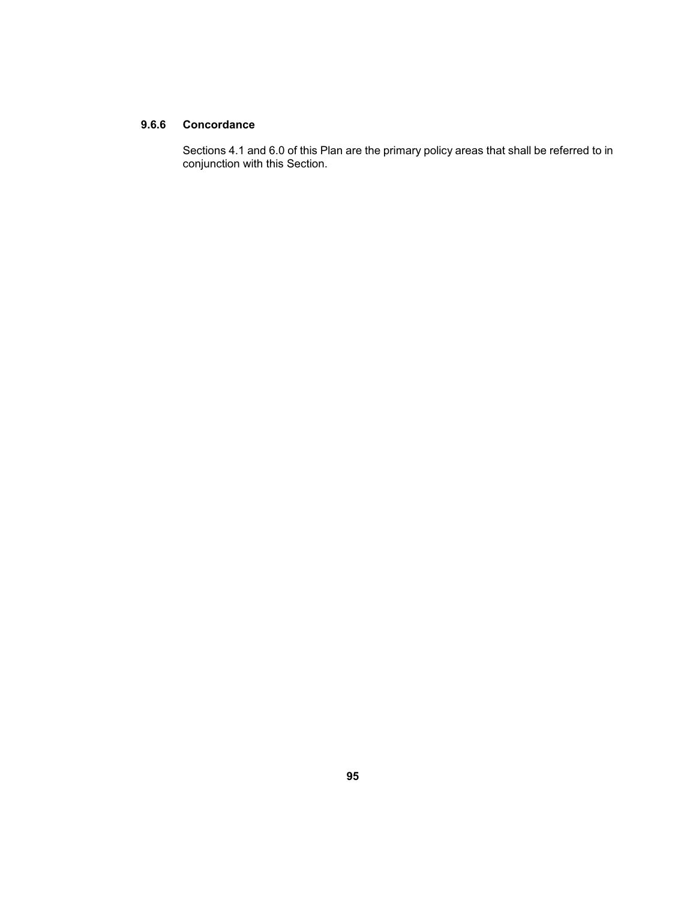# **9.6.6 Concordance**

 Sections 4.1 and 6.0 of this Plan are the primary policy areas that shall be referred to in conjunction with this Section.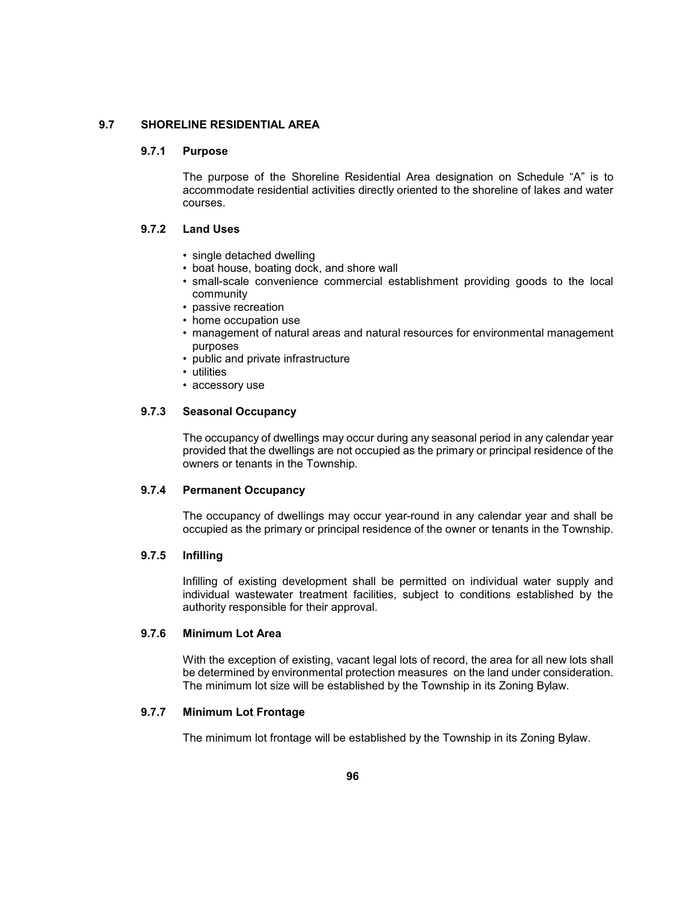# **9.7 SHORELINE RESIDENTIAL AREA**

### **9.7.1 Purpose**

 The purpose of the Shoreline Residential Area designation on Schedule "A" is to accommodate residential activities directly oriented to the shoreline of lakes and water courses.

### **9.7.2 Land Uses**

- single detached dwelling
- boat house, boating dock, and shore wall
- • small-scale convenience commercial establishment providing goods to the local community
- passive recreation
- home occupation use
- management of natural areas and natural resources for environmental management purposes
- public and private infrastructure
- utilities
- accessory use

# **9.7.3 Seasonal Occupancy**

 The occupancy of dwellings may occur during any seasonal period in any calendar year provided that the dwellings are not occupied as the primary or principal residence of the owners or tenants in the Township.

### **9.7.4 Permanent Occupancy**

 The occupancy of dwellings may occur year-round in any calendar year and shall be occupied as the primary or principal residence of the owner or tenants in the Township.

### **9.7.5 Infilling**

Infilling of existing development shall be permitted on individual water supply and individual wastewater treatment facilities, subject to conditions established by the authority responsible for their approval.

### **9.7.6 Minimum Lot Area**

 With the exception of existing, vacant legal lots of record, the area for all new lots shall be determined by environmental protection measures on the land under consideration. The minimum lot size will be established by the Township in its Zoning Bylaw.

# **9.7.7 Minimum Lot Frontage**

The minimum lot frontage will be established by the Township in its Zoning Bylaw.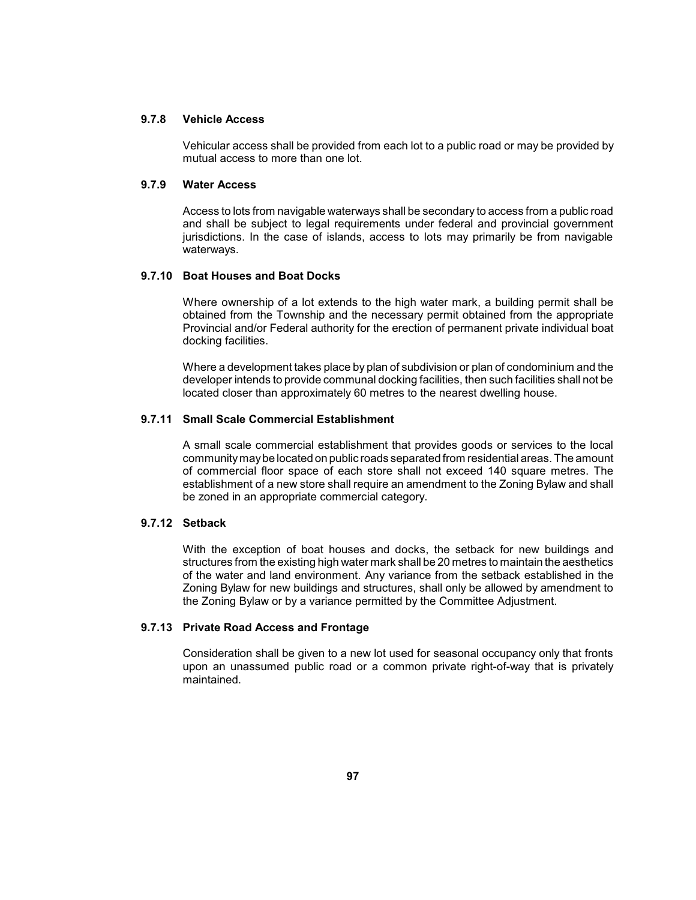# **9.7.8 Vehicle Access**

 Vehicular access shall be provided from each lot to a public road or may be provided by mutual access to more than one lot.

# **9.7.9 Water Access**

 Access to lots from navigable waterways shall be secondary to access from a public road jurisdictions. In the case of islands, access to lots may primarily be from navigable and shall be subject to legal requirements under federal and provincial government waterways.

### **9.7.10 Boat Houses and Boat Docks**

 Provincial and/or Federal authority for the erection of permanent private individual boat Where ownership of a lot extends to the high water mark, a building permit shall be obtained from the Township and the necessary permit obtained from the appropriate docking facilities.

 Where a development takes place by plan of subdivision or plan of condominium and the developer intends to provide communal docking facilities, then such facilities shall not be located closer than approximately 60 metres to the nearest dwelling house.

# **9.7.11 Small Scale Commercial Establishment**

 A small scale commercial establishment that provides goods or services to the local communitymaybe located on public roads separated from residential areas. The amount of commercial floor space of each store shall not exceed 140 square metres. The establishment of a new store shall require an amendment to the Zoning Bylaw and shall be zoned in an appropriate commercial category.

# **9.7.12 Setback**

 With the exception of boat houses and docks, the setback for new buildings and structures from the existing high water mark shall be 20 metres to maintain the aesthetics of the water and land environment. Any variance from the setback established in the Zoning Bylaw for new buildings and structures, shall only be allowed by amendment to the Zoning Bylaw or by a variance permitted by the Committee Adjustment.

# **9.7.13 Private Road Access and Frontage**

 Consideration shall be given to a new lot used for seasonal occupancy only that fronts upon an unassumed public road or a common private right-of-way that is privately maintained.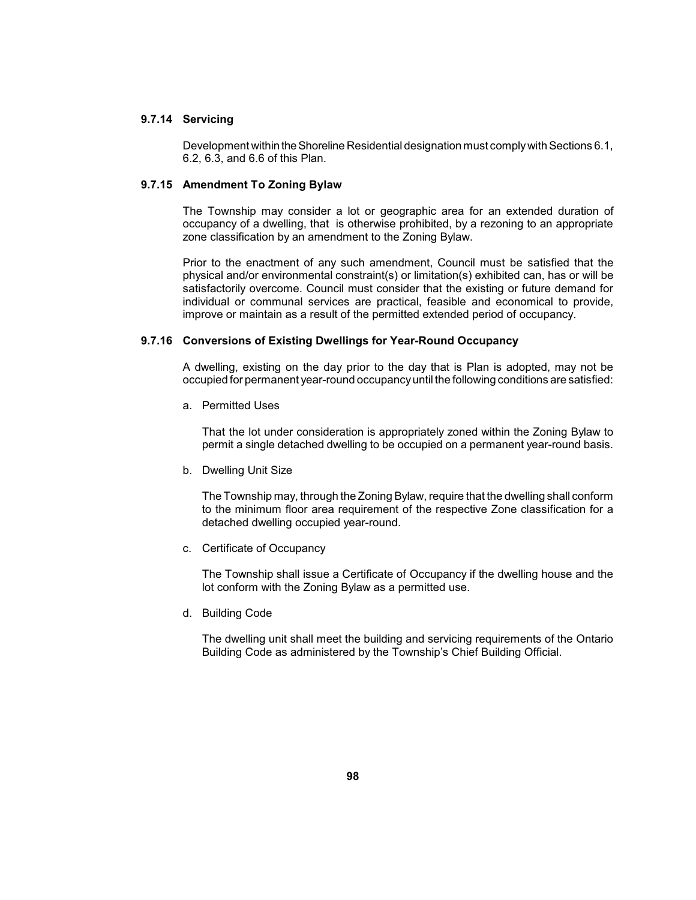### **9.7.14 Servicing**

 Development within the Shoreline Residential designation must complywith Sections 6.1, 6.2, 6.3, and 6.6 of this Plan.

# **9.7.15 Amendment To Zoning Bylaw**

 occupancy of a dwelling, that is otherwise prohibited, by a rezoning to an appropriate The Township may consider a lot or geographic area for an extended duration of zone classification by an amendment to the Zoning Bylaw.

 Prior to the enactment of any such amendment, Council must be satisfied that the individual or communal services are practical, feasible and economical to provide, physical and/or environmental constraint(s) or limitation(s) exhibited can, has or will be satisfactorily overcome. Council must consider that the existing or future demand for improve or maintain as a result of the permitted extended period of occupancy.

# **9.7.16 Conversions of Existing Dwellings for Year-Round Occupancy**

 A dwelling, existing on the day prior to the day that is Plan is adopted, may not be occupied for permanent year-round occupancyuntil the following conditions are satisfied:

a. Permitted Uses

 That the lot under consideration is appropriately zoned within the Zoning Bylaw to permit a single detached dwelling to be occupied on a permanent year-round basis.

b. Dwelling Unit Size

The Township may, through the Zoning Bylaw, require that the dwelling shall conform to the minimum floor area requirement of the respective Zone classification for a detached dwelling occupied year-round.

c. Certificate of Occupancy

 The Township shall issue a Certificate of Occupancy if the dwelling house and the lot conform with the Zoning Bylaw as a permitted use.

d. Building Code

The dwelling unit shall meet the building and servicing requirements of the Ontario Building Code as administered by the Township's Chief Building Official.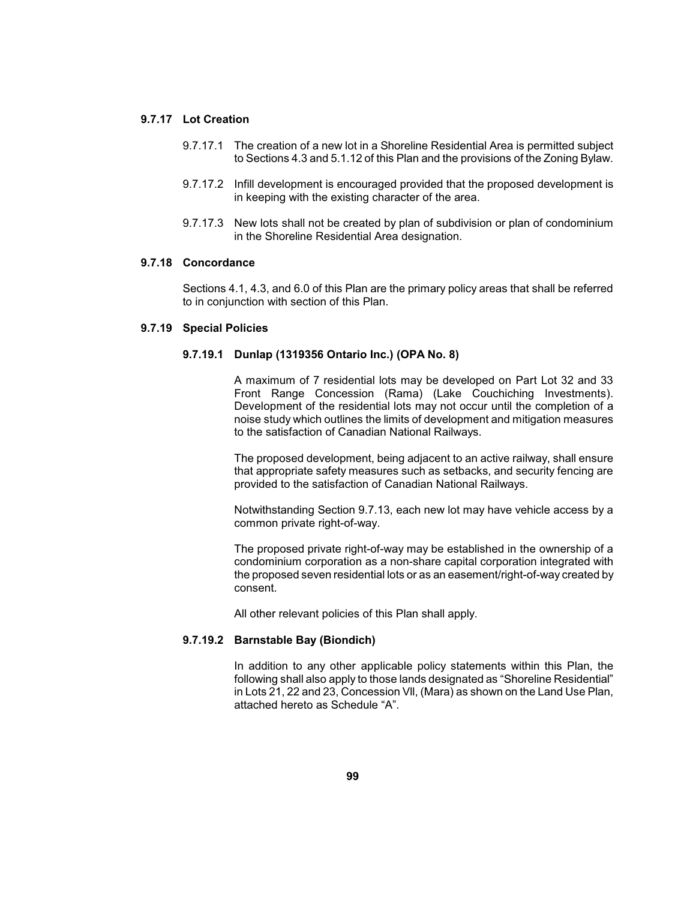# **9.7.17 Lot Creation**

- 9.7.17.1 The creation of a new lot in a Shoreline Residential Area is permitted subject to Sections 4.3 and 5.1.12 of this Plan and the provisions of the Zoning Bylaw.
- 9.7.17.2 Infill development is encouraged provided that the proposed development is in keeping with the existing character of the area.
- 9.7.17.3 New lots shall not be created by plan of subdivision or plan of condominium in the Shoreline Residential Area designation.

# **9.7.18 Concordance**

 Sections 4.1, 4.3, and 6.0 of this Plan are the primary policy areas that shall be referred to in conjunction with section of this Plan.

### **9.7.19 Special Policies**

#### **9.7.19.1 Dunlap (1319356 Ontario Inc.) (OPA No. 8)**

 A maximum of 7 residential lots may be developed on Part Lot 32 and 33 Development of the residential lots may not occur until the completion of a noise study which outlines the limits of development and mitigation measures Front Range Concession (Rama) (Lake Couchiching Investments). to the satisfaction of Canadian National Railways.

 that appropriate safety measures such as setbacks, and security fencing are The proposed development, being adjacent to an active railway, shall ensure provided to the satisfaction of Canadian National Railways.

 Notwithstanding Section 9.7.13, each new lot may have vehicle access by a common private right-of-way.

 The proposed private right-of-way may be established in the ownership of a condominium corporation as a non-share capital corporation integrated with the proposed seven residential lots or as an easement/right-of-way created by consent.

All other relevant policies of this Plan shall apply.

### **9.7.19.2 Barnstable Bay (Biondich)**

 In addition to any other applicable policy statements within this Plan, the following shall also apply to those lands designated as "Shoreline Residential" in Lots 21, 22 and 23, Concession Vll, (Mara) as shown on the Land Use Plan, attached hereto as Schedule "A".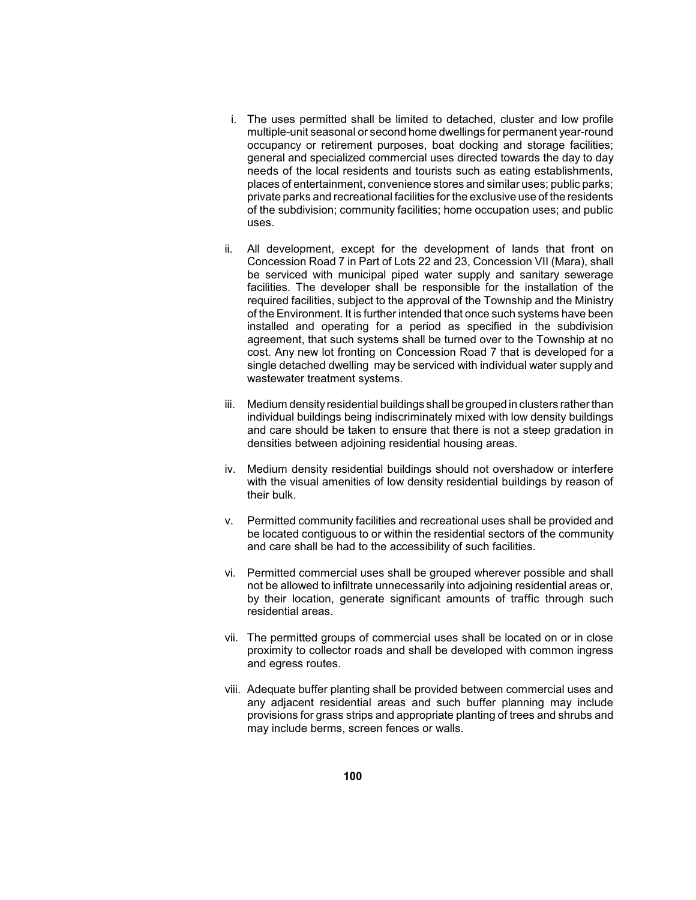- needs of the local residents and tourists such as eating establishments, places of entertainment, convenience stores and similar uses; public parks; private parks and recreational facilities for the exclusive use of the residents i. The uses permitted shall be limited to detached, cluster and low profile multiple-unit seasonal or second home dwellings for permanent year-round occupancy or retirement purposes, boat docking and storage facilities; general and specialized commercial uses directed towards the day to day of the subdivision; community facilities; home occupation uses; and public uses.
- ii. All development, except for the development of lands that front on Concession Road 7 in Part of Lots 22 and 23, Concession VII (Mara), shall be serviced with municipal piped water supply and sanitary sewerage facilities. The developer shall be responsible for the installation of the required facilities, subject to the approval of the Township and the Ministry of the Environment. It is further intended that once such systems have been agreement, that such systems shall be turned over to the Township at no cost. Any new lot fronting on Concession Road 7 that is developed for a single detached dwelling may be serviced with individual water supply and installed and operating for a period as specified in the subdivision wastewater treatment systems.
- iii. Medium density residential buildings shall be grouped in clusters rather than individual buildings being indiscriminately mixed with low density buildings and care should be taken to ensure that there is not a steep gradation in densities between adjoining residential housing areas.
- iv. Medium density residential buildings should not overshadow or interfere with the visual amenities of low density residential buildings by reason of their bulk.
- v. Permitted community facilities and recreational uses shall be provided and be located contiguous to or within the residential sectors of the community and care shall be had to the accessibility of such facilities.
- vi. Permitted commercial uses shall be grouped wherever possible and shall not be allowed to infiltrate unnecessarily into adjoining residential areas or, by their location, generate significant amounts of traffic through such residential areas.
- vii. The permitted groups of commercial uses shall be located on or in close proximity to collector roads and shall be developed with common ingress and egress routes.
- viii. Adequate buffer planting shall be provided between commercial uses and provisions for grass strips and appropriate planting of trees and shrubs and any adjacent residential areas and such buffer planning may include may include berms, screen fences or walls.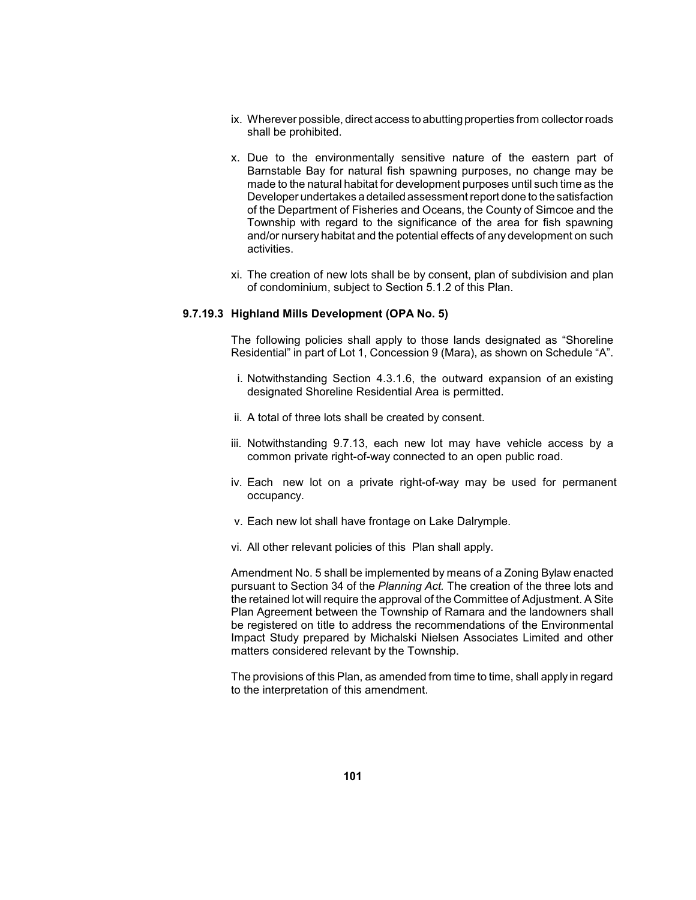- ix. Wherever possible, direct access to abutting properties from collector roads shall be prohibited.
- Barnstable Bay for natural fish spawning purposes, no change may be made to the natural habitat for development purposes until such time as the of the Department of Fisheries and Oceans, the County of Simcoe and the Township with regard to the significance of the area for fish spawning and/or nursery habitat and the potential effects of any development on such x. Due to the environmentally sensitive nature of the eastern part of Developer undertakes a detailed assessment report done to the satisfaction activities.
- xi. The creation of new lots shall be by consent, plan of subdivision and plan of condominium, subject to Section 5.1.2 of this Plan.

### **9.7.19.3 Highland Mills Development (OPA No. 5)**

 The following policies shall apply to those lands designated as "Shoreline Residential" in part of Lot 1, Concession 9 (Mara), as shown on Schedule "A".

- i. Notwithstanding Section 4.3.1.6, the outward expansion of an existing designated Shoreline Residential Area is permitted.
- ii. A total of three lots shall be created by consent.
- iii. Notwithstanding 9.7.13, each new lot may have vehicle access by a common private right-of-way connected to an open public road.
- iv. Each new lot on a private right-of-way may be used for permanent occupancy.
- v. Each new lot shall have frontage on Lake Dalrymple.
- vi. All other relevant policies of this Plan shall apply.

 Amendment No. 5 shall be implemented by means of a Zoning Bylaw enacted the retained lot will require the approval of the Committee of Adjustment. A Site be registered on title to address the recommendations of the Environmental Impact Study prepared by Michalski Nielsen Associates Limited and other pursuant to Section 34 of the *Planning Act.* The creation of the three lots and Plan Agreement between the Township of Ramara and the landowners shall matters considered relevant by the Township.

 The provisions of this Plan, as amended from time to time, shall apply in regard to the interpretation of this amendment.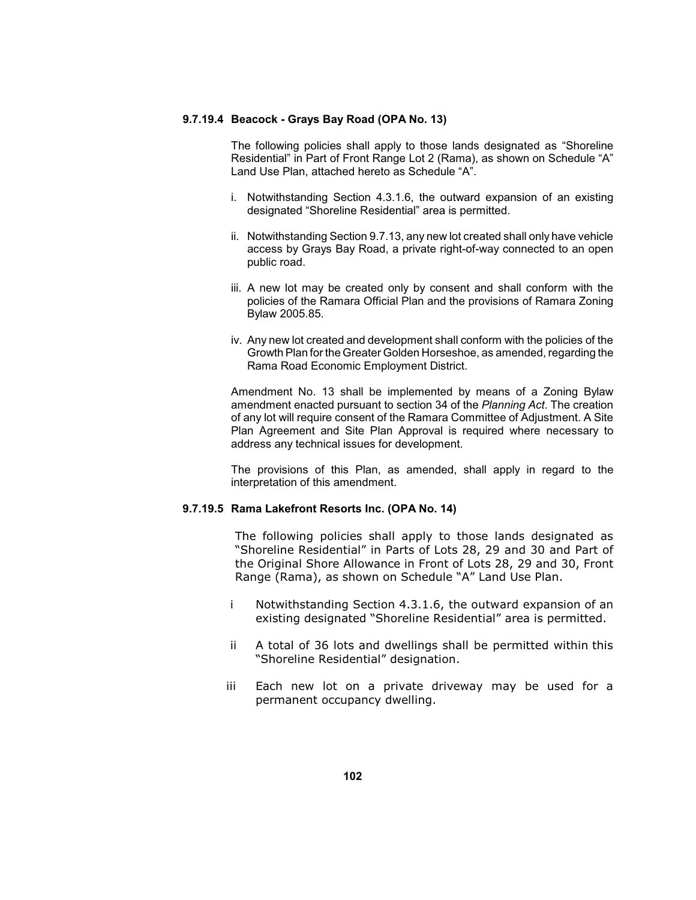## **9.7.19.4 Beacock - Grays Bay Road (OPA No. 13)**

 The following policies shall apply to those lands designated as "Shoreline Residential" in Part of Front Range Lot 2 (Rama), as shown on Schedule "A" Land Use Plan, attached hereto as Schedule "A".

- i. Notwithstanding Section 4.3.1.6, the outward expansion of an existing designated "Shoreline Residential" area is permitted.
- ii. Notwithstanding Section 9.7.13, any new lot created shall only have vehicle access by Grays Bay Road, a private right-of-way connected to an open public road.
- iii. A new lot may be created only by consent and shall conform with the policies of the Ramara Official Plan and the provisions of Ramara Zoning Bylaw 2005.85.
- iv. Any new lot created and development shall conform with the policies of the Growth Plan for the Greater Golden Horseshoe, as amended, regarding the Rama Road Economic Employment District.

 Amendment No. 13 shall be implemented by means of a Zoning Bylaw of any lot will require consent of the Ramara Committee of Adjustment. A Site Plan Agreement and Site Plan Approval is required where necessary to amendment enacted pursuant to section 34 of the *Planning Act*. The creation address any technical issues for development.

 The provisions of this Plan, as amended, shall apply in regard to the interpretation of this amendment.

### **9.7.19.5 Rama Lakefront Resorts Inc. (OPA No. 14)**

 "Shoreline Residential" in Parts of Lots 28, 29 and 30 and Part of The following policies shall apply to those lands designated as the Original Shore Allowance in Front of Lots 28, 29 and 30, Front Range (Rama), as shown on Schedule "A" Land Use Plan.

- i Notwithstanding Section 4.3.1.6, the outward expansion of an existing designated "Shoreline Residential" area is permitted.
- ii A total of 36 lots and dwellings shall be permitted within this "Shoreline Residential" designation.
- iii Each new lot on a private driveway may be used for a permanent occupancy dwelling.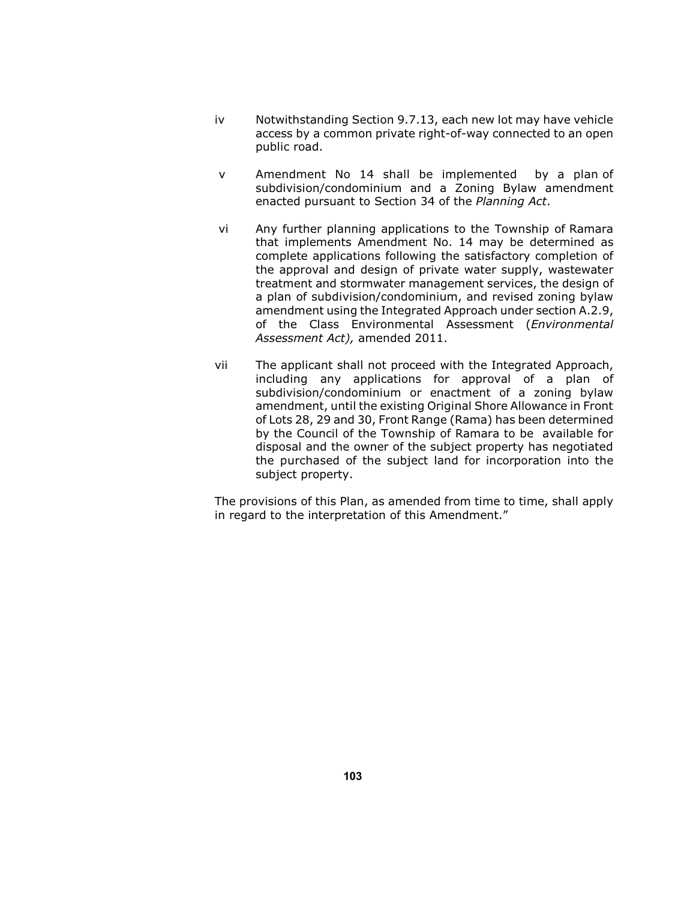- iv Notwithstanding Section 9.7.13, each new lot may have vehicle access by a common private right-of-way connected to an open public road.
- v Amendment No 14 shall be implemented by a plan of subdivision/condominium and a Zoning Bylaw amendment enacted pursuant to Section 34 of the *Planning Act*.
- vi Any further planning applications to the Township of Ramara that implements Amendment No. 14 may be determined as complete applications following the satisfactory completion of the approval and design of private water supply, wastewater treatment and stormwater management services, the design of a plan of subdivision/condominium, and revised zoning bylaw amendment using the Integrated Approach under section A.2.9, of the Class Environmental Assessment (*Environmental Assessment Act),* amended 2011.
- vii The applicant shall not proceed with the Integrated Approach, including any applications for approval of a plan of subdivision/condominium or enactment of a zoning bylaw amendment, until the existing Original Shore Allowance in Front of Lots 28, 29 and 30, Front Range (Rama) has been determined by the Council of the Township of Ramara to be available for disposal and the owner of the subject property has negotiated the purchased of the subject land for incorporation into the subject property.

The provisions of this Plan, as amended from time to time, shall apply in regard to the interpretation of this Amendment."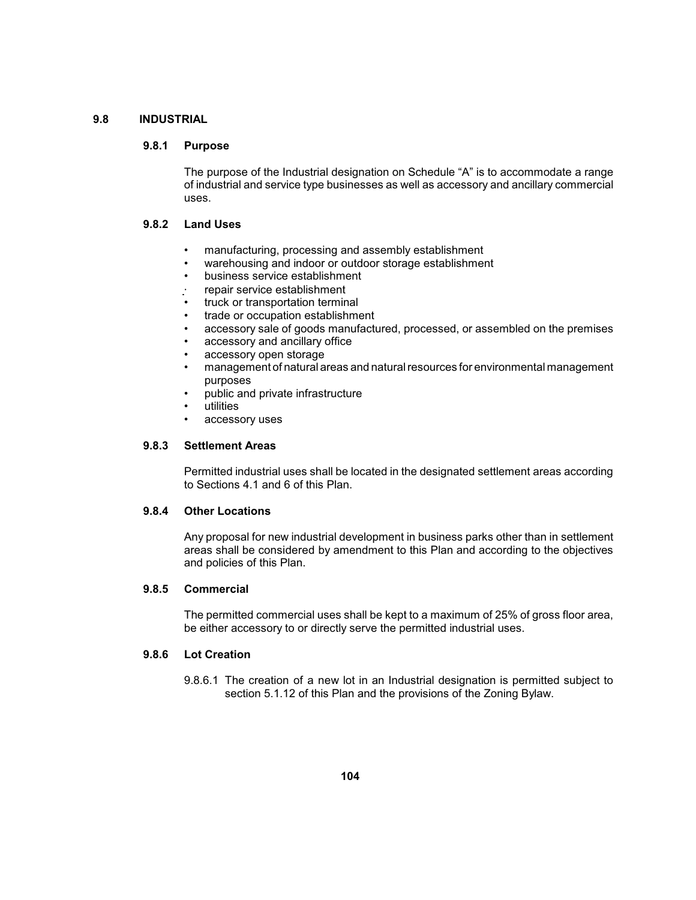# **9.8 INDUSTRIAL**

### **9.8.1 Purpose**

 of industrial and service type businesses as well as accessory and ancillary commercial The purpose of the Industrial designation on Schedule "A" is to accommodate a range uses.

# **9.8.2 Land Uses**

- • manufacturing, processing and assembly establishment
- warehousing and indoor or outdoor storage establishment
- business service establishment
- repair service establishment
- truck or transportation terminal
- trade or occupation establishment
- • accessory sale of goods manufactured, processed, or assembled on the premises
- accessory and ancillary office
- accessory open storage
- • management of natural areas and natural resources for environmental management purposes
- public and private infrastructure
- utilities
- accessory uses

# **9.8.3 Settlement Areas**

 Permitted industrial uses shall be located in the designated settlement areas according to Sections 4.1 and 6 of this Plan.

#### **9.8.4 Other Locations**

 Any proposal for new industrial development in business parks other than in settlement areas shall be considered by amendment to this Plan and according to the objectives and policies of this Plan.

## **9.8.5 Commercial**

 The permitted commercial uses shall be kept to a maximum of 25% of gross floor area, be either accessory to or directly serve the permitted industrial uses.

#### **9.8.6 Lot Creation**

 9.8.6.1 The creation of a new lot in an Industrial designation is permitted subject to section 5.1.12 of this Plan and the provisions of the Zoning Bylaw.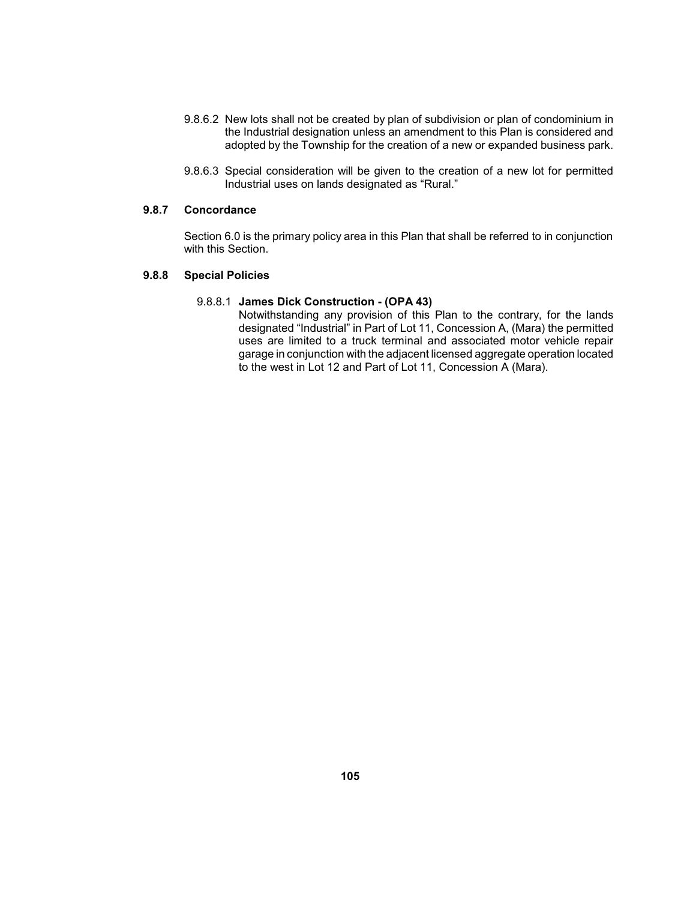- adopted by the Township for the creation of a new or expanded business park. 9.8.6.2 New lots shall not be created by plan of subdivision or plan of condominium in the Industrial designation unless an amendment to this Plan is considered and
- 9.8.6.3 Special consideration will be given to the creation of a new lot for permitted Industrial uses on lands designated as "Rural."

# **9.8.7 Concordance**

 Section 6.0 is the primary policy area in this Plan that shall be referred to in conjunction with this Section.

# **9.8.8 Special Policies**

# 9.8.8.1 **James Dick Construction - (OPA 43)**

 Notwithstanding any provision of this Plan to the contrary, for the lands designated "Industrial" in Part of Lot 11, Concession A, (Mara) the permitted uses are limited to a truck terminal and associated motor vehicle repair garage in conjunction with the adjacent licensed aggregate operation located to the west in Lot 12 and Part of Lot 11, Concession A (Mara).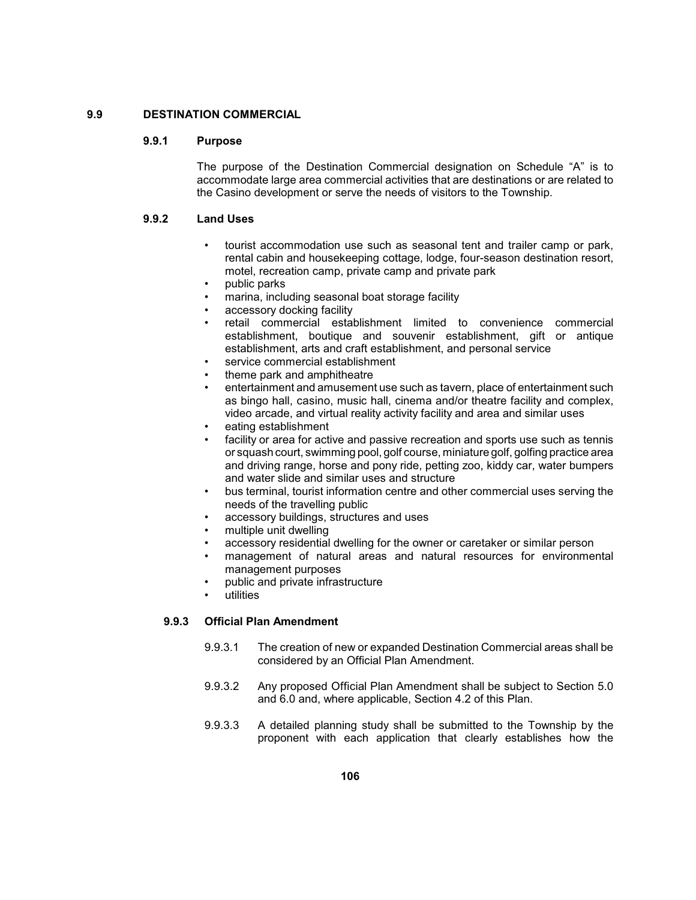# **9.9 DESTINATION COMMERCIAL**

### **9.9.1 Purpose**

 The purpose of the Destination Commercial designation on Schedule "A" is to accommodate large area commercial activities that are destinations or are related to the Casino development or serve the needs of visitors to the Township.

#### **9.9.2 Land Uses**

- • tourist accommodation use such as seasonal tent and trailer camp or park, rental cabin and housekeeping cottage, lodge, four-season destination resort, motel, recreation camp, private camp and private park
- public parks
- marina, including seasonal boat storage facility
- accessory docking facility
- retail commercial establishment limited to convenience commercial establishment, boutique and souvenir establishment, gift or antique establishment, arts and craft establishment, and personal service
- service commercial establishment
- theme park and amphitheatre
- entertainment and amusement use such as tavern, place of entertainment such as bingo hall, casino, music hall, cinema and/or theatre facility and complex, video arcade, and virtual reality activity facility and area and similar uses
- eating establishment
- facility or area for active and passive recreation and sports use such as tennis or squash court, swimming pool, golf course, miniature golf, golfing practice area and driving range, horse and pony ride, petting zoo, kiddy car, water bumpers and water slide and similar uses and structure
- bus terminal, tourist information centre and other commercial uses serving the needs of the travelling public
- accessory buildings, structures and uses
- multiple unit dwelling
- accessory residential dwelling for the owner or caretaker or similar person
- • management of natural areas and natural resources for environmental management purposes
- public and private infrastructure
- utilities

# **9.9.3 Official Plan Amendment**

- 9.9.3.1 The creation of new or expanded Destination Commercial areas shall be considered by an Official Plan Amendment.
- 9.9.3.2 Any proposed Official Plan Amendment shall be subject to Section 5.0 and 6.0 and, where applicable, Section 4.2 of this Plan.
- 9.9.3.3 A detailed planning study shall be submitted to the Township by the proponent with each application that clearly establishes how the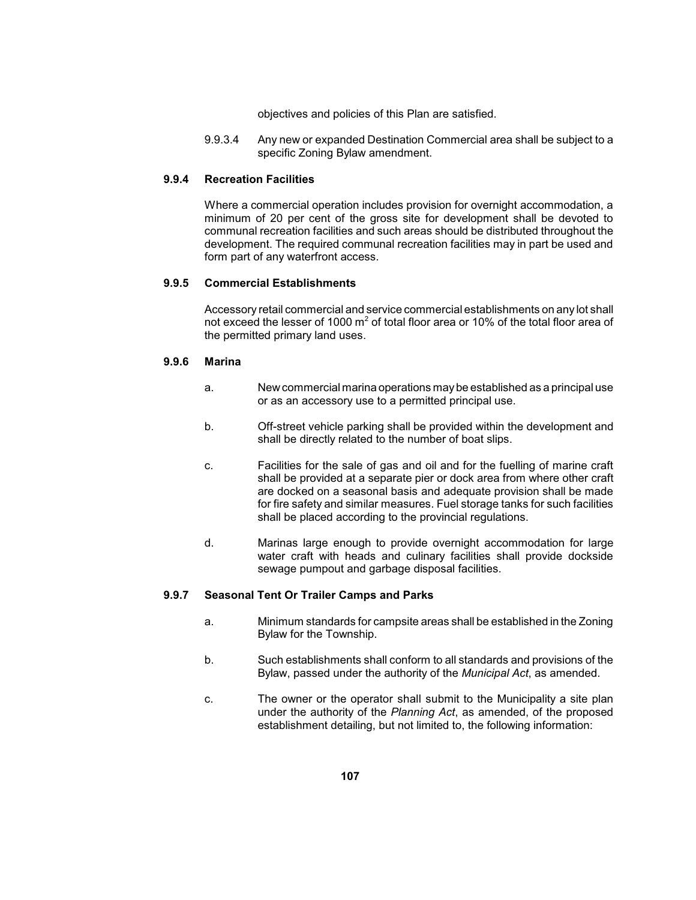objectives and policies of this Plan are satisfied.

 9.9.3.4 Any new or expanded Destination Commercial area shall be subject to a specific Zoning Bylaw amendment.

#### **9.9.4 Recreation Facilities**

 minimum of 20 per cent of the gross site for development shall be devoted to development. The required communal recreation facilities may in part be used and Where a commercial operation includes provision for overnight accommodation, a communal recreation facilities and such areas should be distributed throughout the form part of any waterfront access.

### **9.9.5 Commercial Establishments**

 Accessory retail commercial and service commercial establishments on any lot shall not exceed the lesser of 1000  $m^2$  of total floor area or 10% of the total floor area of the permitted primary land uses.

### **9.9.6 Marina**

- a. New commercial marina operations maybe established as a principal use or as an accessory use to a permitted principal use.
- b. Off-street vehicle parking shall be provided within the development and shall be directly related to the number of boat slips.
- c. Facilities for the sale of gas and oil and for the fuelling of marine craft shall be provided at a separate pier or dock area from where other craft are docked on a seasonal basis and adequate provision shall be made for fire safety and similar measures. Fuel storage tanks for such facilities shall be placed according to the provincial regulations.
- water craft with heads and culinary facilities shall provide dockside d. Marinas large enough to provide overnight accommodation for large sewage pumpout and garbage disposal facilities.

#### **9.9.7 Seasonal Tent Or Trailer Camps and Parks**

- a. Minimum standards for campsite areas shall be established in the Zoning Bylaw for the Township.
- b. Such establishments shall conform to all standards and provisions of the Bylaw, passed under the authority of the *Municipal Act*, as amended.
- c. The owner or the operator shall submit to the Municipality a site plan under the authority of the *Planning Act*, as amended, of the proposed establishment detailing, but not limited to, the following information: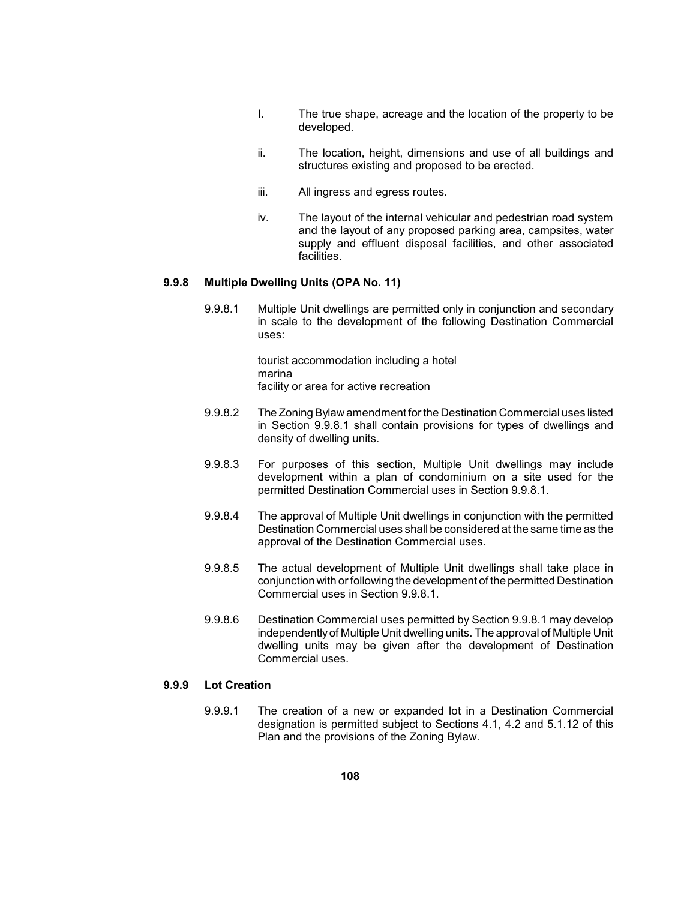- I. The true shape, acreage and the location of the property to be developed.
- ii. The location, height, dimensions and use of all buildings and structures existing and proposed to be erected.
- iii. All ingress and egress routes.
- and the layout of any proposed parking area, campsites, water supply and effluent disposal facilities, and other associated iv. The layout of the internal vehicular and pedestrian road system facilities.

## **9.9.8 Multiple Dwelling Units (OPA No. 11)**

9.9.8.1 Multiple Unit dwellings are permitted only in conjunction and secondary in scale to the development of the following Destination Commercial uses:

> tourist accommodation including a hotel marina facility or area for active recreation

- 9.9.8.2 The Zoning Bylawamendment for the Destination Commercial uses listed in Section 9.9.8.1 shall contain provisions for types of dwellings and density of dwelling units.
- 9.9.8.3 For purposes of this section, Multiple Unit dwellings may include development within a plan of condominium on a site used for the permitted Destination Commercial uses in Section 9.9.8.1.
- 9.9.8.4 The approval of Multiple Unit dwellings in conjunction with the permitted Destination Commercial uses shall be considered at the same time as the approval of the Destination Commercial uses.
- 9.9.8.5 The actual development of Multiple Unit dwellings shall take place in conjunction with or following the development of the permitted Destination Commercial uses in Section 9.9.8.1.
- 9.9.8.6 Destination Commercial uses permitted by Section 9.9.8.1 may develop independentlyof Multiple Unit dwelling units. The approval of Multiple Unit dwelling units may be given after the development of Destination Commercial uses.

# **9.9.9 Lot Creation**

9.9.9.1 The creation of a new or expanded lot in a Destination Commercial designation is permitted subject to Sections 4.1, 4.2 and 5.1.12 of this Plan and the provisions of the Zoning Bylaw.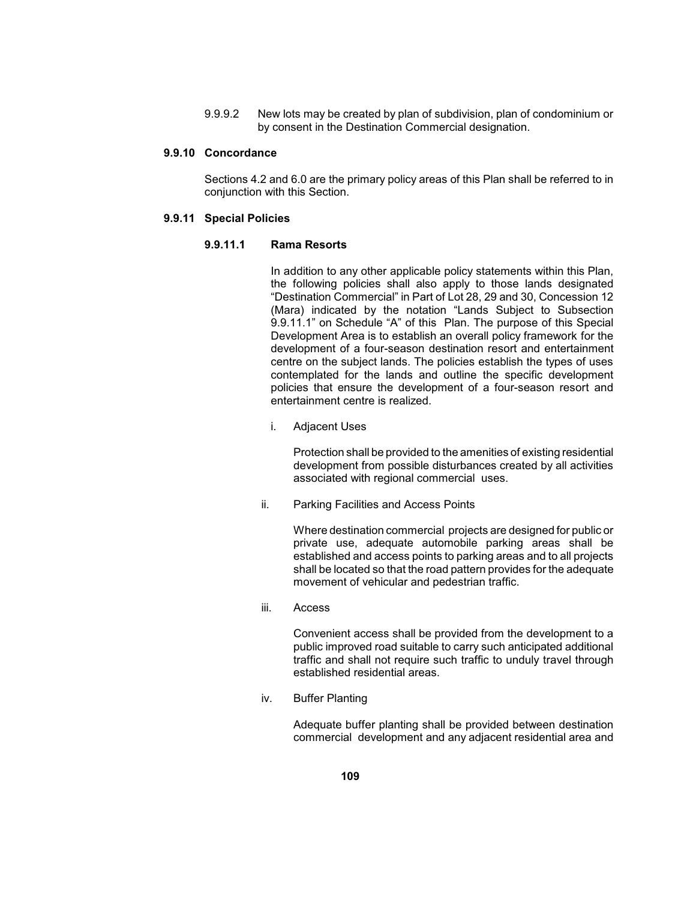9.9.9.2 New lots may be created by plan of subdivision, plan of condominium or by consent in the Destination Commercial designation.

# **9.9.10 Concordance**

 Sections 4.2 and 6.0 are the primary policy areas of this Plan shall be referred to in conjunction with this Section.

#### **9.9.11 Special Policies**

# **9.9.11.1 Rama Resorts**

 In addition to any other applicable policy statements within this Plan, the following policies shall also apply to those lands designated 9.9.11.1" on Schedule "A" of this Plan. The purpose of this Special Development Area is to establish an overall policy framework for the centre on the subject lands. The policies establish the types of uses "Destination Commercial" in Part of Lot 28, 29 and 30, Concession 12 (Mara) indicated by the notation "Lands Subject to Subsection development of a four-season destination resort and entertainment contemplated for the lands and outline the specific development policies that ensure the development of a four-season resort and entertainment centre is realized.

i. Adjacent Uses

 Protection shall be provided to the amenities of existing residential development from possible disturbances created by all activities associated with regional commercial uses.

ii. Parking Facilities and Access Points

 Where destination commercial projects are designed for public or private use, adequate automobile parking areas shall be established and access points to parking areas and to all projects shall be located so that the road pattern provides for the adequate movement of vehicular and pedestrian traffic.

iii. Access

 Convenient access shall be provided from the development to a traffic and shall not require such traffic to unduly travel through public improved road suitable to carry such anticipated additional established residential areas.

iv. Buffer Planting

 commercial development and any adjacent residential area and Adequate buffer planting shall be provided between destination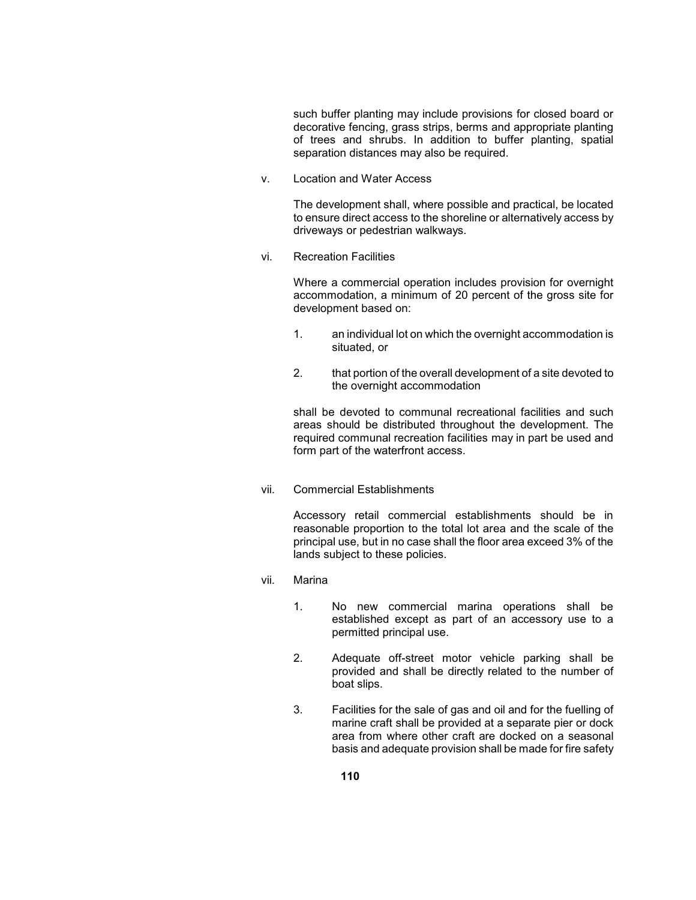of trees and shrubs. In addition to buffer planting, spatial such buffer planting may include provisions for closed board or decorative fencing, grass strips, berms and appropriate planting separation distances may also be required.

v. Location and Water Access

 to ensure direct access to the shoreline or alternatively access by The development shall, where possible and practical, be located driveways or pedestrian walkways.

vi. Recreation Facilities

 accommodation, a minimum of 20 percent of the gross site for Where a commercial operation includes provision for overnight development based on:

- 1. an individual lot on which the overnight accommodation is situated, or
- 2. that portion of the overall development of a site devoted to the overnight accommodation

 shall be devoted to communal recreational facilities and such required communal recreation facilities may in part be used and areas should be distributed throughout the development. The form part of the waterfront access.

vii. Commercial Establishments

 Accessory retail commercial establishments should be in reasonable proportion to the total lot area and the scale of the principal use, but in no case shall the floor area exceed 3% of the lands subject to these policies.

- vii. Marina
	- 1. No new commercial marina operations shall be established except as part of an accessory use to a permitted principal use.
	- provided and shall be directly related to the number of 2. Adequate off-street motor vehicle parking shall be boat slips.
	- 3. Facilities for the sale of gas and oil and for the fuelling of marine craft shall be provided at a separate pier or dock area from where other craft are docked on a seasonal basis and adequate provision shall be made for fire safety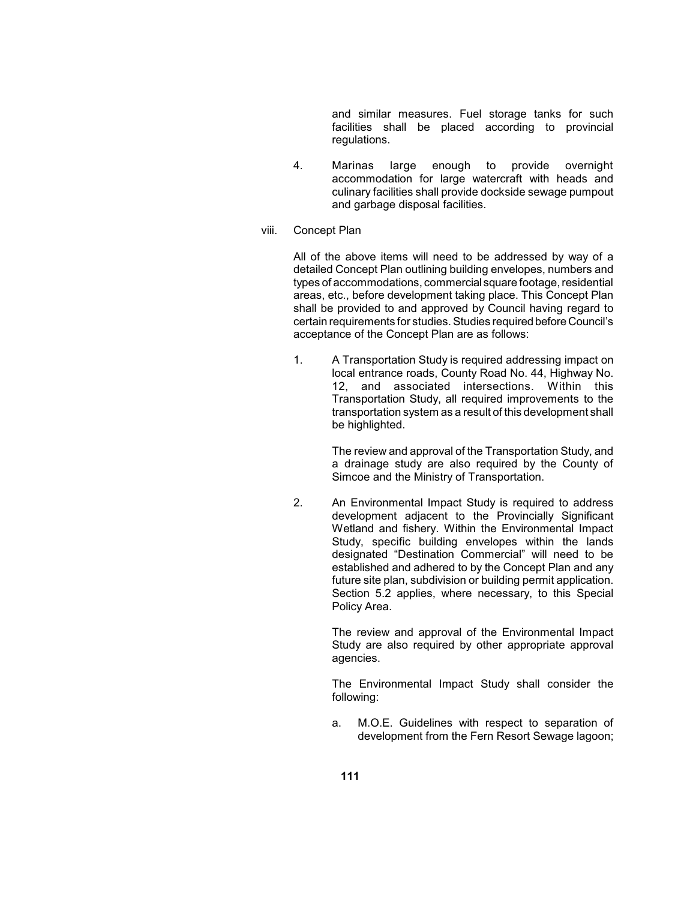and similar measures. Fuel storage tanks for such facilities shall be placed according to provincial regulations.

- 4. Marinas large enough to provide overnight culinary facilities shall provide dockside sewage pumpout accommodation for large watercraft with heads and and garbage disposal facilities.
- viii. Concept Plan

 All of the above items will need to be addressed by way of a types of accommodations, commercialsquare footage, residential shall be provided to and approved by Council having regard to certain requirements for studies. Studies required before Council's detailed Concept Plan outlining building envelopes, numbers and areas, etc., before development taking place. This Concept Plan acceptance of the Concept Plan are as follows:

1. A Transportation Study is required addressing impact on 12, and associated intersections. Within this Transportation Study, all required improvements to the transportation system as a result of this development shall local entrance roads, County Road No. 44, Highway No. be highlighted.

> The review and approval of the Transportation Study, and a drainage study are also required by the County of Simcoe and the Ministry of Transportation.

2. An Environmental Impact Study is required to address development adjacent to the Provincially Significant Wetland and fishery. Within the Environmental Impact Study, specific building envelopes within the lands designated "Destination Commercial" will need to be established and adhered to by the Concept Plan and any future site plan, subdivision or building permit application. Section 5.2 applies, where necessary, to this Special Policy Area.

> The review and approval of the Environmental Impact Study are also required by other appropriate approval agencies.

> The Environmental Impact Study shall consider the following:

> a. M.O.E. Guidelines with respect to separation of development from the Fern Resort Sewage lagoon;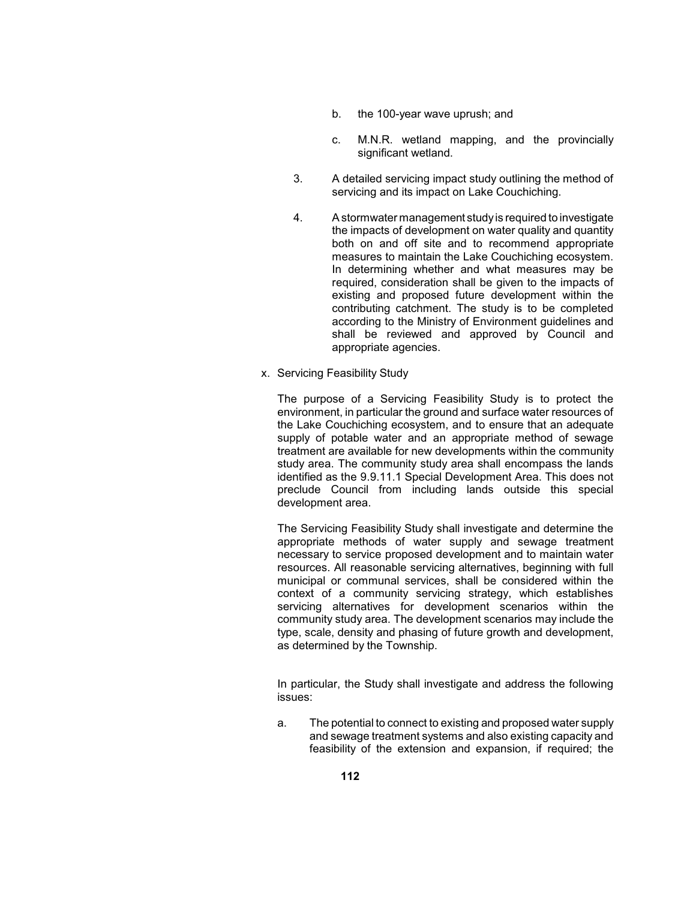- b. the 100-year wave uprush; and
- c. M.N.R. wetland mapping, and the provincially significant wetland.
- 3. A detailed servicing impact study outlining the method of servicing and its impact on Lake Couchiching.
- 4. A stormwater management studyis required to investigate the impacts of development on water quality and quantity In determining whether and what measures may be according to the Ministry of Environment guidelines and shall be reviewed and approved by Council and both on and off site and to recommend appropriate measures to maintain the Lake Couchiching ecosystem. required, consideration shall be given to the impacts of existing and proposed future development within the contributing catchment. The study is to be completed appropriate agencies.
- x. Servicing Feasibility Study

 The purpose of a Servicing Feasibility Study is to protect the the Lake Couchiching ecosystem, and to ensure that an adequate supply of potable water and an appropriate method of sewage study area. The community study area shall encompass the lands identified as the 9.9.11.1 Special Development Area. This does not preclude Council from including lands outside this special environment, in particular the ground and surface water resources of treatment are available for new developments within the community development area.

 The Servicing Feasibility Study shall investigate and determine the appropriate methods of water supply and sewage treatment necessary to service proposed development and to maintain water context of a community servicing strategy, which establishes community study area. The development scenarios may include the resources. All reasonable servicing alternatives, beginning with full municipal or communal services, shall be considered within the servicing alternatives for development scenarios within the type, scale, density and phasing of future growth and development, as determined by the Township.

 In particular, the Study shall investigate and address the following issues:

 feasibility of the extension and expansion, if required; the a. The potential to connect to existing and proposed water supply and sewage treatment systems and also existing capacity and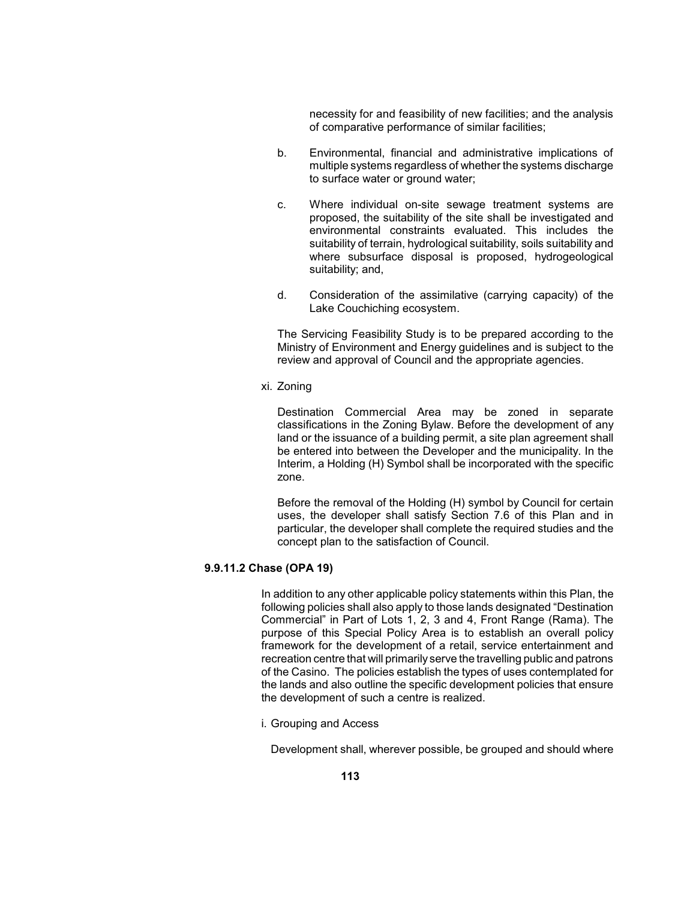necessity for and feasibility of new facilities; and the analysis of comparative performance of similar facilities;

- multiple systems regardless of whether the systems discharge b. Environmental, financial and administrative implications of to surface water or ground water;
- proposed, the suitability of the site shall be investigated and environmental constraints evaluated. This includes the suitability of terrain, hydrological suitability, soils suitability and where subsurface disposal is proposed, hydrogeological c. Where individual on-site sewage treatment systems are suitability; and,
- d. Consideration of the assimilative (carrying capacity) of the Lake Couchiching ecosystem.

 The Servicing Feasibility Study is to be prepared according to the Ministry of Environment and Energy guidelines and is subject to the review and approval of Council and the appropriate agencies.

xi. Zoning

 Interim, a Holding (H) Symbol shall be incorporated with the specific Destination Commercial Area may be zoned in separate classifications in the Zoning Bylaw. Before the development of any land or the issuance of a building permit, a site plan agreement shall be entered into between the Developer and the municipality. In the zone.

 Before the removal of the Holding (H) symbol by Council for certain uses, the developer shall satisfy Section 7.6 of this Plan and in particular, the developer shall complete the required studies and the concept plan to the satisfaction of Council.

# **9.9.11.2 Chase (OPA 19)**

 In addition to any other applicable policy statements within this Plan, the following policies shall also apply to those lands designated "Destination Commercial" in Part of Lots 1, 2, 3 and 4, Front Range (Rama). The purpose of this Special Policy Area is to establish an overall policy framework for the development of a retail, service entertainment and recreation centre that will primarily serve the travelling public and patrons of the Casino. The policies establish the types of uses contemplated for the lands and also outline the specific development policies that ensure the development of such a centre is realized.

i. Grouping and Access

Development shall, wherever possible, be grouped and should where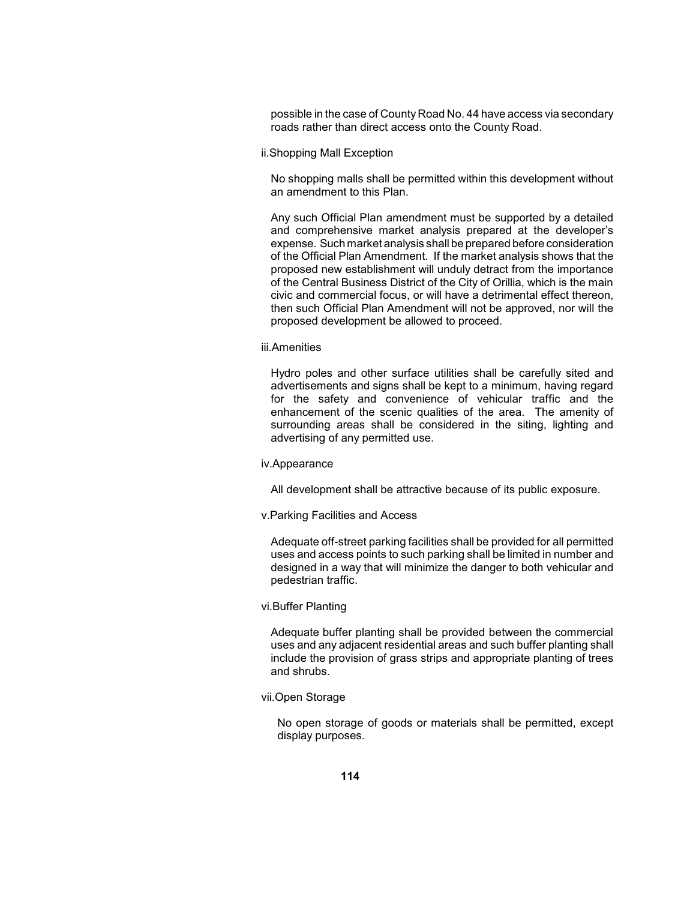possible in the case of County Road No. 44 have access via secondary roads rather than direct access onto the County Road.

ii.Shopping Mall Exception

 No shopping malls shall be permitted within this development without an amendment to this Plan.

 Any such Official Plan amendment must be supported by a detailed expense. Such market analysis shall be prepared before consideration of the Official Plan Amendment. If the market analysis shows that the proposed new establishment will unduly detract from the importance of the Central Business District of the City of Orillia, which is the main and comprehensive market analysis prepared at the developer's civic and commercial focus, or will have a detrimental effect thereon, then such Official Plan Amendment will not be approved, nor will the proposed development be allowed to proceed.

#### iii.Amenities

 Hydro poles and other surface utilities shall be carefully sited and enhancement of the scenic qualities of the area. The amenity of surrounding areas shall be considered in the siting, lighting and advertisements and signs shall be kept to a minimum, having regard for the safety and convenience of vehicular traffic and the advertising of any permitted use.

#### iv.Appearance

All development shall be attractive because of its public exposure.

#### v.Parking Facilities and Access

 Adequate off-street parking facilities shall be provided for all permitted uses and access points to such parking shall be limited in number and designed in a way that will minimize the danger to both vehicular and pedestrian traffic.

### vi.Buffer Planting

 uses and any adjacent residential areas and such buffer planting shall Adequate buffer planting shall be provided between the commercial include the provision of grass strips and appropriate planting of trees and shrubs.

### vii.Open Storage

 No open storage of goods or materials shall be permitted, except display purposes.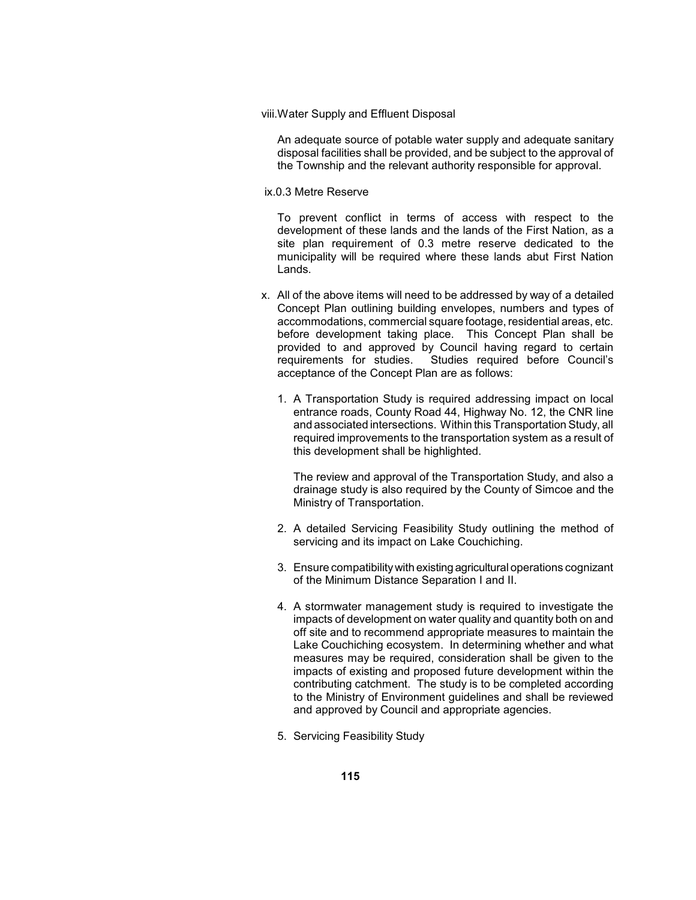viii.Water Supply and Effluent Disposal

 disposal facilities shall be provided, and be subject to the approval of An adequate source of potable water supply and adequate sanitary the Township and the relevant authority responsible for approval.

#### ix.0.3 Metre Reserve

 To prevent conflict in terms of access with respect to the development of these lands and the lands of the First Nation, as a municipality will be required where these lands abut First Nation site plan requirement of 0.3 metre reserve dedicated to the Lands.

- Concept Plan outlining building envelopes, numbers and types of before development taking place. This Concept Plan shall be provided to and approved by Council having regard to certain requirements for studies. x. All of the above items will need to be addressed by way of a detailed accommodations, commercial square footage, residential areas, etc. Studies required before Council's acceptance of the Concept Plan are as follows:
	- 1. A Transportation Study is required addressing impact on local and associated intersections. Within this Transportation Study, all required improvements to the transportation system as a result of entrance roads, County Road 44, Highway No. 12, the CNR line this development shall be highlighted.

 The review and approval of the Transportation Study, and also a drainage study is also required by the County of Simcoe and the Ministry of Transportation.

- 2. A detailed Servicing Feasibility Study outlining the method of servicing and its impact on Lake Couchiching.
- 3. Ensure compatibilitywith existing agricultural operations cognizant of the Minimum Distance Separation I and II.
- 4. A stormwater management study is required to investigate the impacts of development on water quality and quantity both on and measures may be required, consideration shall be given to the impacts of existing and proposed future development within the to the Ministry of Environment guidelines and shall be reviewed off site and to recommend appropriate measures to maintain the Lake Couchiching ecosystem. In determining whether and what contributing catchment. The study is to be completed according and approved by Council and appropriate agencies.
- 5. Servicing Feasibility Study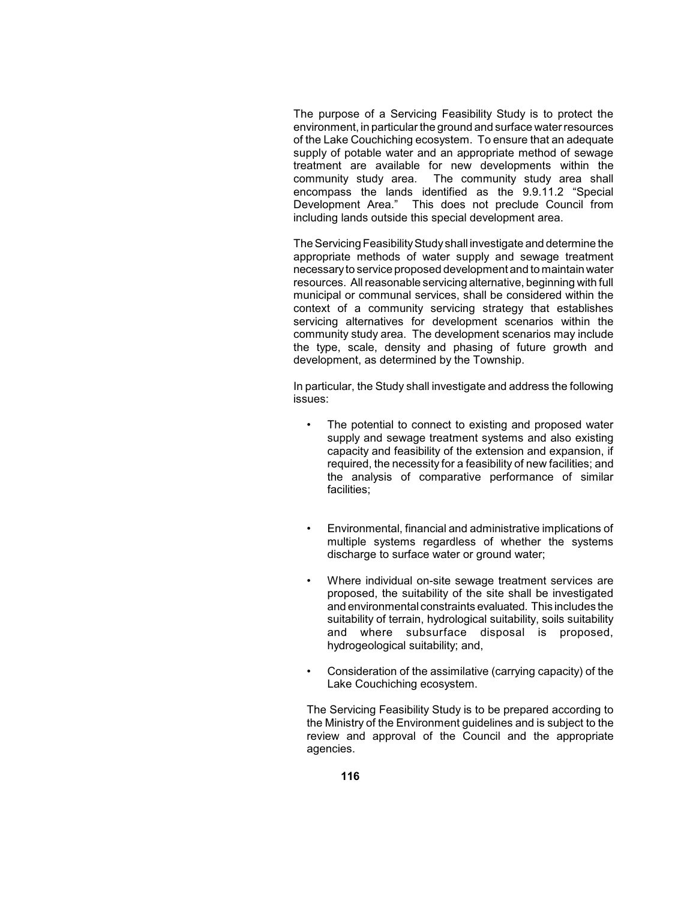The purpose of a Servicing Feasibility Study is to protect the of the Lake Couchiching ecosystem. To ensure that an adequate supply of potable water and an appropriate method of sewage community study area. Development Area." This does not preclude Council from environment, in particular the ground and surface water resources treatment are available for new developments within the The community study area shall encompass the lands identified as the 9.9.11.2 "Special including lands outside this special development area.

The Servicing Feasibility Study shall investigate and determine the appropriate methods of water supply and sewage treatment resources. All reasonable servicing alternative, beginning with full community study area. The development scenarios may include necessaryto service proposed development and to maintain water municipal or communal services, shall be considered within the context of a community servicing strategy that establishes servicing alternatives for development scenarios within the the type, scale, density and phasing of future growth and development, as determined by the Township.

 In particular, the Study shall investigate and address the following issues:

- capacity and feasibility of the extension and expansion, if required, the necessity for a feasibility of new facilities; and the analysis of comparative performance of similar The potential to connect to existing and proposed water supply and sewage treatment systems and also existing facilities;
- • Environmental, financial and administrative implications of multiple systems regardless of whether the systems discharge to surface water or ground water;
- proposed, the suitability of the site shall be investigated and environmental constraints evaluated. This includes the suitability of terrain, hydrological suitability, soils suitability and where subsurface disposal is proposed, Where individual on-site sewage treatment services are hydrogeological suitability; and,
- Consideration of the assimilative (carrying capacity) of the Lake Couchiching ecosystem.

 The Servicing Feasibility Study is to be prepared according to the Ministry of the Environment guidelines and is subject to the review and approval of the Council and the appropriate agencies.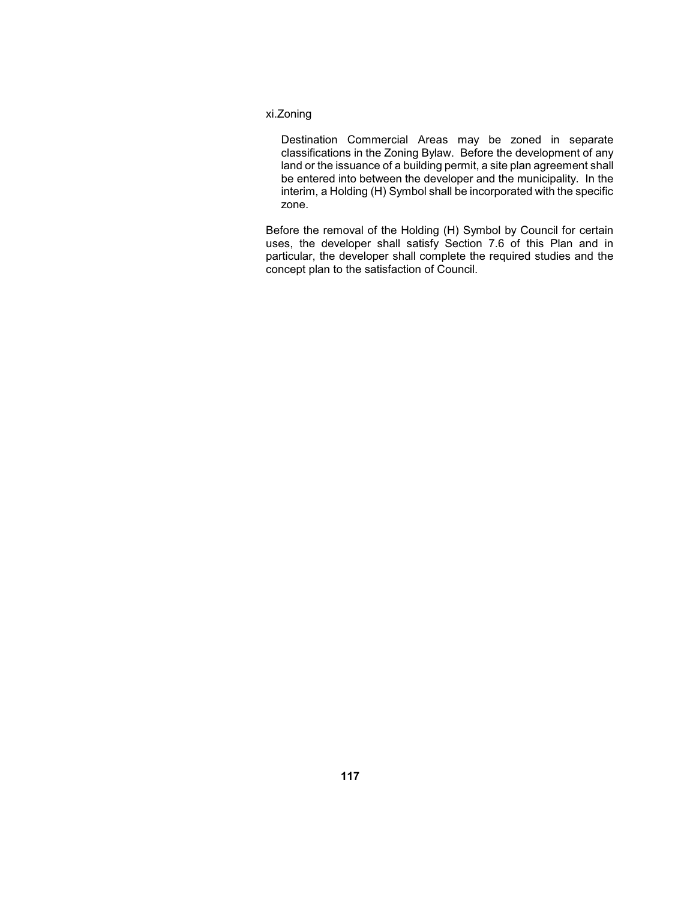## xi.Zoning

 Destination Commercial Areas may be zoned in separate land or the issuance of a building permit, a site plan agreement shall interim, a Holding (H) Symbol shall be incorporated with the specific classifications in the Zoning Bylaw. Before the development of any be entered into between the developer and the municipality. In the zone.

 Before the removal of the Holding (H) Symbol by Council for certain uses, the developer shall satisfy Section 7.6 of this Plan and in particular, the developer shall complete the required studies and the concept plan to the satisfaction of Council.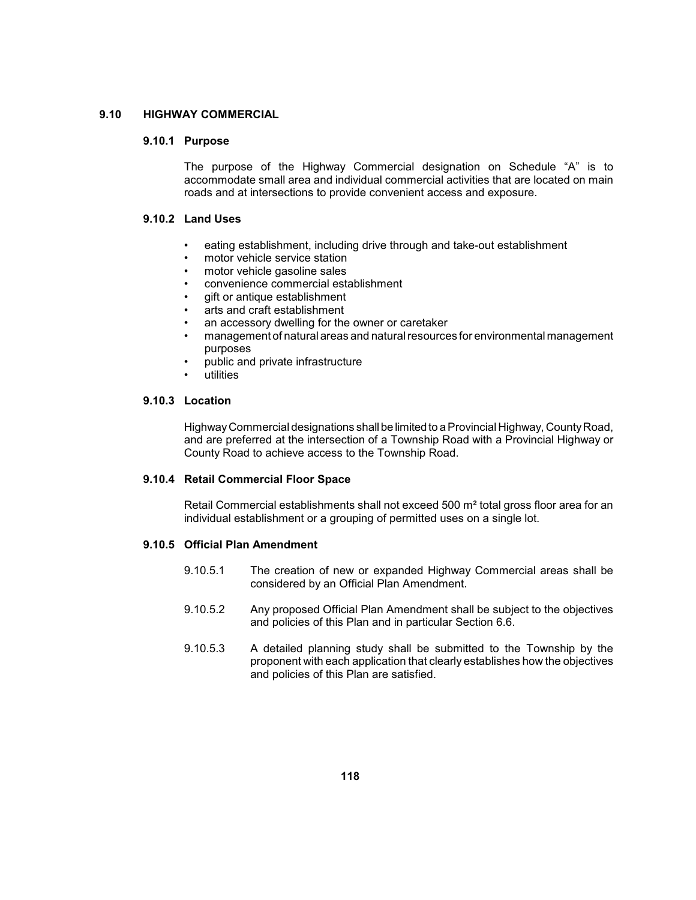### **9.10 HIGHWAY COMMERCIAL**

#### **9.10.1 Purpose**

 The purpose of the Highway Commercial designation on Schedule "A" is to accommodate small area and individual commercial activities that are located on main roads and at intersections to provide convenient access and exposure.

## **9.10.2 Land Uses**

- eating establishment, including drive through and take-out establishment
- motor vehicle service station
- motor vehicle gasoline sales
- convenience commercial establishment
- gift or antique establishment
- arts and craft establishment
- an accessory dwelling for the owner or caretaker
- • management of natural areas and natural resources for environmental management purposes
- public and private infrastructure
- utilities

# **9.10.3 Location**

 HighwayCommercial designations shall be limited to a Provincial Highway, CountyRoad, and are preferred at the intersection of a Township Road with a Provincial Highway or County Road to achieve access to the Township Road.

#### **9.10.4 Retail Commercial Floor Space**

Retail Commercial establishments shall not exceed 500 m<sup>2</sup> total gross floor area for an individual establishment or a grouping of permitted uses on a single lot.

# **9.10.5 Official Plan Amendment**

- 9.10.5.1 The creation of new or expanded Highway Commercial areas shall be considered by an Official Plan Amendment.
- 9.10.5.2 Any proposed Official Plan Amendment shall be subject to the objectives and policies of this Plan and in particular Section 6.6.
- 9.10.5.3 A detailed planning study shall be submitted to the Township by the proponent with each application that clearly establishes how the objectives and policies of this Plan are satisfied.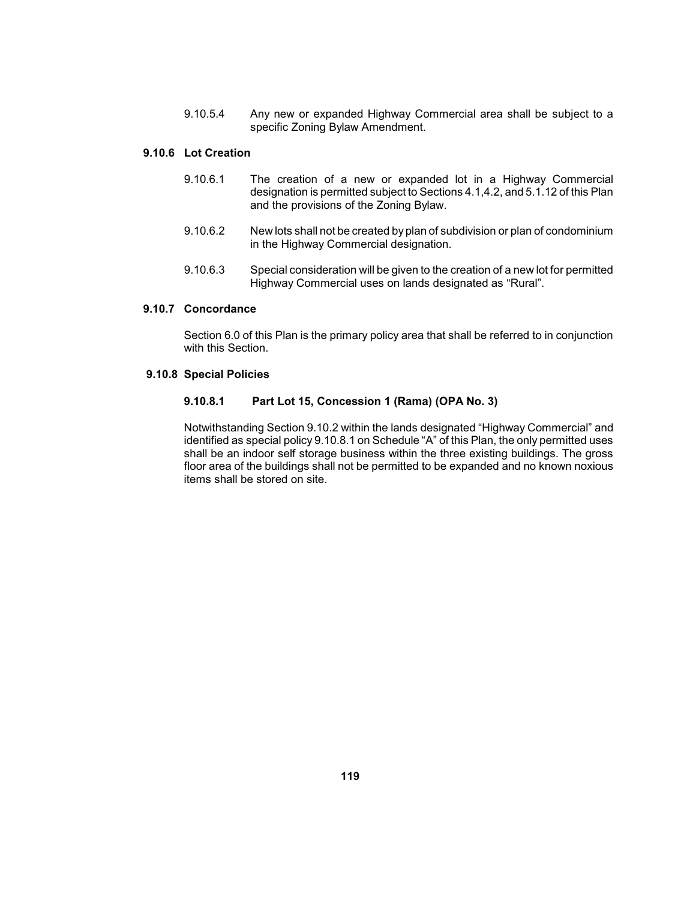9.10.5.4 Any new or expanded Highway Commercial area shall be subject to a specific Zoning Bylaw Amendment.

## **9.10.6 Lot Creation**

- 9.10.6.1 The creation of a new or expanded lot in a Highway Commercial designation is permitted subject to Sections 4.1,4.2, and 5.1.12 of this Plan and the provisions of the Zoning Bylaw.
- 9.10.6.2 New lots shall not be created by plan of subdivision or plan of condominium in the Highway Commercial designation.
- 9.10.6.3 Special consideration will be given to the creation of a new lot for permitted Highway Commercial uses on lands designated as "Rural".

### **9.10.7 Concordance**

 Section 6.0 of this Plan is the primary policy area that shall be referred to in conjunction with this Section.

# **9.10.8 Special Policies**

#### **9.10.8.1 Part Lot 15, Concession 1 (Rama) (OPA No. 3)**

 identified as special policy 9.10.8.1 on Schedule "A" of this Plan, the only permitted uses shall be an indoor self storage business within the three existing buildings. The gross floor area of the buildings shall not be permitted to be expanded and no known noxious Notwithstanding Section 9.10.2 within the lands designated "Highway Commercial" and items shall be stored on site.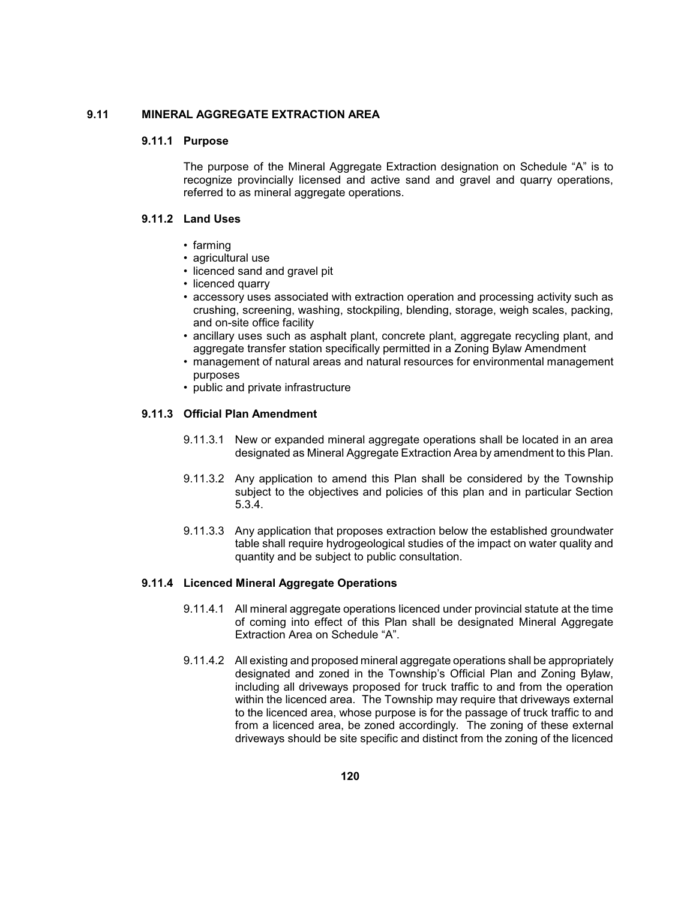## **9.11 MINERAL AGGREGATE EXTRACTION AREA**

#### **9.11.1 Purpose**

 The purpose of the Mineral Aggregate Extraction designation on Schedule "A" is to recognize provincially licensed and active sand and gravel and quarry operations, referred to as mineral aggregate operations.

# **9.11.2 Land Uses**

- farming
- agricultural use
- licenced sand and gravel pit
- licenced quarry
- accessory uses associated with extraction operation and processing activity such as crushing, screening, washing, stockpiling, blending, storage, weigh scales, packing, and on-site office facility
- • ancillary uses such as asphalt plant, concrete plant, aggregate recycling plant, and aggregate transfer station specifically permitted in a Zoning Bylaw Amendment
- • management of natural areas and natural resources for environmental management purposes
- public and private infrastructure

# **9.11.3 Official Plan Amendment**

- 9.11.3.1 New or expanded mineral aggregate operations shall be located in an area designated as Mineral Aggregate Extraction Area by amendment to this Plan.
- subject to the objectives and policies of this plan and in particular Section 9.11.3.2 Any application to amend this Plan shall be considered by the Township 5.3.4.
- table shall require hydrogeological studies of the impact on water quality and 9.11.3.3 Any application that proposes extraction below the established groundwater quantity and be subject to public consultation.

### **9.11.4 Licenced Mineral Aggregate Operations**

- 9.11.4.1 All mineral aggregate operations licenced under provincial statute at the time of coming into effect of this Plan shall be designated Mineral Aggregate Extraction Area on Schedule "A".
- 9.11.4.2 All existing and proposed mineral aggregate operations shall be appropriately including all driveways proposed for truck traffic to and from the operation to the licenced area, whose purpose is for the passage of truck traffic to and designated and zoned in the Township's Official Plan and Zoning Bylaw, within the licenced area. The Township may require that driveways external from a licenced area, be zoned accordingly. The zoning of these external driveways should be site specific and distinct from the zoning of the licenced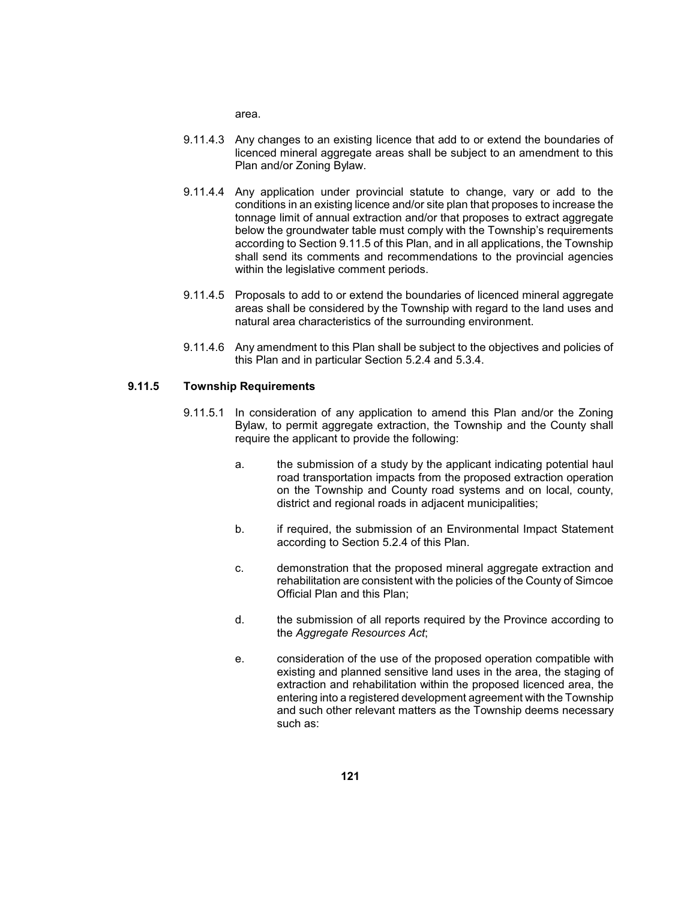area.

- 9.11.4.3 Any changes to an existing licence that add to or extend the boundaries of licenced mineral aggregate areas shall be subject to an amendment to this Plan and/or Zoning Bylaw.
- tonnage limit of annual extraction and/or that proposes to extract aggregate according to Section 9.11.5 of this Plan, and in all applications, the Township shall send its comments and recommendations to the provincial agencies 9.11.4.4 Any application under provincial statute to change, vary or add to the conditions in an existing licence and/or site plan that proposes to increase the below the groundwater table must comply with the Township's requirements within the legislative comment periods.
- 9.11.4.5 Proposals to add to or extend the boundaries of licenced mineral aggregate areas shall be considered by the Township with regard to the land uses and natural area characteristics of the surrounding environment.
- 9.11.4.6 Any amendment to this Plan shall be subject to the objectives and policies of this Plan and in particular Section 5.2.4 and 5.3.4.

### **9.11.5 Township Requirements**

- 9.11.5.1 In consideration of any application to amend this Plan and/or the Zoning Bylaw, to permit aggregate extraction, the Township and the County shall require the applicant to provide the following:
	- a. the submission of a study by the applicant indicating potential haul road transportation impacts from the proposed extraction operation on the Township and County road systems and on local, county, district and regional roads in adjacent municipalities;
	- b. if required, the submission of an Environmental Impact Statement according to Section 5.2.4 of this Plan.
	- rehabilitation are consistent with the policies of the County of Simcoe c. demonstration that the proposed mineral aggregate extraction and Official Plan and this Plan;
	- d. the submission of all reports required by the Province according to the *Aggregate Resources Act*;
	- e. consideration of the use of the proposed operation compatible with existing and planned sensitive land uses in the area, the staging of extraction and rehabilitation within the proposed licenced area, the entering into a registered development agreement with the Township and such other relevant matters as the Township deems necessary such as: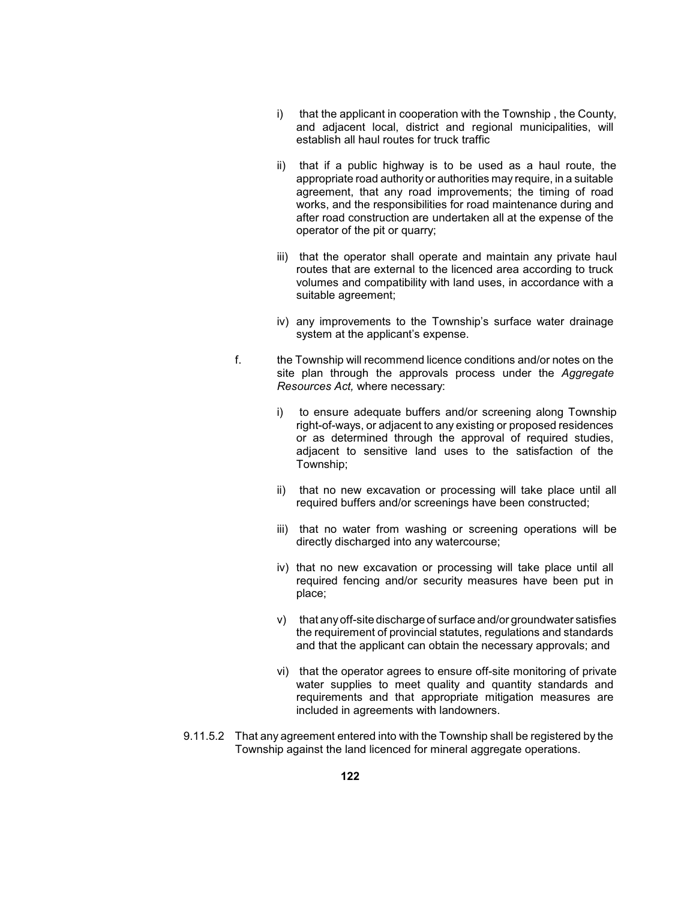- i) that the applicant in cooperation with the Township, the County, and adjacent local, district and regional municipalities, will establish all haul routes for truck traffic
- ii) that if a public highway is to be used as a haul route, the appropriate road authority or authorities may require, in a suitable agreement, that any road improvements; the timing of road works, and the responsibilities for road maintenance during and after road construction are undertaken all at the expense of the operator of the pit or quarry;
- iii) that the operator shall operate and maintain any private haul routes that are external to the licenced area according to truck volumes and compatibility with land uses, in accordance with a suitable agreement;
- iv) any improvements to the Township's surface water drainage system at the applicant's expense.
- site plan through the approvals process under the *Aggregate*  f. the Township will recommend licence conditions and/or notes on the *Resources Act,* where necessary:
	- or as determined through the approval of required studies, i) to ensure adequate buffers and/or screening along Township right-of-ways, or adjacent to any existing or proposed residences adjacent to sensitive land uses to the satisfaction of the Township;
	- ii) that no new excavation or processing will take place until all required buffers and/or screenings have been constructed;
	- iii) that no water from washing or screening operations will be directly discharged into any watercourse;
	- required fencing and/or security measures have been put in iv) that no new excavation or processing will take place until all place;
	- v) that any off-site discharge of surface and/or groundwater satisfies the requirement of provincial statutes, regulations and standards and that the applicant can obtain the necessary approvals; and
	- water supplies to meet quality and quantity standards and requirements and that appropriate mitigation measures are vi) that the operator agrees to ensure off-site monitoring of private included in agreements with landowners.
- 9.11.5.2 That any agreement entered into with the Township shall be registered by the Township against the land licenced for mineral aggregate operations.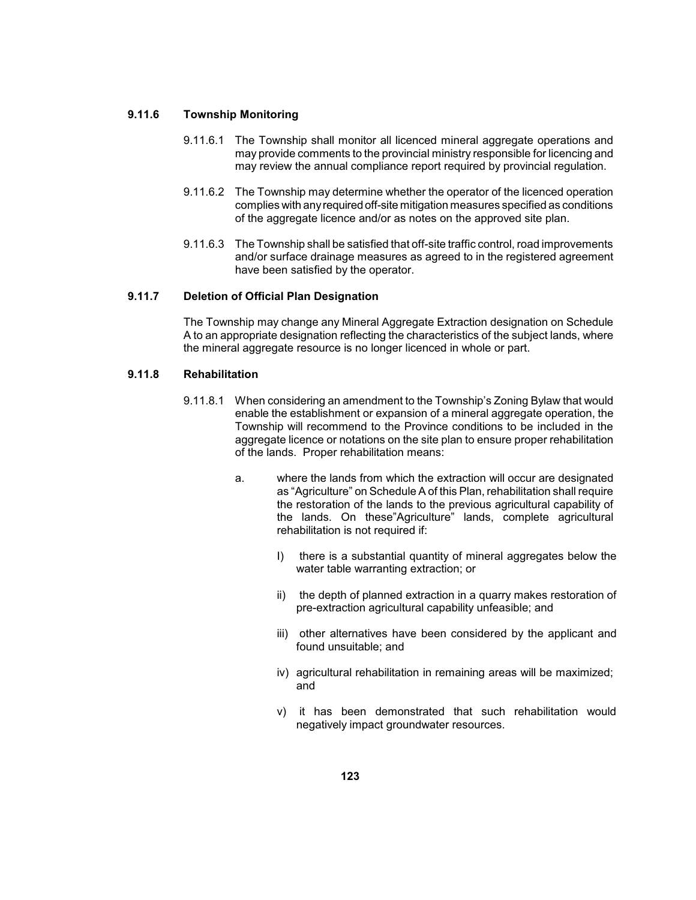#### **9.11.6 Township Monitoring**

- 9.11.6.1 The Township shall monitor all licenced mineral aggregate operations and may provide comments to the provincial ministry responsible for licencing and may review the annual compliance report required by provincial regulation.
- complies with anyrequired off-site mitigation measures specified as conditions 9.11.6.2 The Township may determine whether the operator of the licenced operation of the aggregate licence and/or as notes on the approved site plan.
- 9.11.6.3 The Township shall be satisfied that off-site traffic control, road improvements and/or surface drainage measures as agreed to in the registered agreement have been satisfied by the operator.

# **9.11.7 Deletion of Official Plan Designation**

 The Township may change any Mineral Aggregate Extraction designation on Schedule A to an appropriate designation reflecting the characteristics of the subject lands, where the mineral aggregate resource is no longer licenced in whole or part.

# **9.11.8 Rehabilitation**

- enable the establishment or expansion of a mineral aggregate operation, the Township will recommend to the Province conditions to be included in the 9.11.8.1 When considering an amendment to the Township's Zoning Bylaw that would aggregate licence or notations on the site plan to ensure proper rehabilitation of the lands. Proper rehabilitation means:
	- as "Agriculture" on Schedule A of this Plan, rehabilitation shall require the restoration of the lands to the previous agricultural capability of a. where the lands from which the extraction will occur are designated the lands. On these"Agriculture" lands, complete agricultural rehabilitation is not required if:
		- I) there is a substantial quantity of mineral aggregates below the water table warranting extraction; or
		- ii) the depth of planned extraction in a quarry makes restoration of pre-extraction agricultural capability unfeasible; and
		- iii) other alternatives have been considered by the applicant and found unsuitable; and
		- iv) agricultural rehabilitation in remaining areas will be maximized; and
		- v) it has been demonstrated that such rehabilitation would negatively impact groundwater resources.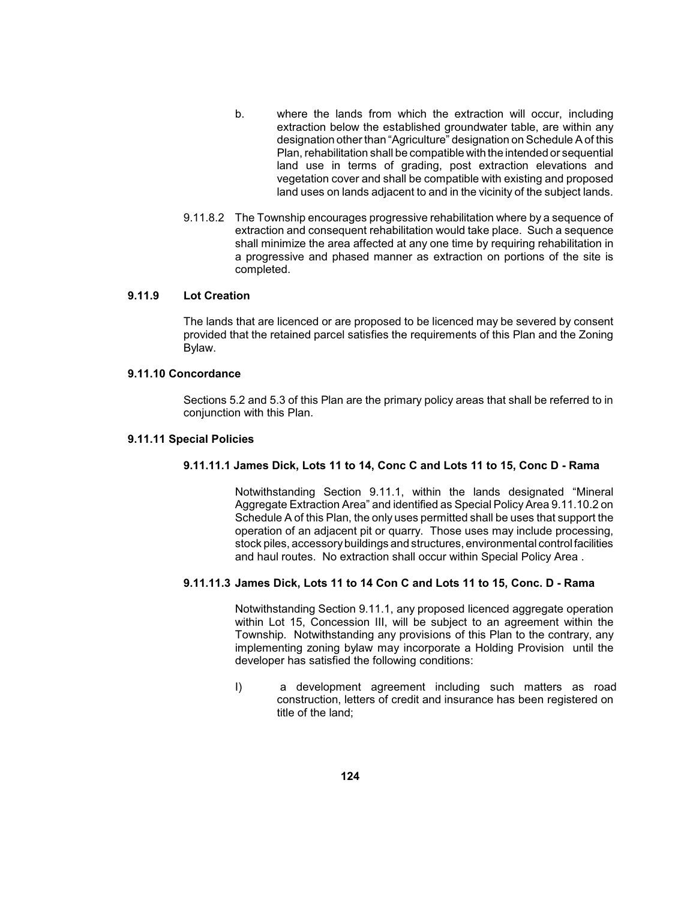- b. where the lands from which the extraction will occur, including land use in terms of grading, post extraction elevations and land uses on lands adjacent to and in the vicinity of the subject lands. extraction below the established groundwater table, are within any designation other than "Agriculture" designation on Schedule A of this Plan, rehabilitation shall be compatible with the intended or sequential vegetation cover and shall be compatible with existing and proposed
- a progressive and phased manner as extraction on portions of the site is 9.11.8.2 The Township encourages progressive rehabilitation where by a sequence of extraction and consequent rehabilitation would take place. Such a sequence shall minimize the area affected at any one time by requiring rehabilitation in completed.

# **9.11.9 Lot Creation**

 provided that the retained parcel satisfies the requirements of this Plan and the Zoning The lands that are licenced or are proposed to be licenced may be severed by consent Bylaw.

### **9.11.10 Concordance**

 Sections 5.2 and 5.3 of this Plan are the primary policy areas that shall be referred to in conjunction with this Plan.

#### **9.11.11 Special Policies**

### **9.11.11.1 James Dick, Lots 11 to 14, Conc C and Lots 11 to 15, Conc D - Rama**

 Aggregate Extraction Area" and identified as Special Policy Area 9.11.10.2 on Schedule A of this Plan, the only uses permitted shall be uses that support the operation of an adjacent pit or quarry. Those uses may include processing, stock piles, accessorybuildings and structures, environmental controlfacilities Notwithstanding Section 9.11.1, within the lands designated "Mineral and haul routes. No extraction shall occur within Special Policy Area .

### **9.11.11.3 James Dick, Lots 11 to 14 Con C and Lots 11 to 15, Conc. D - Rama**

 Township. Notwithstanding any provisions of this Plan to the contrary, any implementing zoning bylaw may incorporate a Holding Provision until the Notwithstanding Section 9.11.1, any proposed licenced aggregate operation within Lot 15, Concession III, will be subject to an agreement within the developer has satisfied the following conditions:

I) a development agreement including such matters as road construction, letters of credit and insurance has been registered on title of the land;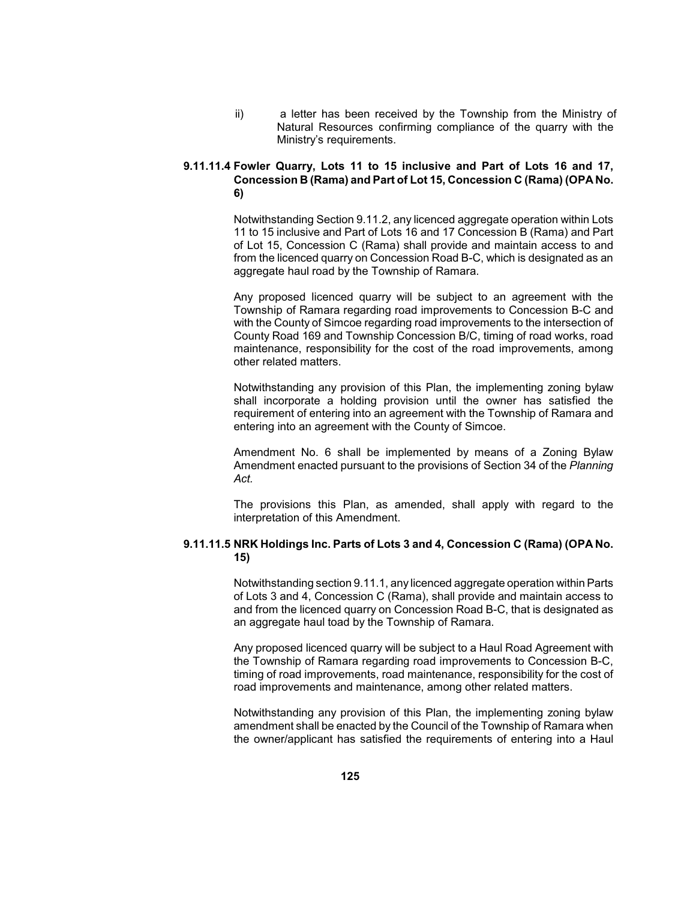Natural Resources confirming compliance of the quarry with the ii) a letter has been received by the Township from the Ministry of Ministry's requirements.

# **9.11.11.4 Fowler Quarry, Lots 11 to 15 inclusive and Part of Lots 16 and 17, Concession B (Rama) and Part of Lot 15, Concession C (Rama) (OPA No. 6)**

 11 to 15 inclusive and Part of Lots 16 and 17 Concession B (Rama) and Part Notwithstanding Section 9.11.2, any licenced aggregate operation within Lots of Lot 15, Concession C (Rama) shall provide and maintain access to and from the licenced quarry on Concession Road B-C, which is designated as an aggregate haul road by the Township of Ramara.

 Any proposed licenced quarry will be subject to an agreement with the Township of Ramara regarding road improvements to Concession B-C and with the County of Simcoe regarding road improvements to the intersection of County Road 169 and Township Concession B/C, timing of road works, road maintenance, responsibility for the cost of the road improvements, among other related matters.

 Notwithstanding any provision of this Plan, the implementing zoning bylaw shall incorporate a holding provision until the owner has satisfied the requirement of entering into an agreement with the Township of Ramara and entering into an agreement with the County of Simcoe.

 Amendment No. 6 shall be implemented by means of a Zoning Bylaw Amendment enacted pursuant to the provisions of Section 34 of the *Planning Act.* 

 The provisions this Plan, as amended, shall apply with regard to the interpretation of this Amendment.

# **9.11.11.5 NRK Holdings Inc. Parts of Lots 3 and 4, Concession C (Rama) (OPA No. 15)**

 of Lots 3 and 4, Concession C (Rama), shall provide and maintain access to Notwithstanding section 9.11.1, any licenced aggregate operation within Parts and from the licenced quarry on Concession Road B-C, that is designated as an aggregate haul toad by the Township of Ramara.

 Any proposed licenced quarry will be subject to a Haul Road Agreement with the Township of Ramara regarding road improvements to Concession B-C, timing of road improvements, road maintenance, responsibility for the cost of road improvements and maintenance, among other related matters.

 Notwithstanding any provision of this Plan, the implementing zoning bylaw amendment shall be enacted by the Council of the Township of Ramara when the owner/applicant has satisfied the requirements of entering into a Haul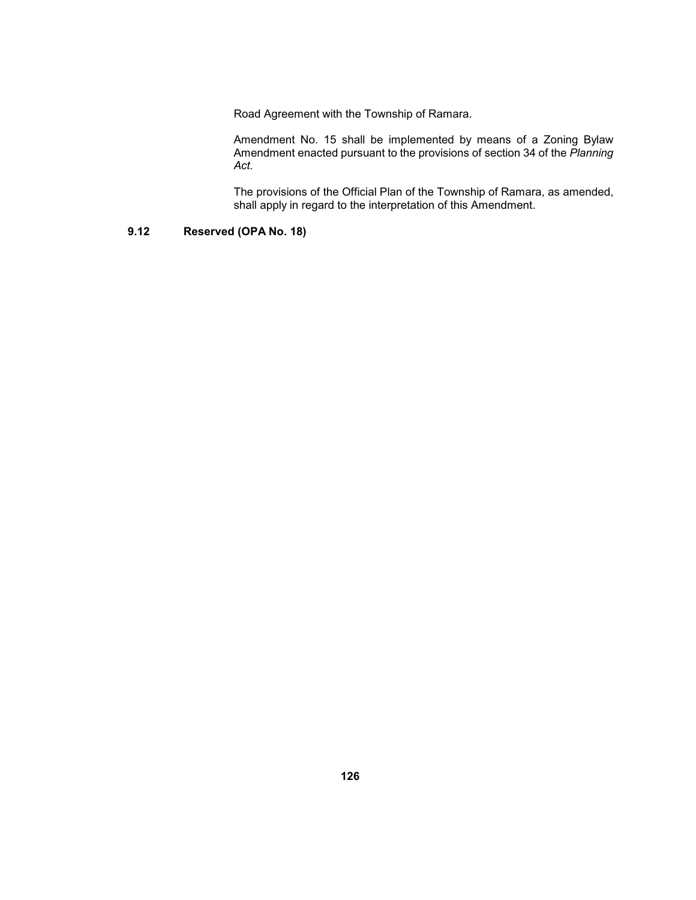Road Agreement with the Township of Ramara.

 Amendment No. 15 shall be implemented by means of a Zoning Bylaw Amendment enacted pursuant to the provisions of section 34 of the *Planning Act.* 

The provisions of the Official Plan of the Township of Ramara, as amended, shall apply in regard to the interpretation of this Amendment.

# **9.12 Reserved (OPA No. 18)**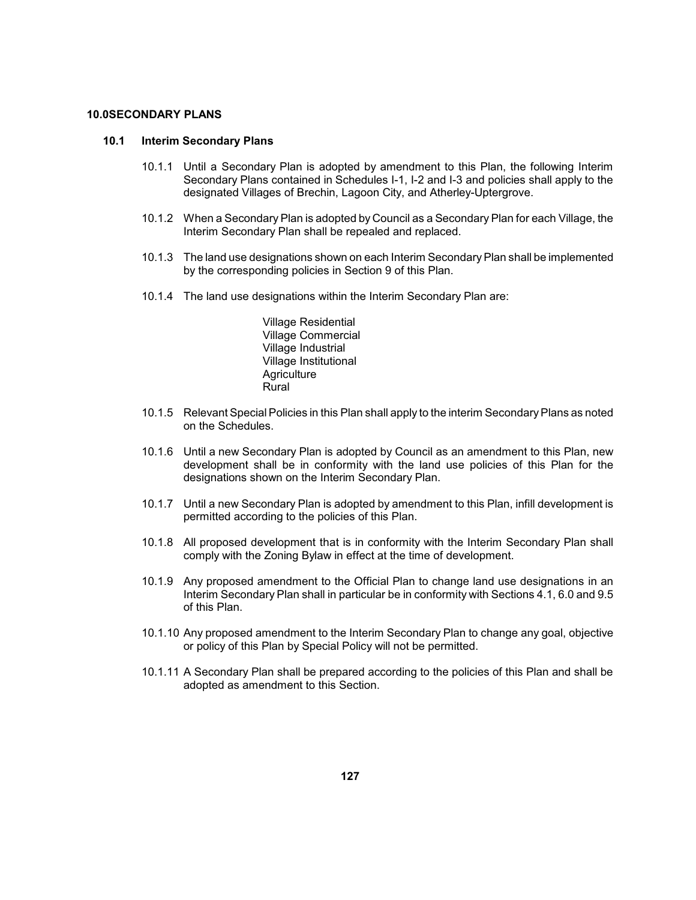### **10.0SECONDARY PLANS**

#### **10.1 Interim Secondary Plans**

- 10.1.1 Until a Secondary Plan is adopted by amendment to this Plan, the following Interim Secondary Plans contained in Schedules I-1, I-2 and I-3 and policies shall apply to the designated Villages of Brechin, Lagoon City, and Atherley-Uptergrove.
- 10.1.2 When a Secondary Plan is adopted by Council as a Secondary Plan for each Village, the Interim Secondary Plan shall be repealed and replaced.
- 10.1.3 The land use designations shown on each Interim Secondary Plan shall be implemented by the corresponding policies in Section 9 of this Plan.
- 10.1.4 The land use designations within the Interim Secondary Plan are:

Village Residential Village Commercial Village Industrial Village Institutional **Agriculture** Rural

- 10.1.5 Relevant Special Policies in this Plan shall apply to the interim Secondary Plans as noted on the Schedules.
- 10.1.6 Until a new Secondary Plan is adopted by Council as an amendment to this Plan, new development shall be in conformity with the land use policies of this Plan for the designations shown on the Interim Secondary Plan.
- 10.1.7 Until a new Secondary Plan is adopted by amendment to this Plan, infill development is permitted according to the policies of this Plan.
- 10.1.8 All proposed development that is in conformity with the Interim Secondary Plan shall comply with the Zoning Bylaw in effect at the time of development.
- Interim Secondary Plan shall in particular be in conformity with Sections 4.1, 6.0 and 9.5 10.1.9 Any proposed amendment to the Official Plan to change land use designations in an of this Plan.
- 10.1.10 Any proposed amendment to the Interim Secondary Plan to change any goal, objective or policy of this Plan by Special Policy will not be permitted.
- 10.1.11 A Secondary Plan shall be prepared according to the policies of this Plan and shall be adopted as amendment to this Section.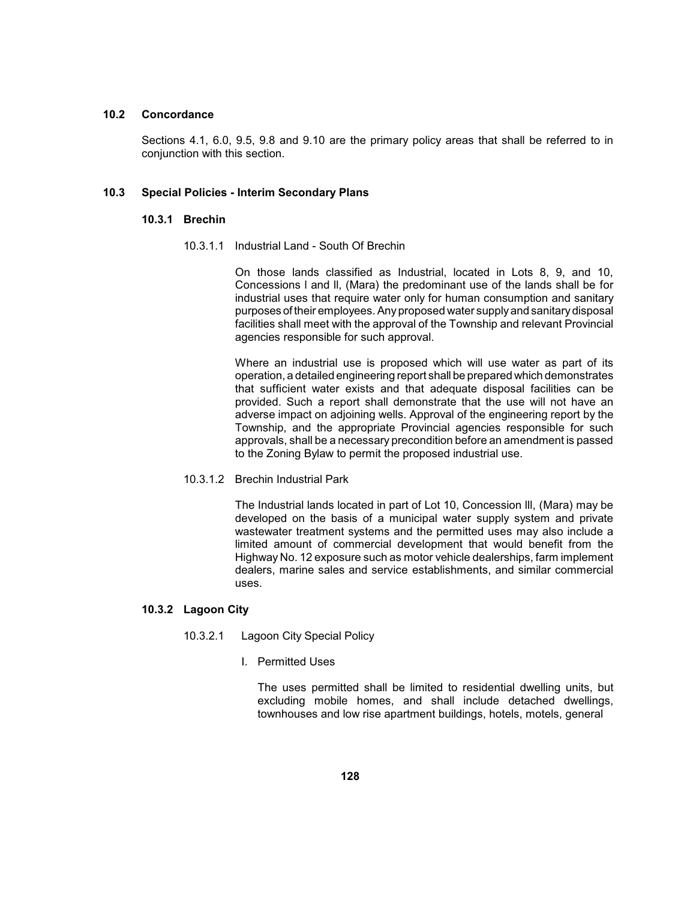# **10.2 Concordance**

 Sections 4.1, 6.0, 9.5, 9.8 and 9.10 are the primary policy areas that shall be referred to in conjunction with this section.

#### **10.3 Special Policies - Interim Secondary Plans**

#### **10.3.1 Brechin**

10.3.1.1 Industrial Land - South Of Brechin

 On those lands classified as Industrial, located in Lots 8, 9, and 10, Concessions l and ll, (Mara) the predominant use of the lands shall be for industrial uses that require water only for human consumption and sanitary facilities shall meet with the approval of the Township and relevant Provincial purposes of their employees. Anyproposed water supplyand sanitarydisposal agencies responsible for such approval.

 Where an industrial use is proposed which will use water as part of its that sufficient water exists and that adequate disposal facilities can be provided. Such a report shall demonstrate that the use will not have an Township, and the appropriate Provincial agencies responsible for such operation, a detailed engineering report shall be prepared which demonstrates adverse impact on adjoining wells. Approval of the engineering report by the approvals, shall be a necessary precondition before an amendment is passed to the Zoning Bylaw to permit the proposed industrial use.

10.3.1.2 Brechin Industrial Park

 The Industrial lands located in part of Lot 10, Concession lll, (Mara) may be developed on the basis of a municipal water supply system and private wastewater treatment systems and the permitted uses may also include a limited amount of commercial development that would benefit from the Highway No. 12 exposure such as motor vehicle dealerships, farm implement dealers, marine sales and service establishments, and similar commercial uses.

### **10.3.2 Lagoon City**

- 10.3.2.1 Lagoon City Special Policy
	- I. Permitted Uses

The uses permitted shall be limited to residential dwelling units, but excluding mobile homes, and shall include detached dwellings, townhouses and low rise apartment buildings, hotels, motels, general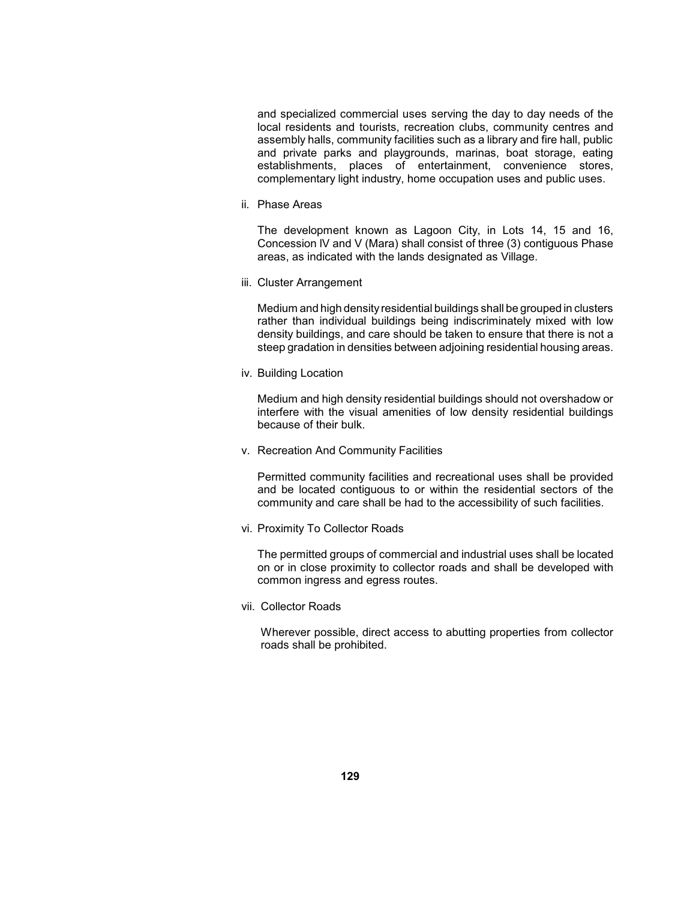and specialized commercial uses serving the day to day needs of the local residents and tourists, recreation clubs, community centres and assembly halls, community facilities such as a library and fire hall, public establishments, places of entertainment, convenience stores, and private parks and playgrounds, marinas, boat storage, eating complementary light industry, home occupation uses and public uses.

ii. Phase Areas

 The development known as Lagoon City, in Lots 14, 15 and 16, Concession lV and V (Mara) shall consist of three (3) contiguous Phase areas, as indicated with the lands designated as Village.

iii. Cluster Arrangement

 Medium and high densityresidential buildings shall be grouped in clusters rather than individual buildings being indiscriminately mixed with low density buildings, and care should be taken to ensure that there is not a steep gradation in densities between adjoining residential housing areas.

iv. Building Location

 Medium and high density residential buildings should not overshadow or interfere with the visual amenities of low density residential buildings because of their bulk.

v. Recreation And Community Facilities

 Permitted community facilities and recreational uses shall be provided and be located contiguous to or within the residential sectors of the community and care shall be had to the accessibility of such facilities.

vi. Proximity To Collector Roads

 The permitted groups of commercial and industrial uses shall be located on or in close proximity to collector roads and shall be developed with common ingress and egress routes.

vii. Collector Roads

 Wherever possible, direct access to abutting properties from collector roads shall be prohibited.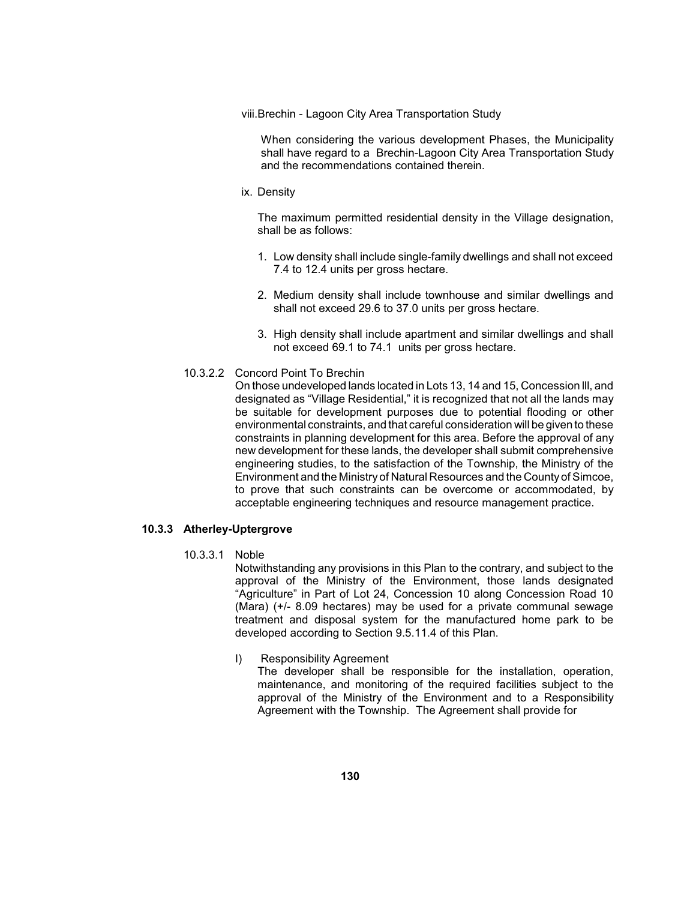viii.Brechin - Lagoon City Area Transportation Study

When considering the various development Phases, the Municipality shall have regard to a Brechin-Lagoon City Area Transportation Study and the recommendations contained therein.

ix. Density

 The maximum permitted residential density in the Village designation, shall be as follows:

- 1. Low density shall include single-family dwellings and shall not exceed 7.4 to 12.4 units per gross hectare.
- 2. Medium density shall include townhouse and similar dwellings and shall not exceed 29.6 to 37.0 units per gross hectare.
- 3. High density shall include apartment and similar dwellings and shall not exceed 69.1 to 74.1 units per gross hectare.
- 10.3.2.2 Concord Point To Brechin

 On those undeveloped lands located in Lots 13, 14 and 15, Concession lll, and designated as "Village Residential," it is recognized that not all the lands may constraints in planning development for this area. Before the approval of any engineering studies, to the satisfaction of the Township, the Ministry of the Environment and the Ministry of Natural Resources and the Countyof Simcoe, be suitable for development purposes due to potential flooding or other environmental constraints, and that careful consideration will be given to these new development for these lands, the developer shall submit comprehensive to prove that such constraints can be overcome or accommodated, by acceptable engineering techniques and resource management practice.

# **10.3.3 Atherley-Uptergrove**

10.3.3.1 Noble

 Notwithstanding any provisions in this Plan to the contrary, and subject to the approval of the Ministry of the Environment, those lands designated treatment and disposal system for the manufactured home park to be "Agriculture" in Part of Lot 24, Concession 10 along Concession Road 10 (Mara) (+/- 8.09 hectares) may be used for a private communal sewage developed according to Section 9.5.11.4 of this Plan.

I) Responsibility Agreement

 approval of the Ministry of the Environment and to a Responsibility The developer shall be responsible for the installation, operation, maintenance, and monitoring of the required facilities subject to the Agreement with the Township. The Agreement shall provide for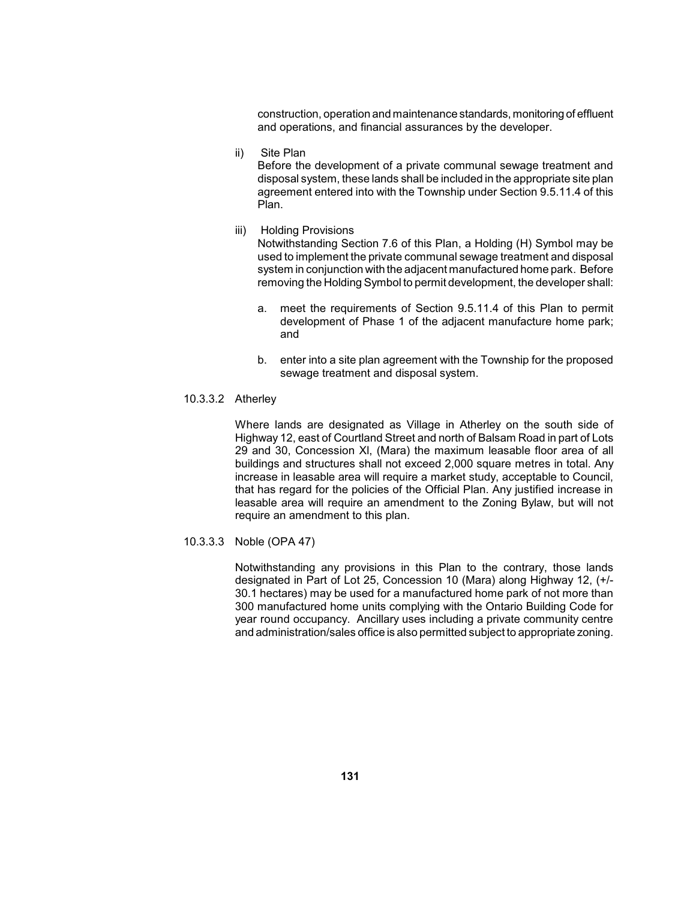construction, operation and maintenance standards, monitoring of effluent and operations, and financial assurances by the developer.

ii) Site Plan

 disposal system, these lands shall be included in the appropriate site plan Before the development of a private communal sewage treatment and agreement entered into with the Township under Section 9.5.11.4 of this Plan.

iii) Holding Provisions

 Notwithstanding Section 7.6 of this Plan, a Holding (H) Symbol may be system in conjunction with the adjacent manufactured home park. Before used to implement the private communal sewage treatment and disposal removing the Holding Symbol to permit development, the developer shall:

- a. meet the requirements of Section 9.5.11.4 of this Plan to permit development of Phase 1 of the adjacent manufacture home park; and
- b. enter into a site plan agreement with the Township for the proposed sewage treatment and disposal system.
- 10.3.3.2 Atherley

 Where lands are designated as Village in Atherley on the south side of Highway 12, east of Courtland Street and north of Balsam Road in part of Lots buildings and structures shall not exceed 2,000 square metres in total. Any that has regard for the policies of the Official Plan. Any justified increase in 29 and 30, Concession Xl, (Mara) the maximum leasable floor area of all increase in leasable area will require a market study, acceptable to Council, leasable area will require an amendment to the Zoning Bylaw, but will not require an amendment to this plan.

10.3.3.3 Noble (OPA 47)

 Notwithstanding any provisions in this Plan to the contrary, those lands designated in Part of Lot 25, Concession 10 (Mara) along Highway 12, (+/ 30.1 hectares) may be used for a manufactured home park of not more than year round occupancy. Ancillary uses including a private community centre 300 manufactured home units complying with the Ontario Building Code for and administration/sales office is also permitted subject to appropriate zoning.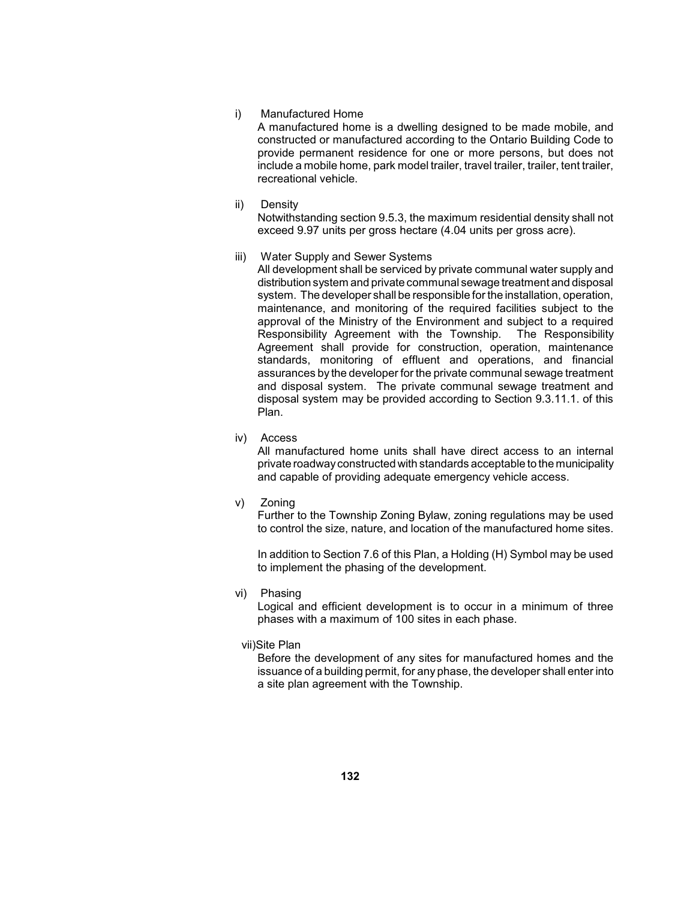#### i) Manufactured Home

 include a mobile home, park model trailer, travel trailer, trailer, tent trailer, A manufactured home is a dwelling designed to be made mobile, and constructed or manufactured according to the Ontario Building Code to provide permanent residence for one or more persons, but does not recreational vehicle.

#### ii) Density

 Notwithstanding section 9.5.3, the maximum residential density shall not exceed 9.97 units per gross hectare (4.04 units per gross acre).

iii) Water Supply and Sewer Systems

 approval of the Ministry of the Environment and subject to a required assurances by the developer for the private communal sewage treatment and disposal system. The private communal sewage treatment and disposal system may be provided according to Section 9.3.11.1. of this All development shall be serviced by private communal water supply and distribution system and private communal sewage treatment and disposal system. The developer shall be responsible for the installation, operation, maintenance, and monitoring of the required facilities subject to the Responsibility Agreement with the Township. The Responsibility Agreement shall provide for construction, operation, maintenance standards, monitoring of effluent and operations, and financial Plan.

iv) Access

 All manufactured home units shall have direct access to an internal private roadwayconstructed with standards acceptable to the municipality and capable of providing adequate emergency vehicle access.

v) Zoning

 Further to the Township Zoning Bylaw, zoning regulations may be used to control the size, nature, and location of the manufactured home sites.

 In addition to Section 7.6 of this Plan, a Holding (H) Symbol may be used to implement the phasing of the development.

vi) Phasing

 Logical and efficient development is to occur in a minimum of three phases with a maximum of 100 sites in each phase.

vii)Site Plan

 Before the development of any sites for manufactured homes and the issuance of a building permit, for any phase, the developer shall enter into a site plan agreement with the Township.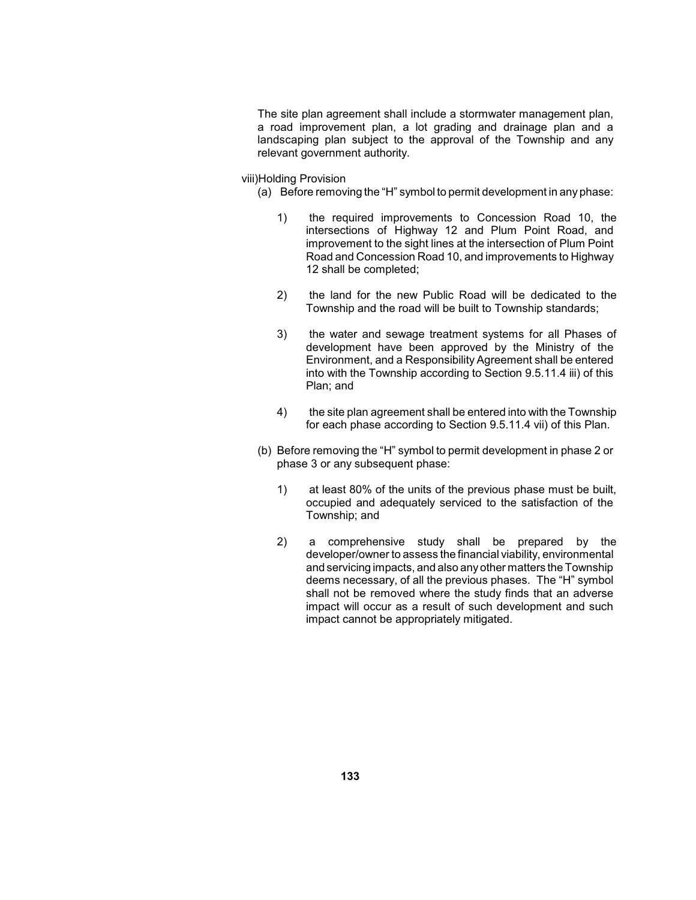landscaping plan subject to the approval of the Township and any The site plan agreement shall include a stormwater management plan, a road improvement plan, a lot grading and drainage plan and a relevant government authority.

viii)Holding Provision

- (a) Before removing the "H" symbol to permit development in any phase:
	- 1) the required improvements to Concession Road 10, the intersections of Highway 12 and Plum Point Road, and improvement to the sight lines at the intersection of Plum Point Road and Concession Road 10, and improvements to Highway 12 shall be completed;
	- 2) the land for the new Public Road will be dedicated to the Township and the road will be built to Township standards;
	- 3) the water and sewage treatment systems for all Phases of development have been approved by the Ministry of the Environment, and a Responsibility Agreement shall be entered into with the Township according to Section 9.5.11.4 iii) of this Plan; and
	- 4) the site plan agreement shall be entered into with the Township for each phase according to Section 9.5.11.4 vii) of this Plan.
- (b) Before removing the "H" symbol to permit development in phase 2 or phase 3 or any subsequent phase:
	- 1) at least 80% of the units of the previous phase must be built, occupied and adequately serviced to the satisfaction of the Township; and
	- 2) a comprehensive study shall be prepared by the deems necessary, of all the previous phases. The "H" symbol shall not be removed where the study finds that an adverse impact will occur as a result of such development and such developer/owner to assess the financial viability, environmental and servicing impacts, and also anyother matters the Township impact cannot be appropriately mitigated.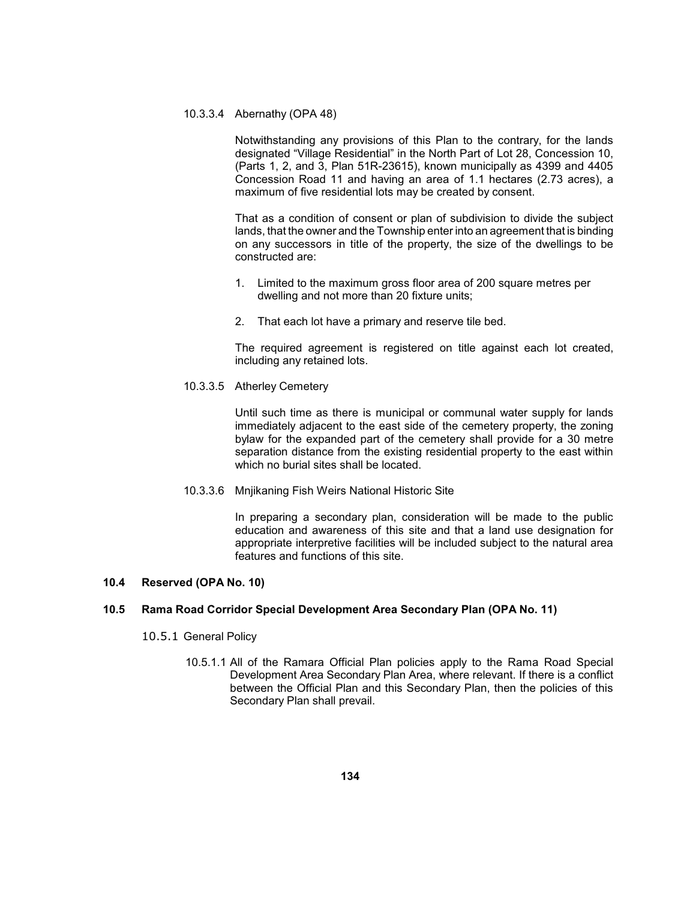## 10.3.3.4 Abernathy (OPA 48)

 Notwithstanding any provisions of this Plan to the contrary, for the lands (Parts 1, 2, and 3, Plan 51R-23615), known municipally as 4399 and 4405 Concession Road 11 and having an area of 1.1 hectares (2.73 acres), a designated "Village Residential" in the North Part of Lot 28, Concession 10, maximum of five residential lots may be created by consent.

 on any successors in title of the property, the size of the dwellings to be That as a condition of consent or plan of subdivision to divide the subject lands, that the owner and the Township enter into an agreement that is binding constructed are:

- 1. Limited to the maximum gross floor area of 200 square metres per dwelling and not more than 20 fixture units;
- 2. That each lot have a primary and reserve tile bed.

 The required agreement is registered on title against each lot created, including any retained lots.

10.3.3.5 Atherley Cemetery

 Until such time as there is municipal or communal water supply for lands bylaw for the expanded part of the cemetery shall provide for a 30 metre separation distance from the existing residential property to the east within immediately adjacent to the east side of the cemetery property, the zoning which no burial sites shall be located.

10.3.3.6 Mnjikaning Fish Weirs National Historic Site

 In preparing a secondary plan, consideration will be made to the public education and awareness of this site and that a land use designation for appropriate interpretive facilities will be included subject to the natural area features and functions of this site.

## **10.4 Reserved (OPA No. 10)**

## **10.5 Rama Road Corridor Special Development Area Secondary Plan (OPA No. 11)**

- 10.5.1 General Policy
	- 10.5.1.1 All of the Ramara Official Plan policies apply to the Rama Road Special between the Official Plan and this Secondary Plan, then the policies of this Development Area Secondary Plan Area, where relevant. If there is a conflict Secondary Plan shall prevail.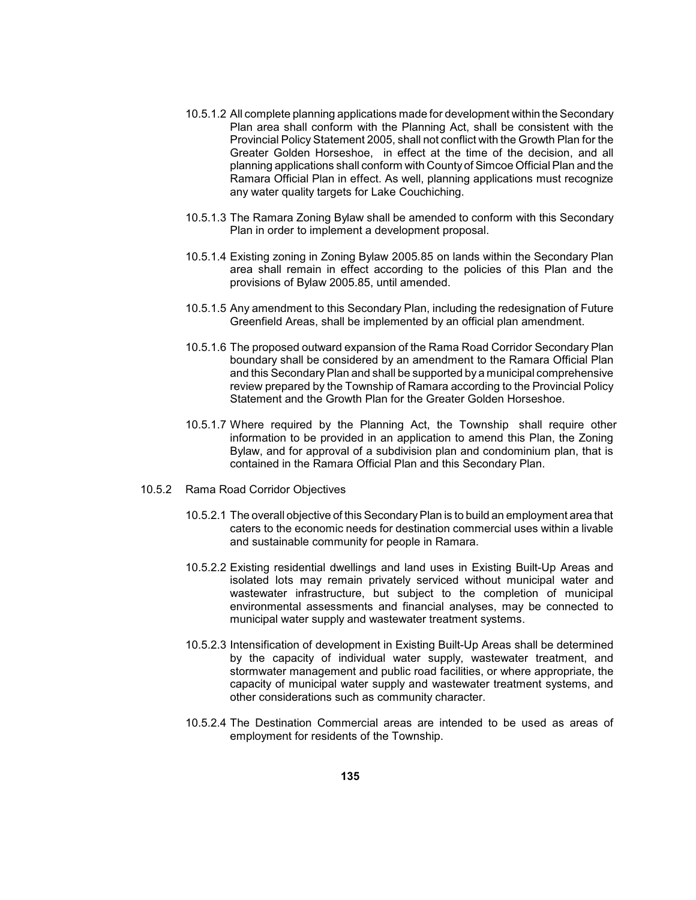- Plan area shall conform with the Planning Act, shall be consistent with the Provincial Policy Statement 2005, shall not conflict with the Growth Plan for the Greater Golden Horseshoe, in effect at the time of the decision, and all planning applications shall conform with Countyof Simcoe Official Plan and the 10.5.1.2 All complete planning applications made for development within the Secondary Ramara Official Plan in effect. As well, planning applications must recognize any water quality targets for Lake Couchiching.
- 10.5.1.3 The Ramara Zoning Bylaw shall be amended to conform with this Secondary Plan in order to implement a development proposal.
- 10.5.1.4 Existing zoning in Zoning Bylaw 2005.85 on lands within the Secondary Plan area shall remain in effect according to the policies of this Plan and the provisions of Bylaw 2005.85, until amended.
- 10.5.1.5 Any amendment to this Secondary Plan, including the redesignation of Future Greenfield Areas, shall be implemented by an official plan amendment.
- boundary shall be considered by an amendment to the Ramara Official Plan and this Secondary Plan and shall be supported by a municipal comprehensive 10.5.1.6 The proposed outward expansion of the Rama Road Corridor Secondary Plan review prepared by the Township of Ramara according to the Provincial Policy Statement and the Growth Plan for the Greater Golden Horseshoe.
- 10.5.1.7 Where required by the Planning Act, the Township shall require other information to be provided in an application to amend this Plan, the Zoning Bylaw, and for approval of a subdivision plan and condominium plan, that is contained in the Ramara Official Plan and this Secondary Plan.
- 10.5.2 Rama Road Corridor Objectives
	- 10.5.2.1 The overall objective of this Secondary Plan is to build an employment area that caters to the economic needs for destination commercial uses within a livable and sustainable community for people in Ramara.
	- 10.5.2.2 Existing residential dwellings and land uses in Existing Built-Up Areas and isolated lots may remain privately serviced without municipal water and wastewater infrastructure, but subject to the completion of municipal environmental assessments and financial analyses, may be connected to municipal water supply and wastewater treatment systems.
	- 10.5.2.3 Intensification of development in Existing Built-Up Areas shall be determined by the capacity of individual water supply, wastewater treatment, and stormwater management and public road facilities, or where appropriate, the capacity of municipal water supply and wastewater treatment systems, and other considerations such as community character.
	- 10.5.2.4 The Destination Commercial areas are intended to be used as areas of employment for residents of the Township.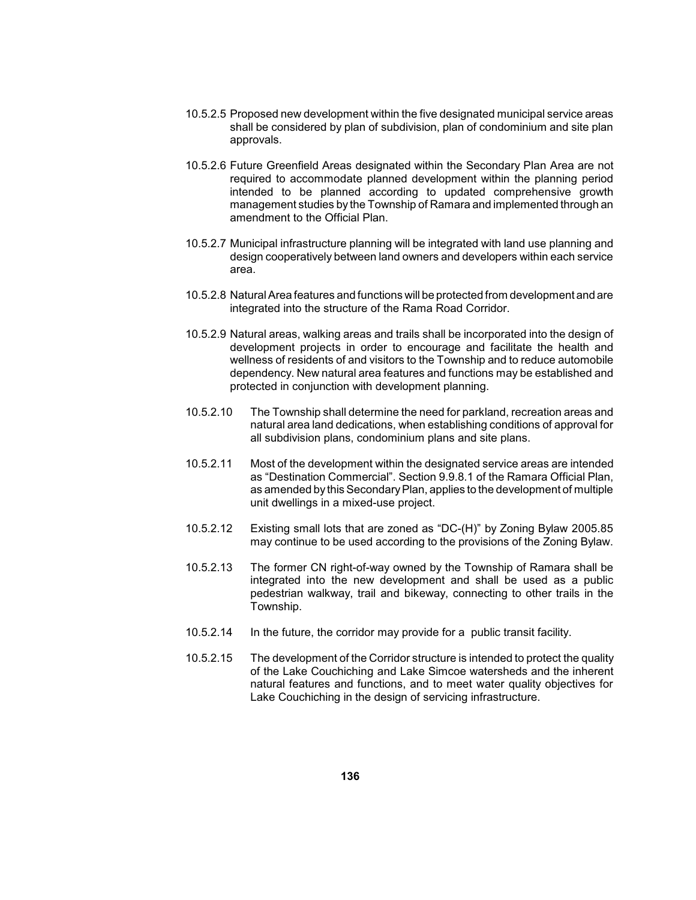- shall be considered by plan of subdivision, plan of condominium and site plan 10.5.2.5 Proposed new development within the five designated municipal service areas approvals.
- 10.5.2.6 Future Greenfield Areas designated within the Secondary Plan Area are not management studies by the Township of Ramara and implemented through an required to accommodate planned development within the planning period intended to be planned according to updated comprehensive growth amendment to the Official Plan.
- design cooperatively between land owners and developers within each service 10.5.2.7 Municipal infrastructure planning will be integrated with land use planning and area.
- 10.5.2.8 Natural Area features and functions will be protected from development and are integrated into the structure of the Rama Road Corridor.
- 10.5.2.9 Natural areas, walking areas and trails shall be incorporated into the design of wellness of residents of and visitors to the Township and to reduce automobile dependency. New natural area features and functions may be established and development projects in order to encourage and facilitate the health and protected in conjunction with development planning.
- natural area land dedications, when establishing conditions of approval for 10.5.2.10 The Township shall determine the need for parkland, recreation areas and all subdivision plans, condominium plans and site plans.
- 10.5.2.11 Most of the development within the designated service areas are intended as amended by this Secondary Plan, applies to the development of multiple as "Destination Commercial". Section 9.9.8.1 of the Ramara Official Plan, unit dwellings in a mixed-use project.
- 10.5.2.12 Existing small lots that are zoned as "DC-(H)" by Zoning Bylaw 2005.85 may continue to be used according to the provisions of the Zoning Bylaw.
- 10.5.2.13 The former CN right-of-way owned by the Township of Ramara shall be integrated into the new development and shall be used as a public pedestrian walkway, trail and bikeway, connecting to other trails in the Township.
- 10.5.2.14 In the future, the corridor may provide for a public transit facility.
- of the Lake Couchiching and Lake Simcoe watersheds and the inherent natural features and functions, and to meet water quality objectives for 10.5.2.15 The development of the Corridor structure is intended to protect the quality Lake Couchiching in the design of servicing infrastructure.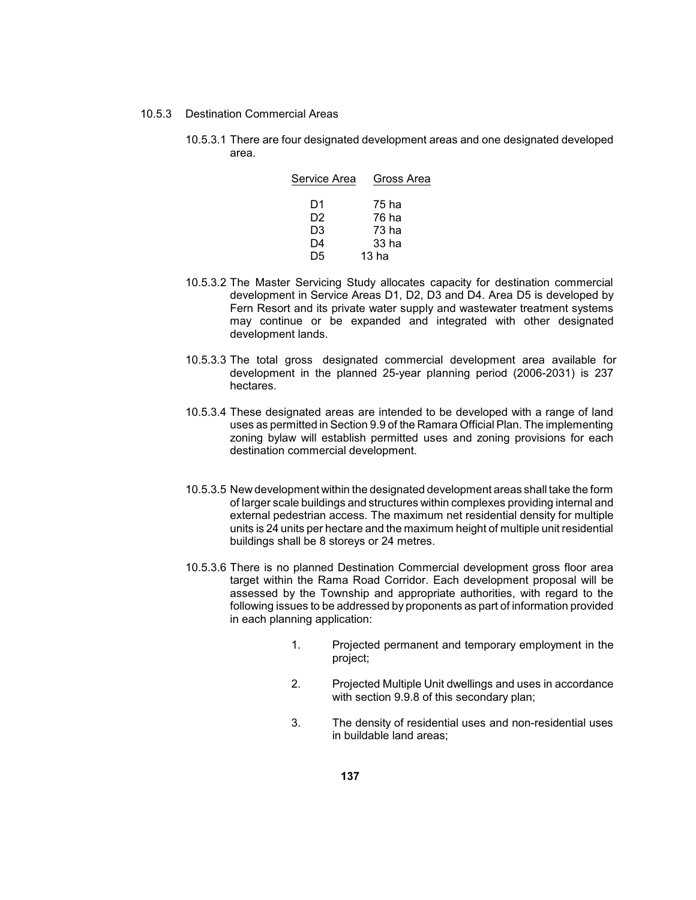- 10.5.3 Destination Commercial Areas
	- 10.5.3.1 There are four designated development areas and one designated developed area.

| Service Area | Gross Area |
|--------------|------------|
|              |            |
| D1           | 75 ha      |
| D2           | 76 ha      |
| D3           | 73 ha      |
| D4           | 33 ha      |
| D5           | 13 ha      |

- 10.5.3.2 The Master Servicing Study allocates capacity for destination commercial development in Service Areas D1, D2, D3 and D4. Area D5 is developed by Fern Resort and its private water supply and wastewater treatment systems may continue or be expanded and integrated with other designated development lands.
- 10.5.3.3 The total gross designated commercial development area available for development in the planned 25-year planning period (2006-2031) is 237 hectares.
- 10.5.3.4 These designated areas are intended to be developed with a range of land uses as permitted in Section 9.9 of the Ramara Official Plan. The implementing zoning bylaw will establish permitted uses and zoning provisions for each destination commercial development.
- 10.5.3.5 New development within the designated development areas shall take the form external pedestrian access. The maximum net residential density for multiple units is 24 units per hectare and the maximum height of multiple unit residential of larger scale buildings and structures within complexes providing internal and buildings shall be 8 storeys or 24 metres.
- target within the Rama Road Corridor. Each development proposal will be following issues to be addressed by proponents as part of information provided 10.5.3.6 There is no planned Destination Commercial development gross floor area assessed by the Township and appropriate authorities, with regard to the in each planning application:
	- 1. Projected permanent and temporary employment in the project;
	- 2. Projected Multiple Unit dwellings and uses in accordance with section 9.9.8 of this secondary plan;
	- 3. The density of residential uses and non-residential uses in buildable land areas;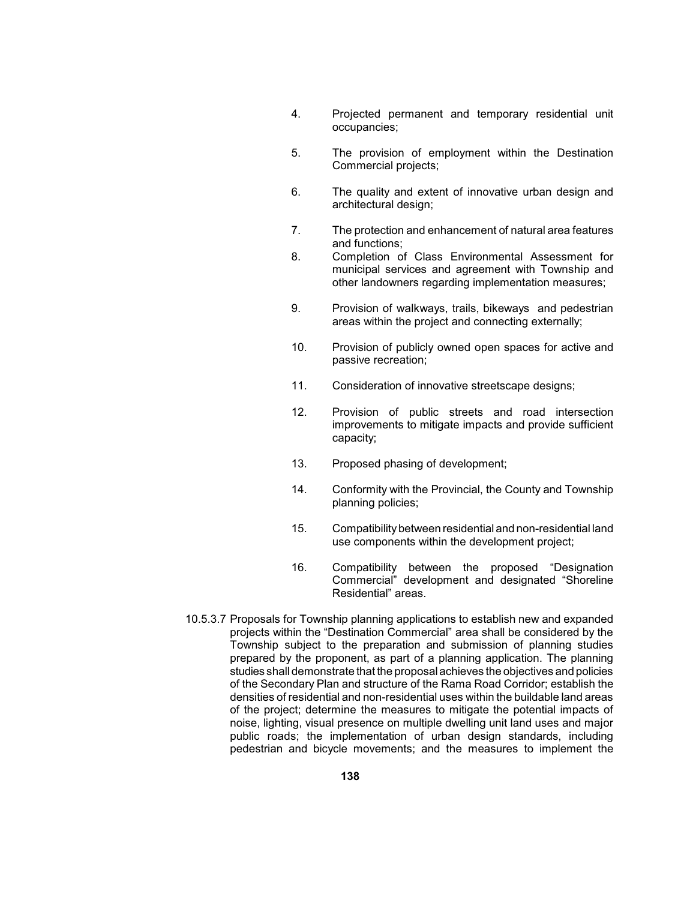- 4. Projected permanent and temporary residential unit occupancies;
- 5. The provision of employment within the Destination Commercial projects;
- 6. The quality and extent of innovative urban design and architectural design;
- 7. The protection and enhancement of natural area features and functions;
- 8. Completion of Class Environmental Assessment for municipal services and agreement with Township and other landowners regarding implementation measures;
- 9. Provision of walkways, trails, bikeways and pedestrian areas within the project and connecting externally;
- 10. Provision of publicly owned open spaces for active and passive recreation;
- 11. Consideration of innovative streetscape designs;
- 12. Provision of public streets and road intersection improvements to mitigate impacts and provide sufficient capacity;
- 13. Proposed phasing of development;
- 14. Conformity with the Provincial, the County and Township planning policies;
- 15. Compatibility between residential and non-residential land use components within the development project;
- 16. Compatibility between the proposed "Designation Commercial" development and designated "Shoreline Residential" areas.
- 10.5.3.7 Proposals for Township planning applications to establish new and expanded projects within the "Destination Commercial" area shall be considered by the Township subject to the preparation and submission of planning studies prepared by the proponent, as part of a planning application. The planning studies shall demonstrate that the proposal achieves the objectives and policies densities of residential and non-residential uses within the buildable land areas of the project; determine the measures to mitigate the potential impacts of of the Secondary Plan and structure of the Rama Road Corridor; establish the noise, lighting, visual presence on multiple dwelling unit land uses and major public roads; the implementation of urban design standards, including pedestrian and bicycle movements; and the measures to implement the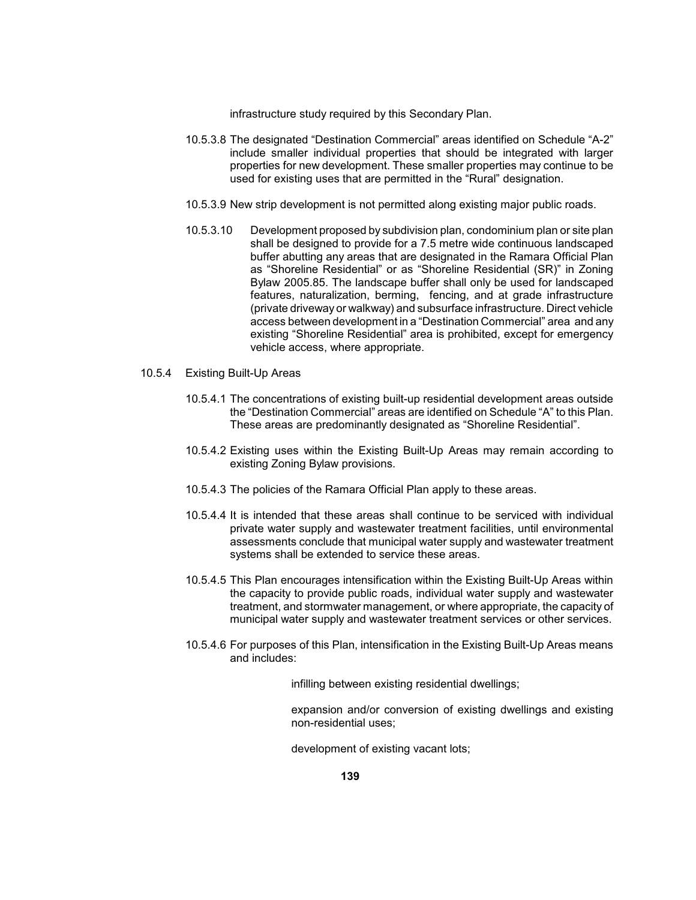infrastructure study required by this Secondary Plan.

- include smaller individual properties that should be integrated with larger properties for new development. These smaller properties may continue to be 10.5.3.8 The designated "Destination Commercial" areas identified on Schedule "A-2" used for existing uses that are permitted in the "Rural" designation.
- 10.5.3.9 New strip development is not permitted along existing major public roads.
- Bylaw 2005.85. The landscape buffer shall only be used for landscaped 10.5.3.10 Development proposed by subdivision plan, condominium plan or site plan shall be designed to provide for a 7.5 metre wide continuous landscaped buffer abutting any areas that are designated in the Ramara Official Plan as "Shoreline Residential" or as "Shoreline Residential (SR)" in Zoning features, naturalization, berming, fencing, and at grade infrastructure (private driveway or walkway) and subsurface infrastructure. Direct vehicle access between development in a "Destination Commercial" area and any existing "Shoreline Residential" area is prohibited, except for emergency vehicle access, where appropriate.
- 10.5.4 Existing Built-Up Areas
	- 10.5.4.1 The concentrations of existing built-up residential development areas outside the "Destination Commercial" areas are identified on Schedule "A" to this Plan. These areas are predominantly designated as "Shoreline Residential".
	- 10.5.4.2 Existing uses within the Existing Built-Up Areas may remain according to existing Zoning Bylaw provisions.
	- 10.5.4.3 The policies of the Ramara Official Plan apply to these areas.
	- 10.5.4.4 It is intended that these areas shall continue to be serviced with individual private water supply and wastewater treatment facilities, until environmental assessments conclude that municipal water supply and wastewater treatment systems shall be extended to service these areas.
	- 10.5.4.5 This Plan encourages intensification within the Existing Built-Up Areas within the capacity to provide public roads, individual water supply and wastewater treatment, and stormwater management, or where appropriate, the capacity of municipal water supply and wastewater treatment services or other services.
	- 10.5.4.6 For purposes of this Plan, intensification in the Existing Built-Up Areas means and includes:

infilling between existing residential dwellings;

expansion and/or conversion of existing dwellings and existing non-residential uses;

development of existing vacant lots;

**139**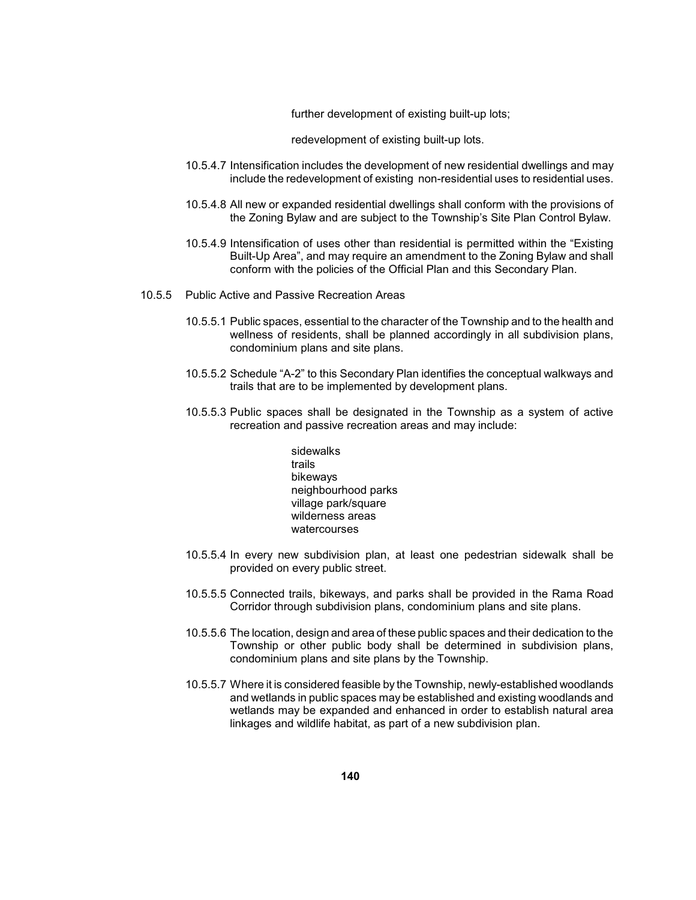further development of existing built-up lots;

redevelopment of existing built-up lots.

- 10.5.4.7 Intensification includes the development of new residential dwellings and may include the redevelopment of existing non-residential uses to residential uses.
- 10.5.4.8 All new or expanded residential dwellings shall conform with the provisions of the Zoning Bylaw and are subject to the Township's Site Plan Control Bylaw.
- 10.5.4.9 Intensification of uses other than residential is permitted within the "Existing Built-Up Area", and may require an amendment to the Zoning Bylaw and shall conform with the policies of the Official Plan and this Secondary Plan.
- 10.5.5 Public Active and Passive Recreation Areas
	- wellness of residents, shall be planned accordingly in all subdivision plans, 10.5.5.1 Public spaces, essential to the character of the Township and to the health and condominium plans and site plans.
	- 10.5.5.2 Schedule "A-2" to this Secondary Plan identifies the conceptual walkways and trails that are to be implemented by development plans.
	- 10.5.5.3 Public spaces shall be designated in the Township as a system of active recreation and passive recreation areas and may include:
		- sidewalks trails bikeways neighbourhood parks village park/square wilderness areas watercourses
	- 10.5.5.4 In every new subdivision plan, at least one pedestrian sidewalk shall be provided on every public street.
	- 10.5.5.5 Connected trails, bikeways, and parks shall be provided in the Rama Road Corridor through subdivision plans, condominium plans and site plans.
	- 10.5.5.6 The location, design and area of these public spaces and their dedication to the Township or other public body shall be determined in subdivision plans, condominium plans and site plans by the Township.
	- and wetlands in public spaces may be established and existing woodlands and wetlands may be expanded and enhanced in order to establish natural area 10.5.5.7 Where it is considered feasible by the Township, newly-established woodlands linkages and wildlife habitat, as part of a new subdivision plan.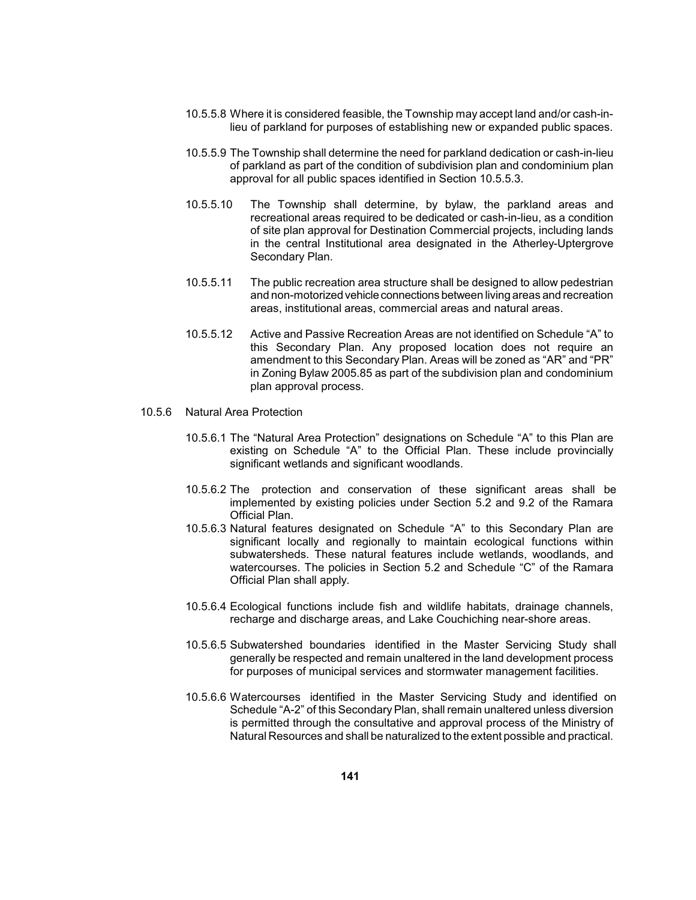- 10.5.5.8 Where it is considered feasible, the Township may accept land and/or cash-inlieu of parkland for purposes of establishing new or expanded public spaces.
- of parkland as part of the condition of subdivision plan and condominium plan 10.5.5.9 The Township shall determine the need for parkland dedication or cash-in-lieu approval for all public spaces identified in Section 10.5.5.3.
- recreational areas required to be dedicated or cash-in-lieu, as a condition 10.5.5.10 The Township shall determine, by bylaw, the parkland areas and of site plan approval for Destination Commercial projects, including lands in the central Institutional area designated in the Atherley-Uptergrove Secondary Plan.
- and non-motorized vehicle connections between living areas and recreation 10.5.5.11 The public recreation area structure shall be designed to allow pedestrian areas, institutional areas, commercial areas and natural areas.
- amendment to this Secondary Plan. Areas will be zoned as "AR" and "PR" in Zoning Bylaw 2005.85 as part of the subdivision plan and condominium 10.5.5.12 Active and Passive Recreation Areas are not identified on Schedule "A" to this Secondary Plan. Any proposed location does not require an plan approval process.
- 10.5.6 Natural Area Protection
	- 10.5.6.1 The "Natural Area Protection" designations on Schedule "A" to this Plan are existing on Schedule "A" to the Official Plan. These include provincially significant wetlands and significant woodlands.
	- 10.5.6.2 The protection and conservation of these significant areas shall be implemented by existing policies under Section 5.2 and 9.2 of the Ramara Official Plan.
	- 10.5.6.3 Natural features designated on Schedule "A" to this Secondary Plan are significant locally and regionally to maintain ecological functions within subwatersheds. These natural features include wetlands, woodlands, and watercourses. The policies in Section 5.2 and Schedule "C" of the Ramara Official Plan shall apply.
	- 10.5.6.4 Ecological functions include fish and wildlife habitats, drainage channels, recharge and discharge areas, and Lake Couchiching near-shore areas.
	- for purposes of municipal services and stormwater management facilities. 10.5.6.5 Subwatershed boundaries identified in the Master Servicing Study shall generally be respected and remain unaltered in the land development process
	- 10.5.6.6 Watercourses identified in the Master Servicing Study and identified on Schedule "A-2" of this Secondary Plan, shall remain unaltered unless diversion is permitted through the consultative and approval process of the Ministry of Natural Resources and shall be naturalized to the extent possible and practical.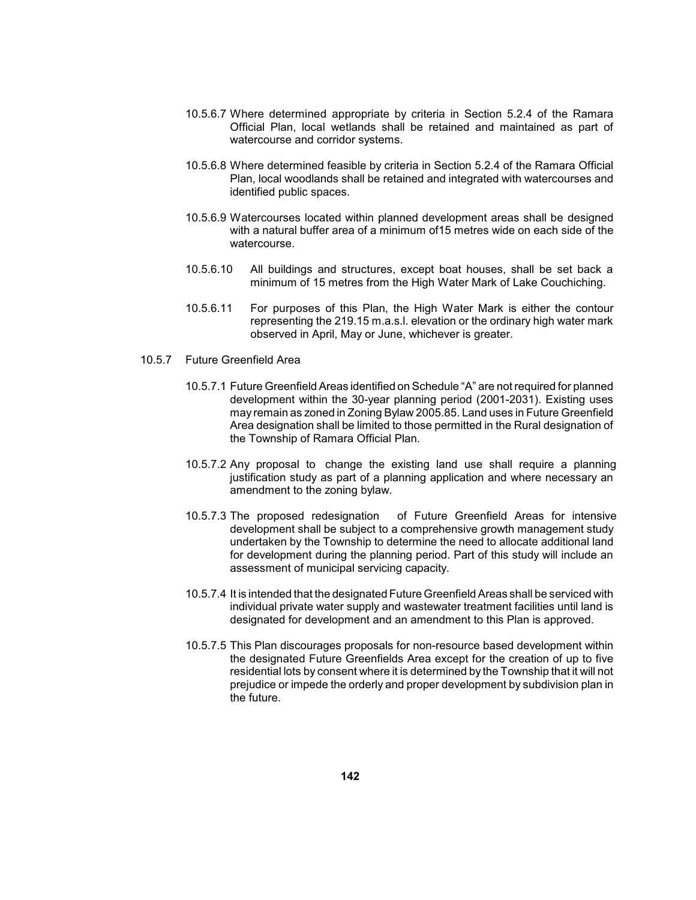- Official Plan, local wetlands shall be retained and maintained as part of 10.5.6.7 Where determined appropriate by criteria in Section 5.2.4 of the Ramara watercourse and corridor systems.
- Plan, local woodlands shall be retained and integrated with watercourses and 10.5.6.8 Where determined feasible by criteria in Section 5.2.4 of the Ramara Official identified public spaces.
- 10.5.6.9 Watercourses located within planned development areas shall be designed with a natural buffer area of a minimum of15 metres wide on each side of the watercourse.
- 10.5.6.10 All buildings and structures, except boat houses, shall be set back a minimum of 15 metres from the High Water Mark of Lake Couchiching.
- 10.5.6.11 For purposes of this Plan, the High Water Mark is either the contour representing the 219.15 m.a.s.l. elevation or the ordinary high water mark observed in April, May or June, whichever is greater.
- 10.5.7 Future Greenfield Area
	- 10.5.7.1 Future Greenfield Areas identified on Schedule "A" are not required for planned may remain as zoned in Zoning Bylaw 2005.85. Land uses in Future Greenfield development within the 30-year planning period (2001-2031). Existing uses Area designation shall be limited to those permitted in the Rural designation of the Township of Ramara Official Plan.
	- 10.5.7.2 Any proposal to change the existing land use shall require a planning justification study as part of a planning application and where necessary an amendment to the zoning bylaw.
	- 10.5.7.3 The proposed redesignation of Future Greenfield Areas for intensive for development during the planning period. Part of this study will include an development shall be subject to a comprehensive growth management study undertaken by the Township to determine the need to allocate additional land assessment of municipal servicing capacity.
	- 10.5.7.4 It is intended that the designated Future Greenfield Areas shall be serviced with individual private water supply and wastewater treatment facilities until land is designated for development and an amendment to this Plan is approved.
	- residential lots by consent where it is determined by the Township that it will not 10.5.7.5 This Plan discourages proposals for non-resource based development within the designated Future Greenfields Area except for the creation of up to five prejudice or impede the orderly and proper development by subdivision plan in the future.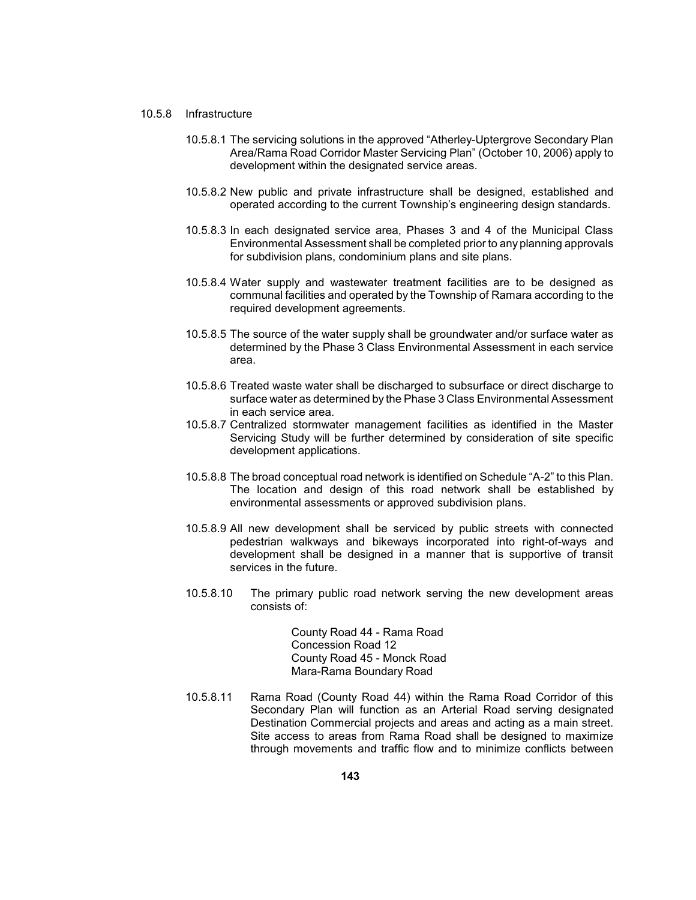## 10.5.8 Infrastructure

- 10.5.8.1 The servicing solutions in the approved "Atherley-Uptergrove Secondary Plan Area/Rama Road Corridor Master Servicing Plan" (October 10, 2006) apply to development within the designated service areas.
- 10.5.8.2 New public and private infrastructure shall be designed, established and operated according to the current Township's engineering design standards.
- 10.5.8.3 In each designated service area, Phases 3 and 4 of the Municipal Class Environmental Assessment shall be completed prior to any planning approvals for subdivision plans, condominium plans and site plans.
- communal facilities and operated by the Township of Ramara according to the 10.5.8.4 Water supply and wastewater treatment facilities are to be designed as required development agreements.
- determined by the Phase 3 Class Environmental Assessment in each service 10.5.8.5 The source of the water supply shall be groundwater and/or surface water as area.
- surface water as determined by the Phase 3 Class Environmental Assessment 10.5.8.6 Treated waste water shall be discharged to subsurface or direct discharge to in each service area.
- Servicing Study will be further determined by consideration of site specific 10.5.8.7 Centralized stormwater management facilities as identified in the Master development applications.
- 10.5.8.8 The broad conceptual road network is identified on Schedule "A-2" to this Plan. The location and design of this road network shall be established by environmental assessments or approved subdivision plans.
- 10.5.8.9 All new development shall be serviced by public streets with connected development shall be designed in a manner that is supportive of transit pedestrian walkways and bikeways incorporated into right-of-ways and services in the future.
- 10.5.8.10 The primary public road network serving the new development areas consists of:

County Road 44 - Rama Road Concession Road 12 County Road 45 - Monck Road Mara-Rama Boundary Road

 10.5.8.11 Rama Road (County Road 44) within the Rama Road Corridor of this Secondary Plan will function as an Arterial Road serving designated Destination Commercial projects and areas and acting as a main street. Site access to areas from Rama Road shall be designed to maximize through movements and traffic flow and to minimize conflicts between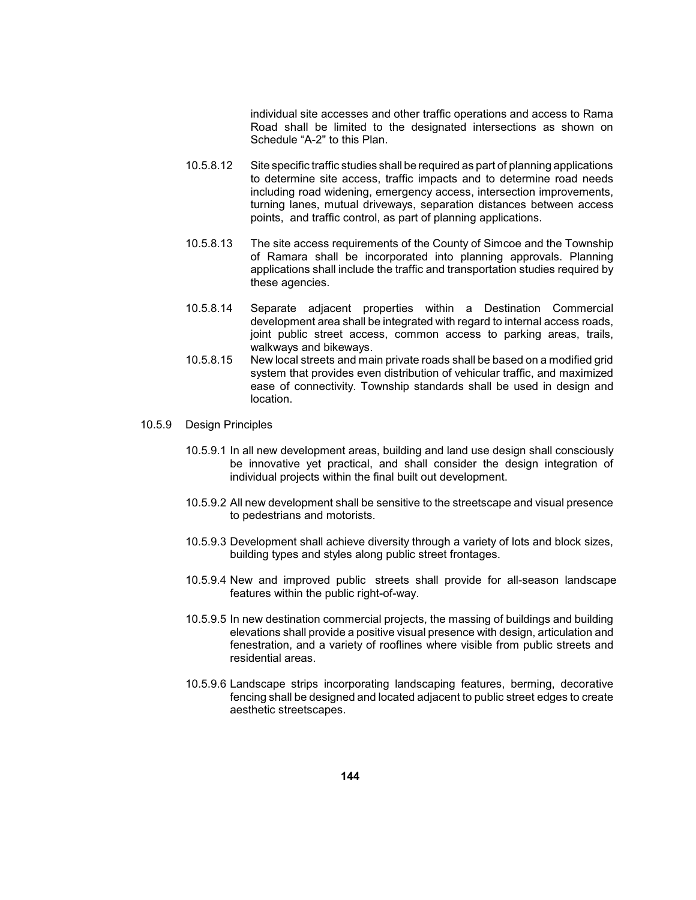Road shall be limited to the designated intersections as shown on individual site accesses and other traffic operations and access to Rama Schedule "A-2" to this Plan.

- 10.5.8.12 Site specific traffic studies shall be required as part of planning applications to determine site access, traffic impacts and to determine road needs including road widening, emergency access, intersection improvements, turning lanes, mutual driveways, separation distances between access points, and traffic control, as part of planning applications.
- 10.5.8.13 The site access requirements of the County of Simcoe and the Township applications shall include the traffic and transportation studies required by of Ramara shall be incorporated into planning approvals. Planning these agencies.
- 10.5.8.14 Separate adjacent properties within a Destination Commercial development area shall be integrated with regard to internal access roads, joint public street access, common access to parking areas, trails, walkways and bikeways.
- 10.5.8.15 New local streets and main private roads shall be based on a modified grid ease of connectivity. Township standards shall be used in design and system that provides even distribution of vehicular traffic, and maximized location.
- 10.5.9 Design Principles
	- 10.5.9.1 In all new development areas, building and land use design shall consciously be innovative yet practical, and shall consider the design integration of individual projects within the final built out development.
	- 10.5.9.2 All new development shall be sensitive to the streetscape and visual presence to pedestrians and motorists.
	- 10.5.9.3 Development shall achieve diversity through a variety of lots and block sizes, building types and styles along public street frontages.
	- 10.5.9.4 New and improved public streets shall provide for all-season landscape features within the public right-of-way.
	- 10.5.9.5 In new destination commercial projects, the massing of buildings and building elevations shall provide a positive visual presence with design, articulation and fenestration, and a variety of rooflines where visible from public streets and residential areas.
	- 10.5.9.6 Landscape strips incorporating landscaping features, berming, decorative fencing shall be designed and located adjacent to public street edges to create aesthetic streetscapes.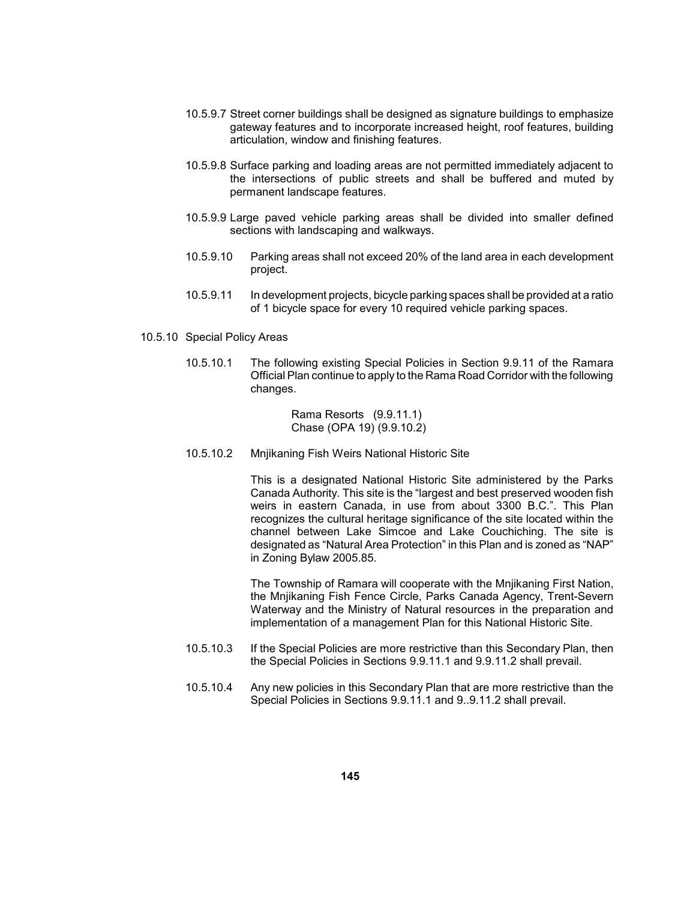- 10.5.9.7 Street corner buildings shall be designed as signature buildings to emphasize gateway features and to incorporate increased height, roof features, building articulation, window and finishing features.
- the intersections of public streets and shall be buffered and muted by 10.5.9.8 Surface parking and loading areas are not permitted immediately adjacent to permanent landscape features.
- 10.5.9.9 Large paved vehicle parking areas shall be divided into smaller defined sections with landscaping and walkways.
- 10.5.9.10 Parking areas shall not exceed 20% of the land area in each development project.
- 10.5.9.11 In development projects, bicycle parking spaces shall be provided at a ratio of 1 bicycle space for every 10 required vehicle parking spaces.
- 10.5.10 Special Policy Areas
	- 10.5.10.1 The following existing Special Policies in Section 9.9.11 of the Ramara Official Plan continue to apply to the Rama Road Corridor with the following changes.

Rama Resorts (9.9.11.1) Chase (OPA 19) (9.9.10.2)

10.5.10.2 Mnjikaning Fish Weirs National Historic Site

 This is a designated National Historic Site administered by the Parks Canada Authority. This site is the "largest and best preserved wooden fish weirs in eastern Canada, in use from about 3300 B.C.". This Plan recognizes the cultural heritage significance of the site located within the designated as "Natural Area Protection" in this Plan and is zoned as "NAP" channel between Lake Simcoe and Lake Couchiching. The site is in Zoning Bylaw 2005.85.

 Waterway and the Ministry of Natural resources in the preparation and The Township of Ramara will cooperate with the Mnjikaning First Nation, the Mnjikaning Fish Fence Circle, Parks Canada Agency, Trent-Severn implementation of a management Plan for this National Historic Site.

- 10.5.10.3 If the Special Policies are more restrictive than this Secondary Plan, then the Special Policies in Sections 9.9.11.1 and 9.9.11.2 shall prevail.
- 10.5.10.4 Any new policies in this Secondary Plan that are more restrictive than the Special Policies in Sections 9.9.11.1 and 9..9.11.2 shall prevail.